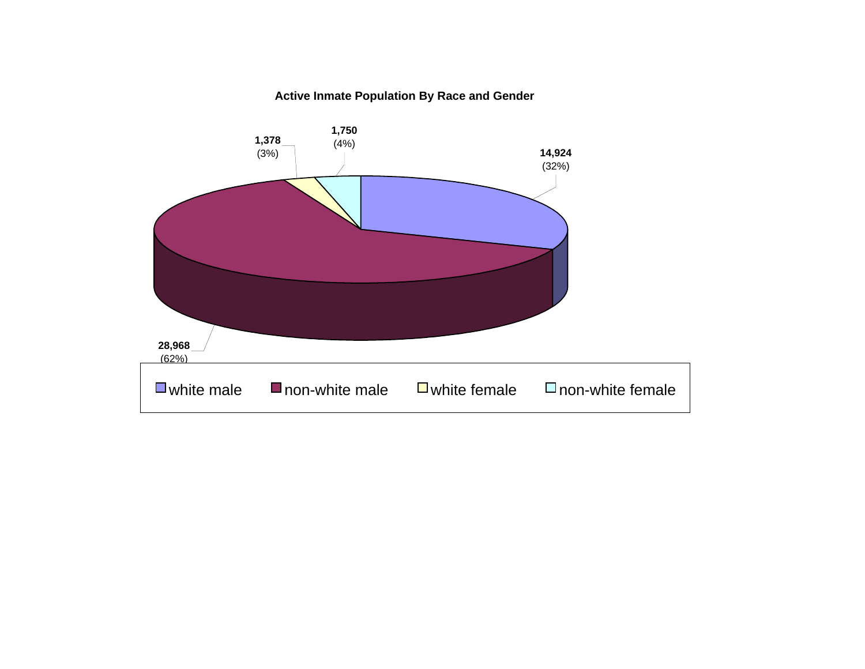#### **Active Inmate Population By Race and Gender**

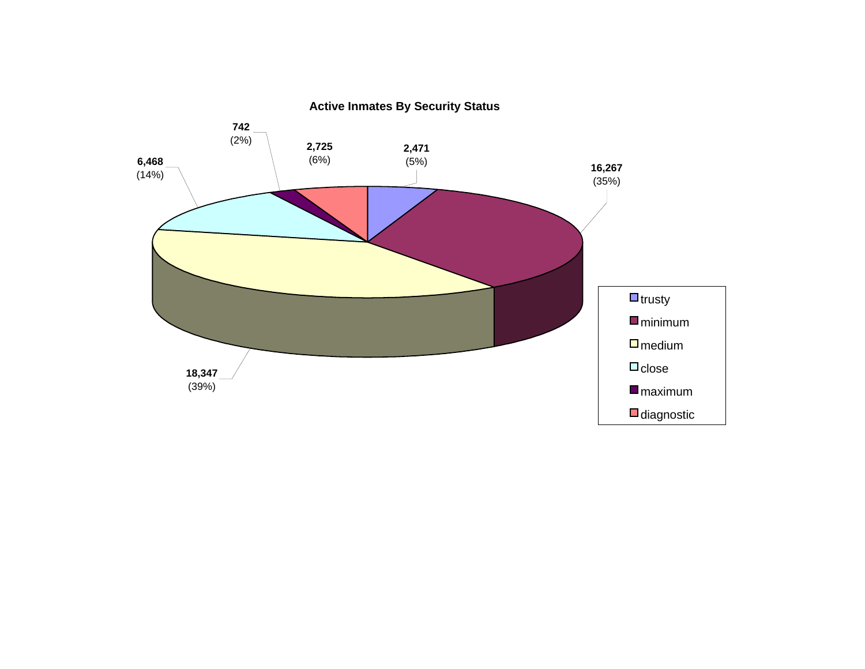

**Active Inmates By Security Status**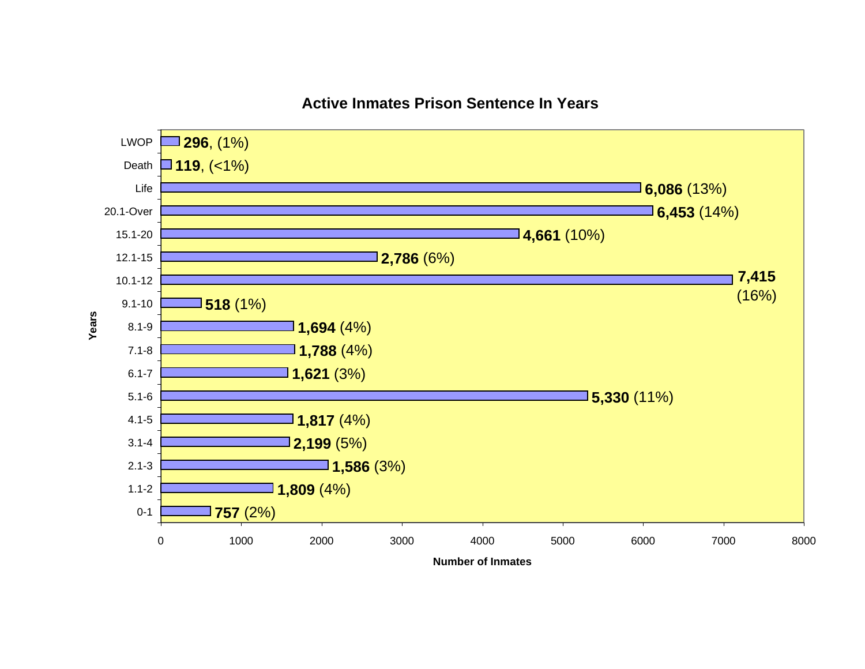

#### **Active Inmates Prison Sentence In Years**

**Number of Inmates**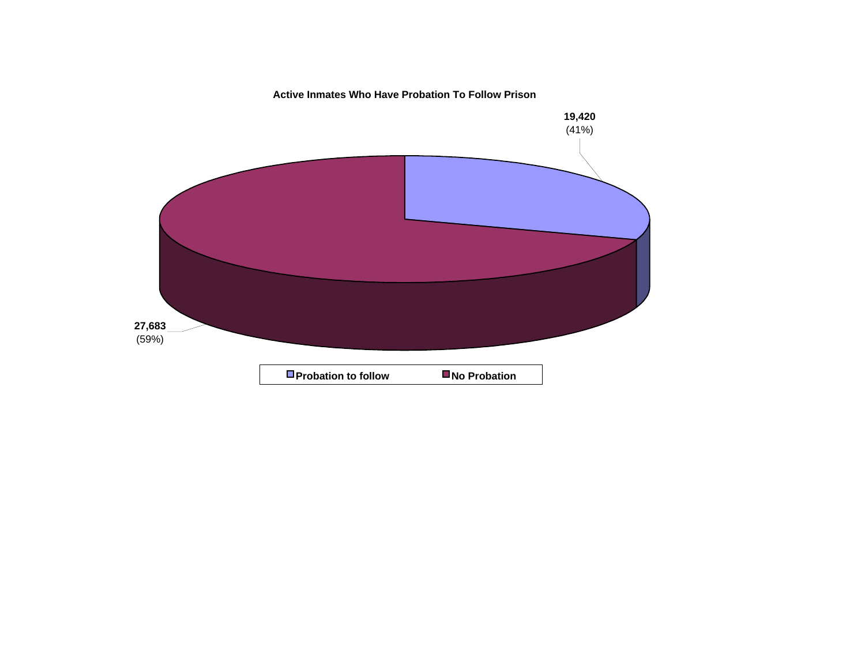**Active Inmates Who Have Probation To Follow Prison**

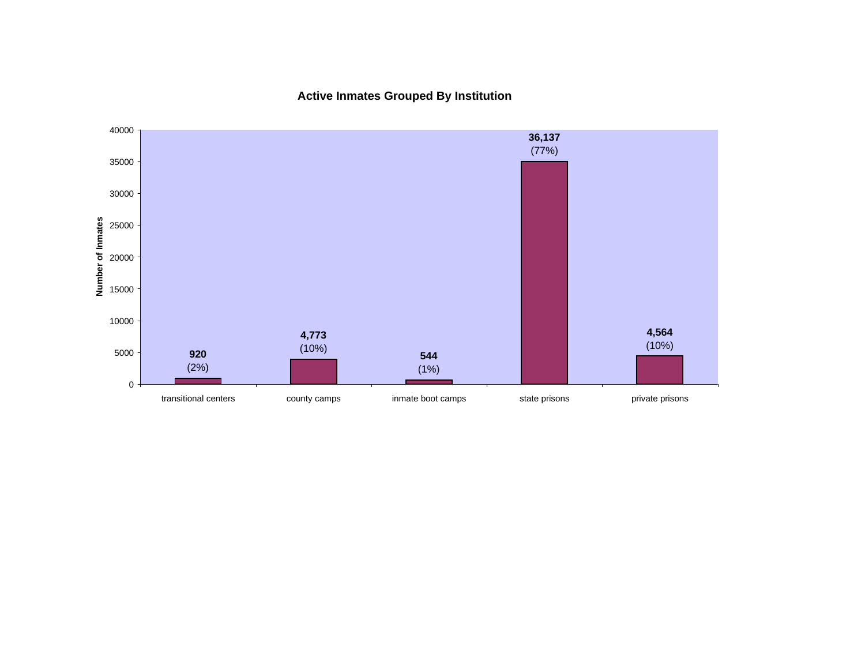**Active Inmates Grouped By Institution**

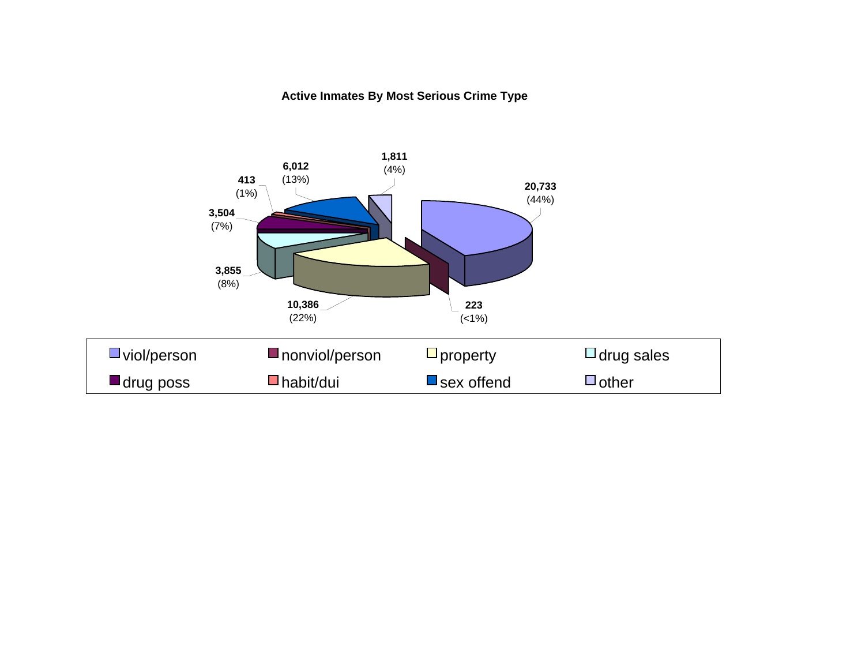#### **Active Inmates By Most Serious Crime Type**

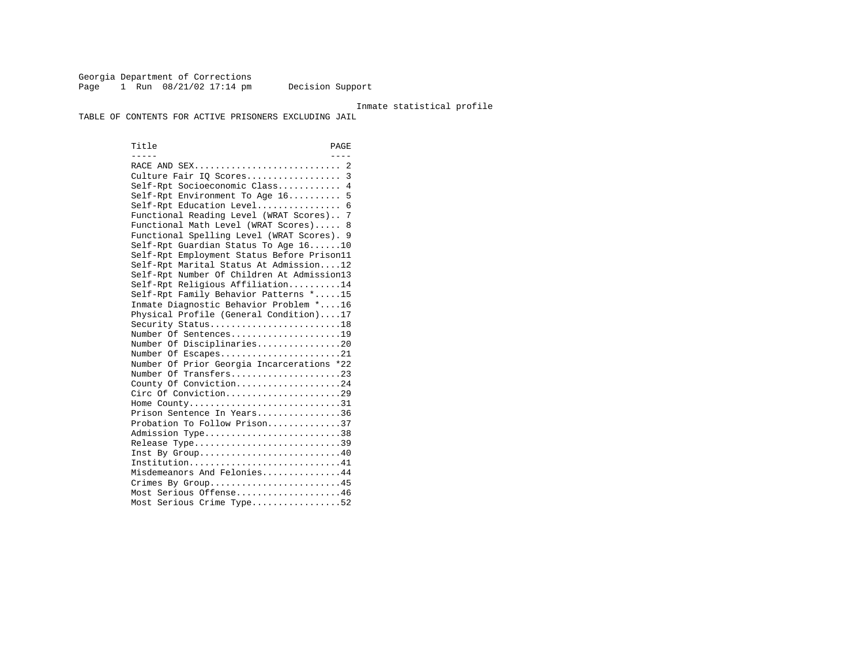Georgia Department of Corrections Page 1 Run 08/21/02 17:14 pm Decision Support

#### Inmate statistical profile

TABLE OF CONTENTS FOR ACTIVE PRISONERS EXCLUDING JAIL

Title PAGE ----- ---- RACE AND SEX............................ 2 Culture Fair IQ Scores.................. 3 Self-Rpt Socioeconomic Class............ 4 Self-Rpt Environment To Age 16.......... 5 Self-Rpt Education Level................ 6 Functional Reading Level (WRAT Scores).. 7 Functional Math Level (WRAT Scores)..... 8 Functional Spelling Level (WRAT Scores). 9 Self-Rpt Guardian Status To Age 16......10 Self-Rpt Employment Status Before Prison11 Self-Rpt Marital Status At Admission....12 Self-Rpt Number Of Children At Admission13 Self-Rpt Religious Affiliation..........14 Self-Rpt Family Behavior Patterns \*.....15 Inmate Diagnostic Behavior Problem \*....16 Physical Profile (General Condition)....17 Security Status...........................18 Number Of Sentences.....................19 Number Of Disciplinaries................20 Number Of Escapes........................21 Number Of Prior Georgia Incarcerations \*22 Number Of Transfers.....................23 County Of Conviction....................24 Circ Of Conviction......................29 Home County.............................31 Prison Sentence In Years................36 Probation To Follow Prison..............37Admission Type.............................38 Release Type...............................39 Inst By Group.............................40 Institution...............................41 Misdemeanors And Felonies...............44 Crimes By Group...........................45 Most Serious Offense....................46 Most Serious Crime Type.................52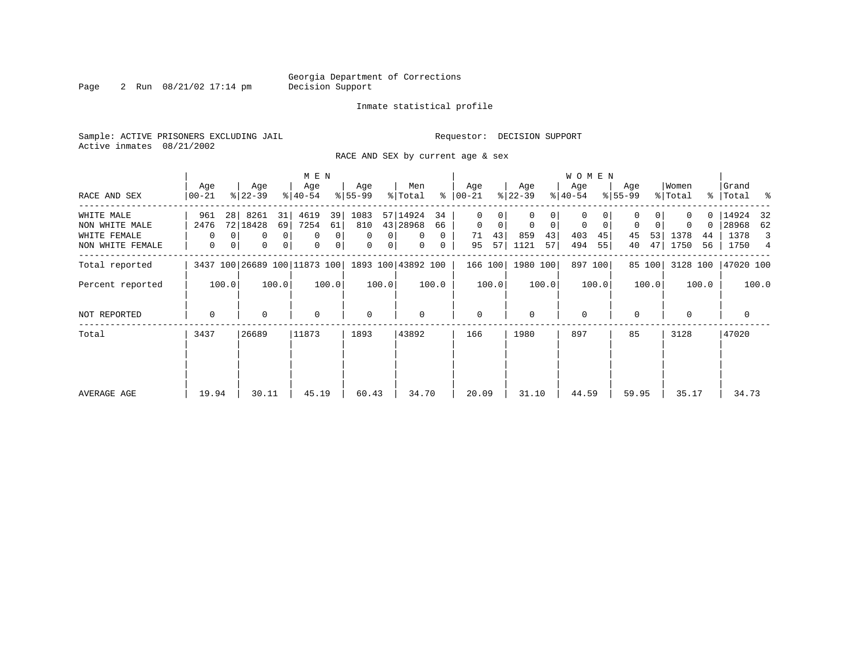Page 2 Run 08/21/02 17:14 pm

#### Inmate statistical profile

Sample: ACTIVE PRISONERS EXCLUDING JAIL **Requestor: DECISION SUPPORT** Active inmates 08/21/2002

RACE AND SEX by current age & sex

|                  |                  |                              | M E N                              |                     |                      |                  |                         | W O M E N        |                         |                  |                        |
|------------------|------------------|------------------------------|------------------------------------|---------------------|----------------------|------------------|-------------------------|------------------|-------------------------|------------------|------------------------|
| RACE AND SEX     | Age<br>$00 - 21$ | Age<br>$ 22-39 $             | Age<br>$8 40-54$                   | Age<br>$8 55-99$    | Men<br>ွေ<br>% Total | Age<br>$ 00-21 $ | Age<br>$ 22-39 $        | Age<br>$ 40-54 $ | Age<br>$8 55-99$        | Women<br>% Total | Grand<br>%   Total %   |
| WHITE MALE       | 961              | 8261<br>28<br>31             | 4619<br>39                         | 1083                | 57 14924<br>34       | 0                |                         | 0                |                         | 0                | 14924 32               |
| NON WHITE MALE   | 2476             | 72 18428<br>69               | 7254<br>61                         | 810                 | 43 28968<br>66       | $\mathbf 0$<br>0 | $\mathbf 0$<br>$\Omega$ | $\mathbf 0$<br>0 | $\mathbf 0$<br>$\Omega$ | 0                | 28968<br>62            |
| WHITE FEMALE     | 0                | 0                            | 0 <sup>1</sup><br>0<br>0           | $\Omega$<br>0       | $\Omega$<br>$\Omega$ | 43 <br>71        | 859<br>43               | 403<br>45        | 53<br>45                | 1378<br>44       | 1378<br>3              |
| NON WHITE FEMALE | 0                | 0<br>0                       | 0 <sup>1</sup><br>$\mathbf 0$<br>0 | 0<br>0 <sup>1</sup> | $\mathbf{0}$<br>0    | 57<br>95         | 1121<br>57              | 494<br>55        | 47<br>40                | 1750<br>56       | 1750<br>$\overline{4}$ |
| Total reported   |                  | 3437 100 26689 100 11873 100 |                                    |                     | 1893 100 43892 100   | 166 100          | 1980 100                | 897 100          | 85 100                  | 3128 100         | 47020 100              |
| Percent reported | 100.0            | 100.0                        | 100.0                              | 100.0               | 100.0                | 100.0            | 100.0                   | 100.0            | 100.0                   | 100.0            | 100.0                  |
| NOT REPORTED     | $\Omega$         | $\Omega$                     | $\Omega$                           | $\mathbf 0$         | $\Omega$             | $\mathbf{0}$     | $\Omega$                | $\Omega$         | $\Omega$                |                  | 0                      |
| Total            | 3437             | 26689                        | 11873                              | 1893                | 43892                | 166              | 1980                    | 897              | 85                      | 3128             | 47020                  |
|                  |                  |                              |                                    |                     |                      |                  |                         |                  |                         |                  |                        |
| AVERAGE AGE      | 19.94            | 30.11                        | 45.19                              | 60.43               | 34.70                | 20.09            | 31.10                   | 44.59            | 59.95                   | 35.17            | 34.73                  |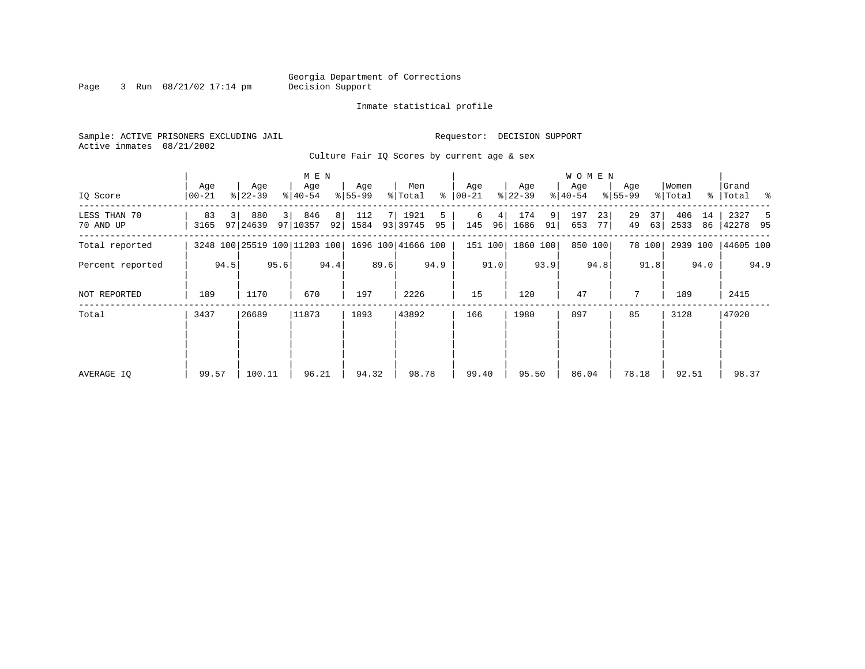# Georgia Department of Corrections<br>Page 3 Run 08/21/02 17:14 pm Decision Support

3 Run 08/21/02 17:14 pm

#### Inmate statistical profile

| Sample: ACTIVE PRISONERS EXCLUDING JAIL |                                             | Requestor: DECISION SUPPORT |
|-----------------------------------------|---------------------------------------------|-----------------------------|
| Active inmates 08/21/2002               |                                             |                             |
|                                         | Culture Fair IO Scores by current age & sex |                             |

| IQ Score                  | Age<br>$00 - 21$ |      | Age<br>$8 22-39$                                |                | M E N<br>Age<br>$ 40-54 $ |          | Age<br>$8 55-99$ |      | Men<br>% Total   | ⊱        | Age<br>$ 00-21 $ |      | Age<br>$ 22-39 $ |         | <b>WOMEN</b><br>Age<br>$ 40-54 $ |          | Age<br>$8155 - 99$ |          | Women<br>% Total |          | Grand<br>%   Total % |      |
|---------------------------|------------------|------|-------------------------------------------------|----------------|---------------------------|----------|------------------|------|------------------|----------|------------------|------|------------------|---------|----------------------------------|----------|--------------------|----------|------------------|----------|----------------------|------|
| LESS THAN 70<br>70 AND UP | 83<br>3165       | 31   | 880<br>97 24639                                 | 3 <sup>1</sup> | 846<br>97 10357           | 8 <br>92 | 112<br>1584      |      | 1921<br>93 39745 | 5.<br>95 | 6<br>145         | 96   | 174<br>1686      | 9<br>91 | 197<br>653                       | 23<br>77 | 29<br>49           | 37<br>63 | 406<br>2533      | 14<br>86 | 2327<br>42278 95     | -5   |
| Total reported            |                  |      | 3248 100 25519 100 11203 100 1696 100 41666 100 |                |                           |          |                  |      |                  |          | 151 100          |      | 1860 100         |         |                                  | 850 100  |                    | 78 100   | 2939 100         |          | 44605 100            |      |
| Percent reported          |                  | 94.5 |                                                 | 95.6           |                           | 94.4     |                  | 89.6 |                  | 94.9     |                  | 91.0 |                  | 93.9    |                                  | 94.8     |                    | 91.8     |                  | 94.0     |                      | 94.9 |
| NOT REPORTED              | 189              |      | 1170                                            |                | 670                       |          | 197              |      | 2226             |          | 15               |      | 120              |         | 47                               |          | 7                  |          | 189              |          | 2415                 |      |
| Total                     | 3437             |      | 26689                                           |                | 11873                     |          | 1893             |      | 43892            |          | 166              |      | 1980             |         | 897                              |          | 85                 |          | 3128             |          | 47020                |      |
| AVERAGE IQ                | 99.57            |      | 100.11                                          |                | 96.21                     |          | 94.32            |      | 98.78            |          | 99.40            |      | 95.50            |         | 86.04                            |          | 78.18              |          | 92.51            |          | 98.37                |      |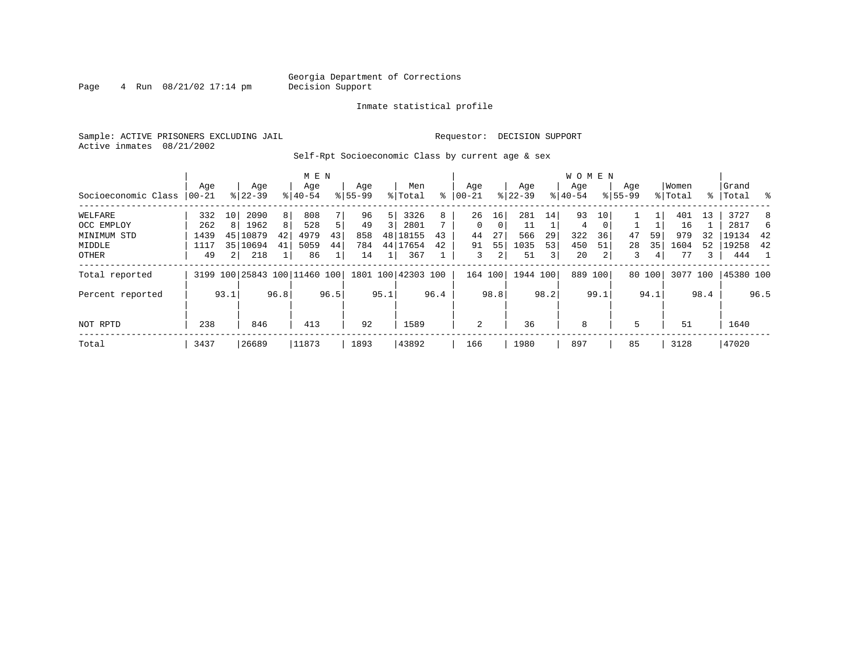Page  $4$  Run  $08/21/02$  17:14 pm

#### Inmate statistical profile

Sample: ACTIVE PRISONERS EXCLUDING JAIL **Requestor: DECISION SUPPORT** Active inmates 08/21/2002

Self-Rpt Socioeconomic Class by current age & sex

|                     |          |                |           |      | M E N                        |                |             |                 |                    |      |            |      |           |      | <b>WOMEN</b> |          |             |        |          |             |           |      |
|---------------------|----------|----------------|-----------|------|------------------------------|----------------|-------------|-----------------|--------------------|------|------------|------|-----------|------|--------------|----------|-------------|--------|----------|-------------|-----------|------|
|                     | Age      |                | Age       |      | Age                          |                | Age         |                 | Men                |      | Age        |      | Age       |      | Age          |          | Age         |        | Women    |             | Grand     |      |
| Socioeconomic Class | $ 00-21$ |                | $8 22-39$ |      | $8 40-54$                    |                | $8155 - 99$ |                 | % Total            | ៖    | $ 00 - 21$ | ៖    | $22 - 39$ |      | $ 40-54 $    |          | $8155 - 99$ |        | % Total  | $\approx$ 1 | Total     | ႜ    |
| WELFARE             | 332      | 10             | 2090      | 8    | 808                          |                | 96          | 5               | 3326               | 8    | 26         | 16   | 281       | 14   | 93           | 10       |             |        | 401      | 13          | 3727      | 8    |
| OCC EMPLOY          | 262      | 8              | 1962      | 8    | 528                          | 5 <sup>1</sup> | 49          | 3               | 2801               |      | $\Omega$   | 0    | 11        |      | 4            | $\Omega$ |             |        | 16       |             | 2817      | 6    |
| MINIMUM STD         | 1439     | 45             | 10879     | 42   | 4979                         | 43             | 858         | 48 <sup>1</sup> | 18155              | 43   | 44         | 27   | 566       | 29   | 322          | 36       | 47          | 59     | 979      | 32          | 19134     | 42   |
| MIDDLE              | 1117     | 351            | 10694     | 41   | 5059                         | 44             | 784         |                 | 44 17654           | 42   | 91         | 55   | 1035      | 53   | 450          | 51       | 28          | 35     | 1604     | 52          | 19258     | 42   |
| OTHER               | 49       | 2 <sub>1</sub> | 218       |      | 86                           |                | 14          |                 | 367                |      | 3          | 2    | 51        | 3    | 20           |          | 3           | 4      | 77       | 3           | 444       |      |
| Total reported      |          |                |           |      | 3199 100 25843 100 11460 100 |                |             |                 | 1801 100 42303 100 |      | 164 100    |      | 1944 100  |      | 889 100      |          |             | 80 100 | 3077 100 |             | 45380 100 |      |
| Percent reported    |          | 93.1           |           | 96.8 |                              | 96.5           |             | 95.1            |                    | 96.4 |            | 98.8 |           | 98.2 |              | 99.1     |             | 94.1   |          | 98.4        |           | 96.5 |
| NOT RPTD            | 238      |                | 846       |      | 413                          |                | 92          |                 | 1589               |      | 2          |      | 36        |      | 8            |          | 5           |        | 51       |             | 1640      |      |
| Total               | 3437     |                | 26689     |      | 11873                        |                | 1893        |                 | 43892              |      | 166        |      | 1980      |      | 897          |          | 85          |        | 3128     |             | 47020     |      |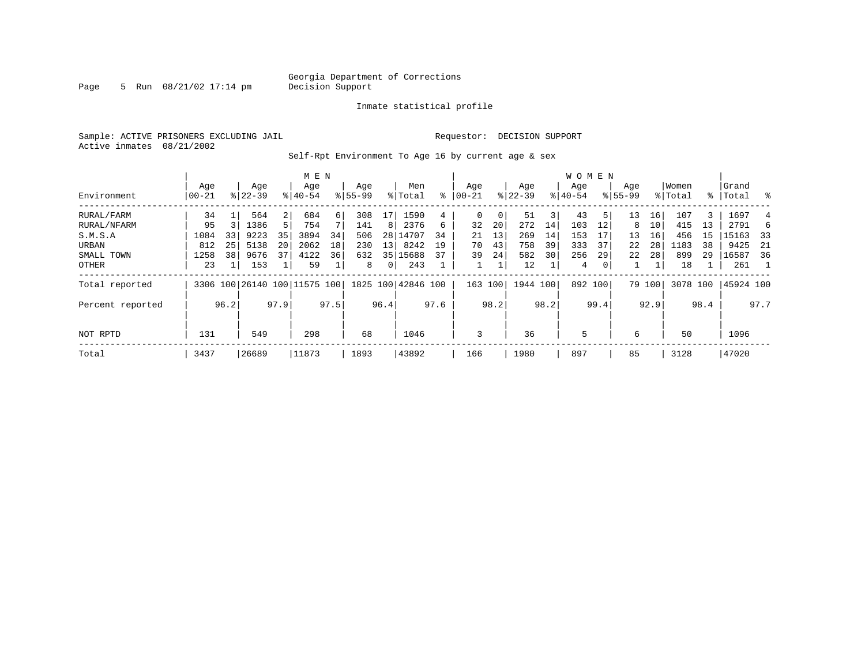Page 5 Run 08/21/02 17:14 pm

#### Inmate statistical profile

Sample: ACTIVE PRISONERS EXCLUDING JAIL **Requestor: DECISION SUPPORT** Active inmates 08/21/2002

Self-Rpt Environment To Age 16 by current age & sex

|                  | M E N           |      |                    |                |                              |      |                    |                 |                    |      |                  |      |                  |      | <b>WOMEN</b>     |      |                    |        |                  |      |                 |      |
|------------------|-----------------|------|--------------------|----------------|------------------------------|------|--------------------|-----------------|--------------------|------|------------------|------|------------------|------|------------------|------|--------------------|--------|------------------|------|-----------------|------|
| Environment      | Age<br>$ 00-21$ |      | Age<br>$8122 - 39$ |                | Age<br>$8140 - 54$           |      | Age<br>$8155 - 99$ |                 | Men<br>% Total     | ႜ    | Aqe<br>$00 - 21$ |      | Age<br>$ 22-39 $ |      | Age<br>$8 40-54$ |      | Age<br>$8155 - 99$ |        | Women<br>% Total | ႜ    | Grand<br> Total | ွေ   |
| RURAL/FARM       | 34              |      | 564                | 2 <sup>1</sup> | 684                          | 6    | 308                |                 | 1590               | 4    | 0                | 0    | 51               | 3    | 43               | 51   | 13                 | 16     | 107              | 3    | 1697            | 4    |
| RURAL/NFARM      | 95              |      | 1386               | 5              | 754                          |      | 141                | 8               | 2376               | 6    | 32               | 20   | 272              | 14   | 103              | 12   | 8                  | 10     | 415              | 13   | 2791            |      |
| S.M.S.A          | 1084            | 33   | 9223               | 35             | 3894                         | 34   | 506                |                 | 28 14707           | 34   | 21               | 13   | 269              | 14   | 153              | 17   | 13                 | 16     | 456              | 15   | 15163           | - 33 |
| URBAN            | 812             | 25   | 5138               | 20             | 2062                         | 18   | 230                | 13 <sup>1</sup> | 8242               | 19   | 70               | 43   | 758              | 39   | 333              | 37   | 22                 | 28     | 1183             | 38   | 9425            | -21  |
| SMALL TOWN       | 1258            | 38   | 9676               | 37             | 4122                         | 36   | 632                |                 | 35 15688           | 37   | 39               | 24   | 582              | 30   | 256              | 29   | 22                 | 28     | 899              | 29   | 16587           | 36   |
| OTHER            | 23              |      | 153                |                | 59                           |      | 8                  | 0 <sup>1</sup>  | 243                |      |                  |      | 12               |      | 4                |      |                    |        | 18               |      | 261             |      |
| Total reported   |                 |      |                    |                | 3306 100 26140 100 11575 100 |      |                    |                 | 1825 100 42846 100 |      | 163 100          |      | 1944 100         |      | 892 100          |      |                    | 79 100 | 3078 100         |      | 45924 100       |      |
| Percent reported |                 | 96.2 |                    | 97.9           |                              | 97.5 |                    | 96.4            |                    | 97.6 |                  | 98.2 |                  | 98.2 |                  | 99.4 |                    | 92.9   |                  | 98.4 |                 | 97.7 |
| NOT RPTD         | 131<br>549      |      |                    |                | 298                          |      | 68                 |                 | 1046               |      | 3                |      | 36               |      | 5                |      | 6                  |        | 50               |      | 1096            |      |
| Total            | 3437            |      | 26689              |                | 11873                        |      | 1893               |                 | 43892              |      | 166              |      | 1980             |      | 897              |      | 85                 |        | 3128             |      | 47020           |      |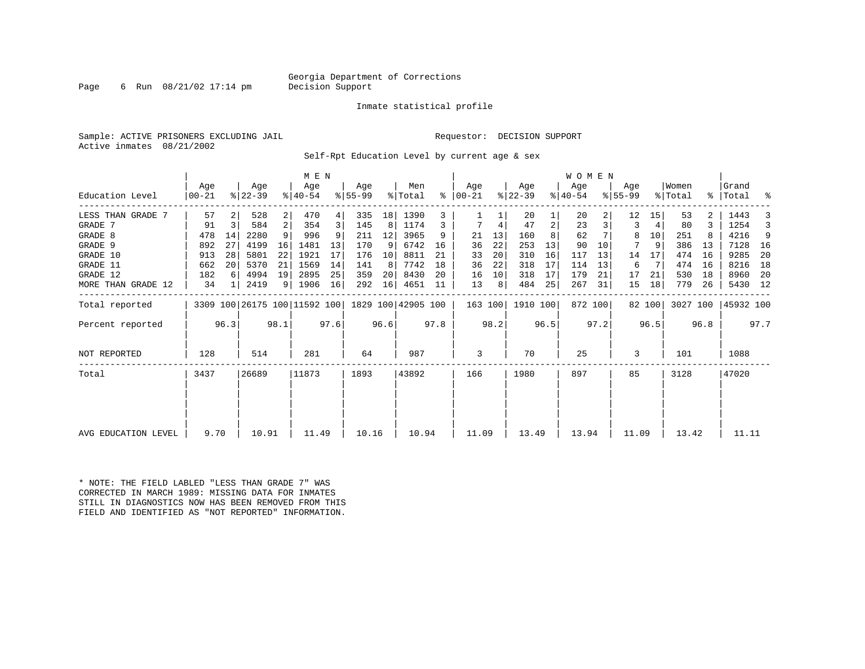#### Georgia Department of Corrections<br>Decision Support

Page 6 Run  $08/21/02$  17:14 pm

#### Inmate statistical profile

Sample: ACTIVE PRISONERS EXCLUDING JAIL **Requestor: DECISION SUPPORT** Active inmates 08/21/2002

Self-Rpt Education Level by current age & sex

|                     |                  |       |                              |                | M E N            |      |                 |      |                    |      |                 |      |                  |      | W O M E N        |      |                  |        |                  |      |                    |      |
|---------------------|------------------|-------|------------------------------|----------------|------------------|------|-----------------|------|--------------------|------|-----------------|------|------------------|------|------------------|------|------------------|--------|------------------|------|--------------------|------|
| Education Level     | Age<br>$00 - 21$ |       | Age<br>$ 22-39 $             |                | Age<br>$ 40-54 $ |      | Age<br>$ 55-99$ |      | Men<br>% Total     | ႜ    | Age<br>$ 00-21$ |      | Age<br>$ 22-39 $ |      | Age<br>$ 40-54 $ |      | Age<br>$8 55-99$ |        | Women<br>% Total |      | Grand<br>%   Total | ್ಠಿ  |
|                     |                  |       |                              |                |                  |      |                 |      |                    |      |                 |      |                  |      |                  |      |                  |        |                  |      |                    |      |
| LESS THAN GRADE 7   | 57               |       | 528                          | 2              | 470              | 4    | 335             | 18   | 1390               | 3    |                 |      | 20               |      | 20               |      | 12               | 15     | 53               |      | 1443               |      |
| GRADE 7             | 91               | 3     | 584                          | 2              | 354              | 3    | 145             | 8    | 1174               | 3    |                 | 4    | 47               | 2    | 23               |      | 3                | 4      | 80               |      | 1254               | 3    |
| GRADE 8             | 478              | 14    | 2280                         | 9 <sup>1</sup> | 996              |      | 211             | 12   | 3965               | 9    | 21              | 13   | 160              |      | 62               |      | 8                | 10     | 251              |      | 4216               | 9    |
| GRADE 9             | 892              | 27    | 4199                         | 16             | 1481             | 13   | 170             | 9    | 6742               | 16   | 36              | 22   | 253              | 13   | 90               | 10   | 7                | 9      | 386              | 13   | 7128               | - 16 |
| GRADE 10            | 913              | 28    | 5801                         | 22             | 1921             | 17   | 176             | 10   | 8811               | 21   | 33              | 20   | 310              | 16   | 117              | 13   | 14               | 17     | 474              | 16   | 9285               | 20   |
| GRADE 11            | 662              | 20    | 5370                         | 21             | 1569             | 14   | 141             | 8    | 7742               | 18   | 36              | 22   | 318              | 17   | 114              | 13   | 6                | 7      | 474              | 16   | 8216               | 18   |
| GRADE 12            | 182              | 6     | 4994                         | 19             | 2895             | 25   | 359             | 20   | 8430               | 20   | 16              | 10   | 318              | 17   | 179              | 21   | 17               | 21     | 530              | 18   | 8960               | -20  |
| MORE THAN GRADE 12  | 34               |       | 2419                         | 9              | 1906             | 16   | 292             | 16   | 4651               | 11   | 13              | 8    | 484              | 25   | 267              | 31   | 15               | 18     | 779              | 26   | 5430               | 12   |
| Total reported      |                  |       | 3309 100 26175 100 11592 100 |                |                  |      |                 |      | 1829 100 42905 100 |      | 163 100         |      | 1910 100         |      | 872 100          |      |                  | 82 100 | 3027 100         |      | 45932 100          |      |
| Percent reported    |                  | 96.3  |                              | 98.1           |                  | 97.6 |                 | 96.6 |                    | 97.8 |                 | 98.2 |                  | 96.5 |                  | 97.2 |                  | 96.5   |                  | 96.8 |                    | 97.7 |
| <b>NOT REPORTED</b> | 128              |       | 514                          |                | 281              |      | 64              |      | 987                |      | 3               |      | 70               |      | 25               |      | 3                |        | 101              |      | 1088               |      |
| Total               | 3437             | 26689 |                              |                | 11873            |      | 1893            |      | 43892              |      | 166             |      | 1980             |      | 897              |      | 85               |        | 3128             |      | 47020              |      |
|                     |                  |       |                              |                |                  |      |                 |      |                    |      |                 |      |                  |      |                  |      |                  |        |                  |      |                    |      |
| AVG EDUCATION LEVEL | 9.70             |       | 10.91                        |                | 11.49            |      | 10.16           |      | 10.94              |      | 11.09           |      | 13.49            |      | 13.94            |      | 11.09            |        | 13.42            |      | 11.11              |      |

\* NOTE: THE FIELD LABLED "LESS THAN GRADE 7" WAS CORRECTED IN MARCH 1989: MISSING DATA FOR INMATES STILL IN DIAGNOSTICS NOW HAS BEEN REMOVED FROM THIS FIELD AND IDENTIFIED AS "NOT REPORTED" INFORMATION.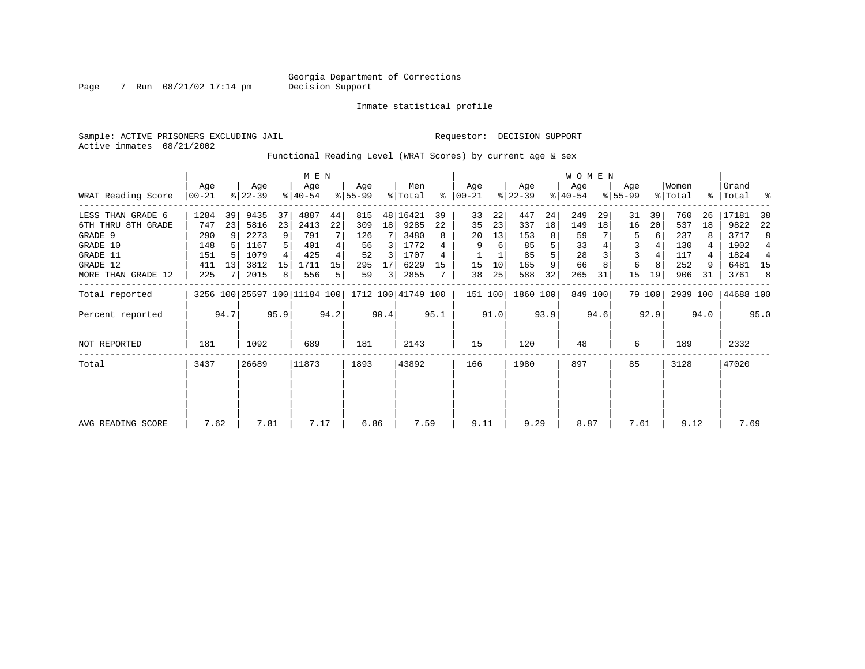Page 7 Run 08/21/02 17:14 pm

Inmate statistical profile

Sample: ACTIVE PRISONERS EXCLUDING JAIL Requestor: DECISION SUPPORT Active inmates 08/21/2002

Functional Reading Level (WRAT Scores) by current age & sex

|                    |                 |      |      |                 | M E N                        |      |                  |                 |                    |      |                    |      |                  |      | <b>WOMEN</b>     |         |                    |        |                  |       |                    |          |
|--------------------|-----------------|------|------|-----------------|------------------------------|------|------------------|-----------------|--------------------|------|--------------------|------|------------------|------|------------------|---------|--------------------|--------|------------------|-------|--------------------|----------|
| WRAT Reading Score | Age<br>$ 00-21$ |      |      |                 | Age<br>$ 40-54 $             |      | Aqe<br>$8 55-99$ |                 | Men<br>% Total     | ႜ    | Age<br>$ 00 - 21 $ |      | Aqe<br>$ 22-39 $ |      | Age<br>$ 40-54 $ |         | Aqe<br>$8155 - 99$ |        | Women<br>% Total |       | Grand<br>%   Total | $\sim$ 8 |
| LESS THAN GRADE 6  | 1284            | 39   | 9435 | 37              | 4887                         | 44   | 815              |                 | 48 16421           | 39   | 33                 | 22   | 447              | 24   | 249              | 29      | 31                 | 39     | 760              | 26    | 17181              | -38      |
| 6TH THRU 8TH GRADE | 747             | 23   | 5816 | 23              | 2413                         | 22   | 309              | 18 <sup>1</sup> | 9285               | 22   | 35                 | 23   | 337              | 18   | 149              | 18      | 16                 | 20     | 537              | 18    | 9822               | 22       |
| GRADE 9            | 290             | -9   | 2273 | 9               | 791                          |      | 126              |                 | 3480               | 8    | 20                 | 13   | 153              | 8    | 59               |         | 5                  | 6      | 237              |       | 3717               | 8        |
| GRADE 10           | 148             |      | 1167 |                 | 401                          |      | 56               | 3               | 1772               |      | 9                  | 6    | 85               | 5    | 33               |         | 3                  |        | 130              |       | 1902               | 4        |
| GRADE 11           | 151             |      | 1079 |                 | 425                          |      | 52               | 3               | 1707               |      |                    |      | 85               |      | 28               |         | 3                  |        | 117              | 4     | 1824               | 4        |
| GRADE 12           | 411             | 13   | 3812 | 15 <sup>1</sup> | 1711                         | 15   | 295              | 17              | 6229               | 15   | 15                 | 10   | 165              | 9    | 66               |         | 6                  | 8      | 252              | 9     | 6481 15            |          |
| MORE THAN GRADE 12 | 225             |      | 2015 | 8               | 556                          | 5    | 59               | 3               | 2855               |      | 38                 | 25   | 588              | 32   | 265              | 31      | 15                 | 19     | 906              | 31    | 3761               | -8       |
| Total reported     |                 |      |      |                 | 3256 100 25597 100 11184 100 |      |                  |                 | 1712 100 41749 100 |      | 151 100            |      | 1860 100         |      |                  | 849 100 |                    | 79 100 | 2939 100         |       | 44688 100          |          |
| Percent reported   |                 | 94.7 |      | 95.9            |                              | 94.2 |                  | 90.4            |                    | 95.1 |                    | 91.0 |                  | 93.9 |                  | 94.6    |                    | 92.9   |                  | 94.0  |                    | 95.0     |
| NOT REPORTED       | 181             | 1092 |      |                 | 689                          |      | 181              |                 | 2143               |      | 15                 |      | 120              |      | 48               |         | 6                  |        | 189              |       | 2332               |          |
| Total              | 26689<br>3437   |      |      | 11873           |                              | 1893 |                  | 43892           |                    | 166  |                    | 1980 |                  | 897  |                  | 85      |                    | 3128   |                  | 47020 |                    |          |
|                    |                 |      |      |                 |                              |      |                  |                 |                    |      |                    |      |                  |      |                  |         |                    |        |                  |       |                    |          |
|                    |                 |      |      |                 |                              |      |                  |                 |                    |      |                    |      |                  |      |                  |         |                    |        |                  |       |                    |          |
| AVG READING SCORE  | 7.62            |      | 7.81 |                 | 7.17                         |      | 6.86             |                 | 7.59               |      | 9.11               |      | 9.29             |      | 8.87             |         | 7.61               |        | 9.12             |       | 7.69               |          |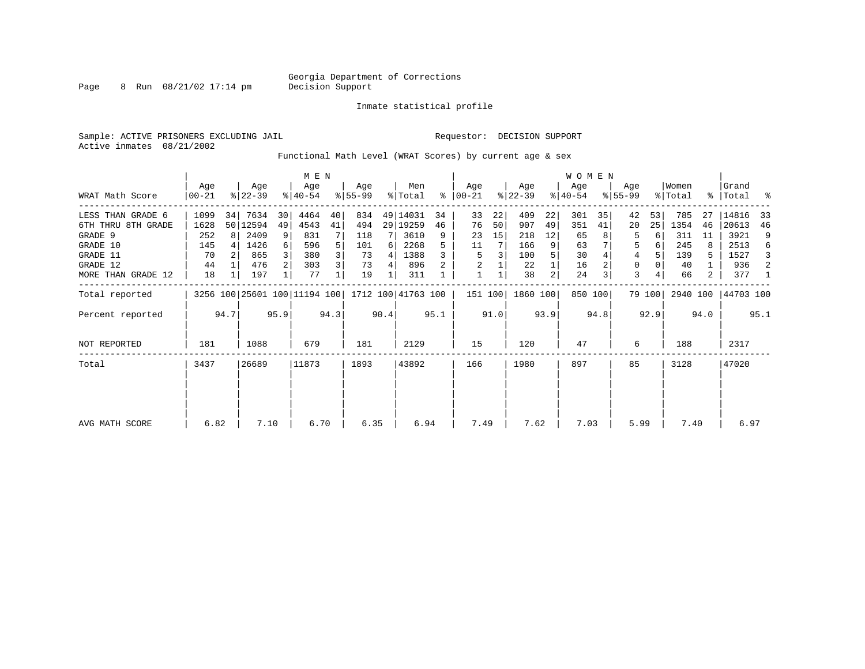Page 8 Run 08/21/02 17:14 pm

#### Inmate statistical profile

Sample: ACTIVE PRISONERS EXCLUDING JAIL **Requestor: DECISION SUPPORT** Active inmates 08/21/2002

Functional Math Level (WRAT Scores) by current age & sex

|                    | M E N            |      |                  |                |                              |      |                 |      |                    |      |                      |      |                  |      | <b>WOMEN</b>     |         |                    |        |                  |      |                    |      |
|--------------------|------------------|------|------------------|----------------|------------------------------|------|-----------------|------|--------------------|------|----------------------|------|------------------|------|------------------|---------|--------------------|--------|------------------|------|--------------------|------|
| WRAT Math Score    | Age<br>$00 - 21$ |      | Age<br>$ 22-39 $ |                | Age<br>$ 40-54 $             |      | Aqe<br>$ 55-99$ |      | Men<br>% Total     |      | Aqe<br>$8   00 - 21$ |      | Age<br>$ 22-39 $ |      | Age<br>$ 40-54 $ |         | Aqe<br>$8155 - 99$ |        | Women<br>% Total |      | Grand<br>% Total % |      |
| LESS THAN GRADE 6  | 1099             | 34   | 7634             | 30             | 4464                         | 40   | 834             |      | 49 14031           | 34   | 33                   | 22   | 409              | 22   | 301              | 35      | 42                 | 53     | 785              | 27   | 14816              | 33   |
| 6TH THRU 8TH GRADE | 1628             |      | 50   12594       | 49             | 4543                         | 41   | 494             |      | 29   19259         | 46   | 76                   | 50   | 907              | 49   | 351              | 41      | 20                 | 25     | 1354             | 46   | 20613              | 46   |
| GRADE 9            | 252              | 8    | 2409             | 9              | 831                          |      | 118             |      | 3610               | 9    | 23                   | 15   | 218              | 12   | 65               |         | 5                  | 6      | 311              | 11   | 3921               | 9    |
| GRADE 10           | 145              |      | 1426             | 6              | 596                          |      | 101             | 6    | 2268               |      | 11                   |      | 166              | 9    | 63               |         | 5                  |        | 245              |      | 2513               | 6    |
| GRADE 11           | 70               |      | 865              |                | 380                          |      | 73              | 4    | 1388               |      | 5                    | 3    | 100              |      | 30               |         | 4                  |        | 139              | 5    | 1527               | 3    |
| GRADE 12           | 44               |      | 476              | 2 <sup>1</sup> | 303                          | 3    | 73              | 4    | 896                |      |                      |      | 22               |      | 16               |         | 0                  |        | 40               |      | 936                | 2    |
| MORE THAN GRADE 12 | 18               |      | 197              |                | 77                           |      | 19              |      | 311                |      |                      |      | 38               | 2    | 24               | 3       | 3                  |        | 66               | 2    | 377                | 1    |
| Total reported     |                  |      |                  |                | 3256 100 25601 100 11194 100 |      |                 |      | 1712 100 41763 100 |      | 151 100              |      | 1860 100         |      |                  | 850 100 |                    | 79 100 | 2940 100         |      | 44703 100          |      |
| Percent reported   |                  | 94.7 |                  | 95.9           |                              | 94.3 |                 | 90.4 |                    | 95.1 |                      | 91.0 |                  | 93.9 |                  | 94.8    |                    | 92.9   |                  | 94.0 |                    | 95.1 |
| NOT REPORTED       | 181<br>1088      |      | 679              |                | 181                          |      | 2129            |      | 15                 |      | 120                  |      | 47               |      | 6                |         | 188                |        | 2317             |      |                    |      |
| Total              | 26689<br>3437    |      | 11873            |                | 1893                         |      | 43892           |      | 166                |      | 1980                 |      | 897              |      | 85               |         | 3128               |        | 47020            |      |                    |      |
|                    |                  |      |                  |                |                              |      |                 |      |                    |      |                      |      |                  |      |                  |         |                    |        |                  |      |                    |      |
|                    |                  |      |                  |                |                              |      |                 |      |                    |      |                      |      |                  |      |                  |         |                    |        |                  |      |                    |      |
| AVG MATH SCORE     | 6.82             |      | 7.10             |                | 6.70                         |      | 6.35            |      | 6.94               |      | 7.49                 |      | 7.62             |      | 7.03             |         | 5.99               |        | 7.40             |      | 6.97               |      |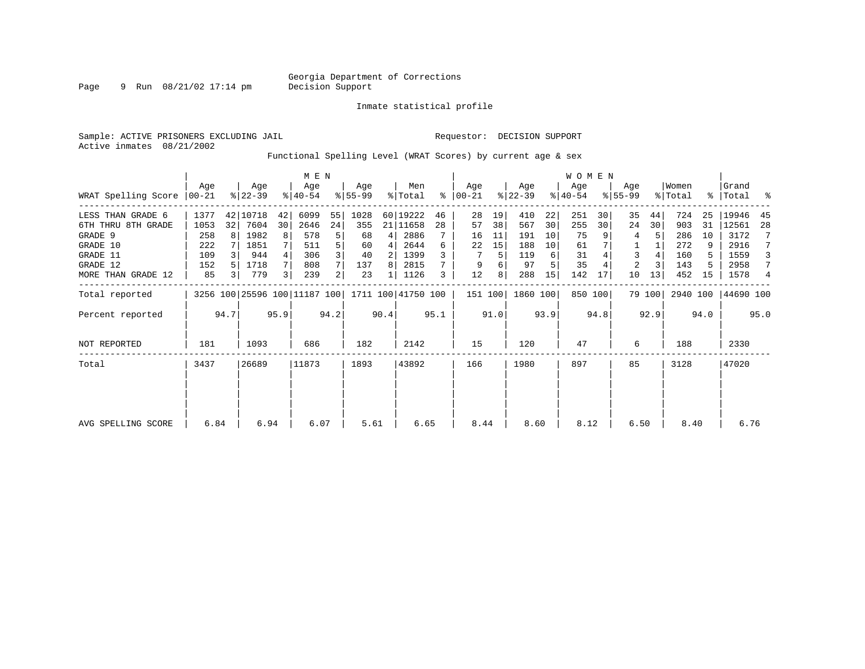Page 9 Run 08/21/02 17:14 pm

Inmate statistical profile

Active inmates 08/21/2002

#### Sample: ACTIVE PRISONERS EXCLUDING JAIL **Requestor: DECISION SUPPORT**

Functional Spelling Level (WRAT Scores) by current age & sex

|                     |                  |                |                  | M E N          |                              |      |                  |      |                    |      |                |      |                  | <b>WOMEN</b> |                  |         |                    |        |                  |      |                   |      |
|---------------------|------------------|----------------|------------------|----------------|------------------------------|------|------------------|------|--------------------|------|----------------|------|------------------|--------------|------------------|---------|--------------------|--------|------------------|------|-------------------|------|
| WRAT Spelling Score | Aqe<br>$00 - 21$ |                | Age<br>$ 22-39 $ |                | Age<br>$ 40-54 $             |      | Age<br>$8 55-99$ |      | Men<br>% Total     | ႜ    | Aqe<br>  00-21 |      | Age<br>$ 22-39 $ |              | Aqe<br>$ 40-54 $ |         | Age<br>$8155 - 99$ |        | Women<br>% Total |      | Grand<br>%  Total | ್ಠಿ  |
| LESS THAN GRADE 6   | 1377             |                | 42 10718         | 42             | 6099                         | 55   | 1028             |      | 60 19222           | 46   | 28             | 19   | 410              | 22           | 251              | 30      | 35                 | 44     | 724              | 25   | 19946             | 45   |
| 6TH THRU 8TH GRADE  | 1053             | 32             | 7604             | 30             | 2646                         | 24   | 355              |      | 21 11658           | 28   | 57             | 38   | 567              | 30           | 255              | 30      | 24                 | 30     | 903              | 31   | 12561             | 28   |
| GRADE 9             | 258              | 8              | 1982             | 8              | 578                          | 5    | 68               | 4    | 2886               |      | 16             | 11   | 191              | 10           | 75               |         | 4                  |        | 286              | 10   | 3172              |      |
| GRADE 10            | 222              |                | 1851             |                | 511                          | 5    | 60               | 4    | 2644               | 6    | 22             | 15   | 188              | 10           | 61               |         |                    |        | 272              | 9    | 2916              |      |
| GRADE 11            | 109              |                | 944              |                | 306                          | 3    | 40               |      | 1399               |      |                | 5    | 119              | 6            | 31               |         | 3                  |        | 160              | 5    | 1559              | 3    |
| GRADE 12            | 152              |                | 1718             |                | 808                          |      | 137              | 8    | 2815               |      | 9              | 6    | 97               |              | 35               |         | 2                  |        | 143              |      | 2958              | 7    |
| MORE THAN GRADE 12  | 85               | $\overline{3}$ | 779              | 3 <sup>1</sup> | 239                          | 2    | 23               |      | 1126               | 3    | 12             | 8    | 288              | 15           | 142              | 17      | 10                 | 13     | 452              | 15   | 1578              | 4    |
| Total reported      |                  |                |                  |                | 3256 100 25596 100 11187 100 |      |                  |      | 1711 100 41750 100 |      | 151 100        |      | 1860 100         |              |                  | 850 100 |                    | 79 100 | 2940 100         |      | 44690 100         |      |
| Percent reported    |                  | 94.7           |                  | 95.9           |                              | 94.2 |                  | 90.4 |                    | 95.1 |                | 91.0 |                  | 93.9         |                  | 94.8    |                    | 92.9   |                  | 94.0 |                   | 95.0 |
| <b>NOT REPORTED</b> | 181              |                | 1093             |                | 686                          |      | 182              |      | 2142               |      | 15             |      | 120              |              | 47               |         | 6                  |        | 188              |      | 2330              |      |
| Total               | 3437             |                | 26689            |                | 11873                        |      | 1893             |      | 43892              |      | 166            |      | 1980             |              | 897              |         | 85                 |        | 3128             |      | 47020             |      |
|                     |                  |                |                  |                |                              |      |                  |      |                    |      |                |      |                  |              |                  |         |                    |        |                  |      |                   |      |
|                     |                  |                |                  |                |                              |      |                  |      |                    |      |                |      |                  |              |                  |         |                    |        |                  |      |                   |      |
| AVG SPELLING SCORE  | 6.84             |                | 6.94             |                | 6.07                         |      | 5.61             |      | 6.65               |      | 8.44           |      | 8.60             |              | 8.12             |         | 6.50               |        | 8.40             |      | 6.76              |      |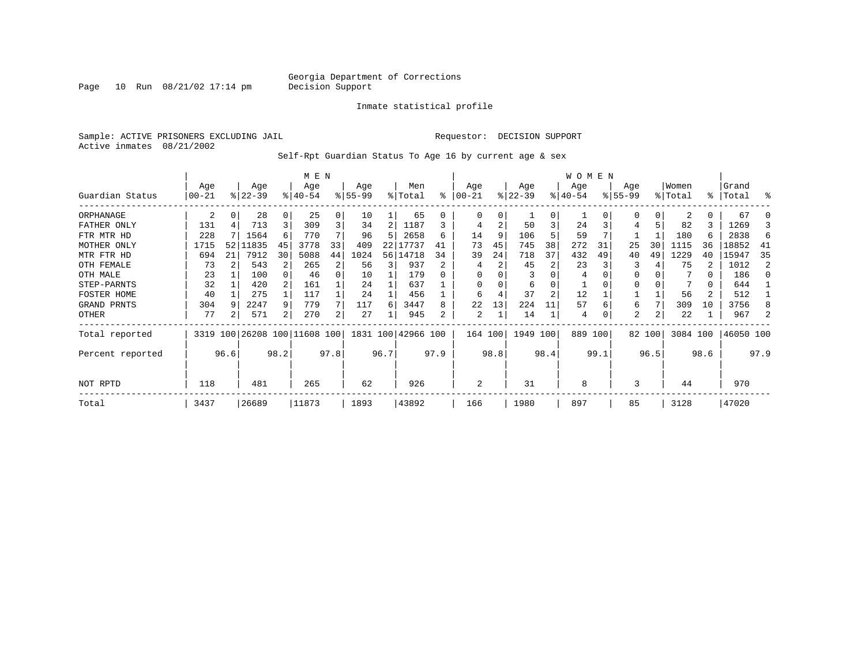Page  $10$  Run  $08/21/02$  17:14 pm

#### Inmate statistical profile

Sample: ACTIVE PRISONERS EXCLUDING JAIL **Requestor: DECISION SUPPORT** Active inmates 08/21/2002

Self-Rpt Guardian Status To Age 16 by current age & sex

|                  | M E N         |    |           |      |                              |      |           |      |                    |      |          |      |           |                | <b>WOMEN</b> |      |              |        |          |          |           |      |
|------------------|---------------|----|-----------|------|------------------------------|------|-----------|------|--------------------|------|----------|------|-----------|----------------|--------------|------|--------------|--------|----------|----------|-----------|------|
|                  | Age           |    | Age       |      | Age                          |      | Age       |      | Men                |      | Age      |      | Age       |                | Age          |      | Age          |        | Women    |          | Grand     |      |
| Guardian Status  | $00 - 21$     |    | $ 22-39 $ |      | $8 40-54$                    |      | $8 55-99$ |      | % Total            | ႜ    | $ 00-21$ |      | $ 22-39 $ |                | $ 40-54 $    |      | $8155 - 99$  |        | % Total  |          | %   Total | ႜ    |
| ORPHANAGE        | 2             | 0  | 28        | 0    | 25                           | 0    | 10        |      | 65                 |      | 0        | 0    |           | 0              |              |      |              | 0      | 2        | $\Omega$ | 67        |      |
| FATHER ONLY      | 131           |    | 713       | 3    | 309                          | 3    | 34        | 2    | 1187               |      | 4        | 2    | 50        | 3              | 24           |      |              |        | 82       | 3        | 1269      |      |
| FTR MTR HD       | 228           |    | 1564      | 6    | 770                          |      | 96        | 5    | 2658               | 6    | 14       | 9    | 106       |                | 59           |      |              |        | 180      | 6        | 2838      | 6    |
| MOTHER ONLY      | 1715          | 52 | 11835     | 45   | 3778                         | 33   | 409       | 22   | 17737              | 41   | 73       | 45   | 745       | 38             | 272          | 31   | 25           | 30     | 1115     | 36       | 18852     | -41  |
| MTR FTR HD       | 694           | 21 | 7912      | 30   | 5088                         | 44   | 1024      | 56   | 14718              | 34   | 39       | 24   | 718       | 37             | 432          | 49   | 40           | 49     | 1229     | 40       | 15947     | 35   |
| OTH FEMALE       | 73            |    | 543       |      | 265                          | 2    | 56        | 3    | 937                |      | 4        | 2    | 45        | 2              | 23           |      | 3            |        | 75       |          | 1012      | 2    |
| OTH MALE         | 23            |    | 100       | 0    | 46                           | 0    | 10        |      | 179                |      | 0        |      |           |                | 4            |      | <sup>0</sup> |        |          | 0        | 186       | n    |
| STEP-PARNTS      | 32            |    | 420       |      | 161                          |      | 24        |      | 637                |      | $\Omega$ |      | 6         | 0              |              |      | 0            |        |          | 0        | 644       |      |
| FOSTER HOME      | 40            |    | 275       |      | 117                          |      | 24        |      | 456                |      | 6        |      | 37        | $\overline{2}$ | 12           |      |              |        | 56       | 2        | 512       |      |
| GRAND PRNTS      | 304           | 9  | 2247      | 9    | 779                          | 7    | 117       | 6    | 3447               | 8    | 22       | 13   | 224       | 11             | 57           | 6    | 6            |        | 309      | 10       | 3756      | 8    |
| OTHER            | 77            | 2  | 571       | 2    | 270                          | 2    | 27        |      | 945                | 2    | 2        | 1    | 14        |                | 4            |      | 2            | 2      | 22       |          | 967       |      |
| Total reported   |               |    |           |      | 3319 100 26208 100 11608 100 |      |           |      | 1831 100 42966 100 |      | 164 100  |      | 1949 100  |                | 889 100      |      |              | 82 100 | 3084 100 |          | 46050 100 |      |
| Percent reported | 96.6          |    |           | 98.2 |                              | 97.8 |           | 96.7 |                    | 97.9 |          | 98.8 |           | 98.4           |              | 99.1 |              | 96.5   |          | 98.6     |           | 97.9 |
| NOT RPTD         | 481<br>118    |    |           |      | 265                          |      | 62        |      | 926                |      | 2        |      | 31        |                | 8            |      | 3            |        | 44       |          | 970       |      |
| Total            | 26689<br>3437 |    |           |      | 11873                        |      | 1893      |      | 43892              |      | 166      |      | 1980      |                | 897          |      | 85           |        | 3128     |          | 47020     |      |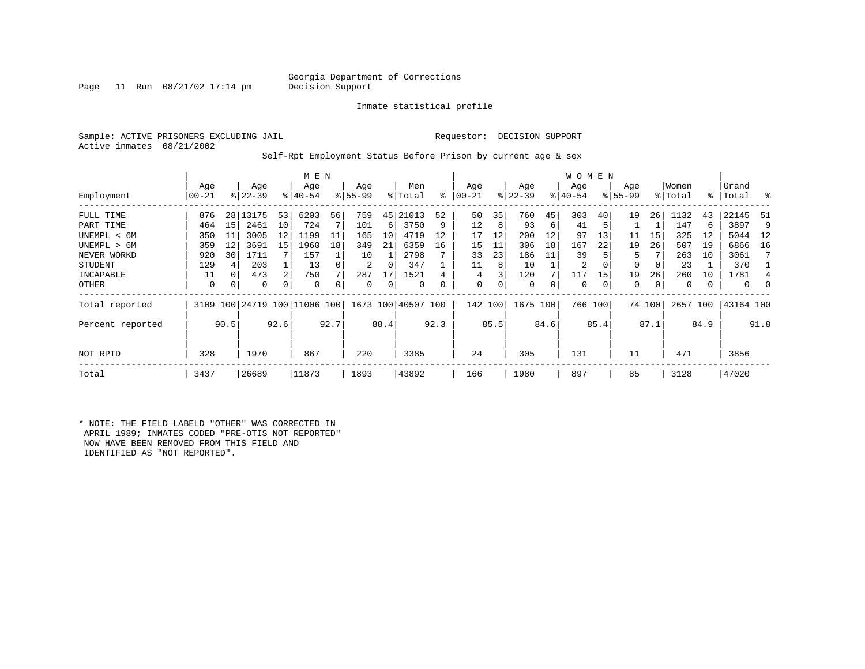#### Georgia Department of Corrections<br>Decision Support

Page 11 Run  $08/21/02$  17:14 pm

Inmate statistical profile

Sample: ACTIVE PRISONERS EXCLUDING JAIL Requestor: DECISION SUPPORT Active inmates 08/21/2002

Self-Rpt Employment Status Before Prison by current age & sex

|                  |                 |      |                  |      | M E N                   |      |                 |      |                    |      |                 |         |                  |      | <b>WOMEN</b>     |         |                    |        |                  |      |                    |      |
|------------------|-----------------|------|------------------|------|-------------------------|------|-----------------|------|--------------------|------|-----------------|---------|------------------|------|------------------|---------|--------------------|--------|------------------|------|--------------------|------|
| Employment       | Age<br>$ 00-21$ |      | Age<br>$ 22-39 $ |      | Age<br>$8 40-54$        |      | Age<br>$ 55-99$ |      | Men<br>% Total     | ៖    | Age<br>$ 00-21$ |         | Age<br>$ 22-39 $ |      | Age<br>$ 40-54 $ |         | Age<br>$8155 - 99$ |        | Women<br>% Total |      | Grand<br>%   Total | ိ    |
|                  |                 |      |                  |      |                         |      |                 |      |                    |      |                 |         |                  |      |                  |         |                    |        |                  |      |                    |      |
| FULL TIME        | 876             | 28   | 13175            | 53   | 6203                    | 56   | 759             | 45   | 21013              | 52   | 50              | 35      | 760              | 45   | 303              | 40      | 19                 | 26     | 1132             | 43   | 22145              | -51  |
| PART TIME        | 464             | 15   | 2461             | 10   | 724                     |      | 101             | 6    | 3750               | 9    | 12              | 8       | 93               | 6    | 41               | 5       |                    |        | 147              | 6    | 3897               | 9    |
| UNEMPL < 6M      | 350             | 11   | 3005             | 12   | 1199                    | 11   | 165             | 10   | 4719               | 12   | 17              | 12      | 200              | 12   | 97               | 13      | 11                 | 15     | 325              | 12   | 5044               | - 12 |
| UNEMPL > 6M      | 359             | 12   | 3691             | 15   | 1960                    | 18   | 349             | 21   | 6359               | 16   | 15              | 11      | 306              | 18   | 167              | 22      | 19                 | 26     | 507              | 19   | 6866               | 16   |
| NEVER WORKD      | 920             | 30   | 1711             |      | 157                     |      | 10              |      | 2798               |      | 33              | 23      | 186              | 11   | 39               |         | 5                  |        | 263              | 10   | 3061               |      |
| <b>STUDENT</b>   | 129             | 4    | 203              |      | 13                      |      | 2               | 0    | 347                |      | 11              | 8       | 10               |      | 2                | 0       | $\Omega$           | 0      | 23               |      | 370                |      |
| INCAPABLE        | 11              | 0    | 473              | 2    | 750                     |      | 287             | 17   | 1521               |      | 4               |         | 120              |      | 117              | 15      | 19                 | 26     | 260              | 10   | 1781               |      |
| OTHER            | 0               | 0    | $\Omega$         | 0    | $\Omega$                |      | 0               | 0    | 0                  | 0    | 0               | 0       | 0                | 0    | $\mathbf 0$      | 0       | 0                  | 0      | $\Omega$         |      | $\mathbf 0$        | 0    |
| Total reported   | 3109            |      |                  |      | 100 24719 100 11006 100 |      |                 |      | 1673 100 40507 100 |      |                 | 142 100 | 1675 100         |      |                  | 766 100 |                    | 74 100 | 2657 100         |      | 43164 100          |      |
| Percent reported |                 | 90.5 |                  | 92.6 |                         | 92.7 |                 | 88.4 |                    | 92.3 |                 | 85.5    |                  | 84.6 |                  | 85.4    |                    | 87.1'  |                  | 84.9 |                    | 91.8 |
| NOT RPTD         | 328             |      | 1970             |      | 867                     |      | 220             |      | 3385               |      | 24              |         | 305              |      | 131              |         | 11                 |        | 471              |      | 3856               |      |
| Total            | 3437            |      | 26689            |      | 11873                   |      | 1893            |      | 43892              |      | 166             |         | 1980             |      | 897              |         | 85                 |        | 3128             |      | 47020              |      |

\* NOTE: THE FIELD LABELD "OTHER" WAS CORRECTED IN APRIL 1989; INMATES CODED "PRE-OTIS NOT REPORTED" NOW HAVE BEEN REMOVED FROM THIS FIELD AND IDENTIFIED AS "NOT REPORTED".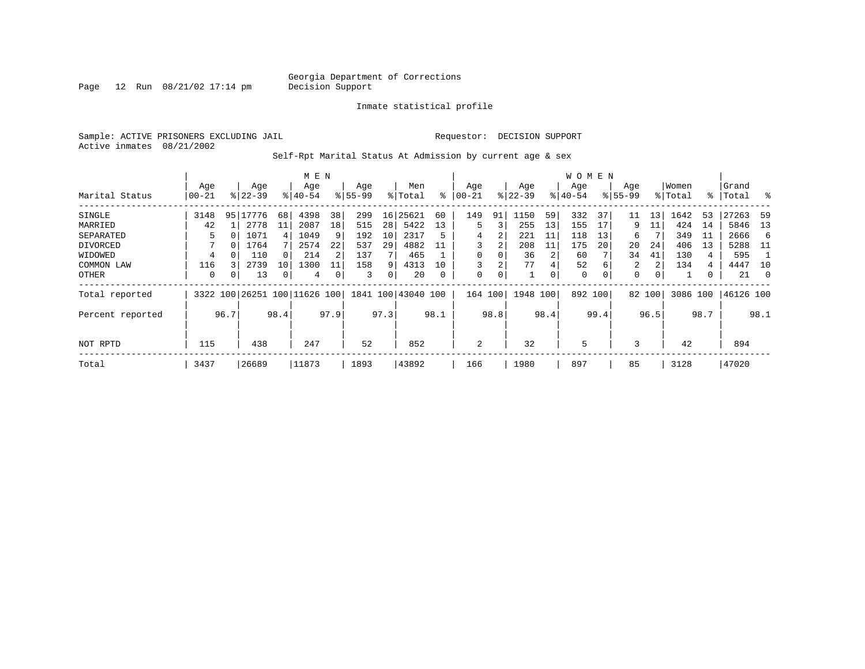Page 12 Run  $08/21/02$  17:14 pm

Inmate statistical profile

Sample: ACTIVE PRISONERS EXCLUDING JAIL **Requestor: DECISION SUPPORT** Active inmates 08/21/2002

Self-Rpt Marital Status At Admission by current age & sex

|                  |            |          |                              |                |             |      | <b>WOMEN</b> |      |                    |      |           |      |           |      |          |      |             |        |          |      |           |          |
|------------------|------------|----------|------------------------------|----------------|-------------|------|--------------|------|--------------------|------|-----------|------|-----------|------|----------|------|-------------|--------|----------|------|-----------|----------|
|                  | Age        |          | Age                          |                | Age         |      | Age          |      | Men                |      | Age       |      | Age       |      | Age      |      | Age         |        | Women    |      | Grand     |          |
| Marital Status   | $00 - 21$  |          | $ 22-39 $                    |                | $8140 - 54$ |      | $8 55-99$    |      | % Total            | ႜ    | $00 - 21$ |      | $ 22-39 $ |      | $ 40-54$ |      | $8155 - 99$ |        | % Total  | ႜၟ   | Total     | ႜ        |
| SINGLE           | 3148       |          | 95 17776                     | 68             | 4398        | 38   | 299          |      | 16 25621           | 60   | 149       | 91   | 1150      | 59   | 332      | 37   | 11          | 13     | 1642     | 53   | 27263     | 59       |
| MARRIED          | 42         |          | 2778                         | 11             | 2087        | 18   | 515          | 28   | 5422               | 13   | 5         | 3    | 255       | 13   | 155      | 17   | 9           | 11     | 424      | 14   | 5846      | 13       |
| SEPARATED        | 5          |          | 1071                         | $\overline{4}$ | 1049        | 9    | 192          | 10   | 2317               | 5    | 4         | 2    | 221       | 11   | 118      | 13   | 6           |        | 349      | 11   | 2666      | 6        |
| DIVORCED         |            | $\Omega$ | 1764                         |                | 2574        | 22   | 537          | 29   | 4882               |      | 3         | 2    | 208       | 11   | 175      | 20   | 20          | 24     | 406      | 13   | 5288      | - 11     |
| WIDOWED          | 4          |          | 110                          |                | 214         |      | 137          |      | 465                |      | 0         |      | 36        | 2    | 60       |      | 34          | 41     | 130      | 4    | 595       |          |
| COMMON LAW       | 116        |          | 2739                         | 10             | 1300        |      | 158          | 9    | 4313               | 10   | 3         | 2    | 77        | 4    | 52       | 6    | 2           | 2      | 134      | 4    | 4447      | 10       |
| OTHER            | 0          | 0        | 13                           | 0              | 4           | 0    | 3            | 0    | 20                 | 0    | 0         | 0    |           | 0    | 0        |      | $\mathbf 0$ | 0      |          | 0    | 21        | $\Omega$ |
| Total reported   |            |          | 3322 100 26251 100 11626 100 |                |             |      |              |      | 1841 100 43040 100 |      | 164 100   |      | 1948      | 100  | 892 100  |      |             | 82 100 | 3086 100 |      | 46126 100 |          |
| Percent reported |            | 96.7     |                              | 98.4           |             | 97.9 |              | 97.3 |                    | 98.1 |           | 98.8 |           | 98.4 |          | 99.4 |             | 96.5   |          | 98.7 |           | 98.1     |
|                  |            |          |                              |                |             |      |              |      |                    |      |           |      |           |      |          |      |             |        |          |      |           |          |
| NOT RPTD         | 438<br>115 |          |                              |                | 247         |      | 52           |      | 852                |      | 2         |      | 32        |      | 5        |      | 3           |        | 42       |      | 894       |          |
| Total            | 3437       |          | 26689                        |                | 11873       |      | 1893         |      | 43892              |      | 166       |      | 1980      |      | 897      |      | 85          |        | 3128     |      | 47020     |          |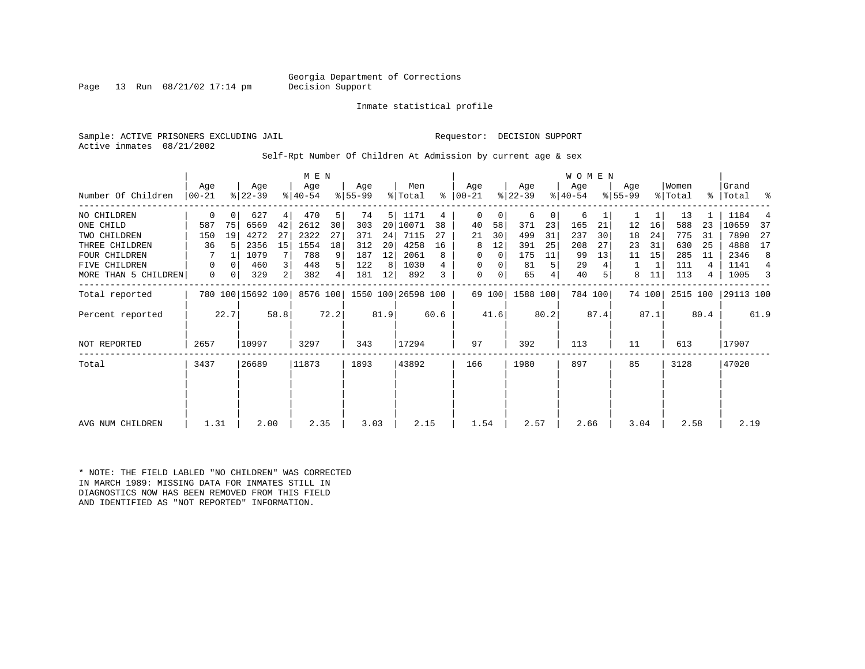#### Georgia Department of Corrections<br>Decision Support

Page 13 Run  $08/21/02$  17:14 pm

Inmate statistical profile

Sample: ACTIVE PRISONERS EXCLUDING JAIL **Requestor: DECISION SUPPORT** Active inmates 08/21/2002

Self-Rpt Number Of Children At Admission by current age & sex

|                      |                  |          |                   |      | M E N            |                |                  |      |                    |      |                 |        |                  |      | <b>WOMEN</b>     |         |                    |        |                  |      |                |      |
|----------------------|------------------|----------|-------------------|------|------------------|----------------|------------------|------|--------------------|------|-----------------|--------|------------------|------|------------------|---------|--------------------|--------|------------------|------|----------------|------|
| Number Of Children   | Age<br>$00 - 21$ |          | Age<br>$ 22-39 $  |      | Age<br>$ 40-54 $ |                | Age<br>$ 55-99 $ |      | Men<br>% Total     | ႜ    | Aqe<br>$ 00-21$ |        | Age<br>$ 22-39 $ |      | Age<br>$8 40-54$ |         | Aqe<br>$8155 - 99$ |        | Women<br>% Total | ွေ   | Grand<br>Total | ႜ    |
| NO CHILDREN          | 0                | $\Omega$ | 627               | 4    | 470              | 5              | 74               | 5    | 1171               | 4    | 0               | 0      | 6                | 0    | 6                |         |                    | 1      | 13               |      | 1184           |      |
| ONE CHILD            | 587              | 75       | 6569              | 42   | 2612             | 30             | 303              | 20   | 10071              | 38   | 40              | 58     | 371              | 23   | 165              | 21      | 12                 | 16     | 588              | 23   | 10659          | 37   |
| TWO CHILDREN         | 150              | 19       | 4272              | 27   | 2322             | 27             | 371              | 24   | 7115               | 27   | 21              | 30     | 499              | 31   | 237              | 30      | 18                 | 24     | 775              | 31   | 7890           | 27   |
| THREE CHILDREN       | 36               |          | 2356              | 15   | 1554             | 18             | 312              | 20   | 4258               | 16   | 8               | 12     | 391              | 25   | 208              | 27      | 23                 | 31     | 630              | 25   | 4888           | 17   |
| <b>FOUR CHILDREN</b> |                  |          | 1079              |      | 788              | 9              | 187              | 12   | 2061               | 8    | 0               | 0      | 175              | 11   | 99               | 13      | 11                 | 15     | 285              | -11  | 2346           | 8    |
| <b>FIVE CHILDREN</b> | 0                | $\Omega$ | 460               | 3    | 448              | 5 <sup>1</sup> | 122              | 8    | 1030               |      | 0               | 0      | 81               | 5    | 29               |         | 1                  | 1      | 111              | 4    | 1141           | 4    |
| MORE THAN 5 CHILDREN | 0                | 0        | 329               | 2    | 382              | $4\vert$       | 181              | 12   | 892                | 3    | 0               | 0      | 65               |      | 40               |         | 8                  | 11     | 113              | 4    | 1005           |      |
| Total reported       |                  |          | 780 100 15692 100 |      | 8576 100         |                |                  |      | 1550 100 26598 100 |      |                 | 69 100 | 1588 100         |      |                  | 784 100 |                    | 74 100 | 2515 100         |      | 29113 100      |      |
| Percent reported     |                  | 22.7     |                   | 58.8 |                  | 72.2           |                  | 81.9 |                    | 60.6 |                 | 41.6   |                  | 80.2 |                  | 87.4    |                    | 87.1   |                  | 80.4 |                | 61.9 |
| NOT REPORTED         | 2657             |          | 10997             |      | 3297             |                | 343              |      | 17294              |      | 97              |        | 392              |      | 113              |         | 11                 |        | 613              |      | 17907          |      |
| Total                | 3437             |          | 26689             |      | 11873            |                | 1893             |      | 43892              |      | 166             |        | 1980             |      | 897              |         | 85                 |        | 3128             |      | 47020          |      |
|                      |                  |          |                   |      |                  |                |                  |      |                    |      |                 |        |                  |      |                  |         |                    |        |                  |      |                |      |
|                      |                  |          |                   |      |                  |                |                  |      |                    |      |                 |        |                  |      |                  |         |                    |        |                  |      |                |      |
| AVG NUM CHILDREN     | 1.31             |          | 2.00              |      | 2.35             |                | 3.03             |      | 2.15               |      | 1.54            |        | 2.57             |      | 2.66             |         | 3.04               |        | 2.58             |      | 2.19           |      |

\* NOTE: THE FIELD LABLED "NO CHILDREN" WAS CORRECTED IN MARCH 1989: MISSING DATA FOR INMATES STILL IN DIAGNOSTICS NOW HAS BEEN REMOVED FROM THIS FIELD AND IDENTIFIED AS "NOT REPORTED" INFORMATION.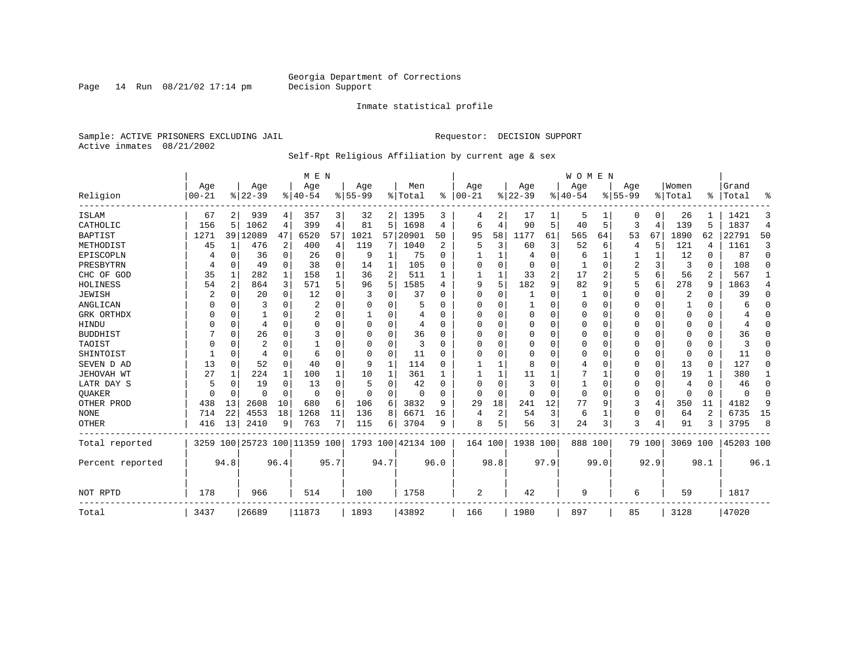Page 14 Run  $08/21/02$  17:14 pm

#### Inmate statistical profile

Sample: ACTIVE PRISONERS EXCLUDING JAIL **Requestor: DECISION SUPPORT** Active inmates 08/21/2002

#### Self-Rpt Religious Affiliation by current age & sex

|                  |            |             |                |              | M E N                   |          |             |      |                    |          |                |                |              |          | <b>WOMEN</b> |          |             |              |          |          |              |                |
|------------------|------------|-------------|----------------|--------------|-------------------------|----------|-------------|------|--------------------|----------|----------------|----------------|--------------|----------|--------------|----------|-------------|--------------|----------|----------|--------------|----------------|
|                  | Age        |             | Age            |              | Age                     |          | Age         |      | Men                |          | Age            |                | Age          |          | Age          |          | Age         |              | Women    |          | Grand        |                |
| Religion         | $ 00 - 21$ |             | $8 22-39$      |              | $8 40-54$               |          | $8155 - 99$ |      | % Total            | ៖        | $ 00 - 21$     |                | $ 22-39$     |          | $8 40-54$    |          | $8155 - 99$ |              | % Total  | ⊱        | Total        | ిక             |
| ISLAM            | 67         | 2           | 939            | 4            | 357                     | 3        | 32          | 2    | 1395               | 3        | 4              |                | 17           |          | 5            |          | 0           | 0            | 26       |          | 1421         | 3              |
| CATHOLIC         | 156        | 5           | 1062           | 4            | 399                     | 4        | 81          | 5    | 1698               | 4        | 6              | 4              | 90           | 5        | 40           | 5        | 3           | 4            | 139      | 5        | 1837         | $\overline{4}$ |
| <b>BAPTIST</b>   | 1271       |             | 39   12089     | 47           | 6520                    | 57       | 1021        | 57   | 20901              | 50       | 95             | 58             | 1177         | 61       | 565          | 64       | 53          | 67           | 1890     | 62       | 22791        | 50             |
| METHODIST        | 45         | 1           | 476            | 2            | 400                     | 4        | 119         | 7    | 1040               | 2        | 5              | 3              | 60           | 3        | 52           | 6        | 4           | 5            | 121      | 4        | 1161         | 3              |
| EPISCOPLN        |            | $\mathbf 0$ | 36             | $\mathbf 0$  | 26                      | 0        | 9           | 1    | 75                 | $\Omega$ |                | 1              | 4            | $\Omega$ | 6            | 1        |             | $\mathbf{1}$ | 12       | $\Omega$ | 87           | $\mathbf 0$    |
| PRESBYTRN        |            | 0           | 49             | 0            | 38                      | 0        | 14          | 1    | 105                | $\Omega$ | $\Omega$       | $\Omega$       | $\mathbf 0$  | O        |              | 0        | 2           | 3            | 3        | $\Omega$ | 108          | 0              |
| CHC OF GOD       | 35         | 1           | 282            | 1            | 158                     |          | 36          | 2    | 511                |          |                | 1              | 33           | 2        | 17           | 2        | 5           | 6            | 56       | 2        | 567          | $\mathbf{1}$   |
| HOLINESS         | 54         | 2           | 864            | 3            | 571                     | 5        | 96          | 5    | 1585               | 4        | 9              | 5              | 182          | 9        | 82           | 9        | 5           | 6            | 278      | 9        | 1863         | 4              |
| <b>JEWISH</b>    |            | 0           | 20             | 0            | 12                      | $\Omega$ | 3           | 0    | 37                 | $\Omega$ | $\Omega$       | O              |              | U        | 1            | $\Omega$ | 0           | $\mathbf 0$  | 2        | $\Omega$ | 39           | $\Omega$       |
| ANGLICAN         | O          | $\Omega$    | 3              | $\Omega$     | 2                       | O        |             | 0    |                    | $\Omega$ | 0              | U              | $\mathbf{1}$ | U        | $\Omega$     | 0        | 0           | 0            | 1        | $\Omega$ | 6            | $\Omega$       |
| GRK ORTHDX       | U          | $\Omega$    |                | $\Omega$     | 2                       | O        |             | 0    | 4                  | ∩        | O              | U              | $\mathbf 0$  | U        | 0            | $\Omega$ | 0           | $\Omega$     | $\Omega$ | $\Omega$ |              | 0              |
| HINDU            |            | $\Omega$    | $\overline{4}$ | $\Omega$     | $\Omega$                | O        | $\Omega$    | 0    | 4                  | $\Omega$ | $\Omega$       | $\Omega$       | $\mathbf 0$  | U        | $\mathbf 0$  | $\Omega$ | Ω           | $\Omega$     | $\Omega$ | $\Omega$ | 4            | $\Omega$       |
| <b>BUDDHIST</b>  |            | $\Omega$    | 26             | $\Omega$     | 3                       |          | U           | O    | 36                 | $\Omega$ | $\Omega$       | $\Omega$       | $\mathbf 0$  | $\Omega$ | $\Omega$     | $\Omega$ | O           | $\Omega$     | $\Omega$ | $\Omega$ | 36           | $\Omega$       |
| TAOIST           |            | $\Omega$    | 2              | $\Omega$     |                         |          |             | 0    | 3                  | $\Omega$ | $\Omega$       | $\Omega$       | $\mathbf 0$  | 0        | $\Omega$     | $\Omega$ | 0           | $\Omega$     | $\Omega$ | $\Omega$ |              | $\Omega$       |
| SHINTOIST        |            | $\Omega$    | 4              | $\Omega$     | 6                       | O        | $\Omega$    | 0    | 11                 | $\Omega$ | 0              | O              | $\mathbf 0$  | U        | 0            | $\Omega$ | 0           | $\Omega$     | $\Omega$ | $\Omega$ | 11           | $\Omega$       |
| SEVEN D AD       | 13         | $\Omega$    | 52             | $\Omega$     | 40                      | $\Omega$ | 9           | 1    | 114                | $\Omega$ |                | 1              | 8            | O        | 4            | $\Omega$ | O           | $\Omega$     | 13       | $\Omega$ | 127          | $\Omega$       |
| JEHOVAH WT       | 27         | 1           | 224            | $\mathbf{1}$ | 100                     |          | 10          |      | 361                |          |                | $\mathbf{1}$   | 11           |          |              | 1        | 0           | $\Omega$     | 19       |          | 380          | 1              |
| LATR DAY S       | 5          | $\Omega$    | 19             | $\Omega$     | 13                      | O        | 5           | 0    | 42                 | ∩        | $\Omega$       | $\Omega$       | 3            | U        | $\mathbf{1}$ | $\Omega$ | 0           | $\Omega$     | 4        | $\Omega$ | 46           | $\Omega$       |
| <b>OUAKER</b>    | U          | $\mathbf 0$ | U              | $\mathbf 0$  | $\Omega$                | U        | $\Omega$    | 0    | $\Omega$           | ∩        | $\Omega$       | $\Omega$       | $\Omega$     | U        | $\mathbf{0}$ | $\Omega$ | 0           | $\mathbf 0$  | $\Omega$ | $\Omega$ | <sup>0</sup> | $\mathbf 0$    |
| OTHER PROD       | 438        | 13          | 2608           | 10           | 680                     | 6        | 106         | 6    | 3832               | 9        | 29             | 18             | 241          | 12       | 77           | 9        | 3           | 4            | 350      | 11       | 4182         | 9              |
| <b>NONE</b>      | 714        | 22          | 4553           | 18           | 1268                    | 11       | 136         | 8    | 6671               | 16       | 4              | $\overline{2}$ | 54           | 3        | 6            | 1        | 0           | $\Omega$     | 64       | 2        | 6735         | 15             |
| <b>OTHER</b>     | 416        | 13          | 2410           | 9            | 763                     |          | 115         | 6    | 3704               | 9        | 8              | 5              | 56           | 3        | 24           | 3        | 3           | 4            | 91       | 3        | 3795         | 8              |
| Total reported   | 3259       |             |                |              | 100 25723 100 11359 100 |          |             |      | 1793 100 42134 100 |          | 164 100        |                | 1938 100     |          | 888 100      |          |             | 79 100       | 3069 100 |          | 45203 100    |                |
| Percent reported |            | 94.8        |                | 96.4         |                         | 95.7     |             | 94.7 |                    | 96.0     |                | 98.8           |              | 97.9     |              | 99.0     |             | 92.9         |          | 98.1     |              | 96.1           |
| NOT RPTD         | 178        |             | 966            |              | 514                     |          | 100         |      | 1758               |          | $\overline{2}$ |                | 42           |          | 9            |          | 6           |              | 59       |          | 1817         |                |
| Total            | 3437       |             | 26689          |              | 11873                   |          | 1893        |      | 43892              |          | 166            |                | 1980         |          | 897          |          | 85          |              | 3128     |          | 47020        |                |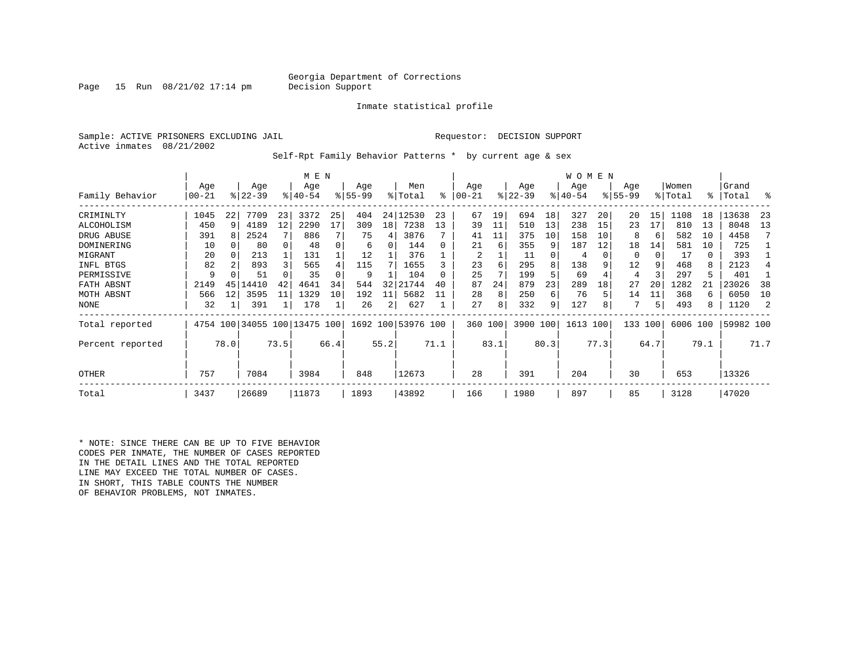#### Georgia Department of Corrections<br>Decision Support

Page 15 Run  $08/21/02$  17:14 pm

Inmate statistical profile

Sample: ACTIVE PRISONERS EXCLUDING JAIL Requestor: DECISION SUPPORT Active inmates 08/21/2002

Self-Rpt Family Behavior Patterns \* by current age & sex

|                  |                  |      |                  |      | M E N                        |      |                 |      |                    |      |                |      |                  |      | WOMEN           |      |                    |      |                  |      |                |      |
|------------------|------------------|------|------------------|------|------------------------------|------|-----------------|------|--------------------|------|----------------|------|------------------|------|-----------------|------|--------------------|------|------------------|------|----------------|------|
| Family Behavior  | Age<br>$00 - 21$ |      | Age<br>$ 22-39 $ |      | Age<br>$8140 - 54$           |      | Age<br>$ 55-99$ |      | Men<br>% Total     | ⊱    | Age<br>  00-21 |      | Age<br>$ 22-39 $ |      | Age<br>$ 40-54$ |      | Age<br>$8155 - 99$ |      | Women<br>% Total | °≈   | Grand<br>Total | ႜ    |
| CRIMINLTY        | 1045             | 22   | 7709             | 23   | 3372                         | 25   | 404             | 24   | 12530              | 23   | 67             | 19   | 694              | 18   | 327             | 20   | 20                 | 15   | 1108             | 18   | 13638          | -23  |
| ALCOHOLISM       | 450              | 9    | 4189             | 12   | 2290                         | 17   | 309             | 18   | 7238               | 13   | 39             | 11   | 510              | 13   | 238             | 15   | 23                 | 17   | 810              | 13   | 8048           | 13   |
| DRUG ABUSE       | 391              |      | 2524             |      | 886                          |      | 75              | 4    | 3876               |      | 41             | 11   | 375              | 10   | 158             | 10   | 8                  | 6    | 582              | 10   | 4458           |      |
| DOMINERING       | 10               |      | 80               |      | 48                           |      | 6               | 0    | 144                |      | 21             | 6    | 355              | 9    | 187             | 12   | 18                 | 14   | 581              | 10   | 725            |      |
| MIGRANT          | 20               | 0    | 213              |      | 131                          |      | 12              |      | 376                |      | 2              |      | 11               |      | 4               |      | 0                  | 0    | 17               | 0    | 393            |      |
| INFL BTGS        | 82               |      | 893              | 3    | 565                          |      | 115             |      | 1655               |      | 23             | 6    | 295              |      | 138             |      | 12                 | 9    | 468              | 8    | 2123           |      |
| PERMISSIVE       | 9                |      | 51               |      | 35                           |      | 9               |      | 104                |      | 25             |      | 199              |      | 69              |      | 4                  |      | 297              | 5    | 401            |      |
| FATH ABSNT       | 2149             | 45   | 14410            | 42   | 4641                         | 34   | 544             | 32   | 21744              | 40   | 87             | 24   | 879              | 23   | 289             | 18   | 27                 | 20   | 1282             | 21   | 23026          | 38   |
| MOTH ABSNT       | 566              | 12   | 3595             | 11   | 1329                         | 10   | 192             | 11   | 5682               |      | 28             | 8    | 250              | 6    | 76              |      | 14                 |      | 368              | 6    | 6050           | 10   |
| NONE             | 32               |      | 391              | 1    | 178                          | 1    | 26              | 2    | 627                |      | 27             | 8    | 332              | 9    | 127             | 8    |                    | 5    | 493              | 8    | 1120           |      |
| Total reported   |                  |      |                  |      | 4754 100 34055 100 13475 100 |      |                 |      | 1692 100 53976 100 |      | 360 100        |      | 3900 100         |      | 1613 100        |      | 133                | 100  | 6006 100         |      | 59982 100      |      |
| Percent reported |                  | 78.0 |                  | 73.5 |                              | 66.4 |                 | 55.2 |                    | 71.1 |                | 83.1 |                  | 80.3 |                 | 77.3 |                    | 64.7 |                  | 79.1 |                | 71.7 |
| OTHER            | 757              |      | 7084             |      | 3984                         |      | 848             |      | 12673              |      | 28             |      | 391              |      | 204             |      | 30                 |      | 653              |      | 13326          |      |
| Total            | 3437             |      | 26689            |      | 11873                        |      | 1893            |      | 43892              |      | 166            |      | 1980             |      | 897             |      | 85                 |      | 3128             |      | 47020          |      |

\* NOTE: SINCE THERE CAN BE UP TO FIVE BEHAVIOR CODES PER INMATE, THE NUMBER OF CASES REPORTED IN THE DETAIL LINES AND THE TOTAL REPORTED LINE MAY EXCEED THE TOTAL NUMBER OF CASES. IN SHORT, THIS TABLE COUNTS THE NUMBER OF BEHAVIOR PROBLEMS, NOT INMATES.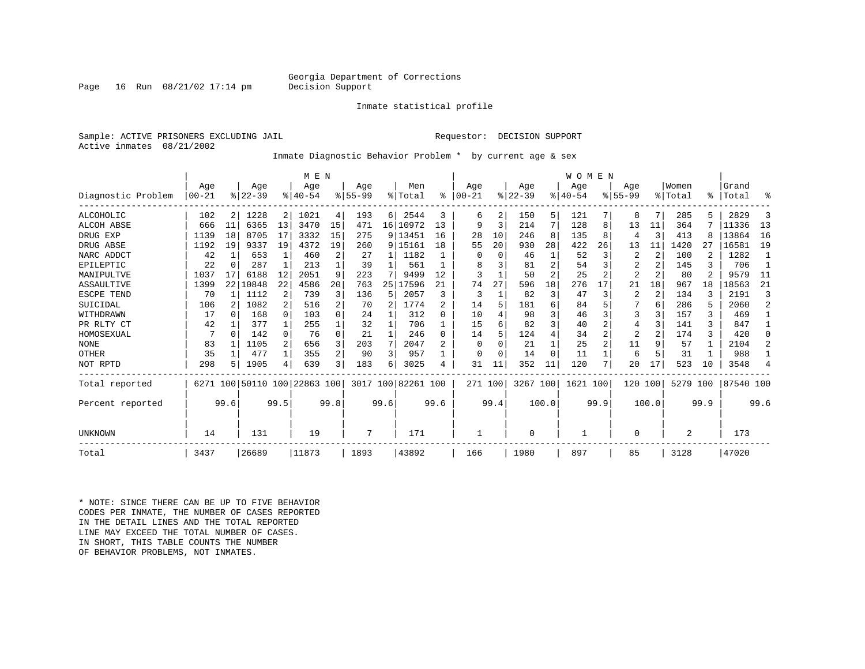#### Georgia Department of Corrections<br>Decision Support

Inmate statistical profile

Sample: ACTIVE PRISONERS EXCLUDING JAIL Requestor: DECISION SUPPORT

Active inmates 08/21/2002

Page 16 Run  $08/21/02$  17:14 pm

#### Inmate Diagnostic Behavior Problem \* by current age & sex

|                    |            |          |           |              | M E N                        |                |             |              |                    |          |            |               |           |                | WOMEN       |      |                |                |                |      |           |                |
|--------------------|------------|----------|-----------|--------------|------------------------------|----------------|-------------|--------------|--------------------|----------|------------|---------------|-----------|----------------|-------------|------|----------------|----------------|----------------|------|-----------|----------------|
|                    | Age        |          | Age       |              | Age                          |                | Aqe         |              | Men                |          | Age        |               | Age       |                | Aqe         |      | Aqe            |                | Women          |      | Grand     |                |
| Diagnostic Problem | $100 - 21$ |          | $ 22-39 $ |              | $8140 - 54$                  |                | $8155 - 99$ |              | % Total            | ፠        | $100 - 21$ | $\frac{8}{6}$ | $22 - 39$ |                | $8140 - 54$ |      | $8155 - 99$    |                | % Total        | °≈   | Total     | ႜ              |
| ALCOHOLIC          | 102        | 2        | 1228      | 2            | 1021                         | 4              | 193         | 6            | 2544               | 3        | 6          | 2             | 150       | 5              | 121         |      | 8              | 7              | 285            |      | 2829      | 3              |
| ALCOH ABSE         | 666        | 11       | 6365      | 13           | 3470                         | 15             | 471         |              | 16   10972         | 13       | 9          | 3             | 214       | 7              | 128         | 8    | 13             | 11             | 364            |      | 11336     | 13             |
| DRUG EXP           | 1139       | 18       | 8705      | 17           | 3332                         | 15             | 275         |              | 9 13451            | 16       | 28         | 10            | 246       | 8              | 135         | 8    | 4              | 3              | 413            |      | 13864     | 16             |
| DRUG ABSE          | 1192       | 19       | 9337      | 19           | 4372                         | 19             | 260         |              | 9 15161            | 18       | 55         | 20            | 930       | 28             | 422         | 26   | 13             | 11             | 1420           | 27   | 16581     | 19             |
| NARC ADDCT         | 42         |          | 653       | $\mathbf{1}$ | 460                          | 2              | 27          | $\mathbf{1}$ | 1182               |          |            | $\Omega$      | 46        |                | 52          | 3    | 2              | 2              | 100            |      | 1282      | $\mathbf{1}$   |
| EPILEPTIC          | 22         | $\Omega$ | 287       | $\mathbf{1}$ | 213                          |                | 39          |              | 561                |          |            |               | 81        | $\overline{2}$ | 54          |      | $\overline{2}$ |                | 145            |      | 706       |                |
| MANIPULTVE         | 1037       |          | 6188      | 12           | 2051                         | 9              | 223         | 7            | 9499               | 12       | ζ          |               | 50        | $\overline{a}$ | 25          |      | $\overline{2}$ | $\overline{2}$ | 80             |      | 9579      | 11             |
| <b>ASSAULTIVE</b>  | 1399       | 22       | 10848     | 22           | 4586                         | 20             | 763         | 25           | 17596              | 21       | 74         | 27            | 596       | 18             | 276         | 17   | 21             | 18             | 967            | 18   | 18563     | 21             |
| ESCPE TEND         | 70         |          | 1112      | 2            | 739                          | 3              | 136         | 5            | 2057               | 3        | 3          |               | 82        | 3              | 47          | 3    | 2              | $\mathfrak{D}$ | 134            |      | 2191      | 3              |
| SUICIDAL           | 106        | 2        | 1082      | 2            | 516                          | 2              | 70          | 2            | 1774               |          | 14         |               | 181       | 6              | 84          |      |                | 6              | 286            |      | 2060      | $\overline{a}$ |
| WITHDRAWN          | 17         | $\Omega$ | 168       | $\Omega$     | 103                          | $\Omega$       | 24          |              | 312                | $\Omega$ | 10         |               | 98        | ς              | 46          |      | 3              |                | 157            | 3    | 469       |                |
| PR RLTY CT         | 42         |          | 377       | $\mathbf{1}$ | 255                          |                | 32          |              | 706                |          | 15         |               | 82        | 3              | 40          |      | 4              | 3              | 141            | ζ    | 847       | 1              |
| HOMOSEXUAL         |            | $\Omega$ | 142       | $\Omega$     | 76                           | $\Omega$       | 21          | $\mathbf{1}$ | 246                | $\Omega$ | 14         |               | 124       | 4              | 34          |      | $\overline{2}$ | $\mathbf{2}$   | 174            | ζ    | 420       | $\Omega$       |
| <b>NONE</b>        | 83         |          | 1105      | 2            | 656                          | 3              | 203         | 7            | 2047               |          | $\Omega$   |               | 21        |                | 25          |      | 11             | 9              | 57             |      | 2104      | $\overline{a}$ |
| OTHER              | 35         |          | 477       | 1            | 355                          | $\overline{a}$ | 90          | 3            | 957                |          | $\Omega$   | $\Omega$      | 14        | $\Omega$       | 11          |      | 6              | 5              | 31             |      | 988       |                |
| NOT RPTD           | 298        | 5        | 1905      | 4            | 639                          | 3              | 183         | 6            | 3025               | 4        | 31         | 11            | 352       | 11             | 120         | 7    | 20             | 17             | 523            | 10   | 3548      | 4              |
| Total reported     |            |          |           |              | 6271 100 50110 100 22863 100 |                |             |              | 3017 100 82261 100 |          | 271 100    |               | 3267 100  |                | 1621 100    |      | 120            | 100            | 5279           | 100  | 87540 100 |                |
| Percent reported   |            | 99.6     |           | 99.5         |                              | 99.8           |             | 99.6         |                    | 99.6     |            | 99.4          |           | 100.0          |             | 99.9 |                | 100.0          |                | 99.9 |           | 99.6           |
| UNKNOWN            | 14         |          | 131       |              | 19                           |                | 7           |              | 171                |          |            |               | $\Omega$  |                |             |      | 0              |                | $\overline{2}$ |      | 173       |                |
| Total              | 3437       |          | 26689     |              | 11873                        |                | 1893        |              | 43892              |          | 166        |               | 1980      |                | 897         |      | 85             |                | 3128           |      | 47020     |                |

\* NOTE: SINCE THERE CAN BE UP TO FIVE BEHAVIOR CODES PER INMATE, THE NUMBER OF CASES REPORTED IN THE DETAIL LINES AND THE TOTAL REPORTED LINE MAY EXCEED THE TOTAL NUMBER OF CASES.IN SHORT, THIS TABLE COUNTS THE NUMBER OF BEHAVIOR PROBLEMS, NOT INMATES.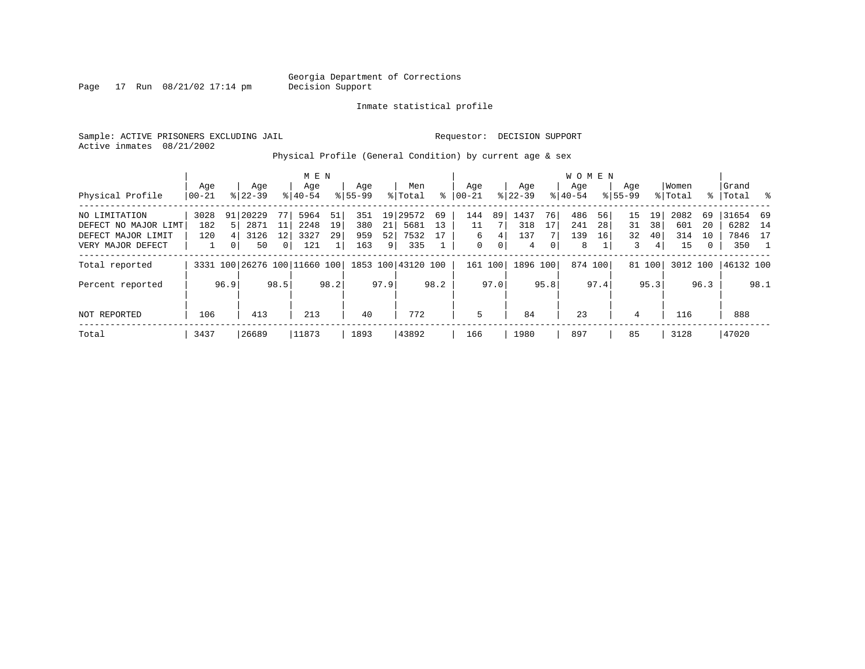Page  $17$  Run  $08/21/02$  17:14 pm

Inmate statistical profile

Sample: ACTIVE PRISONERS EXCLUDING JAIL Requestor: DECISION SUPPORT Active inmates 08/21/2002

Physical Profile (General Condition) by current age & sex

|                      |       |                |                              |                | M E N     |      |             |                |                    |      |           |      |             |      | <b>WOMEN</b> |         |             |        |          |              |           |      |
|----------------------|-------|----------------|------------------------------|----------------|-----------|------|-------------|----------------|--------------------|------|-----------|------|-------------|------|--------------|---------|-------------|--------|----------|--------------|-----------|------|
|                      | Age   |                | Age                          |                | Age       |      | Age         |                | Men                |      | Aqe       |      | Aqe         |      | Aqe          |         | Aqe         |        | Women    |              | Grand     |      |
| Physical Profile     | 00-21 |                | $8 22-39$                    |                | $8 40-54$ |      | $8155 - 99$ |                | % Total            | ႜ    | $00 - 21$ |      | $8$   22-39 |      | $ 40-54$     |         | $8155 - 99$ |        | % Total  | ႜ            | Total     | ိ    |
| NO LIMITATION        | 3028  |                | 91 20229                     | 77             | 5964      | 51   | 351         |                | 19 29572           | 69   | 144       | 89   | 1437        | 76   | 486          | 56      | 15          | 19     | 2082     | 69           | 31654 69  |      |
| DEFECT NO MAJOR LIMT | 182   |                | 2871                         | 11             | 2248      | 19   | 380         | 21             | 5681               | 13   | 11        |      | 318         | 17   | 241          | 28      | 31          | 38     | 601      | 20           | 6282 14   |      |
| DEFECT MAJOR LIMIT   | 120   |                | 3126                         | 12             | 3327      | 29   | 959         | 52             | 7532               | 17   | 6         | 4    | 137         |      | 139          | 16      | 32          | 40     | 314      | 10           | 7846 17   |      |
| VERY MAJOR DEFECT    |       | 0 <sup>1</sup> | 50                           | $\overline{0}$ | 121       |      | 163         | 9 <sup>1</sup> | 335                |      | 0         | 0    | 4           | 0    | 8            |         | 3           | 4      | 15       | $\mathbf{0}$ | 350       |      |
| Total reported       |       |                | 3331 100 26276 100 11660 100 |                |           |      |             |                | 1853 100 43120 100 |      | 161 100   |      | 1896 100    |      |              | 874 100 |             | 81 100 | 3012 100 |              | 46132 100 |      |
| Percent reported     |       | 96.9           |                              | 98.5           |           | 98.2 |             | 97.9           |                    | 98.2 |           | 97.0 |             | 95.8 |              | 97.4    |             | 95.3   |          | 96.3         |           | 98.1 |
| <b>NOT REPORTED</b>  | 106   |                | 413                          |                | 213       |      | 40          |                | 772                |      | 5         |      | 84          |      | 23           |         | 4           |        | 116      |              | 888       |      |
| Total                | 3437  |                | 26689                        |                | 11873     |      | 1893        |                | 43892              |      | 166       |      | 1980        |      | 897          |         | 85          |        | 3128     |              | 47020     |      |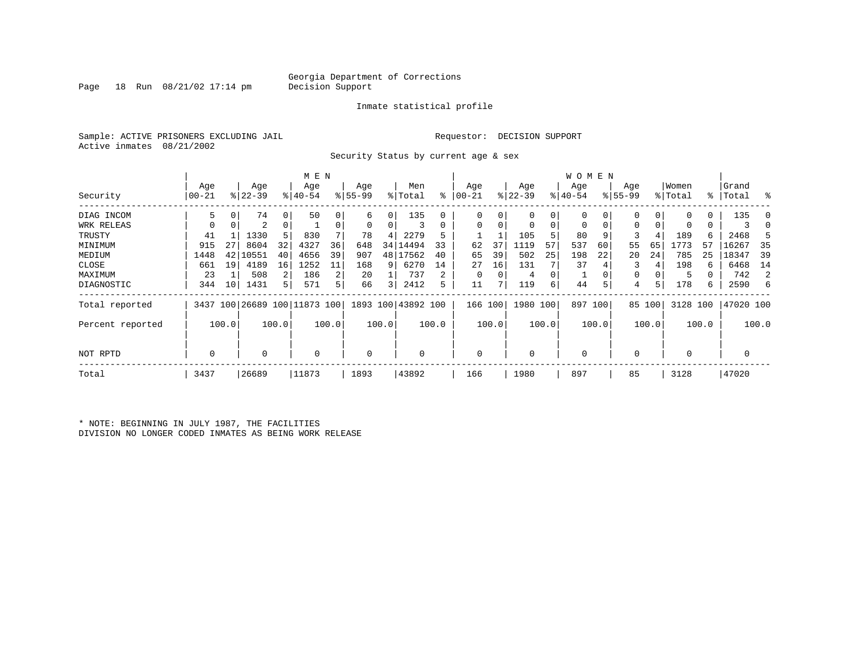Page 18 Run  $08/21/02$  17:14 pm

#### Inmate statistical profile

Sample: ACTIVE PRISONERS EXCLUDING JAIL Requestor: DECISION SUPPORT Active inmates 08/21/2002

Security Status by current age & sex

|                  |          |       |           |             | M E N                        |       |           |                         |                    |       |           |          |             |                | W O M E N   |          |             |        |             |             |             |                |
|------------------|----------|-------|-----------|-------------|------------------------------|-------|-----------|-------------------------|--------------------|-------|-----------|----------|-------------|----------------|-------------|----------|-------------|--------|-------------|-------------|-------------|----------------|
|                  | Age      |       | Age       |             | Age                          |       | Age       |                         | Men                |       | Age       |          | Age         |                | Age         |          | Age         |        | Women       |             | Grand       |                |
| Security         | 00-21    |       | $8 22-39$ |             | $ 40-54$                     |       | $8 55-99$ |                         | % Total            | ి     | $00 - 21$ |          | $ 22-39 $   |                | $ 40-54 $   |          | $8155 - 99$ |        | % Total     | $\approx$ 1 | Total       | ႜ              |
| DIAG INCOM       | 5        | 0     | 74        | $\mathbf 0$ | 50                           |       | 6         | 0                       | 135                |       |           | 0        | 0           | 0              |             | 0        | 0           | 0      | $\Omega$    | 0           | 135         | 0              |
| WRK RELEAS       | $\Omega$ | 0     | 2         | 0           |                              |       | 0         | 0                       |                    | 0     | 0         | 0        | $\mathbf 0$ | $\overline{0}$ |             | $\Omega$ | 0           |        |             |             |             |                |
| TRUSTY           | 41       |       | 1330      | 5           | 830                          |       | 78        | 4                       | 2279               | 5     |           |          | 105         | 5              | 80          | 9        | 3           | 4      | 189         | б.          | 2468        | 5              |
| MINIMUM          | 915      | 27    | 8604      | 32          | 4327                         | 36    | 648       | 34                      | 14494              | 33    | 62        | 37       | 1119        | 57             | 537         | 60       | 55          | 65     | L773        | 57          | 16267       | 35             |
| MEDIUM           | 1448     | 42    | 10551     | 40          | 4656                         | 39    | 907       |                         | 48 17562           | 40    | 65        | 39       | 502         | 25             | 198         | 22       | 20          | 24     | 785         | 25          | 18347       | 39             |
| CLOSE            | 661      | 19    | 4189      | 16          | 1252                         | 11    | 168       | 9                       | 6270               | 14    | 27        | 16       | 131         |                | 37          |          |             |        | 198         | 6.          | 6468        | 14             |
| MAXIMUM          | 23       |       | 508       | 2           | 186                          |       | 20        |                         | 737                | 2     | $\Omega$  | $\Omega$ | 4           |                |             |          | 0           |        | 5           |             | 742         | $\overline{2}$ |
| DIAGNOSTIC       | 344      | 10    | 1431      | 5           | 571                          |       | 66        | $\overline{\mathsf{3}}$ | 2412               | 5     | 11        |          | 119         | 6              | 44          | 5        | 4           | 5      | 178         | б.          | 2590        | 6              |
| Total reported   |          |       |           |             | 3437 100 26689 100 11873 100 |       |           |                         | 1893 100 43892 100 |       | 166 100   |          | 1980 100    |                |             | 897 100  |             | 85 100 | 3128 100    |             | 47020 100   |                |
| Percent reported |          | 100.0 |           | 100.0       |                              | 100.0 |           | 100.0                   |                    | 100.0 |           | 100.0    |             | 100.0          |             | 100.0    |             | 100.0  |             | 100.0       |             | 100.0          |
| NOT RPTD         | 0        |       | 0         |             | $\mathbf 0$                  |       | 0         |                         |                    |       | $\Omega$  |          | 0           |                | $\mathbf 0$ |          | $\Omega$    |        | $\mathbf 0$ |             | $\mathbf 0$ |                |
| Total            | 3437     |       | 26689     |             | 11873                        |       | 1893      |                         | 43892              |       | 166       |          | 1980        |                | 897         |          | 85          |        | 3128        |             | 47020       |                |

\* NOTE: BEGINNING IN JULY 1987, THE FACILITIES DIVISION NO LONGER CODED INMATES AS BEING WORK RELEASE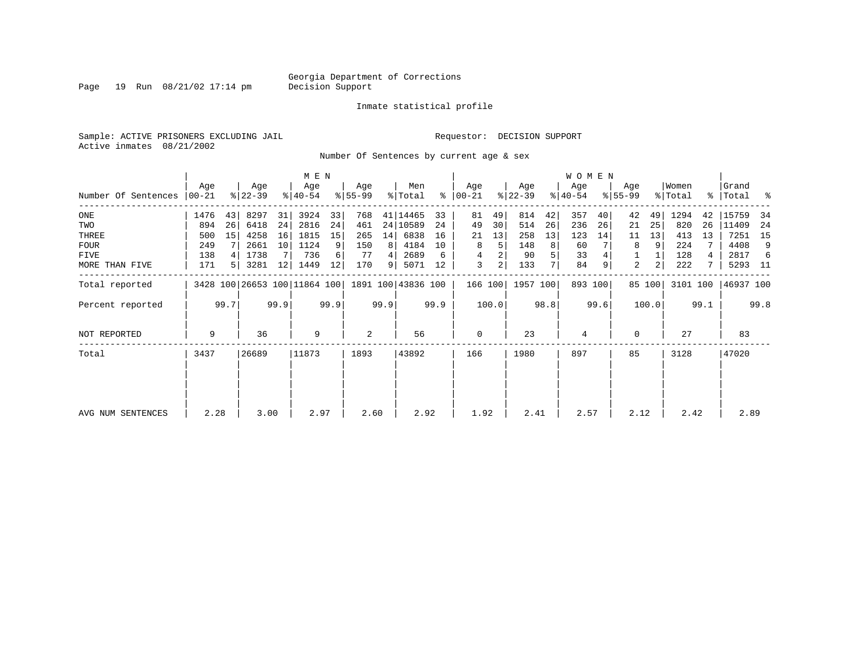Page 19 Run 08/21/02 17:14 pm

#### Inmate statistical profile

Sample: ACTIVE PRISONERS EXCLUDING JAIL **Requestor: DECISION SUPPORT** Active inmates 08/21/2002

Number Of Sentences by current age & sex

|                     |           |      |           |      | M E N                        |      |           |      |                    |      |               |       |           |      | <b>WOMEN</b> |         |             |        |          |      |           |      |
|---------------------|-----------|------|-----------|------|------------------------------|------|-----------|------|--------------------|------|---------------|-------|-----------|------|--------------|---------|-------------|--------|----------|------|-----------|------|
|                     | Age       |      | Age       |      | Age                          |      | Age       |      | Men                |      | Age           |       | Age       |      | Age          |         | Age         |        | Women    |      | Grand     |      |
| Number Of Sentences | $00 - 21$ |      | $ 22-39 $ |      | $ 40-54 $                    |      | $8 55-99$ |      | % Total            |      | $8   00 - 21$ |       | $ 22-39 $ |      | $ 40-54 $    |         | $8155 - 99$ |        | % Total  |      | %   Total | ႜ    |
| ONE                 | 1476      | 43   | 8297      | 31   | 3924                         | 33   | 768       |      | 41   14465         | 33   | 81            | 49    | 814       | 42   | 357          | 40      | 42          | 49     | 1294     | 42   | 15759     | 34   |
| TWO                 | 894       | 26   | 6418      | 24   | 2816                         | 24   | 461       |      | 24 10589           | 24   | 49            | 30    | 514       | 26   | 236          | 26      | 21          | 25     | 820      | 26   | 11409     | 24   |
| THREE               | 500       | 15   | 4258      | 16   | 1815                         | 15   | 265       | 14   | 6838               | 16   | 21            | 13    | 258       | 13   | 123          | 14      | 11          | 13     | 413      | 13   | 7251      | 15   |
| <b>FOUR</b>         | 249       |      | 2661      | 10   | 1124                         | 9    | 150       | 8    | 4184               | 10   | 8             | 5     | 148       | 8    | 60           |         | 8           | 9      | 224      |      | 4408      | 9    |
| <b>FIVE</b>         | 138       |      | 1738      |      | 736                          | 6    | 77        | 4    | 2689               | 6    | 4             |       | 90        | 5    | 33           |         |             |        | 128      | 4    | 2817      | -6   |
| MORE THAN FIVE      | 171       | 5    | 3281      | 12   | 1449                         | 12   | 170       | 9    | 5071               | 12   | 3             | 2     | 133       | 7    | 84           | 9       | 2           | 2      | 222      |      | 5293 11   |      |
| Total reported      |           |      |           |      | 3428 100 26653 100 11864 100 |      |           |      | 1891 100 43836 100 |      | 166 100       |       | 1957 100  |      |              | 893 100 |             | 85 100 | 3101 100 |      | 46937 100 |      |
| Percent reported    |           | 99.7 |           | 99.9 |                              | 99.9 |           | 99.9 |                    | 99.9 |               | 100.0 |           | 98.8 |              | 99.6    |             | 100.0  |          | 99.1 |           | 99.8 |
| NOT REPORTED        | 9         |      | 36        |      | 9                            |      | 2         |      | 56                 |      | $\mathbf 0$   |       | 23        |      | 4            |         | $\Omega$    |        | 27       |      | 83        |      |
| Total               | 3437      |      | 26689     |      | 11873                        |      | 1893      |      | 43892              |      | 166           |       | 1980      |      | 897          |         | 85          |        | 3128     |      | 47020     |      |
|                     |           |      |           |      |                              |      |           |      |                    |      |               |       |           |      |              |         |             |        |          |      |           |      |
| AVG NUM SENTENCES   | 2.28      |      | 3.00      |      | 2.97                         |      | 2.60      |      | 2.92               |      | 1.92          |       | 2.41      |      | 2.57         |         | 2.12        |        | 2.42     |      | 2.89      |      |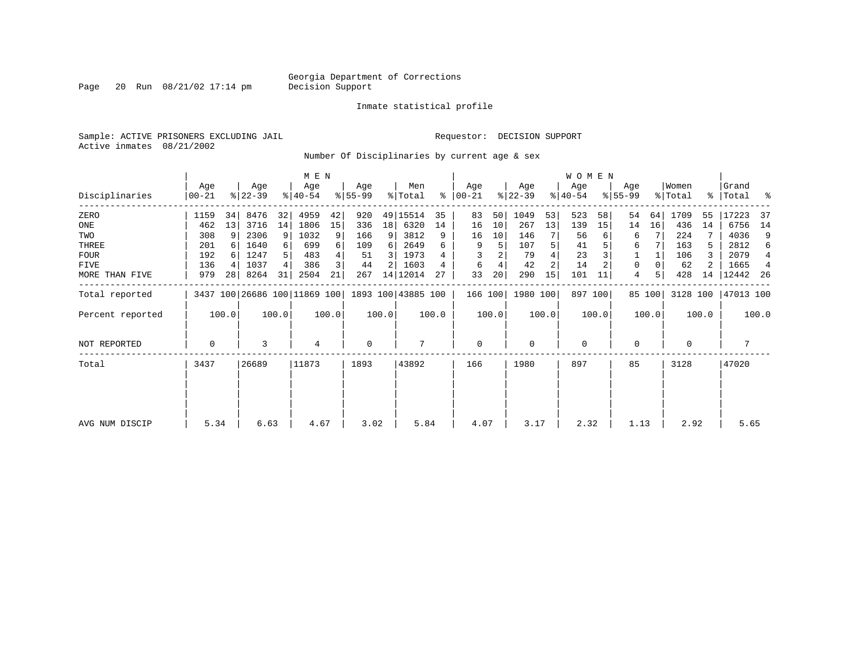Page 20 Run  $08/21/02$  17:14 pm

Inmate statistical profile

Sample: ACTIVE PRISONERS EXCLUDING JAIL Requestor: DECISION SUPPORT Active inmates 08/21/2002

Number Of Disciplinaries by current age & sex

|                  |              |       |                  |       | M E N            |       |                 |       |                                                 |       |                    |       |                  |                | <b>WOMEN</b>     |         |                    |        |                  |       |                      |       |
|------------------|--------------|-------|------------------|-------|------------------|-------|-----------------|-------|-------------------------------------------------|-------|--------------------|-------|------------------|----------------|------------------|---------|--------------------|--------|------------------|-------|----------------------|-------|
| Disciplinaries   | Age<br>00-21 |       | Age<br>$ 22-39 $ |       | Age<br>$8 40-54$ |       | Age<br>$ 55-99$ |       | Men<br>% Total                                  | ∻     | Age<br>$ 00 - 21 $ |       | Age<br>$ 22-39 $ |                | Aqe<br>$ 40-54 $ |         | Age<br>$8155 - 99$ |        | Women<br>% Total |       | Grand<br>%   Total % |       |
| ZERO             | 1159         | 34    | 8476             | 32    | 4959             | 42    | 920             |       | 49 15514                                        | 35    | 83                 | 50    | 1049             | 53             | 523              | 58      | 54                 | 64     | 1709             | 55    | 17223                | -37   |
| ONE              | 462          | 13    | 3716             | 14    | 1806             | 15    | 336             | 18    | 6320                                            | 14    | 16                 | 10    | 267              | 13             | 139              | 15      | 14                 | 16     | 436              | 14    | 6756                 | 14    |
| TWO              | 308          | 9     | 2306             | 9     | 1032             |       | 166             | 9     | 3812                                            | 9     | 16                 | 10    | 146              |                | 56               |         | 6                  |        | 224              |       | 4036                 | 9     |
| THREE            | 201          |       | 1640             |       | 699              | 6     | 109             | 6     | 2649                                            | 6     | 9                  | 5     | 107              |                | 41               |         | 6                  |        | 163              | 5.    | 2812                 | 6     |
| <b>FOUR</b>      | 192          |       | 1247             |       | 483              |       | 51              | 3     | 1973                                            |       |                    |       | 79               |                | 23               |         |                    |        | 106              |       | 2079                 | 4     |
| <b>FIVE</b>      | 136          |       | 1037             |       | 386              |       | 44              |       | 1603                                            |       | 6                  | 4     | 42               | $\overline{2}$ | 14               |         | 0                  |        | 62               | 2     | 1665                 | 4     |
| MORE THAN FIVE   | 979          | 28    | 8264             | 31    | 2504             | 21    | 267             |       | 14 12014                                        | 27    | 33                 | 20    | 290              | 15             | 101              | 11      | 4                  |        | 428              | 14    | 12442                | -26   |
| Total reported   |              |       |                  |       |                  |       |                 |       | 3437 100 26686 100 11869 100 1893 100 43885 100 |       | 166 100            |       | 1980 100         |                |                  | 897 100 |                    | 85 100 | 3128 100         |       | 47013 100            |       |
| Percent reported |              | 100.0 |                  | 100.0 |                  | 100.0 |                 | 100.0 |                                                 | 100.0 |                    | 100.0 |                  | 100.0          |                  | 100.0   |                    | 100.0  |                  | 100.0 |                      | 100.0 |
| NOT REPORTED     | 0            |       | 3                |       | 4                |       | 0               |       | 7                                               |       | $\mathbf 0$        |       | $\Omega$         |                | 0                |         | $\Omega$           |        | $\Omega$         |       |                      |       |
| Total            | 3437         |       | 26689            |       | 11873            |       | 1893            |       | 43892                                           |       | 166                |       | 1980             |                | 897              |         | 85                 |        | 3128             |       | 47020                |       |
|                  |              |       |                  |       |                  |       |                 |       |                                                 |       |                    |       |                  |                |                  |         |                    |        |                  |       |                      |       |
|                  |              |       |                  |       |                  |       |                 |       |                                                 |       |                    |       |                  |                |                  |         |                    |        |                  |       |                      |       |
| AVG NUM DISCIP   | 5.34         |       | 6.63             |       | 4.67             |       | 3.02            |       | 5.84                                            |       | 4.07               |       | 3.17             |                | 2.32             |         | 1.13               |        | 2.92             |       | 5.65                 |       |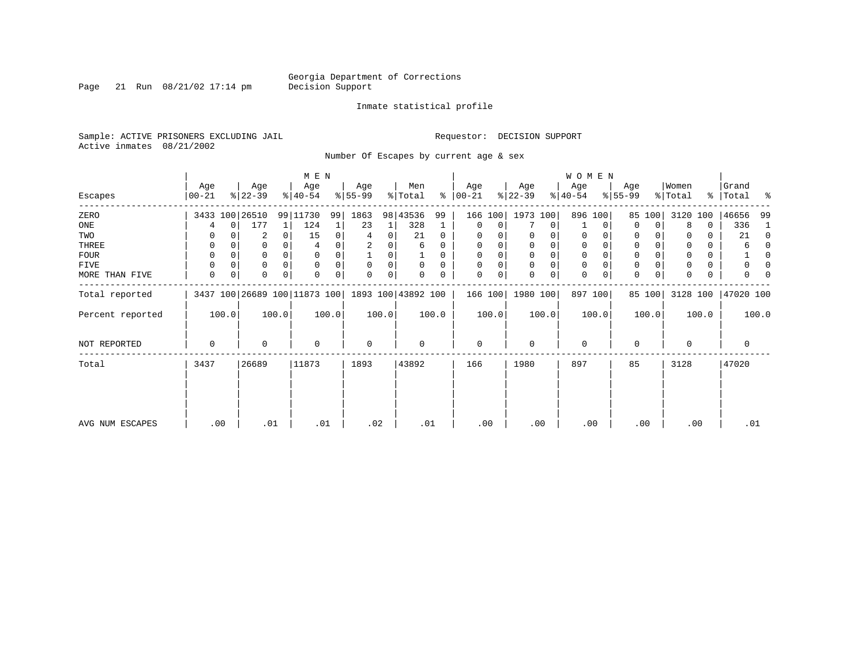Page 21 Run  $08/21/02$  17:14 pm

#### Inmate statistical profile

Sample: ACTIVE PRISONERS EXCLUDING JAIL Requestor: DECISION SUPPORT Active inmates 08/21/2002

Number Of Escapes by current age & sex

|                  |                |             |                  |          | M E N                        |       |                 |       |                    |          |                  |          |                  |             | WOMEN            |              |                  |             |                  |       |                    |          |
|------------------|----------------|-------------|------------------|----------|------------------------------|-------|-----------------|-------|--------------------|----------|------------------|----------|------------------|-------------|------------------|--------------|------------------|-------------|------------------|-------|--------------------|----------|
| Escapes          | Age<br>  00-21 |             | Age<br>$ 22-39 $ |          | Age<br>$8 40-54$             |       | Age<br>$ 55-99$ |       | Men<br>% Total     | ∻        | Age<br>$ 00-21 $ |          | Age<br>$ 22-39 $ |             | Age<br>$ 40-54 $ |              | Age<br>$8 55-99$ |             | Women<br>% Total |       | Grand<br>%   Total | ႜ        |
| ZERO             |                |             | 3433 100 26510   |          | 99 11730                     | 99    | 1863            |       | 98 43536           | 99       | 166              | 100      | 1973 100         |             |                  | 896 100      | 85               | 100         | 3120             | 100   | 46656              | 99       |
| ONE              | 4              | $\mathbf 0$ | 177              |          | 124                          |       | 23              | 1     | 328                | 1        | 0                | 0        |                  | 0           |                  | 0            | $\Omega$         | $\Omega$    | 8                | 0     | 336                | -1       |
| TWO              | 0              |             | 2                | $\Omega$ | 15                           |       | 4               | 0     | 21                 | 0        | 0                |          | 0                | 0           | 0                | <sup>0</sup> | 0                |             |                  | 0     | 21                 | $\Omega$ |
| THREE            | 0              |             | 0                | 0        |                              |       |                 |       | 6                  | 0        |                  |          | 0                | 0           | 0                |              | 0                |             |                  | 0     | 6                  | $\Omega$ |
| FOUR             | 0              |             | 0                | $\Omega$ | $\Omega$                     |       |                 | 0     |                    | $\Omega$ | $\Omega$         | $\Omega$ | $\mathbf 0$      | 0           | $\mathbf 0$      | $\Omega$     | $\Omega$         |             |                  | 0     |                    | 0        |
| FIVE             | 0              | 0           | 0                | $\Omega$ | $\Omega$                     |       | $\Omega$        | 0     | $\Omega$           | $\Omega$ | O                | 0        | $\mathbf 0$      | $\mathbf 0$ | $\mathbf 0$      | $\Omega$     | 0                |             |                  | 0     |                    | n        |
| MORE THAN FIVE   | 0              | 0           | 0                | 0        | $\Omega$                     | 0     | 0               | 0     |                    | 0        | $\Omega$         | 0        | $\mathbf 0$      | 0           | $\mathbf{0}$     | 0            | $\mathbf 0$      | $\mathbf 0$ |                  | 0     | U                  |          |
| Total reported   |                |             |                  |          | 3437 100 26689 100 11873 100 |       |                 |       | 1893 100 43892 100 |          | 166 100          |          | 1980 100         |             |                  | 897 100      |                  | 85 100      | 3128 100         |       | 47020 100          |          |
| Percent reported |                | 100.0       |                  | 100.0    |                              | 100.0 |                 | 100.0 |                    | 100.0    |                  | 100.0    |                  | 100.0       |                  | 100.0        |                  | 100.0       |                  | 100.0 |                    | 100.0    |
| NOT REPORTED     | 0              |             | $\Omega$         |          | $\Omega$                     |       | 0               |       | 0                  |          | $\mathbf 0$      |          | $\mathbf 0$      |             | $\mathbf 0$      |              | 0                |             | $\Omega$         |       | 0                  |          |
| Total            | 3437           |             | 26689            |          | 11873                        |       | 1893            |       | 43892              |          | 166              |          | 1980             |             | 897              |              | 85               |             | 3128             |       | 47020              |          |
|                  |                |             |                  |          |                              |       |                 |       |                    |          |                  |          |                  |             |                  |              |                  |             |                  |       |                    |          |
|                  |                |             |                  |          |                              |       |                 |       |                    |          |                  |          |                  |             |                  |              |                  |             |                  |       |                    |          |
| AVG NUM ESCAPES  |                | .00         | .01              |          | .01                          |       | .02             |       | .01                |          | .00              |          | .00              |             |                  | .00          |                  | .00         | .00              |       | .01                |          |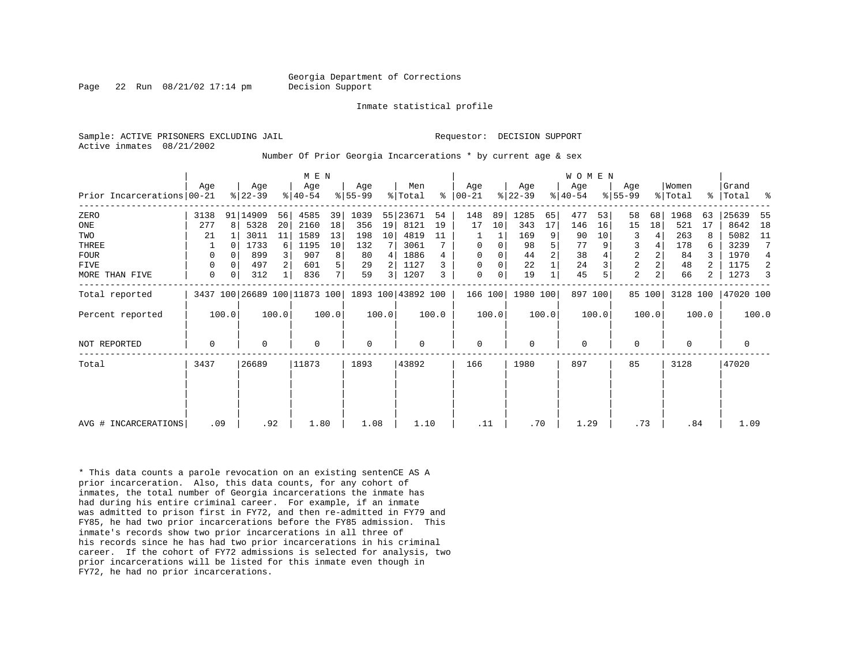Page 22 Run 08/21/02 17:14 pm Decision Support

Inmate statistical profile

Active inmates 08/21/2002

Sample: ACTIVE PRISONERS EXCLUDING JAIL **Requestor: DECISION SUPPORT** 

Number Of Prior Georgia Incarcerations \* by current age & sex

|                            |             |       |                  |          | M E N                                           |                |                  |       |                |       |                  |       |                  |       | <b>WOMEN</b>    |       |                  |                |                  |       |                |       |
|----------------------------|-------------|-------|------------------|----------|-------------------------------------------------|----------------|------------------|-------|----------------|-------|------------------|-------|------------------|-------|-----------------|-------|------------------|----------------|------------------|-------|----------------|-------|
| Prior Incarcerations 00-21 | Age         |       | Age<br>$ 22-39 $ |          | Age<br>$ 40-54 $                                |                | Age<br>$ 55-99 $ |       | Men<br>% Total | ⊱     | Age<br>$ 00-21 $ |       | Age<br>$ 22-39 $ |       | Age<br>$ 40-54$ |       | Age<br>$ 55-99 $ |                | Women<br>% Total | ႜ     | Grand<br>Total | ್ಠಿ   |
| ZERO                       | 3138        |       | 91 14909         | 56       | 4585                                            | 39             | 1039             |       | 55 23671       | 54    | 148              | 89    | 1285             | 65    | 477             | 53    | 58               | 68             | 1968             | 63    | 25639          | -55   |
| ONE                        | 277         | R     | 5328             | 20       | 2160                                            | 18             | 356              | 19    | 8121           | 19    | 17               | 10    | 343              | 17    | 146             | 16    | 15               | 18             | 521              | 17    | 8642           | 18    |
| TWO                        | 21          |       | 3011             | 11       | 1589                                            | 13             | 198              | 10    | 4819           | 11    |                  |       | 169              | 9     | 90              | 10    | 3                | 4              | 263              | 8     | 5082           | 11    |
| THREE                      |             |       | 1733             | $6 \mid$ | 1195                                            | 10             | 132              |       | 3061           |       | 0                | 0     | 98               | 5     | 77              |       | 3                |                | 178              |       | 3239           |       |
| <b>FOUR</b>                | $\Omega$    |       | 899              |          | 907                                             | 8              | 80               | 4     | 1886           | 4     | $\mathbf 0$      |       | 44               | 2     | 38              |       | $\overline{2}$   | $\overline{a}$ | 84               | 3     | 1970           | 4     |
| <b>FIVE</b>                | 0           |       | 497              |          | 601                                             | 5              | 29               |       | 1127           |       | $\Omega$         | 0     | 22               |       | 24              |       | 2                |                | 48               |       | 1175           | 2     |
| MORE THAN FIVE             | 0           | 0     | 312              |          | 836                                             | 7 <sup>1</sup> | 59               | 3     | 1207           | 3     | 0                | 0     | 19               |       | 45              |       | 2                | $\overline{a}$ | 66               | 2     | 1273           |       |
| Total reported             |             |       |                  |          | 3437 100 26689 100 11873 100 1893 100 43892 100 |                |                  |       |                |       | 166 100          |       | 1980 100         |       | 897 100         |       |                  | 85 100         | 3128 100         |       | 47020 100      |       |
| Percent reported           |             | 100.0 |                  | 100.0    |                                                 | 100.0          |                  | 100.0 |                | 100.0 |                  | 100.0 |                  | 100.0 |                 | 100.0 |                  | 100.0          |                  | 100.0 |                | 100.0 |
| <b>NOT REPORTED</b>        | $\mathbf 0$ |       | $\Omega$         |          | $\Omega$                                        |                | $\mathbf 0$      |       | 0              |       | $\mathbf 0$      |       | $\Omega$         |       | $\mathbf 0$     |       | $\mathbf 0$      |                | $\Omega$         |       | 0              |       |
| Total                      | 3437        |       | 26689            |          | 11873                                           |                | 1893             |       | 43892          |       | 166              |       | 1980             |       | 897             |       | 85               |                | 3128             |       | 47020          |       |
|                            |             |       |                  |          |                                                 |                |                  |       |                |       |                  |       |                  |       |                 |       |                  |                |                  |       |                |       |
|                            |             |       |                  |          |                                                 |                |                  |       |                |       |                  |       |                  |       |                 |       |                  |                |                  |       |                |       |
| AVG # INCARCERATIONS       | .09         |       |                  | .92      | 1.80                                            |                | 1.08             |       | 1.10           |       | .11              |       | .70              |       | 1.29            |       | .73              |                | .84              |       | 1.09           |       |

\* This data counts a parole revocation on an existing sentenCE AS A prior incarceration. Also, this data counts, for any cohort of inmates, the total number of Georgia incarcerations the inmate has had during his entire criminal career. For example, if an inmate was admitted to prison first in FY72, and then re-admitted in FY79 and FY85, he had two prior incarcerations before the FY85 admission. This inmate's records show two prior incarcerations in all three of his records since he has had two prior incarcerations in his criminal career. If the cohort of FY72 admissions is selected for analysis, two prior incarcerations will be listed for this inmate even though in FY72, he had no prior incarcerations.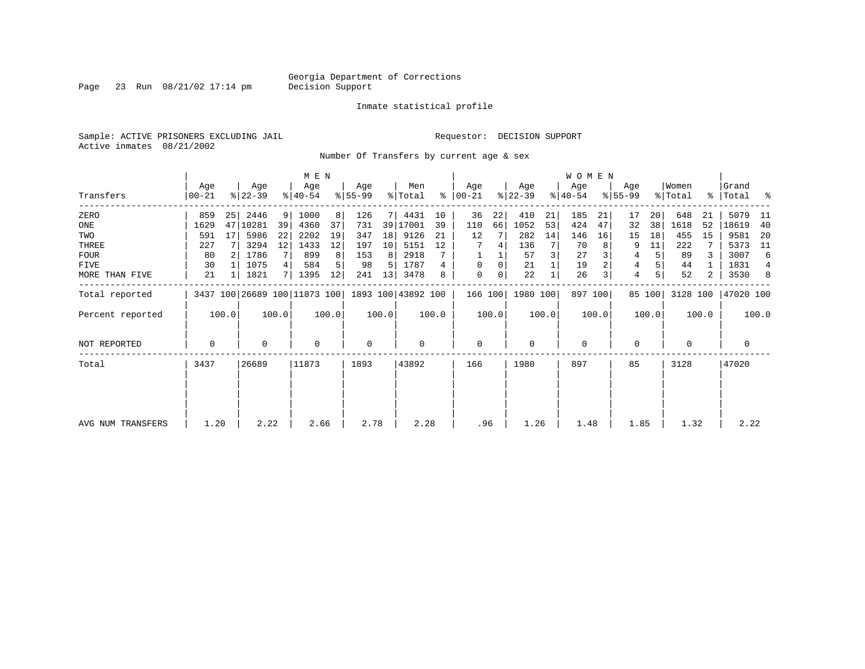Page 23 Run  $08/21/02$  17:14 pm

#### Inmate statistical profile

Sample: ACTIVE PRISONERS EXCLUDING JAIL **Requestor: DECISION SUPPORT** Active inmates 08/21/2002

Number Of Transfers by current age & sex

|                   |                |       |                  |       | M E N            |       |                                                 |       |                |       |                  |       |                  |              | WOMEN            |         |                  |        |                              |       |                    |                |
|-------------------|----------------|-------|------------------|-------|------------------|-------|-------------------------------------------------|-------|----------------|-------|------------------|-------|------------------|--------------|------------------|---------|------------------|--------|------------------------------|-------|--------------------|----------------|
| Transfers         | Age<br>  00-21 |       | Age<br>$ 22-39 $ |       | Age<br>$ 40-54 $ |       | Age<br>$ 55-99 $                                |       | Men<br>% Total | ∻     | Age<br>$ 00-21 $ |       | Age<br>$ 22-39 $ |              | Age<br>$ 40-54 $ |         | Age<br>$ 55-99 $ |        | Women<br>$\frac{1}{2}$ Total |       | Grand<br>% Total % |                |
| ZERO              | 859            | 25    | 2446             | 9     | 1000             | 8     | 126                                             |       | 4431           | 10    | 36               | 22    | 410              | 21           | 185              | 21      | 17               | 20     | 648                          | 21    | 5079               | -11            |
| ONE               | 1629           | 47    | 10281            | 39    | 4360             | 37    | 731                                             | 39    | 17001          | 39    | 110              | 66    | 1052             | 53           | 424              | 47      | 32               | 38     | 1618                         | 52    | 18619              | 40             |
| TWO               | 591            | 17    | 5986             | 22    | 2202             | 19    | 347                                             | 18    | 9126           | 21    | 12               |       | 282              | 14           | 146              | 16      | 15               | 18     | 455                          | 15    | 9581               | -20            |
| THREE             | 227            |       | 3294             | 12    | 1433             | 12    | 197                                             | 10    | 5151           | 12    |                  |       | 136              |              | 70               |         | 9                | 11     | 222                          |       | 5373               | - 11           |
| FOUR              | 80             |       | 1786             | 7     | 899              |       | 153                                             | 8     | 2918           |       |                  |       | 57               | 3            | 27               |         | 4                |        | 89                           |       | 3007               | 6              |
| FIVE              | 30             |       | 1075             | 4     | 584              |       | 98                                              | 5     | 1787           | 4     | $\Omega$         | 0     | 21               |              | 19               |         | 4                |        | 44                           |       | 1831               | $\overline{4}$ |
| MORE THAN FIVE    | 21             |       | 1821             | 7 I   | 1395             | 12    | 241                                             | 13    | 3478           | 8     | 0                | 0     | 22               | $\mathbf{1}$ | 26               |         | 4                |        | 52                           | 2     | 3530               | 8              |
| Total reported    |                |       |                  |       |                  |       | 3437 100 26689 100 11873 100 1893 100 43892 100 |       |                |       | 166 100          |       | 1980 100         |              |                  | 897 100 |                  | 85 100 | 3128 100                     |       | 47020 100          |                |
| Percent reported  |                | 100.0 |                  | 100.0 |                  | 100.0 |                                                 | 100.0 |                | 100.0 |                  | 100.0 |                  | 100.0        |                  | 100.0   |                  | 100.0  |                              | 100.0 |                    | 100.0          |
| NOT REPORTED      | 0              |       | 0                |       | 0                |       | 0                                               |       | $\mathbf 0$    |       | $\mathbf 0$      |       | $\mathbf 0$      |              | $\mathbf 0$      |         | 0                |        | 0                            |       | 0                  |                |
| Total             | 3437           |       | 26689            |       | 11873            |       | 1893                                            |       | 43892          |       | 166              |       | 1980             |              | 897              |         | 85               |        | 3128                         |       | 47020              |                |
|                   |                |       |                  |       |                  |       |                                                 |       |                |       |                  |       |                  |              |                  |         |                  |        |                              |       |                    |                |
|                   |                |       |                  |       |                  |       |                                                 |       |                |       |                  |       |                  |              |                  |         |                  |        |                              |       |                    |                |
| AVG NUM TRANSFERS | 1.20           |       | 2.22             |       | 2.66             |       | 2.78                                            |       | 2.28           |       | .96              |       | 1.26             |              | 1.48             |         | 1.85             |        | 1.32                         |       | 2.22               |                |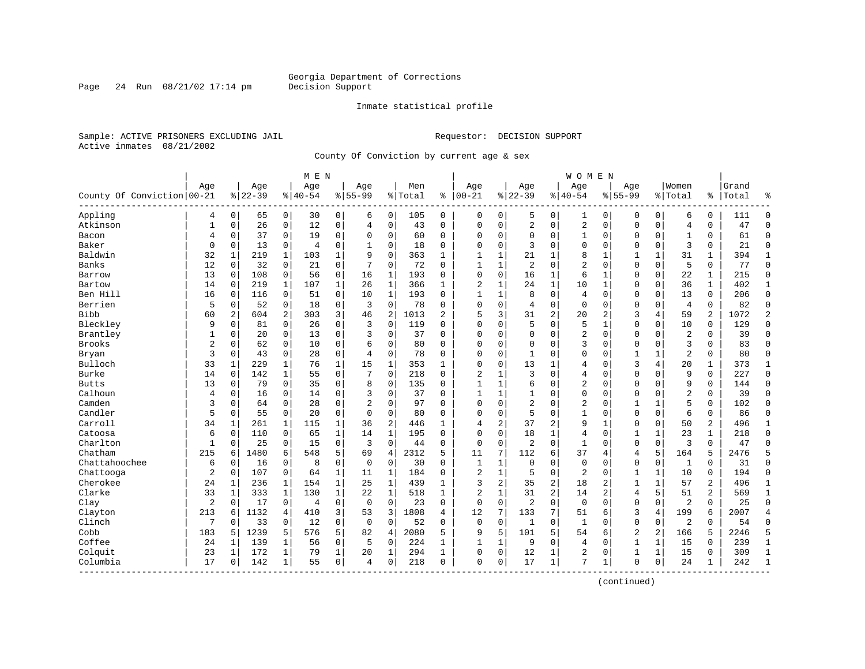Page 24 Run  $08/21/02$  17:14 pm

#### Inmate statistical profile

Sample: ACTIVE PRISONERS EXCLUDING JAIL **Requestor: DECISION SUPPORT** Active inmates 08/21/2002

County Of Conviction by current age & sex

|                            |                |                |           |                | M E N     |                |              |                |         |              |                |              |                |                | W O M E N      |                |                |              |                |                |       |                |
|----------------------------|----------------|----------------|-----------|----------------|-----------|----------------|--------------|----------------|---------|--------------|----------------|--------------|----------------|----------------|----------------|----------------|----------------|--------------|----------------|----------------|-------|----------------|
|                            | Age            |                | Age       |                | Age       |                | Age          |                | Men     |              | Age            |              | Age            |                | Age            |                | Aqe            |              | Women          |                | Grand |                |
| County Of Conviction 00-21 |                |                | $8 22-39$ |                | $8 40-54$ |                | $8 55-99$    |                | % Total | ႜ            | $100 - 21$     |              | $8 22-39$      |                | $8140 - 54$    |                | $8155 - 99$    |              | % Total        | ి              | Total | န္             |
| Appling                    | 4              | $\overline{0}$ | 65        | $\overline{0}$ | 30        | 0              | 6            | 0              | 105     | 0            | $\Omega$       | 0            | 5              | 0              | 1              | 0              | 0              | 0            | 6              | 0              | 111   | $\Omega$       |
| Atkinson                   | $\mathbf{1}$   | 0              | 26        | 0              | 12        | 0              | 4            | $\mathbf 0$    | 43      | 0            | $\mathbf 0$    | 0            | 2              | 0              | 2              | $\mathbf 0$    | $\mathbf 0$    | $\mathbf 0$  | $\overline{4}$ | 0              | 47    | $\Omega$       |
| Bacon                      | 4              | 0              | 37        | $\overline{0}$ | 19        | 0              | $\Omega$     | 0              | 60      | 0            | $\Omega$       | 0            | $\mathbf 0$    | 0              | 1              | $\mathbf 0$    | 0              | 0            | 1              | 0              | 61    | $\Omega$       |
| Baker                      | $\Omega$       | 0              | 13        | 0              | 4         | 0              | $\mathbf{1}$ | $\Omega$       | 18      | $\Omega$     | $\Omega$       | $\Omega$     | 3              | $\Omega$       | 0              | $\Omega$       | $\Omega$       | $\Omega$     | 3              | $\Omega$       | 21    | $\Omega$       |
| Baldwin                    | 32             | $\mathbf{1}$   | 219       | $\mathbf{1}$   | 103       | $\mathbf 1$    | 9            | $\Omega$       | 363     | $\mathbf{1}$ | $\mathbf{1}$   | $\mathbf{1}$ | 21             | 1              | 8              | $\mathbf{1}$   | $\mathbf{1}$   | $\mathbf{1}$ | 31             | $\mathbf{1}$   | 394   | 1              |
| Banks                      | 12             | $\Omega$       | 32        | $\Omega$       | 21        | 0              | 7            | $\Omega$       | 72      | $\Omega$     | $\mathbf{1}$   | $\mathbf{1}$ | $\overline{2}$ | $\Omega$       | $\overline{2}$ | $\mathbf 0$    | $\Omega$       | $\Omega$     | 5              | 0              | 77    | $\Omega$       |
| Barrow                     | 13             | 0              | 108       | 0              | 56        | 0              | 16           | $\mathbf 1$    | 193     | 0            | $\mathbf 0$    | 0            | 16             | 1              | 6              | 1              | 0              | $\mathbf 0$  | 22             | 1              | 215   | $\Omega$       |
| Bartow                     | 14             | $\Omega$       | 219       | $\mathbf{1}$   | 107       | $\mathbf 1$    | 26           | $\mathbf{1}$   | 366     | $\mathbf{1}$ | $\overline{2}$ | 1            | 24             | 1              | 10             | $\mathbf 1$    | $\Omega$       | 0            | 36             | $\mathbf{1}$   | 402   | $\mathbf{1}$   |
| Ben Hill                   | 16             | 0              | 116       | $\mathbf 0$    | 51        | 0              | 10           | $\mathbf{1}$   | 193     | $\Omega$     | $\mathbf{1}$   | 1            | 8              | $\mathbf 0$    | $\overline{4}$ | $\mathbf 0$    | $\Omega$       | $\Omega$     | 13             | $\mathbf 0$    | 206   | $\Omega$       |
| Berrien                    | 5              | 0              | 52        | 0              | 18        | 0              | 3            | $\mathbf 0$    | 78      | $\Omega$     | $\Omega$       | 0            | 4              | 0              | $\mathbf{0}$   | $\mathbf 0$    | $\Omega$       | 0            | $\overline{4}$ | 0              | 82    | $\Omega$       |
| Bibb                       | 60             | 2              | 604       | 2              | 303       | 3              | 46           | 2              | 1013    | 2            | 5              | 3            | 31             | $\overline{2}$ | 20             | 2              | 3              | 4            | 59             | $\overline{a}$ | 1072  | $\overline{2}$ |
| Bleckley                   | 9              | $\Omega$       | 81        | $\Omega$       | 26        | 0              | 3            | $\Omega$       | 119     | $\Omega$     | $\Omega$       | 0            | 5              | $\Omega$       | 5              | $\mathbf{1}$   | $\Omega$       | $\Omega$     | 10             | $\Omega$       | 129   | $\Omega$       |
| Brantley                   |                | 0              | 20        | $\mathbf 0$    | 13        | 0              | 3            | $\mathbf 0$    | 37      | $\Omega$     | $\Omega$       | $\Omega$     | $\mathbf 0$    | 0              | 2              | $\mathbf 0$    | $\Omega$       | 0            | $\overline{c}$ | 0              | 39    | $\Omega$       |
| <b>Brooks</b>              | 2              | 0              | 62        | $\mathbf 0$    | 10        | 0              | 6            | $\Omega$       | 80      | $\Omega$     | $\Omega$       | O            | $\mathbf 0$    | $\Omega$       | 3              | $\Omega$       | $\Omega$       | $\Omega$     | 3              | $\Omega$       | 83    | $\Omega$       |
| Bryan                      | 3              | 0              | 43        | 0              | 28        | 0              | 4            | 0              | 78      | $\Omega$     | $\Omega$       | 0            | $\mathbf{1}$   | $\Omega$       | 0              | $\Omega$       | 1              | 1            | $\overline{2}$ | 0              | 80    | $\Omega$       |
| Bulloch                    | 33             | 1              | 229       | 1              | 76        | $\mathbf 1$    | 15           | $\mathbf 1$    | 353     | $\mathbf{1}$ | $\Omega$       | 0            | 13             | 1              | 4              | $\Omega$       | 3              | 4            | 20             | 1              | 373   | 1              |
| Burke                      | 14             | $\Omega$       | 142       | $\mathbf{1}$   | 55        | 0              | 7            | $\Omega$       | 218     | $\Omega$     | 2              |              | ζ              | $\Omega$       | 4              | $\Omega$       | $\Omega$       | $\Omega$     | 9              | $\Omega$       | 227   | $\Omega$       |
| <b>Butts</b>               | 13             | $\Omega$       | 79        | $\Omega$       | 35        | 0              | 8            | $\Omega$       | 135     | $\Omega$     | $\mathbf{1}$   | 1            | 6              | $\Omega$       | $\overline{2}$ | $\Omega$       | $\Omega$       | $\Omega$     | 9              | 0              | 144   | $\Omega$       |
| Calhoun                    | 4              | 0              | 16        | $\mathbf 0$    | 14        | 0              | 3            | $\mathbf 0$    | 37      | $\Omega$     | 1              | $\mathbf{1}$ | 1              | 0              | 0              | 0              | 0              | 0            | $\overline{2}$ | 0              | 39    | $\Omega$       |
| Camden                     | 3              | 0              | 64        | 0              | 28        | 0              | 2            | 0              | 97      | $\Omega$     | $\Omega$       | 0            | $\overline{2}$ | 0              | 2              | 0              | 1              | 1            | 5              | 0              | 102   | $\Omega$       |
| Candler                    | 5              | $\Omega$       | 55        | $\mathbf 0$    | 20        | 0              | $\Omega$     | $\Omega$       | 80      | $\Omega$     | $\Omega$       | $\Omega$     | 5              | $\Omega$       | $\mathbf{1}$   | $\mathbf 0$    | $\Omega$       | $\Omega$     | 6              | $\mathbf 0$    | 86    | $\Omega$       |
| Carroll                    | 34             | 1              | 261       | 1              | 115       | $\mathbf 1$    | 36           | 2              | 446     | 1            | 4              | 2            | 37             | 2              | 9              | 1              | 0              | 0            | 50             | 2              | 496   | 1              |
| Catoosa                    | 6              | 0              | 110       | $\mathbf 0$    | 65        | $\mathbf 1$    | 14           | $\mathbf 1$    | 195     | $\Omega$     | $\Omega$       | $\Omega$     | 18             | $\mathbf{1}$   | 4              | $\mathbf 0$    | 1              | $\mathbf 1$  | 23             | $\mathbf{1}$   | 218   | $\Omega$       |
| Charlton                   | 1              | 0              | 25        | 0              | 15        | 0              | 3            | $\Omega$       | 44      | 0            | $\mathbf 0$    | 0            | $\overline{2}$ | 0              | $\mathbf{1}$   | $\mathbf 0$    | $\Omega$       | $\mathbf 0$  | 3              | 0              | 47    | $\Omega$       |
| Chatham                    | 215            | 6              | 1480      | 6              | 548       | 5              | 69           | $\overline{4}$ | 2312    | 5            | 11             | 7            | 112            | 6              | 37             | 4              | $\overline{4}$ | 5            | 164            | 5              | 2476  |                |
| Chattahoochee              | 6              | 0              | 16        | $\mathbf 0$    | 8         | 0              | $\mathbf 0$  | $\Omega$       | 30      | $\Omega$     | $\mathbf{1}$   | $\mathbf{1}$ | $\mathbf 0$    | $\Omega$       | $\mathbf 0$    | $\Omega$       | $\mathbf{0}$   | 0            | 1              | $\Omega$       | 31    | $\Omega$       |
| Chattooga                  | 2              | 0              | 107       | $\mathbf 0$    | 64        | $\mathbf 1$    | 11           | 1              | 184     | $\Omega$     | $\overline{2}$ | $\mathbf{1}$ | 5              | $\Omega$       | 2              | $\mathbf 0$    | $\mathbf{1}$   | 1            | 10             | 0              | 194   | $\Omega$       |
| Cherokee                   | 24             | 1              | 236       | 1              | 154       | $\mathbf{1}$   | 25           | 1              | 439     | 1            | 3              | 2            | 35             | 2              | 18             | $\overline{2}$ | 1              | 1            | 57             | 2              | 496   | $\mathbf{1}$   |
| Clarke                     | 33             | 1              | 333       | $\mathbf{1}$   | 130       | $\mathbf 1$    | 22           | $\mathbf 1$    | 518     | $\mathbf{1}$ | 2              | $\mathbf{1}$ | 31             | 2              | 14             | $\overline{2}$ | 4              | 5            | 51             | 2              | 569   | $\mathbf{1}$   |
| Clay                       | $\overline{c}$ | $\Omega$       | 17        | $\mathbf 0$    | 4         | 0              | $\Omega$     | $\Omega$       | 23      | $\Omega$     | $\mathbf 0$    | $\Omega$     | $\overline{2}$ | $\Omega$       | $\mathbf 0$    | $\Omega$       | $\mathbf{0}$   | $\Omega$     | $\overline{2}$ | $\Omega$       | 25    | $\Omega$       |
| Clayton                    | 213            | 6              | 1132      | 4              | 410       | 3 <sup>1</sup> | 53           | 3              | 1808    | 4            | 12             | 7            | 133            | 7              | 51             | 6              | 3              | 4            | 199            | 6              | 2007  | $\overline{4}$ |
| Clinch                     | 7              | 0              | 33        | $\mathbf 0$    | 12        | 0              | $\mathbf 0$  | $\mathbf 0$    | 52      | $\Omega$     | $\mathbf 0$    | 0            | 1              | 0              | $\mathbf{1}$   | $\mathbf 0$    | $\mathbf{0}$   | $\mathbf 0$  | $\overline{2}$ | $\Omega$       | 54    | $\Omega$       |
| Cobb                       | 183            | 5              | 1239      | 5              | 576       | 5              | 82           | 4              | 2080    | 5            | 9              | 5            | 101            | 5              | 54             | 6              | $\overline{2}$ | 2            | 166            | 5              | 2246  | 5              |
| Coffee                     | 24             | 1              | 139       | 1              | 56        | 0              | 5            | 0              | 224     | 1            | $\mathbf{1}$   | 1            | 9              | 0              | $\overline{4}$ | $\mathbf 0$    | $\mathbf{1}$   | 1            | 15             | 0              | 239   | 1              |
| Colquit                    | 23             | 1              | 172       | 1              | 79        | $\mathbf 1$    | 20           | 1              | 294     | 1            | $\Omega$       | 0            | 12             | 1              | 2              | 0              | 1              | 1            | 15             | 0              | 309   | $\mathbf{1}$   |
| Columbia<br>---------      | 17             | 0              | 142       | 1              | 55        | 0              | 4            | 0              | 218     | 0            | $\mathbf 0$    | 0            | 17             | $\mathbf{1}$   | 7              | 1              | $\Omega$       | 0            | 24             | 1              | 242   | $\mathbf{1}$   |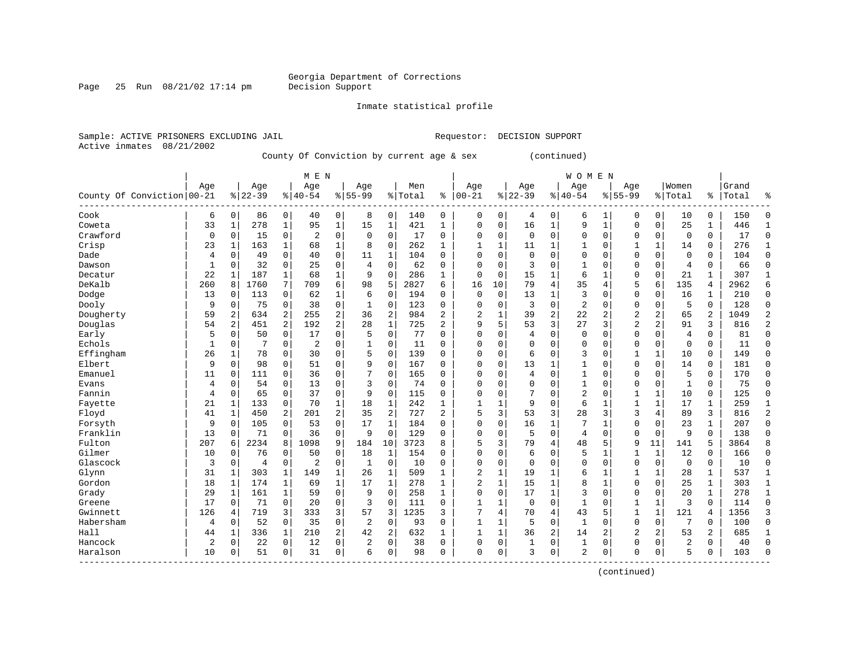Page 25 Run  $08/21/02$  17:14 pm

#### Inmate statistical profile

Active inmates 08/21/2002

Sample: ACTIVE PRISONERS EXCLUDING JAIL Requestor: DECISION SUPPORT

County Of Conviction by current age & sex (continued)

|                            |     |                |                |                | M E N          |                |                |              |         |                |                |              |             |                | <b>WOMEN</b>   |                |                |                |                |              |       |                |
|----------------------------|-----|----------------|----------------|----------------|----------------|----------------|----------------|--------------|---------|----------------|----------------|--------------|-------------|----------------|----------------|----------------|----------------|----------------|----------------|--------------|-------|----------------|
|                            | Age |                | Age            |                | Age            |                | Age            |              | Men     |                | Age            |              | Age         |                | Age            |                | Age            |                | Women          |              | Grand |                |
| County Of Conviction 00-21 |     |                | $8 22-39$      |                | $8 40-54$      |                | $8 55-99$      |              | % Total | ి              | $ 00 - 21$     |              | $ 22-39$    |                | $ 40-54$       |                | $8155 - 99$    |                | % Total        | %            | Total | န္             |
| Cook                       | 6   | $\circ$        | 86             | 0              | 40             | 0              | 8              | 0            | 140     | 0              | 0              | 0            | 4           | 0              | 6              | 1              | $\Omega$       | 0              | 10             | 0            | 150   | $\Omega$       |
| Coweta                     | 33  | 1              | 278            | 1              | 95             | $\mathbf 1$    | 15             | 1            | 421     | 1              | $\Omega$       | 0            | 16          | 1              | 9              | $\mathbf{1}$   | $\Omega$       | $\mathbf 0$    | 25             | 1            | 446   | $\mathbf{1}$   |
| Crawford                   | 0   | 0              | 15             | $\mathbf 0$    | 2              | 0              | $\mathbf 0$    | $\mathbf 0$  | 17      | 0              | 0              | 0            | $\mathbf 0$ | 0              | 0              | $\mathbf 0$    | $\Omega$       | $\mathbf 0$    | $\mathbf 0$    | 0            | 17    | $\Omega$       |
| Crisp                      | 23  | 1              | 163            | $\mathbf{1}$   | 68             | $\mathbf 1$    | 8              | 0            | 262     | 1              | 1              | $\mathbf{1}$ | 11          | 1              | 1              | $\mathbf 0$    |                | 1              | 14             | 0            | 276   | $\mathbf{1}$   |
| Dade                       | 4   | 0              | 49             | $\mathbf 0$    | 40             | 0              | 11             | 1            | 104     | $\Omega$       | $\Omega$       | 0            | $\mathbf 0$ | $\Omega$       | 0              | $\Omega$       | $\Omega$       | 0              | $\mathbf 0$    | 0            | 104   | $\Omega$       |
| Dawson                     | 1   | 0              | 32             | $\mathbf 0$    | 25             | 0              | 4              | $\Omega$     | 62      | $\Omega$       | $\Omega$       | 0            | 3           | $\Omega$       | 1              | $\Omega$       | $\Omega$       | 0              | $\overline{4}$ | 0            | 66    | $\Omega$       |
| Decatur                    | 22  | 1              | 187            | 1              | 68             | $\mathbf 1$    | 9              | $\mathbf 0$  | 286     | 1              | $\Omega$       | 0            | 15          | 1              | 6              | 1              | $\Omega$       | $\mathbf 0$    | 21             | 1            | 307   | $\mathbf{1}$   |
| DeKalb                     | 260 | 8              | 1760           | 7              | 709            | 6              | 98             | 5            | 2827    | 6              | 16             | 10           | 79          | 4              | 35             | $\overline{4}$ | 5              | 6              | 135            | 4            | 2962  | 6              |
| Dodge                      | 13  | 0              | 113            | 0              | 62             | 1              | 6              | 0            | 194     | 0              | $\Omega$       | 0            | 13          | 1              | 3              | $\Omega$       | 0              | $\Omega$       | 16             | $\mathbf 1$  | 210   | $\Omega$       |
| Dooly                      | 9   | 0              | 75             | 0              | 38             | 0              | 1              | $\Omega$     | 123     | 0              | $\Omega$       | 0            | 3           | 0              | 2              | $\Omega$       | $\mathbf{0}$   | 0              | 5              | $\Omega$     | 128   | $\Omega$       |
| Dougherty                  | 59  | 2              | 634            | 2              | 255            | 2              | 36             | 2            | 984     | 2              | $\overline{2}$ | 1            | 39          | $\overline{2}$ | 22             | 2              | $\overline{2}$ | $\overline{a}$ | 65             | 2            | 1049  | $\overline{2}$ |
| Douglas                    | 54  | $\overline{a}$ | 451            | $\overline{a}$ | 192            | $\overline{a}$ | 28             | $\mathbf 1$  | 725     | 2              | 9              | 5            | 53          | 3              | 27             | 3              | $\overline{2}$ | 2              | 91             | 3            | 816   | 2              |
| Early                      | 5   | 0              | 50             | $\mathbf 0$    | 17             | 0              | 5              | $\mathbf 0$  | 77      | $\Omega$       | $\Omega$       | 0            | 4           | 0              | 0              | $\Omega$       | 0              | 0              | $\overline{4}$ | 0            | 81    | $\Omega$       |
| Echols                     | 1   | 0              |                | $\mathbf 0$    | $\overline{2}$ | 0              | 1              | 0            | 11      | $\Omega$       | $\Omega$       | 0            | $\mathbf 0$ | $\Omega$       | 0              | 0              | $\Omega$       | 0              | $\mathbf 0$    | 0            | 11    | $\Omega$       |
| Effingham                  | 26  | 1              | 78             | 0              | 30             | 0              | 5              | 0            | 139     | 0              | $\Omega$       | 0            | 6           | $\Omega$       | 3              | $\mathbf 0$    | 1              | $\mathbf{1}$   | 10             | 0            | 149   | $\Omega$       |
| Elbert                     | 9   | $\Omega$       | 98             | 0              | 51             | 0              | 9              | $\Omega$     | 167     | 0              | $\Omega$       | 0            | 13          | 1              | 1              | $\mathbf 0$    | $\Omega$       | $\Omega$       | 14             | 0            | 181   | $\Omega$       |
| Emanuel                    | 11  | 0              | 111            | 0              | 36             | 0              |                | 0            | 165     | 0              | $\Omega$       | 0            | 4           | $\Omega$       | 1              | $\Omega$       | $\Omega$       | 0              | 5              | 0            | 170   | $\Omega$       |
| Evans                      | 4   | 0              | 54             | $\Omega$       | 13             | 0              | 3              | $\Omega$     | 74      | 0              | $\Omega$       | U            | $\Omega$    | $\Omega$       | 1              | $\Omega$       | $\Omega$       | $\Omega$       | $\mathbf{1}$   | $\Omega$     | 75    |                |
| Fannin                     | 4   | $\Omega$       | 65             | $\Omega$       | 37             | $\Omega$       | 9              | $\Omega$     | 115     | 0              | $\Omega$       | O            | 7           | $\Omega$       | $\overline{2}$ | $\Omega$       | $\mathbf{1}$   | $\mathbf{1}$   | 10             | $\Omega$     | 125   | $\Omega$       |
| Fayette                    | 21  | 1              | 133            | $\mathbf 0$    | 70             | $\mathbf{1}$   | 18             | $\mathbf{1}$ | 242     | 1              | 1              | 1            | 9           | $\Omega$       | 6              | 1              | 1              | $\mathbf{1}$   | 17             | 1            | 259   | 1              |
| Floyd                      | 41  | $\mathbf{1}$   | 450            | 2              | 201            | 2              | 35             | 2            | 727     | $\overline{2}$ | 5              | 3            | 53          | 3              | 28             | 3              | 3              | 4              | 89             | 3            | 816   | $\overline{c}$ |
| Forsyth                    | 9   | 0              | 105            | $\mathbf 0$    | 53             | 0              | 17             | 1            | 184     | O              | $\Omega$       | 0            | 16          | 1              |                | 1              | $\Omega$       | $\mathbf 0$    | 23             | 1            | 207   | $\Omega$       |
| Franklin                   | 13  | $\mathbf 0$    | 71             | 0              | 36             | 0              | 9              | $\Omega$     | 129     | $\Omega$       | $\Omega$       | 0            | 5           | 0              | $\overline{4}$ | $\Omega$       | $\mathbf 0$    | $\mathbf 0$    | 9              | $\Omega$     | 138   | $\Omega$       |
| Fulton                     | 207 | 6              | 2234           | 8              | 1098           | 9              | 184            | 10           | 3723    | 8              | 5              | 3            | 79          | 4              | 48             | 5              | 9              | 11             | 141            | 5            | 3864  |                |
| Gilmer                     | 10  | 0              | 76             | 0              | 50             | 0              | 18             | 1            | 154     | O              | $\Omega$       | 0            | 6           | $\Omega$       | 5              | $\mathbf{1}$   | 1              | 1              | 12             | 0            | 166   | $\Omega$       |
| Glascock                   | 3   | 0              | $\overline{4}$ | 0              | $\overline{c}$ | 0              | 1              | 0            | 10      | 0              | $\Omega$       | 0            | $\Omega$    | $\Omega$       | $\Omega$       | $\mathbf 0$    | $\Omega$       | 0              | $\mathbf 0$    | 0            | 10    | $\Omega$       |
| Glynn                      | 31  | 1              | 303            | 1              | 149            | 1              | 26             | 1            | 509     | 1              | 2              | 1            | 19          | 1              | 6              | $\mathbf{1}$   | 1              | 1              | 28             | $\mathbf 1$  | 537   | 1              |
| Gordon                     | 18  | 1              | 174            | 1              | 69             | 1              | 17             | $\mathbf{1}$ | 278     | 1              | $\overline{2}$ | 1            | 15          | 1              | 8              | 1              | $\Omega$       | $\Omega$       | 25             | $\mathbf{1}$ | 303   | 1              |
| Grady                      | 29  | 1              | 161            | $\mathbf 1$    | 59             | 0              | 9              | $\Omega$     | 258     | $\mathbf{1}$   | $\Omega$       | 0            | 17          | 1              | 3              | $\Omega$       | $\Omega$       | $\mathbf 0$    | 20             | $\mathbf{1}$ | 278   | $\mathbf{1}$   |
| Greene                     | 17  | $\Omega$       | 71             | $\overline{0}$ | 20             | 0              | 3              | $\mathbf 0$  | 111     | 0              | 1              | 1            | $\mathbf 0$ | 0              | $\mathbf{1}$   | 0              | 1              | $\mathbf 1$    | 3              | 0            | 114   | $\Omega$       |
| Gwinnett                   | 126 | 4              | 719            | 3              | 333            | 3              | 57             | 3            | 1235    | 3              |                | 4            | 70          | 4              | 43             | 5              | $\mathbf{1}$   | $\mathbf 1$    | 121            | 4            | 1356  | 3              |
| Habersham                  | 4   | 0              | 52             | $\mathbf 0$    | 35             | 0              | $\overline{2}$ | $\mathbf 0$  | 93      | $\Omega$       | $\mathbf{1}$   | $\mathbf{1}$ | 5           | 0              | $\mathbf{1}$   | $\Omega$       | $\mathbf 0$    | $\mathbf 0$    | 7              | $\Omega$     | 100   | $\Omega$       |
| Hall                       | 44  | 1              | 336            | $\mathbf 1$    | 210            | $\overline{a}$ | 42             | 2            | 632     | 1              | $\mathbf{1}$   | $\mathbf{1}$ | 36          | $\overline{c}$ | 14             | 2              | 2              | 2              | 53             | 2            | 685   | 1              |
| Hancock                    | 2   | 0              | 22             | 0              | 12             | 0              | 2              | 0            | 38      | 0              | $\Omega$       | 0            | 1           | 0              | 1              | 0              | 0              | $\mathbf 0$    | 2              | 0            | 40    | $\Omega$       |
| Haralson                   | 10  | 0              | 51             | 0              | 31             | 0              | 6              | 0            | 98      | 0              | $\mathbf 0$    | 0            | 3           | $\mathbf 0$    | 2              | $\mathbf 0$    | $\Omega$       | 0              | 5              | 0            | 103   | ∩              |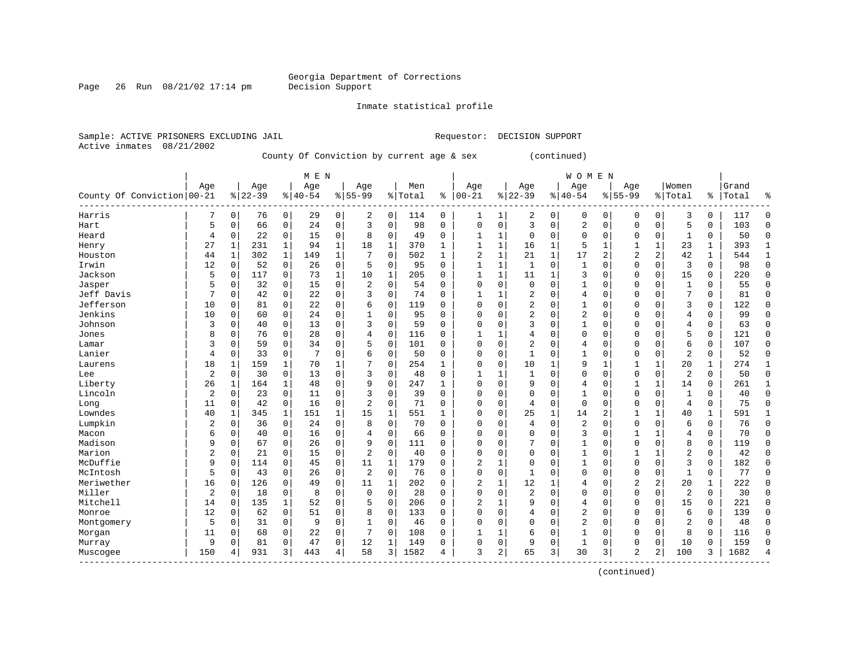Page 26 Run  $08/21/02$  17:14 pm

#### Inmate statistical profile

Active inmates 08/21/2002

Sample: ACTIVE PRISONERS EXCLUDING JAIL Requestor: DECISION SUPPORT

County Of Conviction by current age & sex (continued)

|                            |                |             |           |             | M E N     |              |                |             |           |              |                |   |                |              | <b>WOMEN</b>   |              |                |                |                |             |       |              |
|----------------------------|----------------|-------------|-----------|-------------|-----------|--------------|----------------|-------------|-----------|--------------|----------------|---|----------------|--------------|----------------|--------------|----------------|----------------|----------------|-------------|-------|--------------|
|                            | Age            |             | Age       |             | Age       |              | Age            |             | Men       |              | Age            |   | Age            |              | Age            |              | Age            |                | Women          |             | Grand |              |
| County Of Conviction 00-21 |                |             | $8 22-39$ |             | $8 40-54$ |              | $8155 - 99$    |             | %   Total | ి            | $ 00 - 21$     | % | $22 - 39$      |              | $ 40-54$       |              | $8155 - 99$    |                | % Total        | ႜ           | Total | ႜ            |
| Harris                     | 7              | $\mathbf 0$ | 76        | 0           | 29        | 0            | 2              | 0           | 114       | 0            | 1              | 1 | 2              | 0            | 0              | 0            | 0              | 0              | 3              | 0           | 117   | C            |
| Hart                       | 5              | 0           | 66        | $\mathbf 0$ | 24        | 0            | 3              | $\mathbf 0$ | 98        | 0            | $\Omega$       | 0 | 3              | $\mathbf 0$  | 2              | $\mathbf 0$  | $\Omega$       | $\mathbf 0$    | 5              | 0           | 103   | $\mathbf 0$  |
| Heard                      | 4              | $\Omega$    | 22        | $\Omega$    | 15        | 0            | 8              | $\Omega$    | 49        | $\Omega$     |                | 1 | $\Omega$       | $\Omega$     | 0              | $\Omega$     | $\Omega$       | $\Omega$       | -1             | 0           | 50    | $\Omega$     |
| Henry                      | 27             | 1           | 231       | 1           | 94        | $\mathbf 1$  | 18             | 1           | 370       | 1            |                | 1 | 16             | 1            | 5              |              |                |                | 23             | 1           | 393   | -1           |
| Houston                    | 44             | 1           | 302       | $\mathbf 1$ | 149       | $\mathbf{1}$ |                | $\mathbf 0$ | 502       | $\mathbf{1}$ | $\overline{2}$ | 1 | 21             | 1            | 17             | 2            | $\overline{2}$ | 2              | 42             | $\mathbf 1$ | 544   | $\mathbf{1}$ |
| Irwin                      | 12             | 0           | 52        | $\mathbf 0$ | 26        | 0            | 5              | $\Omega$    | 95        | $\Omega$     | $\mathbf{1}$   | 1 | 1              | $\Omega$     | 1              | $\Omega$     | $\Omega$       | $\Omega$       | 3              | 0           | 98    | $\Omega$     |
| Jackson                    | 5              | $\mathbf 0$ | 117       | 0           | 73        | 1            | 10             | 1           | 205       | $\Omega$     | $\mathbf{1}$   | 1 | 11             | $\mathbf{1}$ | 3              | $\Omega$     | $\Omega$       | 0              | 15             | 0           | 220   | $\mathbf 0$  |
| Jasper                     | 5              | 0           | 32        | 0           | 15        | 0            | 2              | 0           | 54        | $\Omega$     | $\Omega$       | 0 | $\mathbf 0$    | $\Omega$     |                | 0            | $\Omega$       | 0              | 1              | 0           | 55    | $\mathbf 0$  |
| Jeff Davis                 | 7              | $\Omega$    | 42        | 0           | 22        | 0            | 3              | $\mathbf 0$ | 74        | $\Omega$     |                |   | 2              | $\Omega$     | 4              | 0            | $\Omega$       | $\Omega$       |                | 0           | 81    | $\mathbf 0$  |
| Jefferson                  | 10             | $\Omega$    | 81        | 0           | 22        | 0            | 6              | $\Omega$    | 119       | $\Omega$     | $\Omega$       | O | $\overline{2}$ | $\Omega$     |                | 0            | $\Omega$       | $\Omega$       | 3              | 0           | 122   | $\Omega$     |
| Jenkins                    | 10             | $\Omega$    | 60        | 0           | 24        | 0            |                | $\Omega$    | 95        | 0            | $\Omega$       | 0 | $\overline{2}$ | $\Omega$     | $\overline{2}$ | 0            | $\Omega$       | $\Omega$       | 4              | 0           | 99    | $\Omega$     |
| Johnson                    | 3              | 0           | 40        | 0           | 13        | 0            | 3              | $\Omega$    | 59        | $\Omega$     | 0              | 0 | 3              | $\Omega$     | 1              | 0            | $\Omega$       | 0              | 4              | 0           | 63    | $\Omega$     |
| Jones                      | 8              | $\Omega$    | 76        | $\Omega$    | 28        | 0            |                | $\mathbf 0$ | 116       | 0            | 1              | 1 | 4              | $\Omega$     | 0              | 0            | $\Omega$       | $\Omega$       | 5              | 0           | 121   | $\Omega$     |
| Lamar                      | 3              | $\Omega$    | 59        | $\Omega$    | 34        | 0            | 5              | $\Omega$    | 101       | 0            | $\Omega$       | 0 | $\overline{2}$ | $\Omega$     | 4              | 0            | $\Omega$       | $\Omega$       | 6              | 0           | 107   | $\Omega$     |
| Lanier                     | 4              | $\Omega$    | 33        | 0           | 7         | 0            | 6              | $\Omega$    | 50        | $\Omega$     | $\Omega$       | 0 | 1              | $\Omega$     | 1              | 0            | $\Omega$       | $\Omega$       | 2              | 0           | 52    | $\Omega$     |
| Laurens                    | 18             | 1           | 159       | 1           | 70        | 1            |                | 0           | 254       | 1            | $\Omega$       | 0 | 10             | 1            | 9              | $\mathbf{1}$ | $\mathbf{1}$   | 1              | 20             | 1           | 274   | $\mathbf{1}$ |
| Lee                        | $\overline{a}$ | 0           | 30        | $\mathbf 0$ | 13        | 0            | 3              | $\mathbf 0$ | 48        | 0            |                |   |                | 0            | 0              | $\Omega$     | $\Omega$       | $\mathbf 0$    | 2              | 0           | 50    | $\mathbf 0$  |
| Liberty                    | 26             |             | 164       | 1           | 48        | 0            | 9              | $\mathbf 0$ | 247       | 1            | $\Omega$       | 0 | 9              | $\Omega$     | 4              | $\Omega$     |                |                | 14             | 0           | 261   | $\mathbf{1}$ |
| Lincoln                    | $\overline{2}$ | 0           | 23        | 0           | 11        | 0            | 3              | $\Omega$    | 39        | $\Omega$     | $\Omega$       | O | $\Omega$       | $\Omega$     |                | $\Omega$     | $\Omega$       | $\Omega$       | $\mathbf{1}$   | 0           | 40    | $\Omega$     |
| Long                       | 11             | $\Omega$    | 42        | $\mathbf 0$ | 16        | 0            | $\overline{2}$ | $\Omega$    | 71        | $\Omega$     | $\Omega$       | 0 | 4              | $\Omega$     | $\mathbf 0$    | $\Omega$     | $\Omega$       | $\Omega$       | 4              | 0           | 75    | $\cap$       |
| Lowndes                    | 40             | 1           | 345       | 1           | 151       | $\mathbf{1}$ | 15             | 1           | 551       | 1            | 0              | 0 | 25             | 1            | 14             | 2            |                |                | 40             | 1           | 591   | 1            |
| Lumpkin                    | 2              | 0           | 36        | $\Omega$    | 24        | 0            | 8              | $\Omega$    | 70        | $\Omega$     | 0              | 0 | 4              | $\mathbf 0$  | 2              | $\Omega$     | $\Omega$       | $\Omega$       | 6              | 0           | 76    | $\Omega$     |
| Macon                      | 6              | 0           | 40        | $\mathbf 0$ | 16        | 0            |                | $\mathbf 0$ | 66        | $\Omega$     | 0              | 0 | $\Omega$       | $\Omega$     | 3              | $\Omega$     |                |                | 4              | 0           | 70    | $\Omega$     |
| Madison                    | 9              | 0           | 67        | 0           | 26        | 0            | 9              | $\Omega$    | 111       | $\Omega$     | 0              | 0 | 7              | $\Omega$     | 1              | 0            | $\Omega$       | $\Omega$       | 8              | 0           | 119   | $\Omega$     |
| Marion                     | 2              | 0           | 21        | 0           | 15        | 0            | 2              | $\Omega$    | 40        | $\Omega$     | $\Omega$       | 0 | $\Omega$       | $\Omega$     | $\mathbf{1}$   | $\Omega$     | $\mathbf{1}$   |                | $\overline{2}$ | 0           | 42    | $\Omega$     |
| McDuffie                   | 9              | 0           | 114       | 0           | 45        | 0            | 11             | 1           | 179       | $\Omega$     | 2              |   | $\Omega$       | $\Omega$     | 1              | $\Omega$     | $\Omega$       | $\Omega$       | 3              | 0           | 182   | $\mathbf 0$  |
| McIntosh                   | 5              | $\Omega$    | 43        | 0           | 26        | 0            | $\overline{2}$ | 0           | 76        | O            | $\Omega$       | 0 | 1              | $\Omega$     | 0              | $\Omega$     | $\Omega$       | $\Omega$       | $\mathbf{1}$   | 0           | 77    | $\mathbf 0$  |
| Meriwether                 | 16             | $\Omega$    | 126       | 0           | 49        | 0            | 11             | 1           | 202       | O            | 2              | 1 | 12             |              | 4              | 0            | $\overline{2}$ | $\overline{2}$ | 20             | 1           | 222   | $\Omega$     |
| Miller                     | $\overline{2}$ | 0           | 18        | 0           | 8         | 0            | $\Omega$       | $\Omega$    | 28        | $\Omega$     | $\Omega$       | 0 | $\overline{2}$ | $\Omega$     | 0              | $\Omega$     | $\Omega$       | $\Omega$       | 2              | 0           | 30    | $\Omega$     |
| Mitchell                   | 14             | 0           | 135       | 1           | 52        | 0            | 5              | $\Omega$    | 206       | $\Omega$     | 2              | 1 | 9              | $\Omega$     | 4              | $\Omega$     | $\Omega$       | $\mathbf 0$    | 15             | 0           | 221   | $\Omega$     |
| Monroe                     | 12             | 0           | 62        | $\mathbf 0$ | 51        | 0            | 8              | 0           | 133       | 0            | 0              | 0 | 4              | 0            | 2              | 0            | $\Omega$       | 0              | 6              | 0           | 139   | $\mathbf 0$  |
| Montgomery                 | 5              | $\Omega$    | 31        | $\Omega$    | 9         | 0            |                | $\mathbf 0$ | 46        | 0            | 0              | 0 | $\Omega$       | $\Omega$     | 2              | $\Omega$     | $\Omega$       | $\Omega$       | $\overline{2}$ | 0           | 48    | $\Omega$     |
| Morgan                     | 11             | $\Omega$    | 68        | $\Omega$    | 22        | 0            |                | 0           | 108       | O            |                | 1 | 6              | $\Omega$     |                | $\Omega$     | $\Omega$       | $\Omega$       | 8              | 0           | 116   | $\cap$       |
| Murray                     | 9              | $\Omega$    | 81        | 0           | 47        | 0            | 12             | 1           | 149       | $\Omega$     | $\Omega$       | 0 | 9              | 0            | 1              | $\Omega$     | $\Omega$       | $\Omega$       | 10             | $\Omega$    | 159   | $\bigcap$    |
| Muscogee                   | 150            | 4           | 931       | 3           | 443       | 4            | 58             | 3           | 1582      | 4            | ζ              | 2 | 65             | 3            | 30             | 3            | $\mathfrak{D}$ | 2              | 100            | 3           | 1682  |              |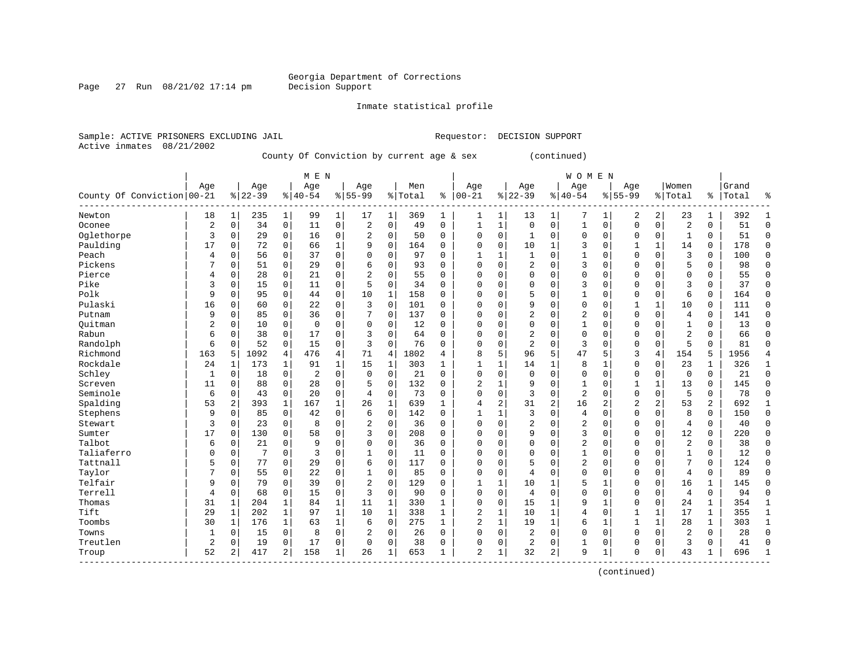Page 27 Run  $08/21/02$  17:14 pm

Inmate statistical profile

Active inmates 08/21/2002

Sample: ACTIVE PRISONERS EXCLUDING JAIL Requestor: DECISION SUPPORT

County Of Conviction by current age & sex (continued)

|                            |                |              |           |                | M E N       |              |                |              |         |              |               |              |                |          | <b>WOMEN</b>   |                |                |                |                |               |       |              |
|----------------------------|----------------|--------------|-----------|----------------|-------------|--------------|----------------|--------------|---------|--------------|---------------|--------------|----------------|----------|----------------|----------------|----------------|----------------|----------------|---------------|-------|--------------|
|                            | Age            |              | Age       |                | Age         |              | Aqe            |              | Men     |              | Age           |              | Age            |          | Age            |                | Aqe            |                | Women          |               | Grand |              |
| County Of Conviction 00-21 |                |              | $8 22-39$ |                | $ 40-54$    |              | $8155 - 99$    |              | % Total | ి            | $ 00 - 21$    |              | $ 22-39$       |          | $8 40-54$      |                | $8155 - 99$    |                | % Total        | $\frac{1}{6}$ | Total | ႜ            |
| Newton                     | 18             | $\mathbf{1}$ | 235       | $\mathbf{1}$   | 99          | $\mathbf{1}$ | 17             | 1            | 369     | 1            | 1             | 1            | 13             | 1        | 7              | 1              | 2              | 2              | 23             | 1             | 392   | $\mathbf{1}$ |
| Oconee                     | $\overline{2}$ | 0            | 34        | $\overline{0}$ | 11          | 0            | 2              | $\mathbf 0$  | 49      | 0            | 1             | $\mathbf{1}$ | $\mathbf{0}$   | 0        | $\mathbf{1}$   | $\mathbf 0$    | $\Omega$       | $\mathbf 0$    | $\overline{c}$ | 0             | 51    | $\Omega$     |
| Oglethorpe                 | 3              | $\Omega$     | 29        | $\Omega$       | 16          | 0            | $\overline{2}$ | $\Omega$     | 50      | $\Omega$     | $\Omega$      | $\Omega$     | 1              | $\Omega$ | $\Omega$       | $\Omega$       | $\Omega$       | $\Omega$       | 1              | 0             | 51    | $\Omega$     |
| Paulding                   | 17             | 0            | 72        | $\Omega$       | 66          | $\mathbf 1$  | 9              | $\mathbf 0$  | 164     | 0            | 0             | 0            | 10             | 1        | 3              | $\mathbf 0$    |                | 1              | 14             | 0             | 178   | $\Omega$     |
| Peach                      | 4              | $\Omega$     | 56        | $\Omega$       | 37          | 0            |                | 0            | 97      | $\Omega$     |               | 1            | 1              | $\Omega$ |                | $\Omega$       | $\Omega$       | $\Omega$       | $\overline{3}$ | 0             | 100   | $\Omega$     |
| Pickens                    | 7              | $\Omega$     | 51        | $\Omega$       | 29          | 0            | 6              | $\Omega$     | 93      | $\Omega$     | $\Omega$      | 0            | $\overline{2}$ | $\Omega$ | 3              | $\Omega$       | $\Omega$       | $\Omega$       | 5              | 0             | 98    | $\Omega$     |
| Pierce                     | 4              | $\Omega$     | 28        | 0              | 21          | 0            | 2              | $\Omega$     | 55      | $\Omega$     | $\Omega$      | 0            | $\Omega$       | $\Omega$ | $\Omega$       | $\Omega$       | $\Omega$       | $\Omega$       | $\Omega$       | 0             | 55    | $\Omega$     |
| Pike                       | 3              | 0            | 15        | 0              | 11          | 0            | 5              | $\Omega$     | 34      | $\Omega$     | $\Omega$      | 0            | $\mathbf 0$    | $\Omega$ | 3              | $\Omega$       | $\Omega$       | $\Omega$       | 3              | 0             | 37    | $\Omega$     |
| Polk                       | 9              | 0            | 95        | 0              | 44          | 0            | 10             | 1            | 158     | 0            | $\Omega$      | O            | 5              | $\Omega$ |                | $\Omega$       | 0              | 0              | 6              | 0             | 164   | $\Omega$     |
| Pulaski                    | 16             | $\Omega$     | 60        | 0              | 22          | 0            | 3              | $\Omega$     | 101     | $\Omega$     | $\Omega$      | U            | 9              | $\Omega$ | $\Omega$       | $\mathbf 0$    | 1              | $\mathbf{1}$   | 10             | 0             | 111   | ∩            |
| Putnam                     | 9              | 0            | 85        | $\Omega$       | 36          | 0            | 7              | $\Omega$     | 137     | $\Omega$     | $\Omega$      | O            | $\overline{2}$ | $\Omega$ | $\overline{2}$ | $\Omega$       | $\Omega$       | $\Omega$       | $\overline{4}$ | $\mathbf 0$   | 141   | ∩            |
| Ouitman                    | 2              | 0            | 10        | $\Omega$       | $\mathbf 0$ | 0            | $\Omega$       | $\Omega$     | 12      | 0            | 0             | O            | $\Omega$       | 0        | 1              | $\Omega$       | $\Omega$       | $\Omega$       | $\mathbf{1}$   | 0             | 13    |              |
| Rabun                      | 6              | 0            | 38        | $\Omega$       | 17          | $\Omega$     | 3              | $\Omega$     | 64      | $\Omega$     | 0             | 0            | $\overline{2}$ | $\Omega$ | $\Omega$       | $\Omega$       | $\Omega$       | $\Omega$       | $\overline{c}$ | $\Omega$      | 66    |              |
| Randolph                   | 6              | $\Omega$     | 52        | $\mathbf 0$    | 15          | 0            | 3              | $\Omega$     | 76      | $\Omega$     | $\Omega$      | 0            | $\overline{2}$ | $\Omega$ | 3              | $\Omega$       | $\Omega$       | 0              | 5              | $\Omega$      | 81    |              |
| Richmond                   | 163            | 5            | 1092      | 4              | 476         | 4            | 71             | 4            | 1802    | 4            | 8             | 5            | 96             | 5        | 47             | 5              | 3              | 4              | 154            | 5             | 1956  |              |
| Rockdale                   | 24             | 1            | 173       | $\mathbf 1$    | 91          | $\mathbf 1$  | 15             | 1            | 303     | $\mathbf{1}$ | $\mathbf{1}$  | 1            | 14             | 1        | 8              | 1              | $\Omega$       | 0              | 23             | 1             | 326   | $\mathbf{1}$ |
| Schley                     | 1              | $\Omega$     | 18        | $\mathbf 0$    | 2           | 0            | $\mathbf 0$    | $\Omega$     | 21      | $\Omega$     | $\Omega$      | 0            | $\mathbf 0$    | $\Omega$ | $\Omega$       | $\mathbf 0$    | $\Omega$       | $\mathbf 0$    | $\mathbf 0$    | $\mathbf 0$   | 21    | $\Omega$     |
| Screven                    | 11             | $\Omega$     | 88        | 0              | 28          | 0            | 5              | $\mathbf 0$  | 132     | O            | 2             | 1            | 9              | $\Omega$ | 1              | $\Omega$       | $\mathbf{1}$   | $\mathbf 1$    | 13             | 0             | 145   | $\Omega$     |
| Seminole                   | 6              | 0            | 43        | $\mathbf 0$    | 20          | 0            | 4              | $\Omega$     | 73      | $\Omega$     | $\Omega$      | $\Omega$     | 3              | $\Omega$ | 2              | $\mathbf 0$    | $\Omega$       | $\Omega$       | 5              | 0             | 78    | ∩            |
| Spalding                   | 53             | 2            | 393       | $\mathbf{1}$   | 167         | $\mathbf 1$  | 26             | $\mathbf{1}$ | 639     | $\mathbf{1}$ | 4             | 2            | 31             | 2        | 16             | $\overline{2}$ | $\overline{2}$ | $\overline{a}$ | 53             | 2             | 692   | -1           |
| Stephens                   | 9              | $\Omega$     | 85        | $\mathbf 0$    | 42          | 0            | 6              | $\Omega$     | 142     | 0            | $\mathbf{1}$  |              | 3              | $\Omega$ | $\overline{4}$ | $\Omega$       | $\Omega$       | $\Omega$       | 8              | 0             | 150   | $\Omega$     |
| Stewart                    | 3              | $\Omega$     | 23        | $\Omega$       | 8           | $\Omega$     | 2              | $\Omega$     | 36      | $\Omega$     | $\Omega$      | 0            | 2              | $\Omega$ | 2              | $\Omega$       | $\Omega$       | $\Omega$       | $\overline{4}$ | 0             | 40    |              |
| Sumter                     | 17             | 0            | 130       | $\Omega$       | 58          | 0            | 3              | $\mathbf 0$  | 208     | $\Omega$     | 0             | 0            | 9              | $\Omega$ | 3              | $\Omega$       | $\Omega$       | 0              | 12             | 0             | 220   |              |
| Talbot                     | 6              | 0            | 21        | $\Omega$       | 9           | $\Omega$     | $\Omega$       | $\Omega$     | 36      | $\Omega$     | $\Omega$      | 0            | $\Omega$       | $\Omega$ | 2              | $\Omega$       | $\Omega$       | $\Omega$       | $\overline{a}$ | $\Omega$      | 38    | $\Omega$     |
| Taliaferro                 | O              | $\Omega$     | 7         | $\Omega$       | 3           | 0            |                | $\Omega$     | 11      | $\Omega$     | $\Omega$      | O            | $\Omega$       | $\Omega$ | 1              | $\Omega$       | $\Omega$       | $\Omega$       | 1              | 0             | 12    | $\Omega$     |
| Tattnall                   | 5              | 0            | 77        | $\Omega$       | 29          | 0            | 6              | $\Omega$     | 117     | $\Omega$     | $\Omega$      | 0            | 5              | $\Omega$ | 2              | $\Omega$       | $\Omega$       | $\Omega$       |                | 0             | 124   | $\Omega$     |
| Taylor                     | 7              | 0            | 55        | 0              | 22          | 0            |                | $\Omega$     | 85      | O            | $\Omega$      | 0            | 4              | $\Omega$ | $\Omega$       | $\mathbf 0$    | $\Omega$       | $\Omega$       | $\overline{4}$ | 0             | 89    | $\Omega$     |
| Telfair                    | 9              | 0            | 79        | 0              | 39          | 0            | $\overline{2}$ | $\Omega$     | 129     | $\Omega$     | $\mathbf{1}$  | 1            | 10             | 1        | 5              | $\mathbf{1}$   | $\Omega$       | $\Omega$       | 16             | 1             | 145   | ∩            |
| Terrell                    | 4              | $\Omega$     | 68        | 0              | 15          | 0            | 3              | $\Omega$     | 90      | $\Omega$     | $\Omega$      | $\Omega$     | 4              | $\Omega$ | $\Omega$       | $\Omega$       | $\Omega$       | $\Omega$       | $\overline{4}$ | $\Omega$      | 94    |              |
| Thomas                     | 31             | 1            | 204       | 1              | 84          | $\mathbf{1}$ | 11             | $\mathbf{1}$ | 330     | 1            | $\Omega$      | 0            | 15             | 1        | 9              | 1              | $\Omega$       | $\mathbf 0$    | 24             | $\mathbf{1}$  | 354   |              |
| Tift                       | 29             | $\mathbf{1}$ | 202       | $\mathbf{1}$   | 97          | $\mathbf 1$  | 10             | $\mathbf 1$  | 338     | 1            | 2             | 1            | 10             | 1        | 4              | $\mathbf 0$    | 1              | 1              | 17             | 1             | 355   | 1            |
| Toombs                     | 30             | 1            | 176       | $\mathbf{1}$   | 63          | $\mathbf 1$  | 6              | $\mathbf 0$  | 275     | $\mathbf{1}$ | 2             | 1            | 19             | 1        | 6              | 1              | 1              | $\mathbf{1}$   | 28             | $\mathbf{1}$  | 303   | $\mathbf{1}$ |
| Towns                      | $\mathbf{1}$   | $\Omega$     | 15        | $\mathbf 0$    | 8           | 0            | 2              | 0            | 26      | $\Omega$     | $\Omega$      | 0            | $\overline{2}$ | $\Omega$ | O              | $\mathbf 0$    | $\Omega$       | $\Omega$       | $\overline{2}$ | 0             | 28    | $\Omega$     |
| Treutlen                   | 2              | 0            | 19        | $\Omega$       | 17          | 0            | $\Omega$       | $\Omega$     | 38      | $\Omega$     | $\Omega$      | 0            | 2              | 0        | 1              | 0              | $\Omega$       | $\Omega$       | 3              | $\Omega$      | 41    | $\Omega$     |
| Troup                      | 52             | 2            | 417       | 2              | 158         | 1            | 26             | 1            | 653     | 1            | $\mathcal{D}$ | $\mathbf 1$  | 32             | 2        | 9              | 1              | $\Omega$       | $\mathbf 0$    | 43             | 1             | 696   | $\mathbf{1}$ |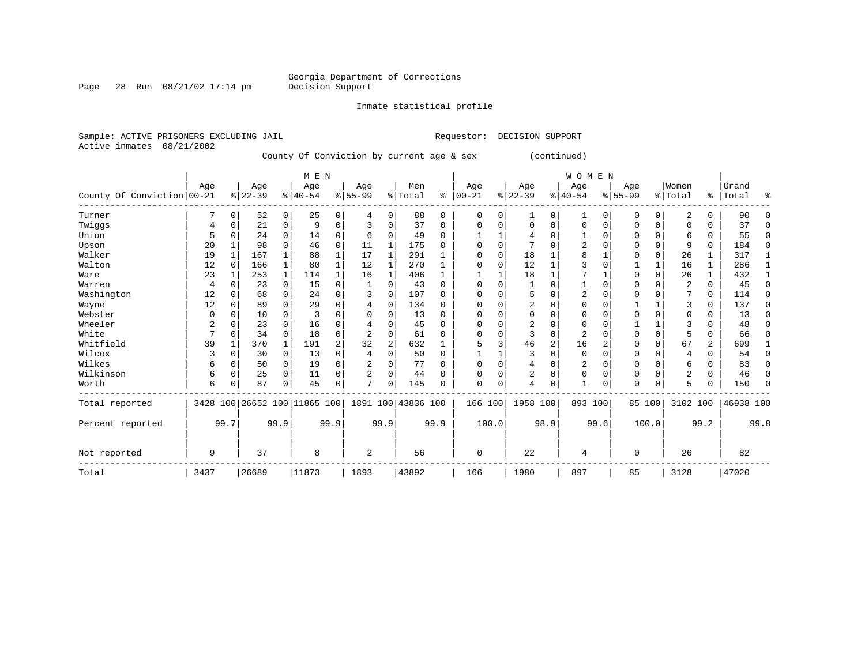### Georgia Department of Corrections<br>Decision Support

Inmate statistical profile

Page 28 Run  $08/21/02$  17:14 pm

Sample: ACTIVE PRISONERS EXCLUDING JAIL **Requestor: DECISION SUPPORT** Active inmates 08/21/2002 County Of Conviction by current age & sex (continued) | M E N | W O M E N |

|                            |          |      | Age                          |              | Age       |              | Age       |          | Men                |          |                  |          |                  |          | Age       |          |                  |             | Women    |              | Grand     |              |
|----------------------------|----------|------|------------------------------|--------------|-----------|--------------|-----------|----------|--------------------|----------|------------------|----------|------------------|----------|-----------|----------|------------------|-------------|----------|--------------|-----------|--------------|
| County Of Conviction 00-21 | Age      |      | $ 22-39 $                    |              | $8 40-54$ |              | $8 55-99$ |          | %   Total          | နွ       | Age<br>$00 - 21$ |          | Age<br>$ 22-39 $ |          | $8 40-54$ |          | Age<br>$ 55-99 $ |             | % Total  | နွ           | Total     | ႜ            |
| Turner                     |          | 0    | 52                           | 0            | 25        | 0            | 4         | 0        | 88                 | $\Omega$ | 0                | 0        |                  | 0        |           | 0        | 0                | $\mathbf 0$ | 2        | 0            | 90        | <sup>0</sup> |
| Twiggs                     | 4        | 0    | 21                           | 0            | 9         | 0            |           | $\Omega$ | 37                 | 0        | $\Omega$         | $\Omega$ | 0                | $\Omega$ | $\Omega$  | 0        | 0                | $\mathbf 0$ | 0        | $\Omega$     | 37        | $\Omega$     |
| Union                      | 5        | ∩    | 24                           | $\Omega$     | 14        | 0            | 6         | $\cap$   | 49                 | $\Omega$ |                  |          |                  | U        |           | $\Omega$ | Ω                | $\Omega$    | 6        | $\Omega$     | 55        | $\Omega$     |
| Upson                      | 20       |      | 98                           |              | 46        | 0            | 11        |          | 175                | U        |                  |          |                  |          |           |          |                  | $\Omega$    | 9        | 0            | 184       | $\Omega$     |
| Walker                     | 19       |      | 167                          |              | 88        |              | 17        |          | 291                |          |                  |          | 18               |          |           |          | Ω                | $\Omega$    | 26       |              | 317       |              |
| Walton                     | 12       |      | 166                          |              | 80        | $\mathbf{1}$ | 12        |          | 270                |          |                  |          | 12               |          |           |          |                  | 1           | 16       | 1            | 286       |              |
| Ware                       | 23       |      | 253                          | $\mathbf{1}$ | 114       | 1            | 16        |          | 406                |          |                  |          | 18               |          |           |          |                  | $\Omega$    | 26       | 1            | 432       |              |
| Warren                     | 4        |      | 23                           | $\Omega$     | 15        | 0            |           |          | 43                 | U        |                  |          |                  |          |           | $\Omega$ |                  | $\Omega$    | 2        | $\Omega$     | 45        | $\Omega$     |
| Washington                 | 12       |      | 68                           |              | 24        | 0            |           |          | 107                | U        |                  |          | 5                |          | 2         |          |                  | n           |          | $\Omega$     | 114       | O            |
| Wayne                      | 12       |      | 89                           |              | 29        | 0            |           | $\Omega$ | 134                | U        |                  |          | $\overline{a}$   | U        | $\Omega$  | $\Omega$ |                  |             |          | $\Omega$     | 137       | $\Omega$     |
| Webster                    | $\Omega$ |      | 10                           |              |           | 0            |           |          | 13                 | U        |                  |          | $\Omega$         | U        | $\Omega$  | $\Omega$ |                  | $\Omega$    | $\Omega$ | $\Omega$     | 13        | $\Omega$     |
| Wheeler                    |          |      | 23                           |              | 16        | 0            |           |          | 45                 | U        |                  |          | $\overline{a}$   |          | $\Omega$  | $\Omega$ |                  |             |          | $\Omega$     | 48        | $\Omega$     |
| White                      | 7        |      | 34                           | $\Omega$     | 18        | 0            |           | $\Omega$ | 61                 | U        |                  |          | 3                | 0        | 2         |          |                  | $\Omega$    |          | $\Omega$     | 66        | $\Omega$     |
| Whitfield                  | 39       |      | 370                          |              | 191       | 2            | 32        | 2        | 632                |          |                  |          | 46               |          | 16        |          | 0                | $\Omega$    | 67       | $\mathbf{2}$ | 699       |              |
| Wilcox                     |          |      | 30                           | $\Omega$     | 13        | 0            |           |          | 50                 | U        |                  |          |                  | U        | $\Omega$  |          | O                | $\Omega$    | 4        | 0            | 54        | $\Omega$     |
| Wilkes                     | 6        | U    | 50                           | $\Omega$     | 19        | $\Omega$     | 2         | U        | 77                 | 0        |                  |          | 4                | U        |           | $\Omega$ | 0                | $\Omega$    | 6        | $\Omega$     | 83        | $\Omega$     |
| Wilkinson                  | 6        |      | 25                           | 0            | 11        | 0            | 2         | $\Omega$ | 44                 | U        |                  |          | $\overline{2}$   | 0        | $\Omega$  | $\Omega$ | Ω                | $\Omega$    | 2        | 0            | 46        | $\Omega$     |
| Worth                      | 6        | 0    | 87                           | O            | 45        | 0            |           | $\Omega$ | 145                | U        | $\Omega$         | $\Omega$ |                  | 0        |           | $\Omega$ | 0                | $\Omega$    | 5        | 0            | 150       |              |
| Total reported             |          |      | 3428 100 26652 100 11865 100 |              |           |              |           |          | 1891 100 43836 100 |          |                  | 166 100  | 1958 100         |          | 893 100   |          |                  | 85 100      | 3102 100 |              | 46938 100 |              |
| Percent reported           |          | 99.7 |                              | 99.9         |           | 99.9         |           | 99.9     |                    | 99.9     |                  | 100.0    |                  | 98.9     |           | 99.6     |                  | 100.0       |          | 99.2         |           | 99.8         |
| Not reported               | 9        |      | 37                           |              | 8         |              | 2         |          | 56                 |          | 0                |          | 22               |          | 4         |          | $\Omega$         |             | 26       |              | 82        |              |
| Total                      | 3437     |      | 26689                        |              | 11873     |              | 1893      |          | 43892              |          | 166              |          | 1980             |          | 897       |          | 85               |             | 3128     |              | 47020     |              |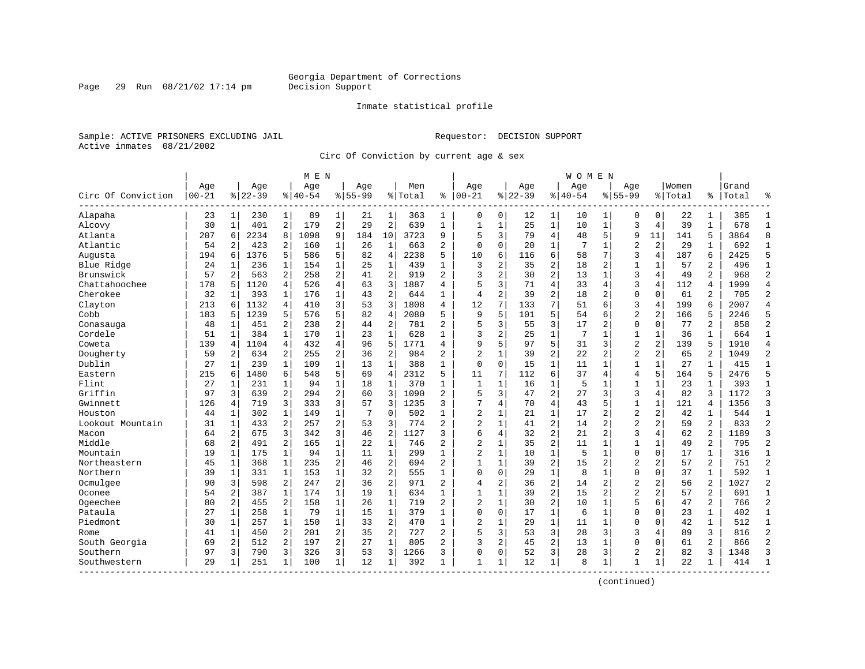Page 29 Run 08/21/02 17:14 pm

#### Inmate statistical profile

Sample: ACTIVE PRISONERS EXCLUDING JAIL Requestor: DECISION SUPPORT Active inmates 08/21/2002

Circ Of Conviction by current age & sex

|                    |                  |                |                 |                | M E N           |                |                    |                |                |                |                 |              |                  |                | W O M E N          |                |                    |                |                  |                |                |                |
|--------------------|------------------|----------------|-----------------|----------------|-----------------|----------------|--------------------|----------------|----------------|----------------|-----------------|--------------|------------------|----------------|--------------------|----------------|--------------------|----------------|------------------|----------------|----------------|----------------|
| Circ Of Conviction | Age<br>$00 - 21$ |                | Age<br>$ 22-39$ |                | Age<br>$ 40-54$ |                | Age<br>$8155 - 99$ |                | Men<br>% Total | ి              | Age<br>$ 00-21$ |              | Aqe<br>$8 22-39$ |                | Aqe<br>$8140 - 54$ |                | Aqe<br>$8155 - 99$ |                | Women<br>% Total | ి              | Grand<br>Total | ٩,             |
| Alapaha            | 23               | 1              | 230             | 1              | 89              | 1              | 21                 | 1              | 363            | 1              | 0               | 0            | 12               | 1              | 10                 | 1              | $\Omega$           | 0              | 22               | 1              | 385            | $\mathbf{1}$   |
| Alcovy             | 30               | $\mathbf{1}$   | 401             | $\overline{2}$ | 179             | $\overline{2}$ | 29                 | $\overline{2}$ | 639            | $\mathbf{1}$   | $\mathbf{1}$    | $\mathbf{1}$ | 25               | $\mathbf 1$    | 10                 | $\mathbf{1}$   | 3                  | $\overline{4}$ | 39               | $\mathbf{1}$   | 678            | $\mathbf{1}$   |
| Atlanta            | 207              | 6              | 2234            | 8              | 1098            | 9              | 184                | 10             | 3723           | 9              | 5               | 3            | 79               | 4              | 48                 | 5              | 9                  | 11             | 141              | 5              | 3864           | 8              |
| Atlantic           | 54               | 2              | 423             | 2              | 160             | $\mathbf 1$    | 26                 | $\mathbf{1}$   | 663            | 2              | $\Omega$        | 0            | 20               | $\mathbf{1}$   |                    | $\mathbf 1$    | $\overline{2}$     | 2              | 29               | 1              | 692            | $\mathbf{1}$   |
| Augusta            | 194              | 6              | 1376            | 5              | 586             | 5              | 82                 | $\overline{4}$ | 2238           | 5              | 10              | 6            | 116              | 6              | 58                 | 7              | 3                  | 4              | 187              | 6              | 2425           | 5              |
| Blue Ridge         | 24               | -1             | 236             | 1              | 154             | $\mathbf{1}$   | 25                 | $\mathbf{1}$   | 439            | $\mathbf{1}$   | 3               | 2            | 35               | $\overline{c}$ | 18                 | 2              | $\mathbf{1}$       | $\mathbf{1}$   | 57               | $\overline{2}$ | 496            | $\mathbf{1}$   |
| Brunswick          | 57               | 2              | 563             | 2              | 258             | 2              | 41                 | $\overline{2}$ | 919            | $\overline{2}$ | 3               | 2            | 30               | $\overline{c}$ | 13                 | $\mathbf{1}$   | 3                  | 4              | 49               | $\overline{a}$ | 968            | $\overline{2}$ |
| Chattahoochee      | 178              | 5              | 1120            | 4              | 526             | 4              | 63                 | 3              | 1887           | 4              | 5               | 3            | 71               | 4              | 33                 | $\overline{4}$ | 3                  | 4              | 112              | 4              | 1999           | $\overline{4}$ |
| Cherokee           | 32               | $\mathbf{1}$   | 393             | $\mathbf{1}$   | 176             | $\mathbf{1}$   | 43                 | $\overline{2}$ | 644            | $\mathbf{1}$   | $\overline{4}$  | 2            | 39               | $\overline{2}$ | 18                 | 2              | $\mathbf{0}$       | $\Omega$       | 61               | 2              | 705            | $\overline{2}$ |
| Clayton            | 213              | 6              | 1132            | 4              | 410             | 3              | 53                 | 3              | 1808           | 4              | 12              | 7            | 133              | 7              | 51                 | 6              | 3                  | 4              | 199              | 6              | 2007           | $\overline{4}$ |
| Cobb               | 183              | 5              | 1239            | 5              | 576             | 5              | 82                 | $\overline{4}$ | 2080           | 5              | 9               | 5            | 101              | 5              | 54                 | 6              | $\overline{2}$     | $\overline{a}$ | 166              | 5              | 2246           | 5              |
| Conasauga          | 48               | -1             | 451             | 2              | 238             | 2              | 44                 | $\overline{2}$ | 781            | $\overline{a}$ | 5               | 3            | 55               | 3              | 17                 | $\overline{c}$ | $\mathbf{0}$       | $\Omega$       | 77               | $\overline{a}$ | 858            | $\overline{2}$ |
| Cordele            | 51               | $\mathbf{1}$   | 384             | $\mathbf{1}$   | 170             | $\mathbf{1}$   | 23                 | $\mathbf{1}$   | 628            | $\mathbf{1}$   | 3               | 2            | 25               | $\mathbf{1}$   | 7                  | $\mathbf{1}$   | $\mathbf{1}$       | $\mathbf{1}$   | 36               | $\mathbf{1}$   | 664            | $\mathbf{1}$   |
| Coweta             | 139              | 4              | 1104            | $\overline{4}$ | 432             | 4              | 96                 | 5              | 1771           | 4              | 9               | 5            | 97               | 5              | 31                 | $\overline{3}$ | $\overline{2}$     | $\overline{2}$ | 139              | 5              | 1910           | $\overline{4}$ |
| Dougherty          | 59               | 2              | 634             | $\overline{2}$ | 255             | 2              | 36                 | $\overline{2}$ | 984            | 2              | $\overline{2}$  | 1            | 39               | $\overline{c}$ | 22                 | $\overline{2}$ | $\overline{2}$     | $\overline{c}$ | 65               | 2              | 1049           | $\overline{c}$ |
| Dublin             | 27               | 1              | 239             | 1              | 109             | $\mathbf 1$    | 13                 | $\mathbf{1}$   | 388            | $\mathbf{1}$   | $\mathbf 0$     | $\mathbf 0$  | 15               | 1              | 11                 | 1              | $\mathbf{1}$       | $\mathbf{1}$   | 27               | 1              | 415            | $\mathbf{1}$   |
| Eastern            | 215              | 6              | 1480            | 6              | 548             | 5              | 69                 | $\overline{4}$ | 2312           | 5              | 11              | 7            | 112              | 6              | 37                 | 4              | 4                  | 5              | 164              | 5              | 2476           | $\overline{5}$ |
| Flint              | 27               | -1             | 231             | $\mathbf{1}$   | 94              | $\mathbf{1}$   | 18                 | $\mathbf{1}$   | 370            | $\mathbf{1}$   | 1               | $\mathbf 1$  | 16               | $\mathbf{1}$   | 5                  | 1              | $\mathbf{1}$       | $\mathbf{1}$   | 23               | $\mathbf{1}$   | 393            | $\mathbf{1}$   |
| Griffin            | 97               | 3              | 639             | 2              | 294             | $\overline{a}$ | 60                 | 3              | 1090           | $\overline{2}$ | 5               | 3            | 47               | $\overline{c}$ | 27                 | 3              | 3                  | 4              | 82               | ζ              | 1172           | 3              |
| Gwinnett           | 126              | 4              | 719             | 3              | 333             | 3              | 57                 | 3              | 1235           | 3              | 7               | 4            | 70               | $\overline{4}$ | 43                 | 5              | $\mathbf{1}$       | $\mathbf{1}$   | 121              | 4              | 1356           | $\overline{3}$ |
| Houston            | 44               | $\mathbf{1}$   | 302             | $\mathbf{1}$   | 149             | $\mathbf{1}$   | 7                  | $\Omega$       | 502            | $\mathbf{1}$   | $\overline{c}$  | $\mathbf{1}$ | 21               | $\mathbf{1}$   | 17                 | $\overline{2}$ | $\overline{a}$     | 2              | 42               | $\mathbf{1}$   | 544            | $\mathbf{1}$   |
| Lookout Mountain   | 31               | 1              | 433             | 2              | 257             | $\overline{a}$ | 53                 | 3              | 774            | 2              | $\overline{c}$  | $\mathbf{1}$ | 41               | $\overline{c}$ | 14                 | $\overline{a}$ | $\overline{2}$     | $\overline{c}$ | 59               | 2              | 833            | $\overline{c}$ |
| Macon              | 64               | 2              | 675             | 3              | 342             | 3              | 46                 | $\overline{2}$ | 1127           | 3              | 6               | 4            | 32               | $\overline{c}$ | 21                 | 2              | 3                  | 4              | 62               | 2              | 1189           | 3              |
| Middle             | 68               | 2              | 491             | 2              | 165             | 1              | 22                 | $\mathbf{1}$   | 746            | $\overline{a}$ | $\overline{c}$  | 1            | 35               | $\overline{a}$ | 11                 | 1              | $\mathbf{1}$       | 1              | 49               | 2              | 795            | $\overline{2}$ |
| Mountain           | 19               | $\mathbf{1}$   | 175             | $\mathbf{1}$   | 94              | $\mathbf{1}$   | 11                 | $\mathbf{1}$   | 299            | $\mathbf{1}$   | $\overline{c}$  | $\mathbf 1$  | 10               | $\mathbf{1}$   | 5                  | $\mathbf 1$    | $\Omega$           | $\Omega$       | 17               | $\mathbf 1$    | 316            | $\mathbf{1}$   |
| Northeastern       | 45               | $\mathbf{1}$   | 368             | $\mathbf{1}$   | 235             | 2              | 46                 | $\overline{2}$ | 694            | $\overline{2}$ | $\mathbf{1}$    | $\mathbf{1}$ | 39               | $\overline{2}$ | 1.5                | $\overline{2}$ | $\overline{2}$     | 2              | 57               | $\overline{a}$ | 751            | $\overline{2}$ |
| Northern           | 39               | $\mathbf{1}$   | 331             | $\mathbf{1}$   | 153             | $\mathbf{1}$   | 32                 | $\overline{2}$ | 555            | $\mathbf{1}$   | $\Omega$        | $\mathbf 0$  | 29               | $\mathbf{1}$   | 8                  | 1              | $\mathbf{0}$       | 0              | 37               | 1              | 592            | $\mathbf{1}$   |
| Ocmulgee           | 90               | 3              | 598             | 2              | 247             | 2              | 36                 | $\overline{2}$ | 971            | 2              | 4               | 2            | 36               | $\overline{c}$ | 14                 | $\overline{2}$ | $\overline{2}$     | 2              | 56               | 2              | 1027           | $\overline{c}$ |
| Oconee             | 54               | 2              | 387             | $\mathbf{1}$   | 174             | $\mathbf 1$    | 19                 | $\mathbf{1}$   | 634            | $\mathbf{1}$   | $\mathbf{1}$    | $\mathbf{1}$ | 39               | $\overline{c}$ | 15                 | $\overline{2}$ | $\overline{2}$     | 2              | 57               | 2              | 691            | $\mathbf{1}$   |
| Ogeechee           | 80               | $\overline{a}$ | 455             | $\overline{a}$ | 158             | $\mathbf 1$    | 26                 | $\mathbf{1}$   | 719            | $\overline{a}$ | $\overline{2}$  | 1            | 30               | $\overline{2}$ | 10                 | 1              | 5                  | 6              | 47               | $\overline{a}$ | 766            | $\overline{2}$ |
| Pataula            | 27               | 1              | 258             | 1              | 79              | $\mathbf 1$    | 15                 | $\mathbf{1}$   | 379            | 1              | $\mathbf 0$     | $\mathbf 0$  | 17               | $\mathbf 1$    | 6                  | $\mathbf 1$    | $\Omega$           | $\mathbf 0$    | 23               | $\mathbf 1$    | 402            | $\mathbf{1}$   |
| Piedmont           | 30               | 1              | 257             | $\mathbf{1}$   | 150             | $\mathbf{1}$   | 33                 | $\overline{a}$ | 470            | $\mathbf{1}$   | $\overline{2}$  | 1            | 29               | $\mathbf{1}$   | 11                 | $\mathbf{1}$   | $\Omega$           | 0              | 42               | $\mathbf{1}$   | 512            | $\mathbf{1}$   |
| Rome               | 41               | $\mathbf{1}$   | 450             | 2              | 201             | $\overline{a}$ | 35                 | $\overline{2}$ | 727            | $\overline{2}$ | 5               | 3            | 53               | 3              | 28                 | 3              | 3                  | 4              | 89               | 3              | 816            | $\overline{2}$ |
| South Georgia      | 69               | 2              | 512             | $\overline{2}$ | 197             | $\overline{c}$ | 27                 | $\mathbf{1}$   | 805            | 2              | 3               | 2            | 45               | $\overline{c}$ | 13                 | 1              | $\Omega$           | $\Omega$       | 61               | 2              | 866            | $\overline{2}$ |
| Southern           | 97               | 3              | 790             | 3              | 326             | 3              | 53                 | 3              | 1266           | 3              | $\Omega$        | 0            | 52               | 3              | 28                 | 3              | 2                  | 2              | 82               | 3              | 1348           | 3              |
| Southwestern       | 29               | $\mathbf{1}$   | 251             | 1              | 100             | $\mathbf{1}$   | 12                 | 1              | 392            | $\mathbf{1}$   | $\mathbf{1}$    | 1            | 12               | $\mathbf{1}$   | 8                  | 1              | 1                  | 1              | 22               | 1              | 414            | $\mathbf{1}$   |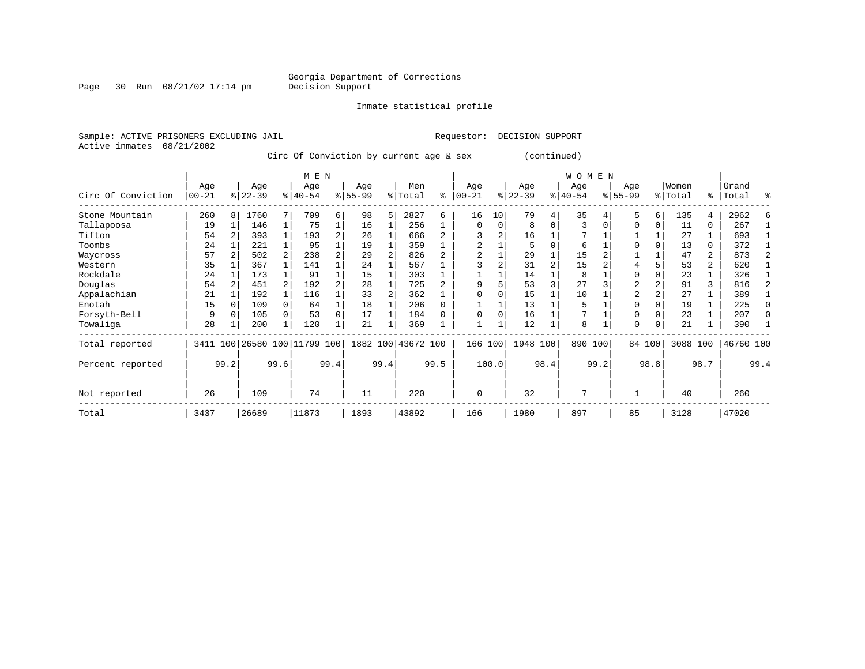Page 30 Run 08/21/02 17:14 pm

Inmate statistical profile

Active inmates 08/21/2002

Sample: ACTIVE PRISONERS EXCLUDING JAIL Requestor: DECISION SUPPORT

Circ Of Conviction by current age & sex (continued)

|                    |                  |              |                  |          | M E N                   |                |                  |      |                    |      |                  |       |                  |                | <b>WOMEN</b>     |      |                 |          |                  |                |                |              |
|--------------------|------------------|--------------|------------------|----------|-------------------------|----------------|------------------|------|--------------------|------|------------------|-------|------------------|----------------|------------------|------|-----------------|----------|------------------|----------------|----------------|--------------|
| Circ Of Conviction | Age<br>$00 - 21$ |              | Age<br>$ 22-39 $ |          | Age<br>$ 40-54 $        |                | Age<br>$8 55-99$ |      | Men<br>% Total     | ႜ    | Age<br>$00 - 21$ | %     | Age<br>$22 - 39$ |                | Age<br>$ 40-54 $ |      | Age<br>$ 55-99$ |          | Women<br>% Total | ွေ             | Grand<br>Total | ွေ           |
| Stone Mountain     | 260              | 8            | 1760             |          | 709                     | 6              | 98               | 5    | 2827               | 6    | 16               | 10    | 79               | 4              | 35               |      | 5               | 6        | 135              | 4              | 2962           |              |
| Tallapoosa         | 19               |              | 146              |          | 75                      | 1              | 16               |      | 256                |      | $\Omega$         | 0     | 8                | $\Omega$       | 3                |      | $\Omega$        | 0        | 11               | 0              | 267            |              |
| Tifton             | 54               |              | 393              |          | 193                     | $\overline{a}$ | 26               |      | 666                |      |                  |       | 16               |                |                  |      |                 |          | 27               |                | 693            |              |
| Toombs             | 24               |              | 221              |          | 95                      |                | 19               |      | 359                |      |                  |       | 5                | $\Omega$       | 6                |      | $\Omega$        |          | 13               | 0              | 372            |              |
| Waycross           | 57               |              | 502              |          | 238                     |                | 29               |      | 826                |      |                  |       | 29               |                | 15               |      |                 |          | 47               | $\overline{2}$ | 873            |              |
| Western            | 35               |              | 367              |          | 141                     |                | 24               |      | 567                |      |                  |       | 31               | $\overline{2}$ | 15               |      |                 |          | 53               | $\overline{a}$ | 620            |              |
| Rockdale           | 24               |              | 173              |          | 91                      |                | 15               |      | 303                |      |                  |       | 14               |                | 8                |      | <sup>0</sup>    |          | 23               |                | 326            |              |
| Douglas            | 54               |              | 451              |          | 192                     | 2              | 28               |      | 725                |      | 9                |       | 53               | 3              | 27               |      | 2               |          | 91               | 3              | 816            |              |
| Appalachian        | 21               |              | 192              |          | 116                     |                | 33               |      | 362                |      |                  |       | 15               |                | 10               |      | $\overline{2}$  |          | 27               |                | 389            |              |
| Enotah             | 15               |              | 109              | $\Omega$ | 64                      |                | 18               |      | 206                |      |                  |       | 13               |                | 5                |      | $\Omega$        |          | 19               |                | 225            | <sup>0</sup> |
| Forsyth-Bell       | 9                |              | 105              |          | 53                      | 0              | 17               |      | 184                |      | $\Omega$         | O     | 16               |                |                  |      | <sup>0</sup>    |          | 23               |                | 207            | <sup>0</sup> |
| Towaliga           | 28               |              | 200              | 1        | 120                     |                | 21               |      | 369                |      |                  |       | 12               |                | 8                |      | $\Omega$        | $\Omega$ | 21               |                | 390            |              |
| Total reported     | 3411             |              |                  |          | 100 26580 100 11799 100 |                |                  |      | 1882 100 43672 100 |      | 166 100          |       | 1948 100         |                | 890 100          |      |                 | 84 100   | 3088 100         |                | 46760 100      |              |
| Percent reported   |                  | 99.2<br>99.6 |                  |          |                         | 99.4           |                  | 99.4 |                    | 99.5 |                  | 100.0 |                  | 98.4           |                  | 99.2 |                 | 98.8     |                  | 98.7           |                | 99.4         |
| Not reported       | 26               |              | 109              |          | 74                      |                | 11               |      | 220                |      | $\mathbf 0$      |       | 32               |                | 7                |      |                 |          | 40               |                | 260            |              |
| Total              | 3437             |              | 26689            |          | 11873                   |                | 1893             |      | 43892              |      | 166              |       | 1980             |                | 897              |      | 85              |          | 3128             |                | 47020          |              |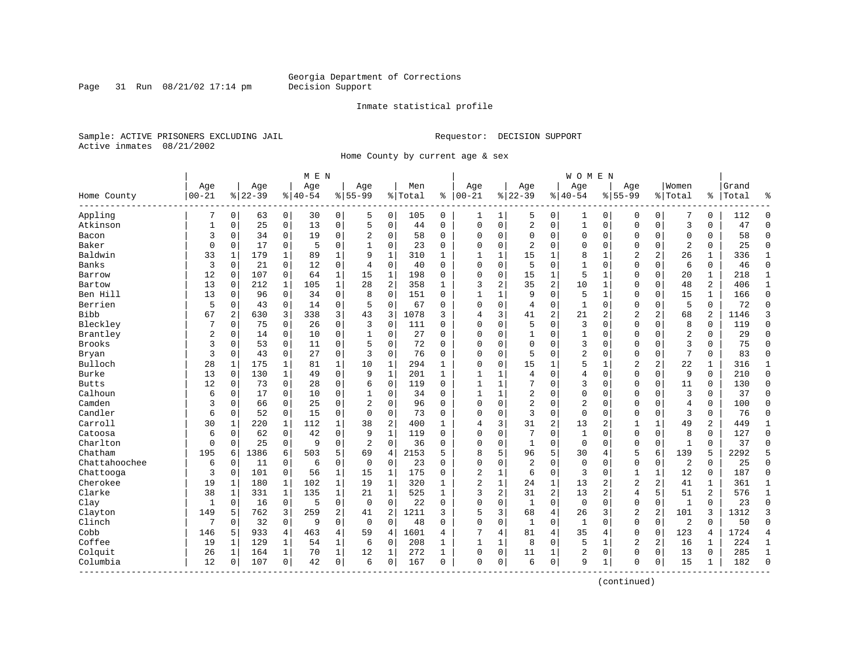#### Inmate statistical profile

Sample: ACTIVE PRISONERS EXCLUDING JAIL Requestor: DECISION SUPPORT Active inmates 08/21/2002

Page 31 Run  $08/21/02$  17:14 pm

Home County by current age & sex

|               |              |                |           |                | M E N    |                |                |              |         |              |                |              |                |                         | <b>WOMEN</b>   |                |                |                |                |                |       |                |
|---------------|--------------|----------------|-----------|----------------|----------|----------------|----------------|--------------|---------|--------------|----------------|--------------|----------------|-------------------------|----------------|----------------|----------------|----------------|----------------|----------------|-------|----------------|
|               | Age          |                | Age       |                | Age      |                | Aqe            |              | Men     |              | Age            |              | Age            |                         | Age            |                | Aqe            |                | Women          |                | Grand |                |
| Home County   | $00 - 21$    |                | $8 22-39$ |                | $ 40-54$ |                | $8 55-99$      |              | % Total | ి            | $ 00-21$       |              | $ 22-39$       |                         | $8140 - 54$    |                | $8155 - 99$    |                | % Total        | ి              | Total | န္             |
| Appling       | 7            | $\overline{0}$ | 63        | $\overline{0}$ | 30       | $\overline{0}$ | 5              | $\mathbf 0$  | 105     | 0            | 1              | $\mathbf 1$  | 5              | 0                       | 1              | 0              | 0              | $\mathbf 0$    | 7              | 0              | 112   | $\Omega$       |
| Atkinson      | $\mathbf{1}$ | 0              | 25        | $\mathbf 0$    | 13       | 0              | 5              | $\mathbf 0$  | 44      | $\Omega$     | $\mathbf 0$    | 0            | 2              | 0                       | $1\,$          | $\mathbf 0$    | $\mathbf{0}$   | $\mathbf 0$    | $\overline{3}$ | $\Omega$       | 47    | $\Omega$       |
| Bacon         | 3            | 0              | 34        | 0              | 19       | 0              | $\overline{2}$ | 0            | 58      | 0            | $\Omega$       | 0            | $\mathbf 0$    | 0                       | 0              | $\mathbf 0$    | $\Omega$       | 0              | $\mathbf 0$    | 0              | 58    | $\Omega$       |
| Baker         | 0            | 0              | 17        | 0              | 5        | 0              |                | $\mathbf 0$  | 23      | 0            | $\Omega$       | 0            | $\overline{2}$ | $\Omega$                | $\Omega$       | $\mathbf 0$    | $\Omega$       | 0              | $\overline{2}$ | 0              | 25    | $\mathbf 0$    |
| Baldwin       | 33           | 1              | 179       | 1              | 89       | $\mathbf{1}$   | 9              | $\mathbf 1$  | 310     | 1            | 1              | 1            | 15             | 1                       | 8              | 1              | $\overline{2}$ | $\overline{a}$ | 26             | $\mathbf{1}$   | 336   | 1              |
| Banks         | 3            | 0              | 21        | $\mathbf 0$    | 12       | 0              | $\overline{4}$ | $\mathbf 0$  | 40      | 0            | 0              | 0            | 5              | 0                       | $\mathbf{1}$   | $\mathbf 0$    | $\Omega$       | 0              | 6              | 0              | 46    | $\Omega$       |
| Barrow        | 12           | 0              | 107       | $\mathbf 0$    | 64       | 1              | 15             | $\mathbf 1$  | 198     | $\Omega$     | $\Omega$       | 0            | 15             | 1                       | 5              | $\mathbf 1$    | $\Omega$       | $\mathbf 0$    | 20             | $\mathbf{1}$   | 218   | $\mathbf{1}$   |
| Bartow        | 13           | $\Omega$       | 212       | $\mathbf{1}$   | 105      | $\mathbf{1}$   | 28             | 2            | 358     | $\mathbf{1}$ | 3              | 2            | 35             | 2                       | 10             | $\mathbf 1$    | $\Omega$       | $\mathbf 0$    | 48             | $\overline{a}$ | 406   | $\mathbf{1}$   |
| Ben Hill      | 13           | 0              | 96        | $\mathbf 0$    | 34       | 0              | 8              | $\mathbf 0$  | 151     | $\Omega$     | $\mathbf{1}$   | 1            | 9              | $\mathbf 0$             | 5              | $\mathbf 1$    | $\mathbf{0}$   | $\mathbf 0$    | 15             | $\mathbf{1}$   | 166   | $\Omega$       |
| Berrien       | 5            | 0              | 43        | 0              | 14       | 0              | 5              | $\mathbf 0$  | 67      | $\Omega$     | $\Omega$       | 0            | 4              | 0                       | $\mathbf{1}$   | 0              | $\Omega$       | 0              | 5              | 0              | 72    | $\Omega$       |
| Bibb          | 67           | 2              | 630       | 3              | 338      | 3              | 43             | 3            | 1078    | 3            | 4              | 3            | 41             | 2                       | 21             | 2              | 2              | 2              | 68             | 2              | 1146  | 3              |
| Bleckley      | 7            | 0              | 75        | $\mathbf 0$    | 26       | 0              | 3              | 0            | 111     | 0            | $\Omega$       | 0            | 5              | 0                       | 3              | $\mathbf 0$    | $\Omega$       | $\Omega$       | 8              | 0              | 119   | $\Omega$       |
| Brantley      | 2            | 0              | 14        | 0              | 10       | 0              | 1              | 0            | 27      | 0            | 0              | 0            | 1              | 0                       | 1              | 0              | 0              | 0              | 2              | 0              | 29    | $\Omega$       |
| <b>Brooks</b> | 3            | $\Omega$       | 53        | $\Omega$       | 11       | 0              | 5              | $\Omega$     | 72      | $\Omega$     | $\Omega$       | 0            | $\Omega$       | $\Omega$                | 3              | $\Omega$       | $\Omega$       | $\Omega$       | 3              | $\Omega$       | 75    | $\Omega$       |
| Bryan         | 3            | $\Omega$       | 43        | $\mathbf 0$    | 27       | 0              | 3              | $\Omega$     | 76      | $\Omega$     | $\Omega$       | 0            | 5              | $\Omega$                | $\overline{2}$ | $\mathbf 0$    | $\Omega$       | $\Omega$       | 7              | 0              | 83    | $\Omega$       |
| Bulloch       | 28           | 1              | 175       | 1              | 81       | 1              | 10             | 1            | 294     | 1            | $\Omega$       | 0            | 15             | 1                       | 5              | 1              | 2              | 2              | 22             | 1              | 316   | 1              |
| Burke         | 13           | $\Omega$       | 130       | 1              | 49       | 0              | 9              | $\mathbf 1$  | 201     | $\mathbf{1}$ | 1              | 1            | 4              | $\Omega$                | 4              | $\mathbf 0$    | $\Omega$       | $\Omega$       | 9              | $\Omega$       | 210   | $\Omega$       |
| <b>Butts</b>  | 12           | 0              | 73        | 0              | 28       | 0              | 6              | $\Omega$     | 119     | 0            | 1              | 1            | 7              | $\Omega$                | 3              | $\mathbf 0$    | $\Omega$       | $\Omega$       | 11             | 0              | 130   | $\Omega$       |
| Calhoun       | 6            | 0              | 17        | 0              | 10       | 0              | $\mathbf{1}$   | 0            | 34      | 0            | 1              | 1            | $\overline{2}$ | 0                       | 0              | 0              | 0              | 0              | 3              | 0              | 37    | $\Omega$       |
| Camden        | 3            | $\Omega$       | 66        | $\Omega$       | 2.5      | $\Omega$       | $\overline{a}$ | $\Omega$     | 96      | $\Omega$     | $\Omega$       | 0            | $\overline{c}$ | $\Omega$                | $\overline{2}$ | $\Omega$       | $\Omega$       | $\Omega$       | $\overline{4}$ | $\Omega$       | 100   | $\Omega$       |
| Candler       | 6            | 0              | 52        | $\Omega$       | 15       | 0              | $\Omega$       | $\Omega$     | 73      | $\Omega$     | $\Omega$       | 0            | 3              | $\Omega$                | $\mathbf{0}$   | $\mathbf 0$    | $\Omega$       | $\Omega$       | 3              | 0              | 76    | $\Omega$       |
| Carroll       | 30           | 1              | 220       | 1              | 112      | 1              | 38             | $\sqrt{2}$   | 400     | 1            | 4              | 3            | 31             | $\overline{\mathbf{c}}$ | 13             | $\overline{2}$ | 1              | 1              | 49             | 2              | 449   | 1              |
| Catoosa       | 6            | $\Omega$       | 62        | $\mathbf 0$    | 42       | 0              | 9              | $\mathbf{1}$ | 119     | $\Omega$     | $\Omega$       | 0            | 7              | $\Omega$                | $\mathbf{1}$   | $\Omega$       | $\Omega$       | $\Omega$       | 8              | $\Omega$       | 127   | $\Omega$       |
| Charlton      | 0            | $\Omega$       | 25        | $\overline{0}$ | 9        | 0              | 2              | $\Omega$     | 36      | 0            | $\Omega$       | 0            | 1              | $\Omega$                | $\mathbf 0$    | $\Omega$       | $\Omega$       | $\mathbf 0$    | 1              | 0              | 37    | ∩              |
| Chatham       | 195          | 6              | 1386      | 6              | 503      | 5              | 69             | 4            | 2153    | 5            | 8              | 5            | 96             | 5                       | 30             | 4              | 5              | 6              | 139            | 5              | 2292  | 5              |
| Chattahoochee | 6            | 0              | 11        | $\mathbf 0$    | 6        | 0              | $\mathbf 0$    | 0            | 23      | $\Omega$     | $\Omega$       | 0            | $\overline{2}$ | 0                       | $\mathbf 0$    | $\Omega$       | $\mathbf{0}$   | $\mathbf 0$    | 2              | $\mathbf 0$    | 25    | $\Omega$       |
| Chattooga     | 3            | $\Omega$       | 101       | $\Omega$       | 56       | $\mathbf 1$    | 15             | $\mathbf 1$  | 175     | $\Omega$     | $\overline{c}$ | 1            | 6              | $\Omega$                | 3              | $\mathbf 0$    | $\mathbf{1}$   | $\mathbf{1}$   | 12             | 0              | 187   | $\Omega$       |
| Cherokee      | 19           | 1              | 180       | 1              | 102      | 1              | 19             | 1            | 320     | 1            | $\overline{2}$ | $\mathbf{1}$ | 24             | 1                       | 13             | 2              | $\overline{2}$ | 2              | 41             | 1              | 361   | 1              |
| Clarke        | 38           | 1              | 331       | $\mathbf{1}$   | 135      | $\mathbf 1$    | 21             | 1            | 525     | 1            | 3              | 2            | 31             | $\overline{c}$          | 13             | 2              | 4              | 5              | 51             | 2              | 576   | $\mathbf 1$    |
| Clay          | 1            | 0              | 16        | $\mathsf{O}$   | 5        | 0              | $\mathbf 0$    | $\Omega$     | 22      | $\Omega$     | $\Omega$       | 0            | 1              | $\Omega$                | $\mathbf 0$    | $\Omega$       | $\mathbf 0$    | $\mathbf 0$    | $\mathbf{1}$   | 0              | 23    | $\Omega$       |
| Clayton       | 149          | 5              | 762       | 3              | 259      | 2              | 41             | 2            | 1211    | 3            | 5              | 3            | 68             | 4                       | 26             | 3              | 2              | 2              | 101            | 3              | 1312  | 3              |
| Clinch        | 7            | 0              | 32        | $\mathbf 0$    | 9        | 0              | $\mathbf 0$    | $\mathbf 0$  | 48      | $\Omega$     | $\Omega$       | 0            | $\mathbf{1}$   | 0                       | $\mathbf{1}$   | $\mathbf 0$    | $\mathbf 0$    | $\mathbf 0$    | $\overline{2}$ | $\Omega$       | 50    | $\Omega$       |
| Cobb          | 146          | 5              | 933       | 4              | 463      | 4              | 59             | 4            | 1601    | 4            | 7              | 4            | 81             | 4                       | 35             | $\overline{4}$ | $\mathbf 0$    | $\Omega$       | 123            | 4              | 1724  | $\overline{4}$ |
| Coffee        | 19           | 1              | 129       | 1              | 54       | $\mathbf 1$    | 6              | 0            | 208     | $\mathbf{1}$ | $\mathbf{1}$   | 1            | 8              | 0                       | 5              | 1              | $\overline{2}$ | 2              | 16             | 1              | 224   | 1              |
| Colquit       | 26           | 1              | 164       | 1              | 70       | $\mathbf 1$    | 12             | 1            | 272     | 1            | $\Omega$       | 0            | 11             | 1                       | 2              | $\mathbf 0$    | $\Omega$       | $\Omega$       | 13             | $\Omega$       | 285   | $\mathbf{1}$   |
| Columbia      | 12           | 0              | 107       | $\mathbf 0$    | 42       | $\overline{0}$ | 6              | $\mathbf 0$  | 167     | 0            | $\mathbf{0}$   | 0            | 6              | $\mathbf 0$             | 9              | $\mathbf{1}$   | $\Omega$       | $\mathbf 0$    | 15             | 1              | 182   | $\Omega$       |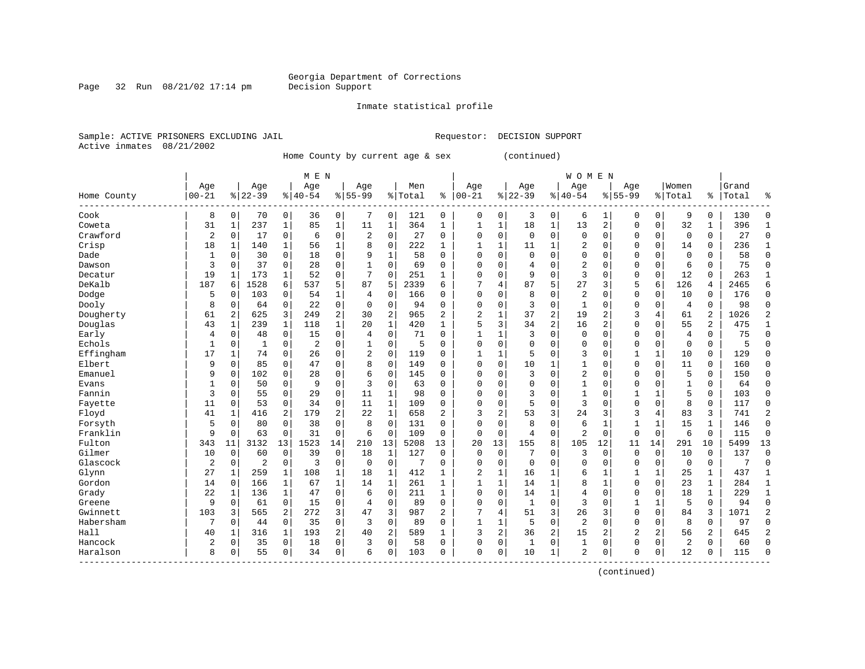Page 32 Run  $08/21/02$  17:14 pm

#### Inmate statistical profile

Sample: ACTIVE PRISONERS EXCLUDING JAIL Requestor: DECISION SUPPORT Active inmates 08/21/2002

Home County by current age & sex (continued)

|                          |                |              |                |                | M E N          |              |             |              |         |                |              |             |              |                | <b>WOMEN</b>   |                |                |              |             |              |       |              |
|--------------------------|----------------|--------------|----------------|----------------|----------------|--------------|-------------|--------------|---------|----------------|--------------|-------------|--------------|----------------|----------------|----------------|----------------|--------------|-------------|--------------|-------|--------------|
|                          | Age            |              | Age            |                | Age            |              | Age         |              | Men     |                | Age          |             | Age          |                | Age            |                | Age            |              | Women       |              | Grand |              |
| Home County<br>--------- | $00 - 21$      |              | $8 22-39$      |                | $8 40-54$      |              | $8155 - 99$ |              | % Total | ి              | $ 00-21$     |             | $8 22-39$    |                | $8140 - 54$    |                | $8 55-99$      |              | % Total     | ွေ           | Total | 우            |
| Cook                     | 8              | $\mathbf 0$  | 70             | 0              | 36             | 0            | 7           | 0            | 121     | 0              | $\mathbf 0$  | 0           | 3            | 0              | 6              | 1              | $\Omega$       | 0            | 9           | 0            | 130   | Ω            |
| Coweta                   | 31             | 1            | 237            | 1              | 85             | $\mathbf 1$  | 11          | 1            | 364     | $\mathbf{1}$   | $\mathbf{1}$ | 1           | 18           | 1              | 13             | $\overline{a}$ | $\Omega$       | $\Omega$     | 32          | 1            | 396   |              |
| Crawford                 | $\overline{2}$ | $\mathbf 0$  | 17             | $\Omega$       | 6              | 0            | 2           | $\Omega$     | 27      | $\Omega$       | $\Omega$     | 0           | $\Omega$     | $\Omega$       | 0              | $\Omega$       | $\Omega$       | 0            | $\mathbf 0$ | 0            | 27    | $\Omega$     |
| Crisp                    | 18             | 1            | 140            | 1              | 56             | $\mathbf 1$  | 8           | $\mathbf 0$  | 222     | $\mathbf{1}$   | 1            | 1           | 11           | 1              | 2              | $\Omega$       | $\Omega$       | $\Omega$     | 14          | 0            | 236   |              |
| Dade                     | 1              | $\mathbf 0$  | 30             | $\mathbf 0$    | 18             | 0            | 9           | $\mathbf{1}$ | 58      | $\Omega$       | $\Omega$     | 0           | $\Omega$     | $\Omega$       | $\Omega$       | $\Omega$       | $\Omega$       | $\Omega$     | $\Omega$    | 0            | 58    | $\Omega$     |
| Dawson                   | 3              | $\mathbf 0$  | 37             | $\mathbf 0$    | 28             | 0            |             | $\Omega$     | 69      | $\Omega$       | $\Omega$     | 0           | 4            | $\Omega$       | 2              | $\Omega$       | $\Omega$       | $\mathbf 0$  | 6           | 0            | 75    | $\Omega$     |
| Decatur                  | 19             | 1            | 173            | 1              | 52             | $\mathbf 0$  | 7           | $\Omega$     | 251     | 1              | $\Omega$     | 0           | 9            | $\Omega$       | 3              | $\Omega$       | $\Omega$       | $\mathbf 0$  | 12          | 0            | 263   | $\mathbf{1}$ |
| DeKalb                   | 187            | 6            | 1528           | 6              | 537            | 5            | 87          | 5            | 2339    | 6              |              | 4           | 87           | 5              | 27             | 3              | 5              | 6            | 126         | 4            | 2465  | б            |
| Dodge                    | 5              | $\Omega$     | 103            | $\Omega$       | 54             | $\mathbf{1}$ | 4           | $\Omega$     | 166     | U              | $\Omega$     | 0           | 8            | $\Omega$       | $\overline{2}$ | 0              | $\Omega$       | $\Omega$     | 10          | $\Omega$     | 176   | $\Omega$     |
| Dooly                    | 8              | $\Omega$     | 64             | $\Omega$       | 22             | 0            | 0           | 0            | 94      | 0              | $\Omega$     | 0           | 3            | $\Omega$       | 1              | 0              | $\Omega$       | $\Omega$     | 4           | $\Omega$     | 98    | <sup>0</sup> |
| Dougherty                | 61             | 2            | 625            | 3              | 249            | 2            | 30          | 2            | 965     | $\overline{2}$ | 2            | 1           | 37           | $\overline{2}$ | 19             |                | 3              | 4            | 61          | 2            | 1026  |              |
| Douglas                  | 43             | 1            | 239            | 1              | 118            | $\mathbf 1$  | 20          | $\mathbf{1}$ | 420     | 1              | 5            | 3           | 34           | $\overline{2}$ | 16             | 2              | $\Omega$       | $\Omega$     | 55          | 2            | 475   |              |
| Early                    | 4              | 0            | 48             | 0              | 15             | 0            | 4           | $\Omega$     | 71      | O              | $\mathbf{1}$ |             | 3            | $\Omega$       | 0              | $\Omega$       | $\Omega$       | $\Omega$     | 4           | 0            | 75    | $\Omega$     |
| Echols                   | 1              | $\mathbf 0$  |                | $\mathbf 0$    | $\overline{c}$ | 0            |             | 0            | 5       | O              | $\Omega$     | 0           | $\Omega$     | $\Omega$       | $\Omega$       | $\Omega$       | $\Omega$       | $\mathbf 0$  | $\Omega$    | 0            | 5     | U            |
| Effingham                | 17             | 1            | 74             | 0              | 26             | 0            | 2           | 0            | 119     | O              | $\mathbf{1}$ | 1           | 5            | $\Omega$       | 3              | $\Omega$       | $\mathbf{1}$   | 1            | 10          | 0            | 129   | $\Omega$     |
| Elbert                   | 9              | $\mathbf 0$  | 85             | $\mathbf 0$    | 47             | 0            | 8           | $\mathbf 0$  | 149     | $\Omega$       | $\Omega$     | 0           | 10           | 1              | $\mathbf{1}$   | 0              | $\Omega$       | $\mathbf 0$  | 11          | 0            | 160   | $\cap$       |
| Emanuel                  | 9              | $\mathbf 0$  | 102            | $\mathbf 0$    | 28             | 0            | 6           | 0            | 145     | $\Omega$       | $\Omega$     | 0           | 3            | $\Omega$       | 2              | $\Omega$       | $\Omega$       | 0            | 5           | 0            | 150   | $\Omega$     |
| Evans                    |                | $\mathbf 0$  | 50             | 0              | 9              | 0            | 3           | 0            | 63      | 0              | $\Omega$     | 0           | $\Omega$     | $\Omega$       |                | 0              | $\Omega$       | $\Omega$     | 1           | 0            | 64    | $\Omega$     |
| Fannin                   | 3              | $\Omega$     | 55             | 0              | 29             | 0            | 11          | 1            | 98      | $\Omega$       | 0            | 0           | 3            | $\Omega$       | 1              | $\Omega$       | $\mathbf{1}$   | 1            | 5           | 0            | 103   | 0            |
| Fayette                  | 11             | $\Omega$     | 53             | 0              | 34             | 0            | 11          | 1            | 109     | $\Omega$       | $\Omega$     | 0           | 5            | $\Omega$       | 3              | O              | $\Omega$       | $\Omega$     | 8           | 0            | 117   | $\Omega$     |
| Floyd                    | 41             | 1            | 416            | 2              | 179            | 2            | 22          | $\mathbf{1}$ | 658     | $\overline{a}$ | 3            | 2           | 53           | 3              | 24             | 3              | 3              | 4            | 83          | 3            | 741   | 2            |
| Forsyth                  | 5              | $\Omega$     | 80             | $\Omega$       | 38             | 0            | 8           | $\Omega$     | 131     | $\Omega$       | O            | 0           | 8            | $\Omega$       | 6              | -1             | $\mathbf{1}$   | 1            | 15          | 1            | 146   | $\Omega$     |
| Franklin                 | 9              | $\mathbf 0$  | 63             | $\Omega$       | 31             | $\mathbf 0$  | 6           | $\mathbf 0$  | 109     | 0              | $\Omega$     | $\mathbf 0$ | 4            | $\mathbf 0$    | 2              | $\mathbf 0$    | $\Omega$       | $\mathbf 0$  | 6           | 0            | 115   | $\Omega$     |
| Fulton                   | 343            | 11           | 3132           | 13             | 1523           | 14           | 210         | 13           | 5208    | 13             | 20           | 13          | 155          | 8              | 105            | 12             | 11             | 14           | 291         | 10           | 5499  | 13           |
| Gilmer                   | 10             | $\circ$      | 60             | $\mathbf 0$    | 39             | 0            | 18          | $\mathbf{1}$ | 127     | 0              | 0            | $\mathbf 0$ | 7            | $\Omega$       | 3              | 0              | $\Omega$       | $\mathbf 0$  | 10          | 0            | 137   | $\Omega$     |
| Glascock                 | $\overline{2}$ | $\mathbf 0$  | $\overline{c}$ | $\mathbf 0$    | 3              | $\mathbf 0$  | $\Omega$    | $\mathbf 0$  | 7       | 0              | $\Omega$     | 0           | $\Omega$     | $\Omega$       | $\Omega$       | $\Omega$       | $\Omega$       | $\mathbf 0$  | $\mathbf 0$ | 0            | 7     | $\Omega$     |
| Glynn                    | 27             | 1            | 259            | 1              | 108            | 1            | 18          | 1            | 412     | 1              | 2            | 1           | 16           |                | 6              |                |                | 1            | 25          | 1            | 437   | $\mathbf{1}$ |
| Gordon                   | 14             | $\Omega$     | 166            |                | 67             | 1            | 14          | 1            | 261     | 1              | $\mathbf{1}$ | 1           | 14           | 1              | 8              | 1              | $\Omega$       | $\Omega$     | 23          | 1            | 284   | 1            |
| Grady                    | 22             | $\mathbf{1}$ | 136            | $\mathbf{1}$   | 47             | $\Omega$     | 6           | $\Omega$     | 211     | $\mathbf{1}$   | $\Omega$     | 0           | 14           | $\mathbf{1}$   | 4              | O              | $\Omega$       | $\Omega$     | 18          | $\mathbf{1}$ | 229   | $\mathbf{1}$ |
| Greene                   | 9              | $\Omega$     | 61             | $\Omega$       | 15             | $\Omega$     | 4           | $\Omega$     | 89      | $\Omega$       | $\Omega$     | 0           | $\mathbf{1}$ | $\Omega$       | 3              | O              | 1              | $\mathbf{1}$ | 5           | $\Omega$     | 94    | $\Omega$     |
| Gwinnett                 | 103            | 3            | 565            | $\overline{a}$ | 272            | 3            | 47          | 3            | 987     | 2              |              | 4           | 51           | 3              | 26             | 3              | $\Omega$       | $\Omega$     | 84          | 3            | 1071  |              |
| Habersham                | 7              | $\Omega$     | 44             | $\mathbf 0$    | 35             | 0            | 3           | $\mathbf 0$  | 89      | O              | $\mathbf{1}$ | 1           | 5            | $\Omega$       | 2              | $\Omega$       | $\Omega$       | $\Omega$     | 8           | 0            | 97    | Λ            |
| Hall                     | 40             | $\mathbf{1}$ | 316            | 1              | 193            | 2            | 40          | 2            | 589     | $\mathbf{1}$   | 3            | 2           | 36           | $\overline{2}$ | 15             | $\overline{2}$ | $\overline{2}$ | 2            | 56          | 2            | 645   |              |
| Hancock                  | 2              | 0            | 35             | $\mathbf 0$    | 18             | 0            | 3           | $\mathbf 0$  | 58      | 0              | $\Omega$     | 0           | $\mathbf{1}$ | $\mathbf 0$    | $\mathbf{1}$   | $\Omega$       | $\mathbf{0}$   | $\mathbf 0$  | 2           | 0            | 60    | $\cap$       |
| Haralson                 | 8              | 0            | 55             | 0              | 34             | 0            | 6           | $\Omega$     | 103     | $\Omega$       | $\Omega$     | 0           | 10           | 1              | 2              | 0              | $\Omega$       | 0            | 12          | 0            | 115   | $\sqrt{ }$   |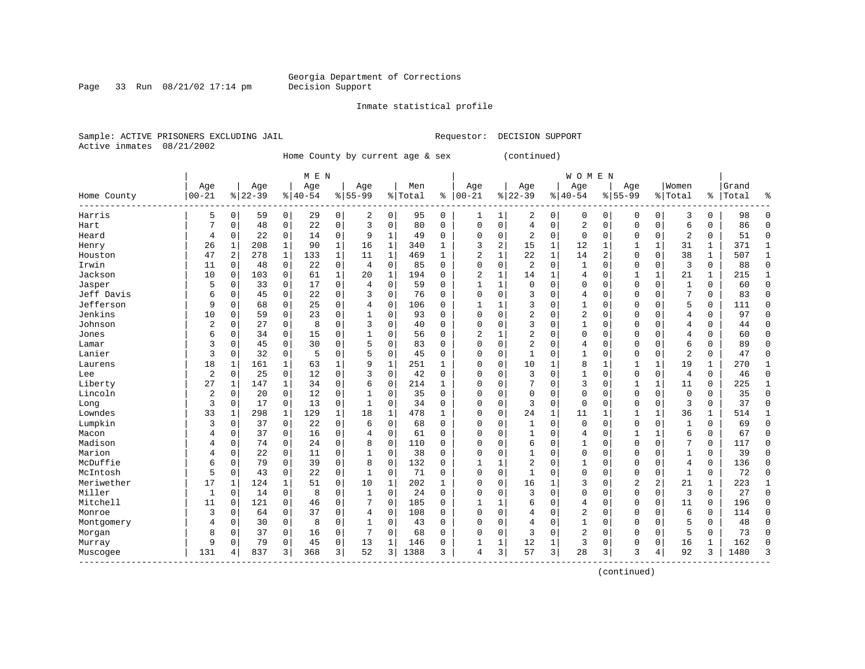Page 33 Run 08/21/02 17:14 pm

#### Inmate statistical profile

Sample: ACTIVE PRISONERS EXCLUDING JAIL Requestor: DECISION SUPPORT Active inmates 08/21/2002

Home County by current age & sex (continued)

|                    |                |              |           |             | M E N    |              |              |              |         |              |                |   |                |              | <b>WOMEN</b>   |          |                |              |                |              |       |              |
|--------------------|----------------|--------------|-----------|-------------|----------|--------------|--------------|--------------|---------|--------------|----------------|---|----------------|--------------|----------------|----------|----------------|--------------|----------------|--------------|-------|--------------|
|                    | Age            |              | Age       |             | Age      |              | Age          |              | Men     |              | Age            |   | Age            |              | Age            |          | Age            |              | Women          |              | Grand |              |
| Home County        | $00 - 21$      |              | $8 22-39$ |             | $ 40-54$ |              | $8155 - 99$  |              | % Total | ႜ            | $ 00-21$       |   | $8 22-39$      |              | $ 40-54$       |          | $8155 - 99$    |              | % Total        | ႜ            | Total |              |
| Harris             | 5              | $\mathbf 0$  | 59        | $\mathbf 0$ | 29       | 0            | 2            | 0            | 95      | 0            | 1              | 1 | 2              | 0            | 0              | 0        | 0              | 0            | 3              | 0            | 98    | ∩            |
| Hart               | 7              | $\mathbf 0$  | 48        | $\mathbf 0$ | 22       | 0            | 3            | $\mathbf 0$  | 80      | 0            | 0              | 0 | $\overline{4}$ | $\mathbf 0$  | 2              | $\Omega$ | $\Omega$       | $\mathbf 0$  | 6              | 0            | 86    | ſ            |
| Heard              | 4              | 0            | 22        | $\mathbf 0$ | 14       | 0            | 9            | 1            | 49      | 0            | $\Omega$       | 0 | 2              | $\mathbf 0$  | 0              | 0        | $\Omega$       | $\Omega$     | 2              | 0            | 51    | $\Omega$     |
| Henry              | 26             | 1            | 208       | 1           | 90       | $\mathbf{1}$ | 16           | $\mathbf 1$  | 340     | 1            | 3              | 2 | 15             | 1            | 12             | 1        |                | 1            | 31             | 1            | 371   |              |
| Houston            | 47             | 2            | 278       | $\mathbf 1$ | 133      | $\mathbf 1$  | 11           | $\mathbf 1$  | 469     | $\mathbf{1}$ | 2              | 1 | 22             | $\mathbf{1}$ | 14             | 2        | $\Omega$       | $\Omega$     | 38             | $\mathbf{1}$ | 507   | $\mathbf{1}$ |
| Irwin              | 11             | $\mathbf 0$  | 48        | $\mathbf 0$ | 22       | 0            | 4            | $\mathbf 0$  | 85      | $\Omega$     | $\Omega$       | 0 | $\overline{2}$ | $\mathbf 0$  | 1              | O        | $\Omega$       | $\mathbf 0$  | 3              | 0            | 88    | $\Omega$     |
| Jackson            | 10             | $\mathbf 0$  | 103       | $\mathbf 0$ | 61       | $\mathbf{1}$ | 20           | 1            | 194     | $\Omega$     | $\overline{2}$ | 1 | 14             | 1            | 4              | 0        | 1              | 1            | 21             | 1            | 215   | 1            |
| Jasper             | 5              | 0            | 33        | 0           | 17       | 0            | 4            | 0            | 59      | 0            |                |   | $\Omega$       | $\Omega$     | 0              | 0        | $\Omega$       | $\Omega$     | $\mathbf{1}$   | 0            | 60    | $\Omega$     |
| Jeff Davis         | б              | $\mathbf 0$  | 45        | 0           | 22       | 0            | 3            | 0            | 76      | O            | $\Omega$       | 0 | 3              | $\Omega$     | 4              | $\Omega$ | $\Omega$       | $\Omega$     | 7              | 0            | 83    | $\Omega$     |
| Jefferson          | 9              | $\Omega$     | 68        | $\Omega$    | 25       | 0            | 4            | $\Omega$     | 106     | O            | $\mathbf{1}$   |   | 3              | $\Omega$     | 1              | $\Omega$ | $\Omega$       | $\Omega$     | 5              | 0            | 111   | $\Omega$     |
| Jenkins            | 10             | $\Omega$     | 59        | $\Omega$    | 23       | 0            |              | $\Omega$     | 93      | $\Omega$     | $\Omega$       | 0 | $\overline{2}$ | $\Omega$     | 2              | $\Omega$ | $\Omega$       | $\Omega$     | 4              | 0            | 97    | $\cap$       |
| Johnson            | 2              | $\mathbf 0$  | 27        | $\mathbf 0$ | 8        | 0            | 3            | $\Omega$     | 40      | $\Omega$     | $\Omega$       | 0 | 3              | $\Omega$     | 1              | O        | $\Omega$       | $\Omega$     | 4              | 0            | 44    | ∩            |
| Jones              | б              | 0            | 34        | $\mathbf 0$ | 15       | 0            |              | 0            | 56      | O            | $\overline{2}$ | 1 | 2              | $\Omega$     | $\Omega$       | 0        | $\Omega$       | $\Omega$     | 4              | 0            | 60    | ∩            |
| Lamar              | 3              | 0            | 45        | 0           | 30       | 0            |              | 0            | 83      | $\Omega$     | 0              | 0 | $\overline{2}$ | $\Omega$     | 4              | 0        | $\Omega$       | 0            | 6              | 0            | 89    | $\sqrt{ }$   |
| Lanier             | 3              | $\Omega$     | 32        | $\Omega$    | 5        | 0            |              | $\Omega$     | 45      | $\Omega$     | $\Omega$       | 0 | $\mathbf{1}$   | $\Omega$     | 1              | 0        | $\Omega$       | $\Omega$     | $\overline{2}$ | $\Omega$     | 47    | $\Omega$     |
| Laurens            | 18             | 1            | 161       | 1           | 63       | 1            | 9            | 1            | 251     | $\mathbf{1}$ | $\Omega$       | 0 | 10             | 1            | 8              | 1        | $\mathbf{1}$   | 1            | 19             | 1            | 270   | $\mathbf{1}$ |
| Lee                | $\overline{2}$ | $\mathbf 0$  | 25        | $\mathbf 0$ | 12       | 0            | 3            | $\mathbf 0$  | 42      | 0            | $\Omega$       | 0 | 3              | $\Omega$     | 1              | $\Omega$ | $\Omega$       | $\mathbf 0$  | 4              | 0            | 46    | $\Omega$     |
| Liberty            | 27             | 1            | 147       |             | 34       | 0            | 6            | $\mathbf 0$  | 214     | 1            | $\Omega$       | 0 |                | $\Omega$     | 3              | $\Omega$ |                | 1            | 11             | 0            | 225   |              |
| Lincoln            | 2              | $\mathbf 0$  | 20        | 0           | 12       | 0            |              | $\Omega$     | 35      | $\Omega$     | $\Omega$       | 0 | $\Omega$       | $\Omega$     | $\Omega$       | O        | $\Omega$       | $\mathbf 0$  | $\mathbf 0$    | 0            | 35    | $\Omega$     |
| Long               | 3              | $\mathbf 0$  | 17        | $\mathbf 0$ | 13       | 0            | 1            | $\Omega$     | 34      | $\Omega$     | $\Omega$       | 0 | 3              | $\mathbf 0$  | 0              | O        | $\Omega$       | $\Omega$     | 3              | 0            | 37    | ∩            |
| Lowndes            | 33             | $\mathbf{1}$ | 298       | 1           | 129      | 1            | 18           | $\mathbf{1}$ | 478     | $\mathbf{1}$ | 0              | 0 | 24             | 1            | 11             | -1       |                | $\mathbf{1}$ | 36             | 1            | 514   |              |
| Lumpkin            | 3              | 0            | 37        | $\mathbf 0$ | 22       | 0            | 6            | $\Omega$     | 68      | $\Omega$     | $\Omega$       | 0 |                | $\mathbf 0$  | 0              | $\Omega$ | $\Omega$       | $\Omega$     | $\mathbf{1}$   | 0            | 69    | $\Omega$     |
| Macon              | 4              | $\mathbf 0$  | 37        | $\mathbf 0$ | 16       | 0            |              | $\mathbf 0$  | 61      | 0            | 0              | 0 |                | $\Omega$     | 4              | $\Omega$ |                | 1            | 6              | 0            | 67    | $\Omega$     |
| Madison            | 4              | 0            | 74        | $\mathbf 0$ | 24       | 0            |              | $\mathbf 0$  | 110     | $\Omega$     | $\Omega$       | 0 | 6              | $\Omega$     |                | $\Omega$ | $\Omega$       | $\Omega$     | 7              | 0            | 117   | $\Omega$     |
| Marion             | 4              | $\mathbf 0$  | 22        | $\mathbf 0$ | 11       | 0            | 1            | $\mathbf 0$  | 38      | $\Omega$     | $\Omega$       | 0 | $\mathbf{1}$   | $\Omega$     | $\Omega$       | O        | $\Omega$       | $\Omega$     | $\mathbf{1}$   | 0            | 39    | $\Omega$     |
| McDuffie           | б              | $\mathbf 0$  | 79        | 0           | 39       | 0            | 8            | 0            | 132     | 0            |                |   | 2              | $\Omega$     |                | 0        | $\Omega$       | 0            | 4              | 0            | 136   | $\Omega$     |
| McIntosh           | 5              | $\Omega$     | 43        | 0           | 22       | 0            |              | 0            | 71      | 0            | $\Omega$       | 0 |                | $\Omega$     | $\Omega$       | 0        | $\Omega$       | $\Omega$     | $\mathbf{1}$   | 0            | 72    | $\Omega$     |
| Meriwether         | 17             | $\mathbf{1}$ | 124       |             | 51       | 0            | 10           | 1            | 202     | $\mathbf{1}$ | $\Omega$       | 0 | 16             |              | 3              | $\Omega$ | $\overline{c}$ | 2            | 21             | 1            | 223   | $\mathbf{1}$ |
| Miller             | $\mathbf{1}$   | $\Omega$     | 14        | $\mathbf 0$ | 8        | 0            | $\mathbf{1}$ | $\Omega$     | 24      | $\Omega$     | $\Omega$       | O | ζ              | $\Omega$     | $\Omega$       | $\Omega$ | $\Omega$       | $\Omega$     | 3              | 0            | 27    | $\Omega$     |
| Mitchell           | 11             | $\Omega$     | 121       | $\Omega$    | 46       | 0            | 7            | $\Omega$     | 185     | $\Omega$     | $\mathbf{1}$   | 1 | 6              | $\Omega$     | 4              | $\Omega$ | $\Omega$       | $\Omega$     | 11             | 0            | 196   | $\cap$       |
| Monroe             | 3              | $\mathbf 0$  | 64        | $\mathbf 0$ | 37       | 0            | 4            | $\mathbf 0$  | 108     | 0            | $\Omega$       | 0 | 4              | $\Omega$     | $\overline{2}$ | $\Omega$ | $\Omega$       | $\Omega$     | 6              | 0            | 114   | <sup>0</sup> |
| Montgomery         | 4              | 0            | 30        | $\Omega$    | 8        | $\Omega$     |              | $\mathbf 0$  | 43      | 0            | 0              | 0 | 4              | $\Omega$     | 1              | $\Omega$ | $\Omega$       | $\Omega$     | 5              | 0            | 48    | $\Omega$     |
| Morgan             | 8              | $\Omega$     | 37        | 0           | 16       | 0            |              | $\mathbf 0$  | 68      | O            | 0              | 0 | 3              | $\mathbf 0$  | 2              | $\Omega$ | $\Omega$       | $\Omega$     | 5              | 0            | 73    | O            |
| Murray             | 9              | $\Omega$     | 79        | 0           | 45       | 0            | 13           | 1            | 146     | 0            | $\mathbf{1}$   | 1 | 12             | 1            | 3              | $\Omega$ | $\Omega$       | 0            | 16             | 1            | 162   | ſ            |
| Muscogee<br>------ | 131            |              | 837       | 3           | 368      | 3            | 52           | 3            | 1388    | 3            | 4              | 3 | 57             | 3            | 28             | 3        | 3              | 4            | 92             | 3            | 1480  | κ            |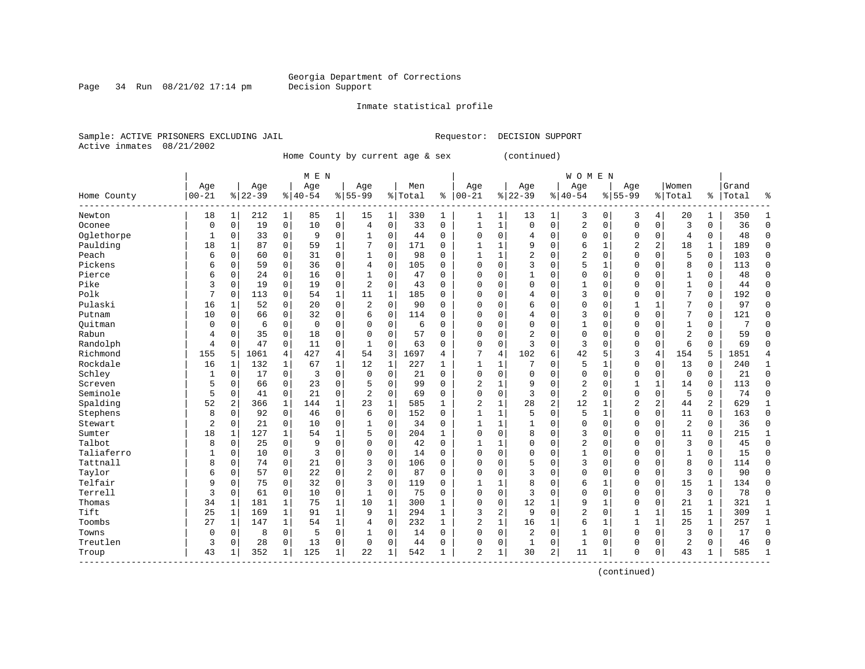Page 34 Run  $08/21/02$  17:14 pm

#### Inmate statistical profile

Sample: ACTIVE PRISONERS EXCLUDING JAIL Requestor: DECISION SUPPORT Active inmates 08/21/2002

Home County by current age & sex (continued)

|             |                |              |           |              | M E N       |              |                |              |         |              |                |          |                |                | <b>WOMEN</b>   |              |                |                |                |              |       |              |
|-------------|----------------|--------------|-----------|--------------|-------------|--------------|----------------|--------------|---------|--------------|----------------|----------|----------------|----------------|----------------|--------------|----------------|----------------|----------------|--------------|-------|--------------|
|             | Age            |              | Age       |              | Age         |              | Age            |              | Men     |              | Age            |          | Age            |                | Age            |              | Age            |                | Women          |              | Grand |              |
| Home County | $00 - 21$      |              | $8 22-39$ |              | $8 40-54$   |              | $8155 - 99$    |              | % Total | ႜ            | $ 00 - 21$     |          | $8 22-39$      |                | $ 40-54$       |              | $8155 - 99$    |                | % Total        | ႜ            | Total |              |
| Newton      | 18             | 1            | 212       | 1            | 85          | $\mathbf 1$  | 15             | 1            | 330     | 1            | 1              | 1        | 13             | 1              | 3              | 0            | 3              | 4              | 20             | 1            | 350   |              |
| Oconee      | 0              | $\mathbf 0$  | 19        | $\mathbf 0$  | 10          | 0            | 4              | $\mathbf 0$  | 33      | $\mathbf 0$  | $\mathbf{1}$   | 1        | $\mathbf 0$    | $\mathbf 0$    | 2              | $\mathbf 0$  | $\mathbf 0$    | $\mathbf 0$    | 3              | 0            | 36    | $\Omega$     |
| Oglethorpe  | 1              | $\mathbf 0$  | 33        | $\mathbf 0$  | 9           | 0            |                | $\mathbf 0$  | 44      | $\Omega$     | $\Omega$       | $\Omega$ | 4              | 0              | 0              | 0            | $\Omega$       | $\Omega$       | 4              | 0            | 48    | $\Omega$     |
| Paulding    | 18             | 1            | 87        | 0            | 59          | 1            |                | $\mathbf 0$  | 171     | $\Omega$     |                | 1        | 9              | $\Omega$       | 6              | 1            | $\overline{c}$ | $\overline{c}$ | 18             | 1            | 189   | $\Omega$     |
| Peach       | 6              | $\mathbf 0$  | 60        | 0            | 31          | 0            | 1              | 0            | 98      | $\Omega$     | $\mathbf{1}$   | 1        | 2              | $\Omega$       | $\overline{2}$ | $\mathbf 0$  | $\Omega$       | $\Omega$       | 5              | 0            | 103   | $\Omega$     |
| Pickens     | б              | $\mathbf 0$  | 59        | 0            | 36          | 0            | 4              | $\Omega$     | 105     | $\Omega$     | $\Omega$       | 0        | 3              | $\Omega$       | 5              | -1           | $\Omega$       | $\Omega$       | 8              | 0            | 113   | $\Omega$     |
| Pierce      | б              | 0            | 24        | 0            | 16          | 0            | 1              | 0            | 47      | $\Omega$     | $\Omega$       | 0        |                | $\Omega$       | 0              | $\Omega$     | $\Omega$       | $\Omega$       | $\mathbf{1}$   | 0            | 48    | $\Omega$     |
| Pike        | 3              | $\mathbf 0$  | 19        | $\mathbf 0$  | 19          | 0            | $\overline{2}$ | 0            | 43      | 0            | $\Omega$       | 0        | $\Omega$       | $\Omega$       | 1              | C            | $\Omega$       | $\Omega$       | $\mathbf{1}$   | 0            | 44    | $\mathbf 0$  |
| Polk        |                | $\mathbf 0$  | 113       | 0            | 54          | 1            | 11             | 1            | 185     | 0            | $\Omega$       | 0        | 4              | $\Omega$       | 3              | $\mathsf{C}$ | $\Omega$       | $\Omega$       | 7              | 0            | 192   | <sup>0</sup> |
| Pulaski     | 16             | 1            | 52        | $\Omega$     | 20          | $\Omega$     | 2              | $\Omega$     | 90      | 0            | $\Omega$       | O        | 6              | $\Omega$       | $\Omega$       | C            | $\mathbf{1}$   | 1              | 7              | $\Omega$     | 97    | $\Omega$     |
| Putnam      | 10             | $\Omega$     | 66        | $\Omega$     | 32          | 0            | 6              | $\Omega$     | 114     | 0            | $\Omega$       | O        | 4              | $\Omega$       | 3              | $\Omega$     | $\Omega$       | $\Omega$       | 7              | 0            | 121   | ∩            |
| Ouitman     | $\Omega$       | $\Omega$     | 6         | $\Omega$     | $\mathbf 0$ | 0            | $\Omega$       | $\mathbf 0$  | 6       | 0            | 0              | 0        | $\Omega$       | $\Omega$       | 1              | $\Omega$     | $\Omega$       | $\Omega$       | $\mathbf{1}$   | 0            | 7     | ∩            |
| Rabun       | 4              | 0            | 35        | 0            | 18          | 0            | $\Omega$       | $\mathbf 0$  | 57      | $\Omega$     | $\Omega$       | 0        | 2              | 0              | $\Omega$       | $\Omega$     | $\Omega$       | $\Omega$       | $\overline{2}$ | 0            | 59    | $\Omega$     |
| Randolph    | 4              | $\mathbf 0$  | 47        | 0            | 11          | 0            | $\mathbf{1}$   | 0            | 63      | $\Omega$     | $\Omega$       | 0        | 3              | $\Omega$       | 3              | $\mathbf 0$  | $\Omega$       | $\Omega$       | 6              | $\Omega$     | 69    | $\sqrt{ }$   |
| Richmond    | 155            | 5            | 1061      | 4            | 427         | 4            | 54             | 3            | 1697    | 4            | 7              | 4        | 102            | 6              | 42             | 5            | 3              | $\overline{4}$ | 154            | 5            | 1851  |              |
| Rockdale    | 16             | 1            | 132       | $\mathbf{1}$ | 67          | 1            | 12             | $\mathbf{1}$ | 227     | 1            | 1              | 1        | 7              | 0              | 5              | 1            | $\Omega$       | $\mathbf 0$    | 13             | 0            | 240   | -1           |
| Schley      | 1              | 0            | 17        | $\mathbf 0$  | 3           | 0            | $\mathbf 0$    | $\mathbf 0$  | 21      | 0            | $\Omega$       | 0        | $\mathbf 0$    | $\Omega$       | 0              | $\Omega$     | $\Omega$       | $\mathbf 0$    | $\mathbf 0$    | 0            | 21    | $\mathbf 0$  |
| Screven     | 5              | $\mathbf 0$  | 66        | 0            | 23          | 0            | 5              | $\Omega$     | 99      | $\Omega$     | 2              | 1        | 9              | $\Omega$       | $\overline{2}$ | $\mathsf{C}$ |                | $\mathbf{1}$   | 14             | 0            | 113   | $\Omega$     |
| Seminole    | 5              | $\Omega$     | 41        | $\Omega$     | 21          | 0            | $\overline{2}$ | $\Omega$     | 69      | $\Omega$     | $\Omega$       | 0        | 3              | $\Omega$       | $\overline{2}$ | C            | $\Omega$       | $\Omega$       | 5              | 0            | 74    | <sup>0</sup> |
| Spalding    | 52             | 2            | 366       | 1            | 144         | $\mathbf{1}$ | 23             | $\mathbf{1}$ | 585     | $\mathbf{1}$ | 2              | 1        | 28             | $\overline{2}$ | 12             | -1           | $\overline{2}$ | 2              | 44             | 2            | 629   | -1           |
| Stephens    | 8              | 0            | 92        | $\mathbf 0$  | 46          | 0            | 6              | $\mathbf 0$  | 152     | 0            | 1              | 1        | 5              | $\Omega$       | 5              | $\mathbf{1}$ | 0              | $\Omega$       | 11             | 0            | 163   | $\Omega$     |
| Stewart     | $\overline{a}$ | $\mathbf 0$  | 21        | $\mathbf 0$  | 10          | 0            |                | $\mathbf 0$  | 34      | 0            | 1              | 1        |                | $\mathbf 0$    | 0              | $\Omega$     | $\Omega$       | $\mathbf 0$    | 2              | 0            | 36    | <sup>0</sup> |
| Sumter      | 18             | $\mathbf{1}$ | 127       | $\mathbf{1}$ | 54          | 1            | 5              | $\mathbf 0$  | 204     | $\mathbf{1}$ | $\Omega$       | 0        | 8              | $\Omega$       | 3              | $\Omega$     | $\Omega$       | $\mathbf 0$    | 11             | 0            | 215   | $\mathbf{1}$ |
| Talbot      | 8              | $\mathbf 0$  | 25        | $\mathbf 0$  | 9           | 0            | $\Omega$       | $\mathbf 0$  | 42      | $\Omega$     | $\mathbf{1}$   | 1        | $\Omega$       | $\Omega$       | $\overline{2}$ | C            | $\Omega$       | $\Omega$       | 3              | 0            | 45    | $\Omega$     |
| Taliaferro  | 1              | $\mathbf 0$  | 10        | $\mathbf 0$  | 3           | 0            | $\Omega$       | $\mathbf 0$  | 14      | 0            | $\Omega$       | 0        | $\Omega$       | $\Omega$       | 1              | C            | $\Omega$       | 0              | $\mathbf{1}$   | 0            | 15    | $\Omega$     |
| Tattnall    | 8              | $\mathbf 0$  | 74        | 0            | 21          | 0            | 3              | $\Omega$     | 106     | 0            | $\Omega$       | 0        | 5              | $\Omega$       | 3              | C            | $\Omega$       | $\Omega$       | 8              | 0            | 114   | $\Omega$     |
| Taylor      | 6              | $\mathbf 0$  | 57        | 0            | 22          | 0            | $\overline{2}$ | $\mathbf 0$  | 87      | 0            | $\Omega$       | 0        | 3              | $\Omega$       | $\Omega$       | C            | $\Omega$       | $\Omega$       | 3              | 0            | 90    | 0            |
| Telfair     | 9              | $\mathbf 0$  | 75        | 0            | 32          | 0            | 3              | $\Omega$     | 119     | $\Omega$     | $\mathbf{1}$   | 1        | 8              | $\Omega$       | 6              | $\mathbf{1}$ | $\Omega$       | $\Omega$       | 15             | 1            | 134   | $\Omega$     |
| Terrell     | 3              | $\mathbf 0$  | 61        | $\mathbf 0$  | 10          | 0            | $\mathbf{1}$   | $\Omega$     | 75      | $\Omega$     | $\Omega$       | 0        | 3              | $\Omega$       | $\Omega$       | $\sqrt{ }$   | $\Omega$       | $\Omega$       | 3              | 0            | 78    | $\cap$       |
| Thomas      | 34             | 1            | 181       | 1            | 75          | $\mathbf{1}$ | 10             | $\mathbf{1}$ | 300     | -1           | $\Omega$       | 0        | 12             | 1              | 9              | -1           | $\Omega$       | $\Omega$       | 21             | 1            | 321   | -1           |
| Tift        | 25             | 1            | 169       | $\mathbf{1}$ | 91          | 1            | 9              | $\mathbf{1}$ | 294     | 1            | 3              | 2        | 9              | $\mathbf 0$    | $\overline{2}$ | 0            |                | 1              | 15             | 1            | 309   | $\mathbf{1}$ |
| Toombs      | 27             | 1            | 147       | $\mathbf{1}$ | 54          | 1            | 4              | $\mathbf 0$  | 232     | $\mathbf{1}$ | $\overline{2}$ | 1        | 16             | 1              | 6              | $\mathbf{1}$ | $\mathbf{1}$   | $\mathbf{1}$   | 25             | $\mathbf{1}$ | 257   | $\mathbf{1}$ |
| Towns       | 0              | 0            | 8         | $\mathbf 0$  | 5           | 0            |                | 0            | 14      | $\Omega$     | $\Omega$       | 0        | $\overline{2}$ | $\mathbf 0$    | 1              | $\Omega$     | $\Omega$       | $\Omega$       | 3              | 0            | 17    | $\Omega$     |
| Treutlen    | 3              | $\mathbf 0$  | 28        | 0            | 13          | 0            | $\Omega$       | $\Omega$     | 44      | $\Omega$     | $\Omega$       | 0        | 1              | 0              | $\mathbf{1}$   | C            | $\Omega$       | $\Omega$       | 2              | 0            | 46    | $\sqrt{ }$   |
| Troup       | 43             | 1            | 352       | 1            | 125         | 1            | 22             | 1            | 542     | 1            | $\mathcal{D}$  | 1        | 30             | 2              | 11             | -1           | $\Omega$       | 0              | 43             | 1            | 585   |              |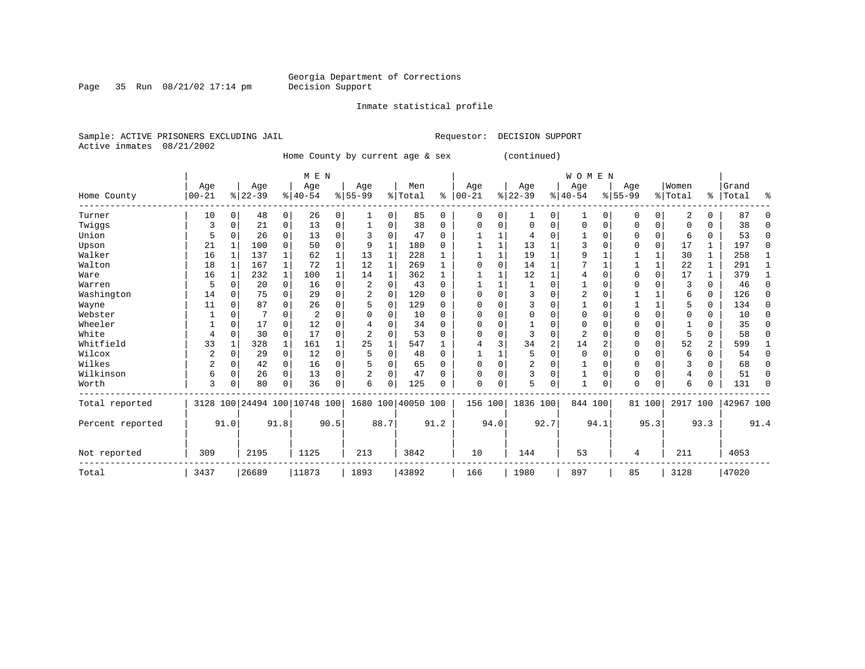Inmate statistical profile

Page 35 Run  $08/21/02$  17:14 pm

Sample: ACTIVE PRISONERS EXCLUDING JAIL Requestor: DECISION SUPPORT

Active inmates 08/21/2002

Home County by current age & sex (continued)

|                  |                |          |           |                | M E N                        |              |                |          |                    |          |             |      |           |                | <b>WOMEN</b>   |          |             |          |          |                |           |          |
|------------------|----------------|----------|-----------|----------------|------------------------------|--------------|----------------|----------|--------------------|----------|-------------|------|-----------|----------------|----------------|----------|-------------|----------|----------|----------------|-----------|----------|
|                  | Age            |          | Age       |                | Age                          |              | Age            |          | Men                |          | Age         |      | Age       |                | Age            |          | Age         |          | Women    |                | Grand     |          |
| Home County      | $00 - 21$      |          | $8 22-39$ |                | $8 40-54$                    |              | $8155 - 99$    |          | % Total            | ి        | $ 00-21$    |      | $ 22-39 $ |                | $ 40-54$       |          | $8155 - 99$ |          | % Total  |                | %   Total | ႜ        |
| Turner           | 10             | 0        | 48        | 0 <sup>1</sup> | 26                           | 0            |                | $\Omega$ | 85                 | 0        | 0           | 0    | 1         | 0              | 1              | $\Omega$ | 0           | 0        | 2        | 0              | 87        |          |
| Twiggs           | 3              |          | 21        | $\overline{0}$ | 13                           | 0            |                | $\Omega$ | 38                 | 0        | $\Omega$    | 0    | $\Omega$  | $\Omega$       | $\Omega$       | $\Omega$ | $\Omega$    | 0        | $\Omega$ | U              | 38        | ∩        |
| Union            | 5              |          | 26        | 0              | 13                           | 0            |                | $\Omega$ | 47                 | U        |             |      |           | O              |                | $\Omega$ | U           | 0        | 6        | 0              | 53        | $\Omega$ |
| Upson            | 21             |          | 100       | 0              | 50                           | $\Omega$     | 9              |          | 180                |          |             |      | 13        |                | 3              | $\Omega$ | $\Omega$    | $\Omega$ | 17       | 1              | 197       | n        |
| Walker           | 16             |          | 137       |                | 62                           | 1            | 13             |          | 228                |          |             |      | 19        |                | 9              |          |             |          | 30       | 1              | 258       |          |
| Walton           | 18             |          | 167       | $\mathbf 1$    | 72                           | 1            | 12             | 1        | 269                |          |             | O    | 14        | 1              |                |          |             |          | 22       | 1              | 291       |          |
| Ware             | 16             |          | 232       | $\mathbf{1}$   | 100                          | $\mathbf{1}$ | 14             | 1        | 362                |          |             |      | 12        |                | 4              | $\Omega$ | $\Omega$    | $\Omega$ | 17       | 1              | 379       |          |
| Warren           | 5              |          | 20        | $\Omega$       | 16                           | 0            | 2              | O        | 43                 | U        |             |      |           | $\Omega$       |                | $\Omega$ | $\Omega$    |          | 3        | 0              | 46        | ∩        |
| Washington       | 14             |          | 75        | $\Omega$       | 29                           | $\Omega$     | $\overline{2}$ | $\Omega$ | 120                | U        | O           | U    | 3         | $\Omega$       | 2              | $\Omega$ |             |          | 6        | 0              | 126       | ∩        |
| Wayne            | 11             |          | 87        |                | 26                           | 0            |                | $\Omega$ | 129                | U        | $\Omega$    | U    | 3         | U              |                | $\Omega$ |             |          | 5        | 0              | 134       | ∩        |
| Webster          |                |          |           |                | $\overline{2}$               | 0            |                |          | 10                 | U        | O           |      | U         | O              | 0              | $\Omega$ | U           |          | $\Omega$ | 0              | 10        | ∩        |
| Wheeler          |                |          | 17        |                | 12                           | O            |                |          | 34                 | U        | n           | O    |           | $\Omega$       | $\Omega$       | $\cap$   | $\Omega$    |          |          | U              | 35        |          |
| White            | 4              |          | 30        | 0              | 17                           | 0            |                |          | 53                 | U        | $\Omega$    | O    |           | $\Omega$       | $\overline{2}$ | C        | $\Omega$    | $\Omega$ | 5        | 0              | 58        | ∩        |
| Whitfield        | 33             |          | 328       | 1              | 161                          | 1            | 25             |          | 547                |          |             | 3    | 34        | $\overline{2}$ | 14             | 2        | $\Omega$    | $\Omega$ | 52       | $\overline{a}$ | 599       |          |
| Wilcox           | 2              |          | 29        | $\Omega$       | 12                           | 0            |                | $\Omega$ | 48                 | $\Omega$ |             |      |           | $\Omega$       | $\mathbf 0$    | $\Omega$ | $\Omega$    | $\Omega$ | 6        | 0              | 54        | U        |
| Wilkes           | $\overline{2}$ | U        | 42        | $\overline{0}$ | 16                           | 0            |                | O        | 65                 | U        | $\Omega$    | O    | 2         | $\Omega$       |                | $\Omega$ | $\Omega$    |          | 3        | 0              | 68        |          |
| Wilkinson        | 6              | $\Omega$ | 26        | $\Omega$       | 13                           | 0            | 2              | $\Omega$ | 47                 | 0        | $\Omega$    | 0    | 3         | $\Omega$       | 1              | $\Omega$ | $\Omega$    | $\Omega$ | 4        | 0              | 51        | n        |
| Worth            | 3              |          | 80        | $\Omega$       | 36                           | 0            | б              |          | 125                | U        | $\mathbf 0$ | 0    | 5         | 0              | $\mathbf{1}$   | $\Omega$ | $\Omega$    | 0        | 6        | 0              | 131       | ∩        |
| Total reported   |                |          |           |                | 3128 100 24494 100 10748 100 |              |                |          | 1680 100 40050 100 |          | 156 100     |      | 1836 100  |                | 844 100        |          |             | 81 100   | 2917 100 |                | 42967 100 |          |
| Percent reported |                | 91.0     |           | 91.8           |                              | 90.5         |                | 88.7     |                    | 91.2     |             | 94.0 |           | 92.7           |                | 94.1     |             | 95.3     |          | 93.3           |           | 91.4     |
| Not reported     | 309            |          | 2195      |                | 1125                         |              | 213            |          | 3842               |          | 10          |      | 144       |                | 53             |          | 4           |          | 211      |                | 4053      |          |
| Total            | 3437           |          | 26689     |                | 11873                        |              | 1893           |          | 43892              |          | 166         |      | 1980      |                | 897            |          | 85          |          | 3128     |                | 47020     |          |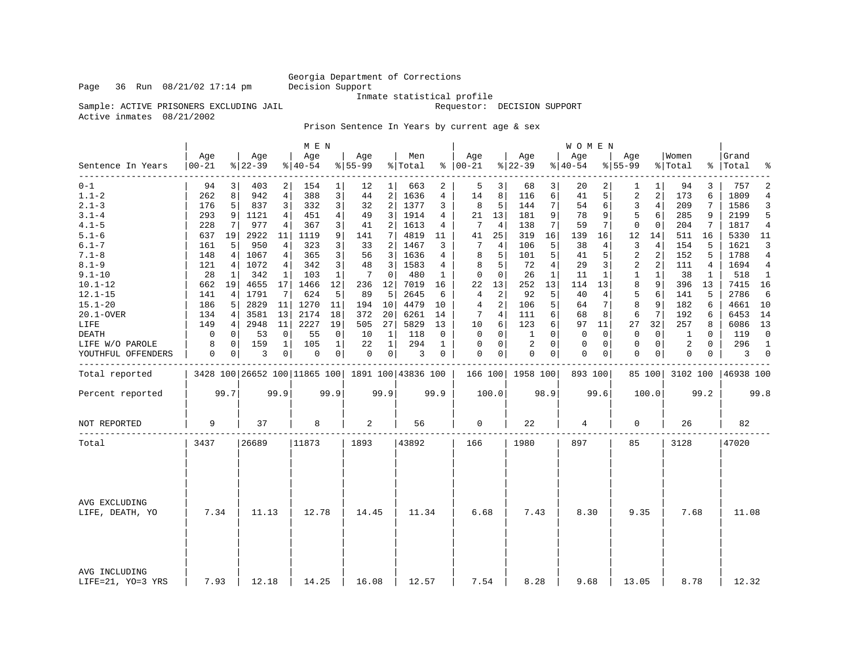### Georgia Department of Corrections<br>Decision Support

Sample: ACTIVE PRISONERS EXCLUDING JAIL

Inmate statistical profile<br>Requestor: DECISION SUPPORT

Active inmates 08/21/2002

Prison Sentence In Years by current age & sex

|                                    |                   |                |                  |                | M E N                        |                         |                  |                 |                                                 |      |                  |                |                  |                         | WOMEN            |      |                  |                |                  |              |                    |                |
|------------------------------------|-------------------|----------------|------------------|----------------|------------------------------|-------------------------|------------------|-----------------|-------------------------------------------------|------|------------------|----------------|------------------|-------------------------|------------------|------|------------------|----------------|------------------|--------------|--------------------|----------------|
| Sentence In Years                  | Age<br>$ 00 - 21$ |                | Age<br>$ 22-39 $ |                | Age<br>$\frac{1}{6}$   40-54 |                         | Age<br>$8 55-99$ |                 | Men<br>% Total                                  |      | Age<br>$% 00-21$ |                | Age<br>$ 22-39$  |                         | Aqe<br>$8 40-54$ |      | Aqe<br>$8 55-99$ |                | Women<br>% Total |              | Grand<br>%   Total | ႜ              |
| --------<br>$0 - 1$                | 94                | 3              | 403              | 2              | 154                          | 1                       | 12               | 1               | 663                                             | 2    | 5                | 3              | 68               | $\overline{\mathbf{3}}$ | 20               | 2    | 1                | 1              | 94               | 3            | 757                | 2              |
| $1.1 - 2$                          | 262               | 8              | 942              | $\overline{4}$ | 388                          | 3                       | 44               | 2               | 1636                                            | 4    | 14               | 8              | 116              | 6                       | 41               | 5    | 2                | 2              | 173              | 6            | 1809               | $\overline{4}$ |
| $2.1 - 3$                          | 176               | 5              | 837              | 3              | 332                          | $\overline{\mathbf{3}}$ | 32               | 2               | 1377                                            | 3    | 8                | 5              | 144              | 7                       | 54               | 6    | 3                | 4              | 209              | 7            | 1586               | 3              |
| $3.1 - 4$                          | 293               | 9              | 1121             | 4              | 451                          | 4                       | 49               | 3               | 1914                                            | 4    | 21               | 13             | 181              | 9                       | 78               | 9    | 5                | 6              | 285              | 9            | 2199               | 5              |
| $4.1 - 5$                          | 228               | 7              | 977              | 4              | 367                          | $\overline{3}$          | 41               | 2               | 1613                                            | 4    | 7                | $\overline{4}$ | 138              | 7                       | 59               | 7    | $\mathbf 0$      | $\Omega$       | 204              | 7            | 1817               | $\overline{4}$ |
| $5.1 - 6$                          | 637               | 19             | 2922             | 11             | 1119                         | $\overline{9}$          | 141              | 7 I             | 4819                                            | 11   | 41               | 25             | 319              | 16                      | 139              | 16   | 12               | 14             | 511              | 16           | 5330               | 11             |
| $6.1 - 7$                          | 161               | 5              | 950              | 4              | 323                          | 3                       | 33               | 2               | 1467                                            | 3    | 7                | 4              | 106              | 5                       | 38               | 4    | 3                | 4              | 154              | 5            | 1621               | २              |
| $7.1 - 8$                          | 148               | 4              | 1067             | 4 <sup>1</sup> | 365                          | 3                       | 56               | 3 <sup>1</sup>  | 1636                                            | 4    | 8                | 5              | 101              | 5                       | 41               | 5    | $\overline{2}$   | 2              | 152              | 5            | 1788               | $\overline{4}$ |
| $8.1 - 9$                          | 121               | 4              | 1072             | 4 <sup>1</sup> | 342                          | 3                       | 48               | 3               | 1583                                            | 4    | 8                | 5              | 72               | $\overline{4}$          | 29               | 3    | 2                | 2              | 111              | 4            | 1694               | 4              |
| $9.1 - 10$                         | 28                | 1              | 342              | 1              | 103                          | 1                       | 7                | $\mathbf 0$     | 480                                             | 1    | 0                | 0              | 26               | $\mathbf{1}$            | 11               | 1    | $\mathbf{1}$     | $\mathbf 1$    | 38               | $\mathbf{1}$ | 518                | 1              |
| $10.1 - 12$                        | 662               | 19             | 4655             | 17             | 1466                         | 12                      | 236              | 12              | 7019                                            | 16   | 22               | 13             | 252              | 13                      | 114              | 13   | 8                | 9              | 396              | 13           | 7415               | 16             |
| $12.1 - 15$                        | 141               | 4              | 1791             | 7              | 624                          | 5                       | 89               | 5               | 2645                                            | 6    | $\overline{4}$   | 2              | 92               | 5                       | 40               | 4    | 5                | 6              | 141              | 5            | 2786               | 6              |
| $15.1 - 20$                        | 186               | 5              | 2829             | 11             | 1270                         | 11                      | 194              | 10              | 4479                                            | 10   | 4                | 2              | 106              | 5                       | 64               | 7    | 8                | 9              | 182              | 6            | 4661               | 10             |
| 20.1-OVER                          | 134               | 4 <sup>1</sup> | 3581             | 13             | 2174                         | 18                      | 372              | 20 <sup>1</sup> | 6261                                            | 14   | 7                | 4              | 111              | 6                       | 68               | 8    | 6                | $7\phantom{.}$ | 192              | 6            | 6453               | 14             |
| LIFE                               | 149               | 4              | 2948             | 11             | 2227                         | 19                      | 505              | 27              | 5829                                            | 13   | 10               | 6              | 123              | 6                       | 97               | 11   | 27               | 32             | 257              | 8            | 6086               | 13             |
| <b>DEATH</b>                       | 0                 | 0              | 53               | $\mathbf 0$    | 55                           | $\mathbf 0$             | 10               | 1               | 118                                             | 0    | 0                | 0              | 1                | $\Omega$                | 0                | 0    | $\mathbf 0$      | $\mathbf 0$    | 1                | $\Omega$     | 119                | $\mathbf 0$    |
| LIFE W/O PAROLE                    | 8                 | 0              | 159              | $\mathbf{1}$   | 105                          | $\mathbf{1}$            | 22               | $1\vert$        | 294                                             | 1    | $\mathbf 0$      | 0              | $\overline{2}$   | $\Omega$                | $\mathbf 0$      | 0    | $\mathbf 0$      | $\mathbf 0$    | 2                | $\Omega$     | 296                | $\mathbf{1}$   |
| YOUTHFUL OFFENDERS                 | 0                 | 0              | 3                | $\overline{0}$ | 0                            | $\overline{0}$          | 0                | 0 <sup>1</sup>  | 3                                               | 0    | 0                | 0              | $\mathbf 0$      | $\overline{0}$          | 0                | 0    | $\mathbf 0$      | 0              | 0                | 0            | 3                  | $\mathbf 0$    |
| Total reported                     |                   |                |                  |                |                              |                         |                  |                 | 3428 100 26652 100 11865 100 1891 100 43836 100 |      |                  |                | 166 100 1958 100 |                         | 893 100          |      |                  | 85 100         | 3102 100         |              | 46938 100          |                |
| Percent reported                   |                   | 99.7           |                  | 99.9           |                              | 99.9                    |                  | 99.9            |                                                 | 99.9 |                  | 100.0          |                  | 98.9                    |                  | 99.6 |                  | 100.0          |                  | 99.2         |                    | 99.8           |
| NOT REPORTED                       | 9                 |                | 37               |                | 8                            |                         | 2                |                 | 56                                              |      | 0                |                | 22               |                         | 4                |      | 0                |                | 26               |              | 82                 |                |
| Total                              | 3437              |                | 26689            |                | 11873                        |                         | 1893             |                 | 43892                                           |      | 166              |                | 1980             |                         | 897              |      | 85               |                | 3128             |              | 47020              |                |
|                                    |                   |                |                  |                |                              |                         |                  |                 |                                                 |      |                  |                |                  |                         |                  |      |                  |                |                  |              |                    |                |
| AVG EXCLUDING<br>LIFE, DEATH, YO   | 7.34              |                | 11.13            |                | 12.78                        |                         | 14.45            |                 | 11.34                                           |      | 6.68             |                | 7.43             |                         | 8.30             |      | 9.35             |                | 7.68             |              | 11.08              |                |
| AVG INCLUDING<br>LIFE=21, YO=3 YRS | 7.93              |                | 12.18            |                | 14.25                        |                         | 16.08            |                 | 12.57                                           |      | 7.54             |                | 8.28             |                         | 9.68             |      | 13.05            |                | 8.78             |              | 12.32              |                |

Page 36 Run  $08/21/02$  17:14 pm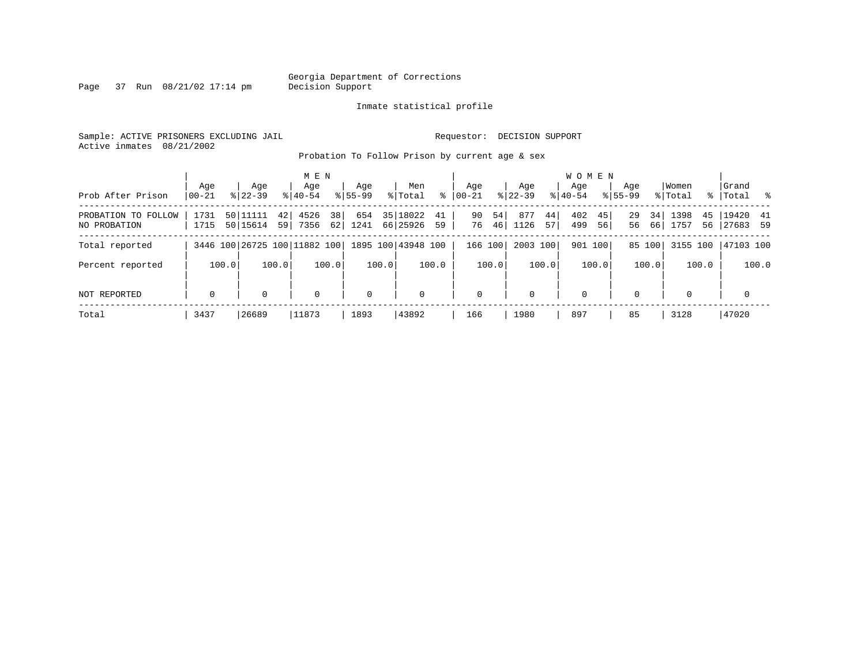Page 37 Run  $08/21/02$  17:14 pm

#### Inmate statistical profile

Sample: ACTIVE PRISONERS EXCLUDING JAIL **Requestor: DECISION SUPPORT** Active inmates 08/21/2002

Probation To Follow Prison by current age & sex

|                                     | Age          | Age                  | M E N<br>Age                       | Aqe         | Men                           | Age                   | Aqe                     | <b>WOMEN</b><br>Aqe    | Age                  | Women                    | Grand                   |
|-------------------------------------|--------------|----------------------|------------------------------------|-------------|-------------------------------|-----------------------|-------------------------|------------------------|----------------------|--------------------------|-------------------------|
| Prob After Prison                   | $00 - 21$    | $8122 - 39$          | $8140 - 54$                        | $8155 - 99$ | ွေ<br>% Total                 | $ 00-21$              | $8122 - 39$             | $8140 - 54$            | $8155 - 99$          | % Total                  | % Total %               |
| PROBATION TO FOLLOW<br>NO PROBATION | 1731<br>1715 | 50 11111<br>50 15614 | 38<br>4526<br>42<br>62 <br>59 7356 | 654<br>1241 | 35 18022<br>41<br>66 25926 59 | 90<br>54<br>46 <br>76 | 877<br>44<br>1126<br>57 | 402<br>45<br>499<br>56 | 29<br>34<br>66<br>56 | 1398<br>45<br>1757<br>56 | $19420$ 41<br> 27683 59 |
| Total reported                      |              |                      | 3446 100 26725 100 11882 100       |             | 1895 100 43948 100            | 166 100               | 2003 100                | 901 100                | 85 100               | 3155 100                 | 47103 100               |
| Percent reported                    | 100.0        | 100.0                | 100.0                              | 100.0       | 100.0                         | 100.0                 | 100.0                   | 100.0                  | 100.0                | 100.0                    | 100.0                   |
| NOT REPORTED                        | $\mathbf 0$  | $\Omega$             | $\mathbf 0$                        | $\mathbf 0$ | $\mathbf 0$                   | 0                     | $\Omega$                | $\mathbf 0$            | $\Omega$             | $\Omega$                 | $\mathbf 0$             |
| Total                               | 3437         | 26689                | 11873                              | 1893        | 43892                         | 166                   | 1980                    | 897                    | 85                   | 3128                     | 47020                   |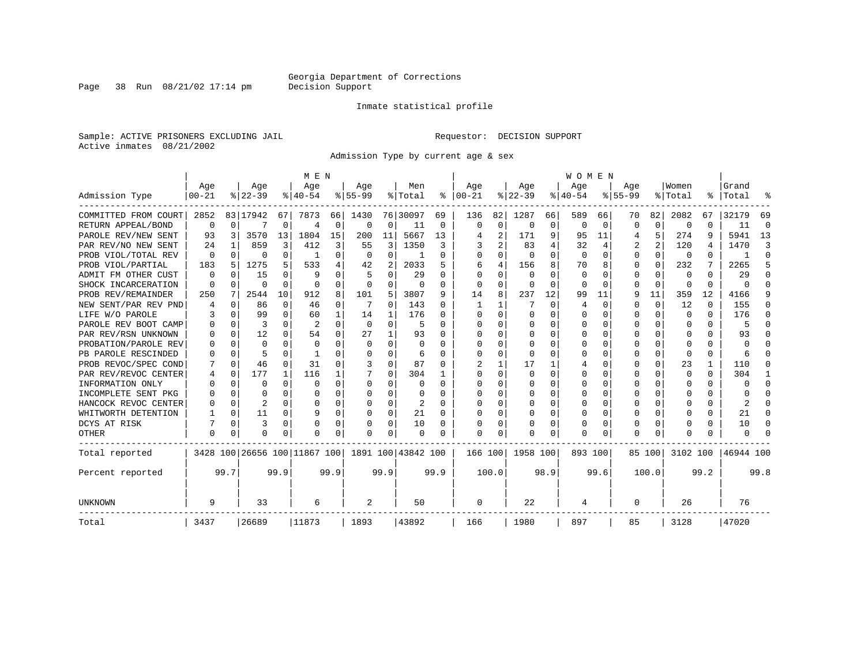Page 38 Run  $08/21/02$  17:14 pm

#### Inmate statistical profile

Sample: ACTIVE PRISONERS EXCLUDING JAIL **Requestor: DECISION SUPPORT** Active inmates 08/21/2002

Admission Type by current age & sex

|                      |           |          |           |          | M E N                        |              |           |             |                    |          |              |             |              |          | <b>WOMEN</b> |          |             |          |              |              |           |              |
|----------------------|-----------|----------|-----------|----------|------------------------------|--------------|-----------|-------------|--------------------|----------|--------------|-------------|--------------|----------|--------------|----------|-------------|----------|--------------|--------------|-----------|--------------|
|                      | Age       |          | Age       |          | Age                          |              | Aqe       |             | Men                |          | Age          |             | Age          |          | Age          |          | Age         |          | Women        |              | Grand     |              |
| Admission Type       | $00 - 21$ |          | $8 22-39$ |          | $8 40-54$                    |              | $8 55-99$ |             | % Total            | ႜ        | $ 00-21$     |             | $ 22-39$     |          | $ 40-54 $    |          | $8155 - 99$ |          | % Total      | ႜ            | Total     |              |
| COMMITTED FROM COURT | 2852      |          | 83 17942  | 67       | 7873                         | 66           | 1430      |             | 76 30097           | 69       | 136          | 82          | 1287         | 66       | 589          | 66       | 70          | 82       | 2082         | 67           | 32179     | 69           |
| RETURN APPEAL/BOND   | $\Omega$  | $\Omega$ |           | $\Omega$ | $\overline{4}$               | 0            | 0         | 0           | 11                 | 0        | $\Omega$     | $\mathbf 0$ | $\Omega$     | $\Omega$ | $\Omega$     | $\Omega$ | $\Omega$    | $\Omega$ | $\Omega$     | 0            | 11        | $\Omega$     |
| PAROLE REV/NEW SENT  | 93        | 3        | 3570      | 13       | 1804                         | 15           | 200       | 11          | 5667               | 13       |              | 2           | 171          | 9        | 95           | 11       |             | 5        | 274          | 9            | 5941      | 13           |
| PAR REV/NO NEW SENT  | 24        |          | 859       | 3        | 412                          | 3            | 55        | 3           | 1350               | 3        |              | 2           | 83           | 4        | 32           |          |             | 2        | 120          | 4            | 1470      | κ            |
| PROB VIOL/TOTAL REV  | $\Omega$  | $\Omega$ | U         | 0        | 1                            | 0            | $\Omega$  | 0           |                    | O        | $\Omega$     | 0           | $\Omega$     | $\Omega$ | $\mathbf 0$  | 0        | $\Omega$    | 0        | $\Omega$     | U            |           | <sup>0</sup> |
| PROB VIOL/PARTIAL    | 183       | 5        | 1275      | 5.       | 533                          | 4            | 42        | 2           | 2033               | 5        | 6            | 4           | 156          | 8        | 70           | 8        | $\Omega$    | $\Omega$ | 232          |              | 2265      | 5            |
| ADMIT FM OTHER CUST  | 0         | 0        | 15        | 0        | q                            | $\Omega$     | 5         | $\Omega$    | 29                 | O        | <sup>0</sup> | $\Omega$    | $\Omega$     | U        | $\Omega$     | O        | $\Omega$    | $\Omega$ | $\Omega$     | 0            | 29        | ∩            |
| SHOCK INCARCERATION  | $\Omega$  | $\Omega$ | O         | $\Omega$ | $\cap$                       | 0            | $\Omega$  | 0           | 0                  | 0        | $\Omega$     | 0           | $\Omega$     | O        | $\Omega$     | $\Omega$ | $\Omega$    | $\Omega$ | <sup>0</sup> | 0            | U         | ∩            |
| PROB REV/REMAINDER   | 250       |          | 2544      | 10       | 912                          | 8            | 101       | 5           | 3807               | 9        | 14           | 8           | 237          | 12       | 99           | 11       | 9           | 11       | 359          | 12           | 4166      |              |
| NEW SENT/PAR REV PND |           | $\Omega$ | 86        | $\Omega$ | 46                           | 0            |           | 0           | 143                | 0        |              | 1           |              | $\Omega$ | 4            | $\Omega$ | $\Omega$    | $\Omega$ | 12           | $\Omega$     | 155       | n            |
| LIFE W/O PAROLE      |           | $\Omega$ | 99        | $\Omega$ | 60                           |              | 14        | 1           | 176                | U        | O            | $\Omega$    | 0            | $\Omega$ | 0            | 0        | $\Omega$    | $\Omega$ | $\Omega$     | $\Omega$     | 176       | O            |
| PAROLE REV BOOT CAMP |           | $\Omega$ | 3         | $\Omega$ | $\overline{2}$               | $\Omega$     | $\Omega$  | $\Omega$    | 5                  | O        |              | 0           | 0            | $\Omega$ | 0            | 0        | O           | O        | 0            | 0            | 5         | U            |
| PAR REV/RSN UNKNOWN  |           | $\Omega$ | 12        | 0        | 54                           | 0            | 27        | 1           | 93                 | O        |              | 0           | 0            | $\Omega$ | Ω            | O        | O           | $\Omega$ | O            | U            | 93        |              |
| PROBATION/PAROLE REV |           | $\Omega$ | U         | 0        | $\Omega$                     | <sup>0</sup> | $\Omega$  | $\Omega$    | $\Omega$           | O        | <sup>0</sup> | O           | <sup>0</sup> | O        | Ω            | O        | $\Omega$    | $\Omega$ | <sup>0</sup> | U            | U         |              |
| PB PAROLE RESCINDED  |           | ∩        |           | U        |                              | <sup>0</sup> | U         | $\cap$      | 6                  | U        | ∩            | $\Omega$    | ∩            | U        | ∩            | O        | ∩           | $\Omega$ | $\Omega$     | 0            |           |              |
| PROB REVOC/SPEC COND |           | $\Omega$ | 46        | 0        | 31                           | 0            |           | $\Omega$    | 87                 | O        |              |             | 17           |          |              | 0        | $\Omega$    | $\Omega$ | 23           | $\mathbf{1}$ | 110       |              |
| PAR REV/REVOC CENTER |           | $\Omega$ | 177       | 1        | 116                          |              |           | $\Omega$    | 304                |          | <sup>0</sup> | U           | O            | O        | Ω            | O        | O           |          | O            | U            | 304       |              |
| INFORMATION ONLY     |           | $\Omega$ | U         | 0        | $\Omega$                     | O            | O         | $\Omega$    | O                  | O        | <sup>0</sup> | U           |              | O        | O            | O        | $\Omega$    |          |              | U            | U         | $\Omega$     |
| INCOMPLETE SENT PKG  |           | $\Omega$ | U         | 0        | $\Omega$                     | 0            | O         | 0           | 0                  | O        | <sup>0</sup> | 0           | 0            | O        | U            | $\Omega$ | $\Omega$    | $\Omega$ | O            | 0            | U         | ∩            |
| HANCOCK REVOC CENTER |           | $\Omega$ | 2         | 0        | $\cap$                       | 0            | U         | 0           | 2                  | $\Omega$ | ∩            | 0           | 0            | O        | U            | $\Omega$ | O           | $\Omega$ |              | 0            | 2         | ∩            |
| WHITWORTH DETENTION  |           | $\Omega$ | 11        | 0        | q                            | $\Omega$     | U         | $\Omega$    | 21                 | 0        | $\cap$       | $\Omega$    | <sup>0</sup> | $\Omega$ | 0            | $\Omega$ | $\Omega$    | $\Omega$ |              | U            | 21        | ∩            |
| DCYS AT RISK         |           | $\Omega$ | 3         | $\Omega$ | O                            | 0            | O         | $\mathbf 0$ | 10                 | O        | <sup>0</sup> | 0           | O            | $\Omega$ | Ω            | 0        | $\Omega$    | $\Omega$ |              | U            | 10        | $\Omega$     |
| <b>OTHER</b>         | $\Omega$  | $\Omega$ | O         | U        |                              | 0            | O         | $\Omega$    | O                  | O        | <sup>0</sup> | 0           |              | 0        | Ω            | 0        | $\Omega$    | $\Omega$ |              | U            | U         |              |
| Total reported       |           |          |           |          | 3428 100 26656 100 11867 100 |              |           |             | 1891 100 43842 100 |          | 166 100      |             | 1958 100     |          | 893 100      |          |             | 85 100   | 3102 100     |              | 46944 100 |              |
| Percent reported     |           | 99.7     |           | 99.9     |                              | 99.9         |           | 99.9        |                    | 99.9     |              | 100.0       |              | 98.9     |              | 99.6     |             | 100.0    |              | 99.2         |           | 99.8         |
| UNKNOWN              | 9         |          | 33        |          | 6                            |              | 2         |             | 50                 |          | 0            |             | 22           |          | 4            |          | 0           |          | 26           |              | 76        |              |
| Total                | 3437      |          | 26689     |          | 11873                        |              | 1893      |             | 43892              |          | 166          |             | 1980         |          | 897          |          | 85          |          | 3128         |              | 47020     |              |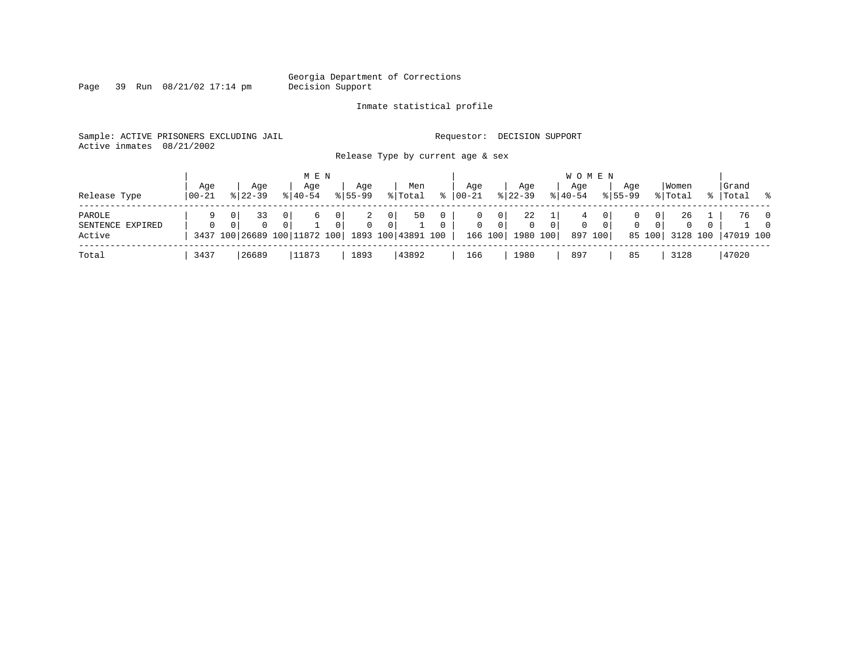Page 39 Run 08/21/02 17:14 pm

#### Inmate statistical profile

Sample: ACTIVE PRISONERS EXCLUDING JAIL **Requestor: DECISION SUPPORT** Active inmates 08/21/2002

Release Type by current age & sex

| Release Type                         | Aqe<br>$100 - 21$ | Age<br>$8122 - 39$ | M E N<br>Age<br>$8140 - 54$                               | Aqe<br>$8155 - 99$                    | Men<br>% Total                         | °≈                           | Aqe<br>$00 - 21$             | Aqe<br>$8 22-39$                                                           | Age<br>$8 40-54$         | W O M E N<br>Aqe<br>$8155 - 99$ | Women<br>% Total                                                                                  | Grand<br>%   Total | န        |
|--------------------------------------|-------------------|--------------------|-----------------------------------------------------------|---------------------------------------|----------------------------------------|------------------------------|------------------------------|----------------------------------------------------------------------------|--------------------------|---------------------------------|---------------------------------------------------------------------------------------------------|--------------------|----------|
| PAROLE<br>SENTENCE EXPIRED<br>Active | $\Omega$          | 33                 | 0<br>6<br>3437 100 26689 100 11872 100 1893 100 43891 100 | 0 <sup>1</sup><br>2<br>$\Omega$<br>01 | 50<br>0 <sup>1</sup><br>0 <sup>1</sup> | $\mathbf{0}$<br>$\mathbf{0}$ | $\mathbf{0}$<br>$\mathbf{0}$ | 22<br>0 <sup>1</sup><br>0 <sup>1</sup><br>$\mathbf{0}$<br>166 100 1980 100 | 4<br>0 <sup>1</sup><br>0 | 0 <sup>1</sup><br>897 100       | 26<br>0<br>0 <sup>1</sup><br>$\mathbf{0}$<br>0 <sup>1</sup><br>$\mathbf{0}$<br>85 100<br>3128 100 | 76 0<br>47019 100  | $\Omega$ |
| Total                                | 3437              | 26689              | 11873                                                     | 1893                                  | 43892                                  |                              | 166                          | 1980                                                                       | 897                      | 85                              | 3128                                                                                              | 47020              |          |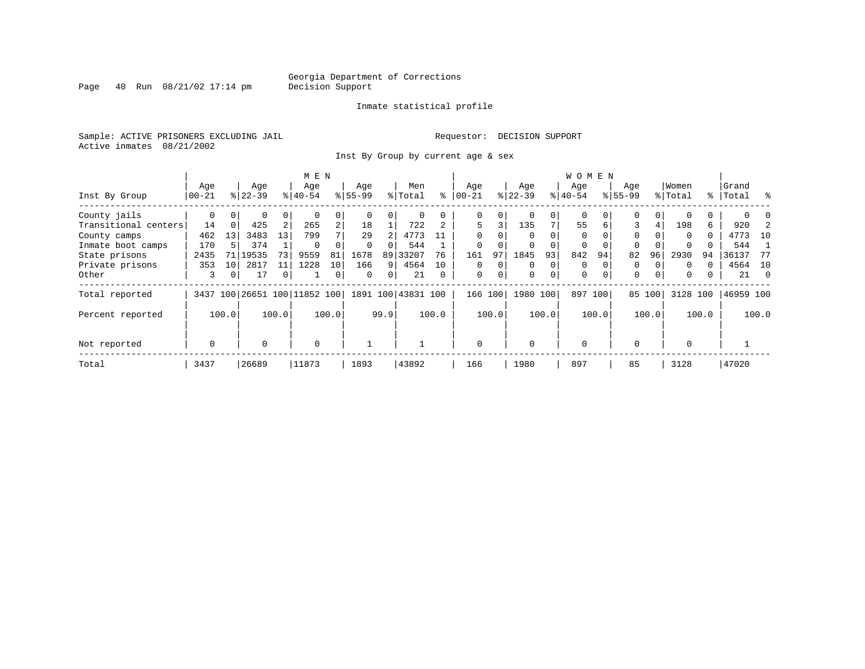Page  $40$  Run  $08/21/02$  17:14 pm

#### Inmate statistical profile

Sample: ACTIVE PRISONERS EXCLUDING JAIL **Requestor: DECISION SUPPORT** Active inmates 08/21/2002

Inst By Group by current age & sex

|                      |             |          |           |                | M E N                   |                |             |          |               |          |             |          |             |          | <b>WOMEN</b> |          |             |                |          |       |           |                |
|----------------------|-------------|----------|-----------|----------------|-------------------------|----------------|-------------|----------|---------------|----------|-------------|----------|-------------|----------|--------------|----------|-------------|----------------|----------|-------|-----------|----------------|
|                      | Age         |          | Age       |                | Age                     |                | Age         |          | Men           |          | Aqe         |          | Age         |          | Aqe          |          | Age         |                | Women    |       | Grand     |                |
| Inst By Group        | $00 - 21$   |          | $8 22-39$ |                | $8140 - 54$             |                | $8155 - 99$ |          | % Total       | ႜ        | $ 00 - 21 $ |          | $ 22-39$    |          | $ 40-54$     |          | $8155 - 99$ |                | % Total  |       | %   Total | ိ              |
| County jails         | 0           | $\Omega$ | 0         | 0              |                         | 0              |             |          |               |          | 0           | 0        |             | $\Omega$ | $\Omega$     |          | $\Omega$    |                |          |       |           |                |
| Transitional centers | 14          | $\Omega$ | 425       | 2              | 265                     | $\overline{a}$ | 18          |          | 722           |          | 5           | 3        | 135         | 7        | 55           | 6        | 3           | 4              | 198      | 6     | 920       |                |
| County camps         | 462         | 13       | 3483      | 13             | 799                     | 7              | 29          |          | 4773          |          | $\Omega$    |          |             |          | $\Omega$     |          | $\Omega$    |                | $\Omega$ | 0     | 4773      | 10             |
| Inmate boot camps    | 170         |          | 374       |                | $\Omega$                |                | $\Omega$    | $\Omega$ | 544           |          | $\Omega$    |          |             |          | $\Omega$     |          | $\Omega$    |                |          |       | 544       |                |
| State prisons        | 2435        | 71       | 19535     | 73             | 9559                    | 81             | 1678        | 89       | 33207         | 76       | 161         | 97       | 1845        | 93       | 842          | 94       | 82          | 96             | 2930     | 94    | 36137     | 77             |
| Private prisons      | 353         | 10       | 2817      | 11             | 1228                    | 10             | 166         | 9        | 4564          | 10       | 0           | $\Omega$ | $\Omega$    | 0        | $\Omega$     |          | 0           |                | $\Omega$ |       | 4564      | 10             |
| Other                | 3           | 0        | 17        | $\overline{0}$ |                         | 0              | $\Omega$    | 0        | 21            | $\Omega$ | $\mathbf 0$ | 0        | $\mathbf 0$ | 0        | $\mathbf 0$  | $\Omega$ | $\mathbf 0$ | $\overline{0}$ | $\Omega$ | 0     | 21        | $\overline{0}$ |
| Total reported       | 3437        |          |           |                | 100 26651 100 11852 100 |                | 1891        |          | 100 43831 100 |          | 166         | 100      | 1980        | 100      | 897 100      |          | 85          | 100            | 3128     | 100   | 46959 100 |                |
| Percent reported     |             | 100.0    |           | 100.0          |                         | 100.0          |             | 99.9     |               | 100.0    |             | 100.0    |             | 100.0    |              | 100.0    |             | 100.0          |          | 100.0 |           | 100.0          |
| Not reported         | $\mathbf 0$ |          | $\Omega$  |                | $\mathbf 0$             |                |             |          |               |          | $\mathbf 0$ |          | $\Omega$    |          | $\Omega$     |          | $\Omega$    |                | $\Omega$ |       |           |                |
| Total                | 3437        |          | 26689     |                | 11873                   |                | 1893        |          | 43892         |          | 166         |          | 1980        |          | 897          |          | 85          |                | 3128     |       | 47020     |                |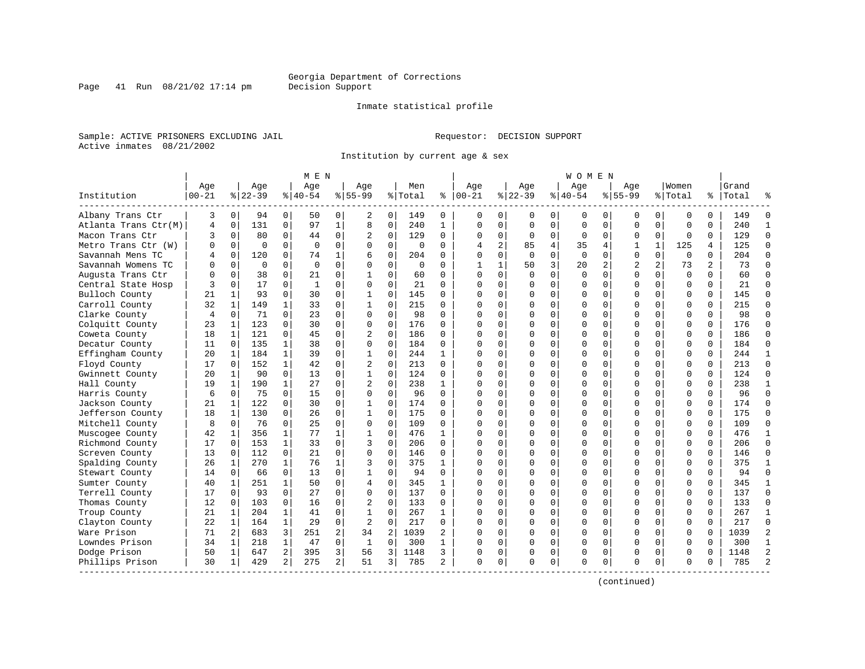#### Inmate statistical profile

Sample: ACTIVE PRISONERS EXCLUDING JAIL **Requestor: DECISION SUPPORT** Active inmates 08/21/2002

Page 41 Run  $08/21/02$  17:14 pm

Institution by current age & sex

|                      |                   |              |                  |                | M E N            |                |                    |                  |                |              |                   |          |                  |                | W O M E N       |             |                    |                |                  |          |                |                |
|----------------------|-------------------|--------------|------------------|----------------|------------------|----------------|--------------------|------------------|----------------|--------------|-------------------|----------|------------------|----------------|-----------------|-------------|--------------------|----------------|------------------|----------|----------------|----------------|
| Institution          | Age<br>$ 00 - 21$ |              | Age<br>$8 22-39$ |                | Age<br>$8 40-54$ |                | Aqe<br>$8155 - 99$ |                  | Men<br>% Total | နွ           | Aqe<br>$ 00 - 21$ |          | Aqe<br>$8 22-39$ |                | Aqe<br>$ 40-54$ |             | Aqe<br>$8155 - 99$ |                | Women<br>% Total | ႜႜ       | Grand<br>Total |                |
| Albany Trans Ctr     | 3                 | 0            | 94               | $\overline{0}$ | 50               | 0              | 2                  | 0                | 149            | $\mathbf 0$  | $\Omega$          | $\Omega$ | 0                | 0              | 0               | 0           | 0                  | 0              | $\mathbf 0$      | $\Omega$ | 149            |                |
| Atlanta Trans Ctr(M) | 4                 | $\Omega$     | 131              | 0              | 97               | $\mathbf{1}$   | 8                  | $\mathbf 0$      | 240            | $\mathbf{1}$ | $\Omega$          | $\Omega$ | $\Omega$         | $\Omega$       | $\Omega$        | $\mathbf 0$ | $\Omega$           | $\Omega$       | $\Omega$         | $\Omega$ | 240            | $\mathbf{1}$   |
| Macon Trans Ctr      | ٦                 | 0            | 80               | $\Omega$       | 44               | 0              | 2                  | 0                | 129            | $\Omega$     | ∩                 | $\Omega$ | 0                | $\Omega$       | 0               | 0           | $\Omega$           | 0              | 0                | $\Omega$ | 129            | $\Omega$       |
| Metro Trans Ctr (W)  |                   | $\Omega$     | $\Omega$         | $\Omega$       | $\Omega$         | 0              | U                  | $\mathbf 0$      | $\Omega$       | $\Omega$     |                   |          | 85               | 4              | 35              | 4           | $\mathbf{1}$       | $\mathbf{1}$   | 125              | 4        | 125            | $\Omega$       |
| Savannah Mens TC     |                   | $\Omega$     | 120              | $\Omega$       | 74               | $\mathbf 1$    | 6                  | 0                | 204            | $\Omega$     | $\Omega$          | $\Omega$ | $\Omega$         | 0              | $\Omega$        | $\Omega$    | $\Omega$           | $\Omega$       | $\Omega$         | $\Omega$ | 204            | $\cap$         |
| Savannah Womens TC   |                   | $\Omega$     | 0                | $\Omega$       | $\Omega$         | 0              | O                  | 0                | 0              | $\Omega$     |                   | 1        | 50               | $\overline{3}$ | 20              | 2           | $\overline{2}$     | $\overline{a}$ | 73               | 2        | 73             | $\Omega$       |
| Augusta Trans Ctr    |                   | $\Omega$     | 38               | $\Omega$       | 21               | 0              | $\mathbf{1}$       | $\mathbf 0$      | 60             | $\Omega$     | $\Omega$          | $\Omega$ | $\Omega$         | 0              | $\Omega$        | $\Omega$    | $\Omega$           | $\Omega$       | $\Omega$         | $\Omega$ | 60             | $\Omega$       |
| Central State Hosp   |                   | $\Omega$     | 17               | $\Omega$       | $\mathbf{1}$     | $\Omega$       | O                  | $\Omega$         | 21             | $\Omega$     |                   | 0        | U                | U              |                 | $\Omega$    | $\Omega$           | 0              | $\Omega$         | $\Omega$ | 21             | $\Omega$       |
| Bulloch County       | 21                | 1            | 93               | $\Omega$       | 30               | 0              | -1                 | 0                | 145            | $\Omega$     |                   | 0        | U                | 0              | $\Omega$        | 0           | O                  | $\Omega$       | $\mathbf 0$      | $\Omega$ | 145            | ∩              |
| Carroll County       | 32                | 1            | 149              | $\mathbf 1$    | 33               | 0              | $\mathbf{1}$       | 0                | 215            | $\Omega$     |                   |          | $\Omega$         | O              |                 | 0           | $\Omega$           | 0              | $\mathbf 0$      | $\Omega$ | 215            | $\Omega$       |
|                      |                   |              | 71               | $\Omega$       |                  |                |                    |                  |                | $\Omega$     | ∩                 | ∩        | $\Omega$         | 0              | Λ               | $\Omega$    | $\Omega$           | 0              | $\Omega$         | $\Omega$ |                | $\cap$         |
| Clarke County        | 4                 | 0            |                  | $\Omega$       | 23<br>30         | 0<br>$\Omega$  | 0                  | 0<br>$\mathbf 0$ | 98<br>176      | $\Omega$     |                   | $\Omega$ | U                | 0              |                 | $\Omega$    | $\Omega$           | 0              | $\mathbf 0$      | $\Omega$ | 98<br>176      | $\Omega$       |
| Colquitt County      | 23                | 1            | 123<br>121       |                | 45               |                | 0                  |                  |                |              |                   | $\Omega$ |                  |                |                 |             | $\Omega$           |                |                  | $\Omega$ | 186            | $\Omega$       |
| Coweta County        | 18                | $\mathbf{1}$ |                  | 0              |                  | 0              | $\overline{2}$     | $\mathbf 0$      | 186            | $\Omega$     | $\Omega$          |          |                  | 0              |                 | 0           |                    | 0              | $\mathbf 0$      |          |                |                |
| Decatur County       | 11                | $\Omega$     | 135              | $1\vert$       | 38               | 0              | $\Omega$           | $\Omega$         | 184            | $\Omega$     |                   | 0        | U                | 0              |                 | $\Omega$    | $\Omega$           | 0              | $\Omega$         | $\Omega$ | 184            | $\Omega$       |
| Effingham County     | 20                | 1            | 184              | $\mathbf 1$    | 39               | 0              | $\mathbf{1}$       | $\mathbf 0$      | 244            | 1            |                   | 0        | U                | 0              | Λ               | $\Omega$    | $\Omega$           | 0              | $\mathbf 0$      | $\Omega$ | 244            | 1              |
| Floyd County         | 17                | $\Omega$     | 152              | $1\vert$       | 42               | 0              | 2                  | 0                | 213            | $\Omega$     |                   |          | $\Omega$         | O              |                 | $\mathbf 0$ | $\Omega$           | 0              | $\mathbf 0$      | $\Omega$ | 213            | $\Omega$       |
| Gwinnett County      | 20                | $\mathbf{1}$ | 90               | $\Omega$       | 13               | $\Omega$       | $\mathbf{1}$       | $\Omega$         | 124            | $\Omega$     | U                 | ∩        | $\Omega$         | O              | ∩               | $\Omega$    | $\Omega$           | 0              | $\Omega$         | $\Omega$ | 124            | $\Omega$       |
| Hall County          | 19                | $\mathbf{1}$ | 190              | 1              | 27               | $\Omega$       | $\overline{2}$     | $\mathbf 0$      | 238            | $\mathbf{1}$ |                   | 0        | U                | 0              |                 | $\Omega$    | $\Omega$           | $\Omega$       | $\Omega$         | $\Omega$ | 238            | -1             |
| Harris County        | 6                 | $\mathbf 0$  | 75               | $\overline{0}$ | 15               | 0              | O                  | $\mathbf 0$      | 96             | $\Omega$     |                   | $\Omega$ | 0                | 0              |                 | 0           | $\Omega$           | 0              | $\mathbf 0$      | $\Omega$ | 96             | $\Omega$       |
| Jackson County       | 21                | 1            | 122              | $\overline{0}$ | 30               | 0              | $\mathbf{1}$       | $\Omega$         | 174            | $\Omega$     | ∩                 | 0        | U                | 0              |                 | 0           | O                  | 0              | $\Omega$         | $\Omega$ | 174            | $\Omega$       |
| Jefferson County     | 18                | 1            | 130              | 0              | 26               | 0              | 1                  | 0                | 175            | $\Omega$     | ∩                 | 0        | U                | 0              | Λ               | 0           | U                  | 0              | $\Omega$         | $\Omega$ | 175            | $\Omega$       |
| Mitchell County      | 8                 | $\Omega$     | 76               | $\Omega$       | 25               | 0              | $\Omega$           | $\Omega$         | 109            | $\Omega$     |                   |          | $\Omega$         | $\Omega$       |                 | $\Omega$    | $\Omega$           | 0              | $\Omega$         | $\Omega$ | 109            | $\Omega$       |
| Muscogee County      | 42                | $\mathbf{1}$ | 356              | $\mathbf{1}$   | 77               | 1              | $\mathbf{1}$       | $\Omega$         | 476            | $\mathbf{1}$ | U                 | U        | $\Omega$         | 0              | U               | $\Omega$    | $\Omega$           | 0              | $\Omega$         | $\Omega$ | 476            | $\mathbf{1}$   |
| Richmond County      | 17                | $\Omega$     | 153              | 1              | 33               | $\Omega$       | 3                  | $\mathbf 0$      | 206            | $\Omega$     |                   | $\Omega$ | U                | 0              |                 | $\Omega$    | $\Omega$           | $\Omega$       | $\mathbf 0$      | $\Omega$ | 206            | $\Omega$       |
| Screven County       | 13                | 0            | 112              | 0              | 21               | 0              | 0                  | $\mathbf 0$      | 146            | $\Omega$     |                   | $\Omega$ |                  | 0              |                 | 0           | $\Omega$           | 0              | $\mathbf 0$      | $\Omega$ | 146            | $\Omega$       |
| Spalding County      | 26                | 1            | 270              | 1              | 76               | $\mathbf 1$    | 3                  | $\Omega$         | 375            | $\mathbf{1}$ | ∩                 | 0        | U                | 0              |                 | 0           | O                  | 0              | $\Omega$         | $\Omega$ | 375            | $\mathbf{1}$   |
| Stewart County       | 14                | $\mathbf{0}$ | 66               | 0              | 13               | 0              | 1                  | 0                | 94             | $\Omega$     |                   | 0        | U                | 0              | Λ               | 0           | U                  | 0              | 0                | 0        | 94             | $\Omega$       |
| Sumter County        | 40                | $\mathbf{1}$ | 251              | 1              | 50               | 0              | 4                  | $\Omega$         | 345            | $\mathbf{1}$ |                   |          | O                | O              |                 | $\Omega$    | $\Omega$           | 0              | $\Omega$         | $\Omega$ | 345            | $\mathbf{1}$   |
| Terrell County       | 17                | $\Omega$     | 93               | $\Omega$       | 27               | $\Omega$       | $\Omega$           | $\Omega$         | 137            | $\Omega$     |                   | U        | $\Omega$         | O              | U               | $\Omega$    | $\Omega$           | 0              | $\Omega$         | $\Omega$ | 137            | $\Omega$       |
| Thomas County        | 12                | $\Omega$     | 103              | $\Omega$       | 16               | 0              | $\overline{2}$     | $\mathbf 0$      | 133            | $\Omega$     |                   | $\cap$   | U                | 0              |                 | $\Omega$    | $\Omega$           | $\Omega$       | $\mathbf 0$      | $\Omega$ | 133            | $\Omega$       |
| Troup County         | 21                | $\mathbf{1}$ | 204              | 1              | 41               | 0              | $\mathbf{1}$       | 0                | 267            | $\mathbf{1}$ |                   | $\Omega$ | 0                | 0              |                 | 0           | $\Omega$           | 0              | 0                | $\Omega$ | 267            | $\mathbf{1}$   |
| Clayton County       | 22                | $\mathbf 1$  | 164              | $\mathbf{1}$   | 29               | 0              | $\overline{2}$     | $\mathbf 0$      | 217            | $\Omega$     | ∩                 | 0        | U                | 0              | Λ               | 0           | O                  | $\Omega$       | $\mathbf 0$      | $\Omega$ | 217            | $\Omega$       |
| Ware Prison          | 71                | 2            | 683              | $\overline{3}$ | 251              | 2              | 34                 | 2                | 1039           | 2            | ∩                 | $\Omega$ | U                | $\Omega$       | <sup>0</sup>    | $\mathbf 0$ | $\Omega$           | $\Omega$       | $\Omega$         | $\Omega$ | 1039           | $\overline{2}$ |
| Lowndes Prison       | 34                | 1            | 218              | $\mathbf{1}$   | 47               | 0              | $\mathbf{1}$       | $\mathbf 0$      | 300            | 1            |                   |          | U                | $\Omega$       |                 | 0           | $\Omega$           | 0              | $\Omega$         | $\Omega$ | 300            | $\mathbf{1}$   |
| Dodge Prison         | 50                | 1            | 647              | 2              | 395              | 3              | 56                 | 3                | 1148           | 3            |                   | 0        | 0                | 0              | U               | 0           | $\Omega$           | O              | $\Omega$         | $\Omega$ | 1148           | $\mathcal{L}$  |
| Phillips Prison      | 30                | 1            | 429              | $\overline{a}$ | 275              | $\overline{2}$ | 51                 | 3                | 785            | 2            | $\Omega$          | 0        | U                | 0              | $\Omega$        | 0           | $\Omega$           | 0              | $\Omega$         | 0        | 785            | $\mathcal{L}$  |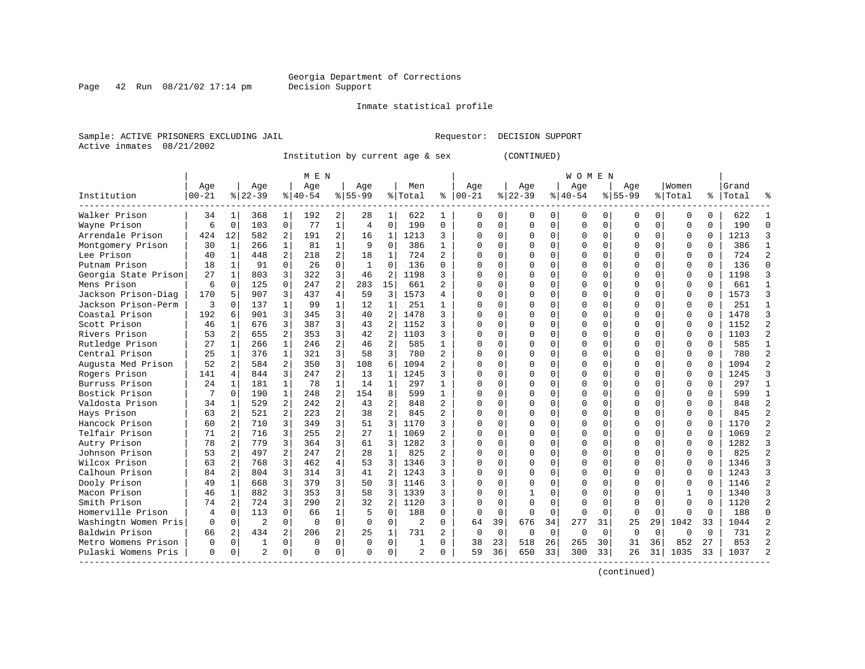#### Inmate statistical profile

Sample: ACTIVE PRISONERS EXCLUDING JAIL Requestor: DECISION SUPPORT Active inmates 08/21/2002

Page  $42$  Run  $08/21/02$  17:14 pm

Institution by current age & sex (CONTINUED)

|                      |           |              |                |                | M E N       |                |              |                |                |                |             |             |          |             | WOMEN    |             |              |          |              |          |       |                |
|----------------------|-----------|--------------|----------------|----------------|-------------|----------------|--------------|----------------|----------------|----------------|-------------|-------------|----------|-------------|----------|-------------|--------------|----------|--------------|----------|-------|----------------|
|                      | Age       |              | Age            |                | Age         |                | Age          |                | Men            |                | Age         |             | Age      |             | Age      |             | Age          |          | Women        |          | Grand |                |
| Institution          | $00 - 21$ |              | $8 22-39$      |                | $8 40-54$   |                | $8 55-99$    |                | % Total        | ႜ              | $ 00-21$    |             | $ 22-39$ |             | $ 40-54$ |             | $8155 - 99$  |          | % Total      | ႜၟ       | Total |                |
| Walker Prison        | 34        | 1            | 368            | 1              | 192         | 2              | 28           | 1              | 622            | 1              | 0           | 0           | O        | 0           | 0        | 0           | O            | 0        | 0            | 0        | 622   |                |
| Wayne Prison         | 6         | $\mathbf 0$  | 103            | $\mathbf 0$    | 77          | $\mathbf 1$    | 4            | $\mathbf 0$    | 190            | $\mathbf 0$    | $\mathbf 0$ | $\Omega$    | $\Omega$ | $\mathbf 0$ | $\Omega$ | 0           | 0            | $\Omega$ | $\Omega$     | $\Omega$ | 190   | $\cap$         |
| Arrendale Prison     | 424       | 12           | 582            | 2              | 191         | 2              | 16           | 1              | 1213           | 3              | O           | 0           | $\Omega$ | 0           | 0        | $\Omega$    |              | $\Omega$ | O            | $\Omega$ | 1213  | κ              |
| Montgomery Prison    | 30        | 1            | 266            | $\mathbf 1$    | 81          | $\mathbf{1}$   | 9            | $\mathbf 0$    | 386            | $\mathbf{1}$   |             | 0           |          | 0           | ი        | $\Omega$    |              | $\Omega$ | $\Omega$     | 0        | 386   |                |
| Lee Prison           | 40        | 1            | 448            | $\overline{a}$ | 218         | 2              | 18           | $\mathbf{1}$   | 724            | $\mathfrak{D}$ | $\cap$      | 0           |          | $\Omega$    | ი        | $\Omega$    |              | 0        | $\Omega$     | $\Omega$ | 724   |                |
| Putnam Prison        | 18        | 1            | 91             | $\Omega$       | 26          | 0              | $\mathbf{1}$ | $\Omega$       | 136            | $\Omega$       | $\cap$      | 0           | ∩        | $\Omega$    | U        | $\Omega$    | ∩            | 0        | O            | $\Omega$ | 136   | ∩              |
| Georgia State Prison | 27        | 1            | 803            | 3              | 322         | 3              | 46           | 2              | 1198           | 3              | U           | 0           | $\Omega$ | $\Omega$    | 0        | $\Omega$    | <sup>0</sup> | 0        | O            | $\Omega$ | 1198  |                |
| Mens Prison          | 6         | $\Omega$     | 125            | $\Omega$       | 247         | 2              | 283          | 15             | 661            | 2              | $\cap$      | O           | $\Omega$ | $\Omega$    | U        | $\Omega$    |              | $\Omega$ | $\Omega$     | O        | 661   |                |
| Jackson Prison-Diag  | 170       | 5            | 907            | 3              | 437         | 4              | 59           | 3              | 1573           | 4              | U           | O           | $\Omega$ | $\Omega$    | U        | C           | $\Omega$     | $\Omega$ | $\Omega$     | O        | 1573  |                |
| Jackson Prison-Perm  | 3         | $\Omega$     | 137            | $\mathbf{1}$   | 99          | 1              | 12           | 1              | 251            | 1              | U           | U           | $\Omega$ | $\Omega$    | U        | C           | ∩            | 0        | $\cap$       | $\Omega$ | 251   |                |
| Coastal Prison       | 192       | 6            | 901            | 3              | 345         | 3              | 40           | $\overline{2}$ | 1478           | 3              | n           | 0           | ∩        | $\Omega$    | 0        | ∩           | <sup>0</sup> | $\Omega$ | $\Omega$     | $\Omega$ | 1478  |                |
| Scott Prison         | 46        | 1            | 676            | 3              | 387         | 3              | 43           | $\overline{c}$ | 1152           | 3              | O           | 0           | $\Omega$ | 0           | 0        | $\Omega$    | <sup>0</sup> | $\Omega$ | 0            | $\Omega$ | 1152  |                |
| Rivers Prison        | 53        | 2            | 655            | 2              | 353         | 3              | 42           | $\overline{2}$ | 1103           | 3              |             | 0           |          | $\Omega$    | 0        | $\Omega$    |              | $\Omega$ | $\Omega$     | $\Omega$ | 1103  |                |
| Rutledge Prison      | 27        | 1            | 266            | 1              | 246         | 2              | 46           | $\overline{2}$ | 585            | 1              | C           | 0           |          | $\Omega$    | U        | $\Omega$    | <sup>0</sup> | 0        | O            | $\Omega$ | 585   |                |
| Central Prison       | 25        | 1            | 376            | $\mathbf{1}$   | 321         | 3              | 58           | 3              | 780            | $\mathfrak{D}$ | $\cap$      | 0           | $\Omega$ | $\Omega$    | O        | $\Omega$    | $\cap$       | $\Omega$ | $\Omega$     | $\Omega$ | 780   | $\mathfrak{D}$ |
| Augusta Med Prison   | 52        | 2            | 584            | $\overline{a}$ | 350         | 3              | 108          | 6              | 1094           | 2              | ∩           | 0           | $\Omega$ | $\Omega$    | O        | $\Omega$    | ∩            | $\Omega$ | $\Omega$     | $\Omega$ | 1094  |                |
| Rogers Prison        | 141       | 4            | 844            | 3              | 247         | $\overline{2}$ | 13           | 1              | 1245           | 3              | U           | 0           | $\Omega$ | $\Omega$    | 0        | $\Omega$    | <sup>0</sup> | $\Omega$ | O            | $\Omega$ | 1245  |                |
| Burruss Prison       | 24        | 1            | 181            | $\mathbf{1}$   | 78          | $\mathbf{1}$   | 14           | 1              | 297            | 1              | ∩           | O           | $\Omega$ | $\Omega$    | 0        | $\Omega$    | $\Omega$     | $\Omega$ | $\Omega$     | 0        | 297   |                |
| Bostick Prison       |           | $\Omega$     | 190            | 1              | 248         | 2              | 154          | 8              | 599            | 1              | U           | O           | $\Omega$ | $\Omega$    | U        | C           | ∩            | 0        | $\Omega$     | O        | 599   |                |
| Valdosta Prison      | 34        | 1            | 529            | $\overline{a}$ | 242         | 2              | 43           | 2              | 848            | 2              | $\Omega$    | 0           | $\Omega$ | $\Omega$    | $\Omega$ | $\Omega$    | $\Omega$     | $\Omega$ | $\Omega$     | $\Omega$ | 848   |                |
| Hays Prison          | 63        | 2            | 521            | 2              | 223         | 2              | 38           | $\overline{2}$ | 845            | 2              | U           | $\Omega$    | ∩        | $\Omega$    | 0        | ∩           | <sup>0</sup> | $\Omega$ | $\Omega$     | $\Omega$ | 845   |                |
| Hancock Prison       | 60        | 2            | 710            | 3              | 349         | 3              | 51           | 3              | 1170           | 3              | O           | 0           | O        | $\Omega$    | 0        | $\Omega$    | O            | $\Omega$ | 0            | $\Omega$ | 1170  |                |
| Telfair Prison       | 71        | 2            | 716            | 3              | 255         | $\overline{2}$ | 27           | $\mathbf{1}$   | 1069           | 2              |             | 0           |          | $\Omega$    | Ω        | $\Omega$    |              | $\Omega$ | $\Omega$     | $\Omega$ | 1069  |                |
| Autry Prison         | 78        | 2            | 779            | 3              | 364         | 3              | 61           | 3              | 1282           | 3              | $\cap$      | 0           |          | $\Omega$    | O        | $\Omega$    | $\Omega$     | $\Omega$ | $\Omega$     | $\Omega$ | 1282  |                |
| Johnson Prison       | 53        | 2            | 497            | $\mathfrak{D}$ | 247         | $\overline{a}$ | 28           | 1              | 825            | $\mathfrak{D}$ | $\Omega$    | 0           | ∩        | $\Omega$    | U        | $\Omega$    | $\cap$       | $\Omega$ | $\Omega$     | $\Omega$ | 825   | $\mathcal{D}$  |
| Wilcox Prison        | 63        | 2            | 768            | 3              | 462         | 4              | 53           | 3              | 1346           | 3              | $\cap$      | 0           | ∩        | $\Omega$    | 0        | $\Omega$    | $\Omega$     | $\Omega$ | $\Omega$     | $\Omega$ | 1346  |                |
| Calhoun Prison       | 84        | 2            | 804            | 3              | 314         | 3              | 41           | $\overline{2}$ | 1243           | 3              | U           | 0           | $\Omega$ | $\Omega$    | 0        | U           |              | 0        | 0            | O        | 1243  |                |
| Dooly Prison         | 49        | 1            | 668            | 3              | 379         | 3              | 50           | 3              | 1146           | 3              |             | O           | $\Omega$ | $\Omega$    | 0        | U           |              | 0        | 0            | U        | 1146  |                |
| Macon Prison         | 46        | $\mathbf{1}$ | 882            | 3              | 353         | 3              | 58           | 3              | 1339           | 3              | n           | U           |          | $\Omega$    | $\Omega$ | C           | $\cap$       | $\Omega$ | $\mathbf{1}$ | U        | 1340  |                |
| Smith Prison         | 74        | 2            | 724            | 3              | 290         | $\overline{a}$ | 32           | $\mathfrak{D}$ | 1120           | 3              | U           | U           | $\Omega$ | $\Omega$    | U        | C           | $\cap$       | $\Omega$ | $\cap$       | $\cap$   | 1120  | っ              |
| Homerville Prison    | 4         | $\Omega$     | 113            | $\Omega$       | 66          | $\mathbf 1$    | 5            | $\Omega$       | 188            | $\Omega$       | $\Omega$    | $\Omega$    | $\Omega$ | $\Omega$    | $\Omega$ | $\Omega$    | $\Omega$     | $\Omega$ | O            | $\Omega$ | 188   | U              |
| Washingtn Women Pris | 0         | $\mathbf 0$  | $\overline{2}$ | $\mathbf 0$    | $\Omega$    | 0              | $\mathbf 0$  | $\mathbf 0$    | $\overline{2}$ | $\Omega$       | 64          | 39          | 676      | 34          | 277      | 31          | 25           | 29       | 1042         | 33       | 1044  |                |
| Baldwin Prison       | 66        | 2            | 434            | 2              | 206         | 2              | 25           | 1              | 731            | 2              | 0           | $\mathbf 0$ | 0        | 0           | 0        | $\mathbf 0$ | $\Omega$     | $\Omega$ | O            | $\Omega$ | 731   |                |
| Metro Womens Prison  | 0         | 0            | 1              | $\Omega$       | $\mathbf 0$ | 0              | $\Omega$     | 0              | 1              | $\Omega$       | 38          | 23          | 518      | 26          | 265      | 30          | 31           | 36       | 852          | 27       | 853   |                |
| Pulaski Womens Pris  | $\Omega$  | 0            | $\mathcal{D}$  | 0              | $\Omega$    | 0              | ∩            | $\Omega$       | $\mathfrak{D}$ | 0              | 59          | 36          | 650      | 33          | 300      | 33          | 26           | 31       | 1035         | 33       | 1037  |                |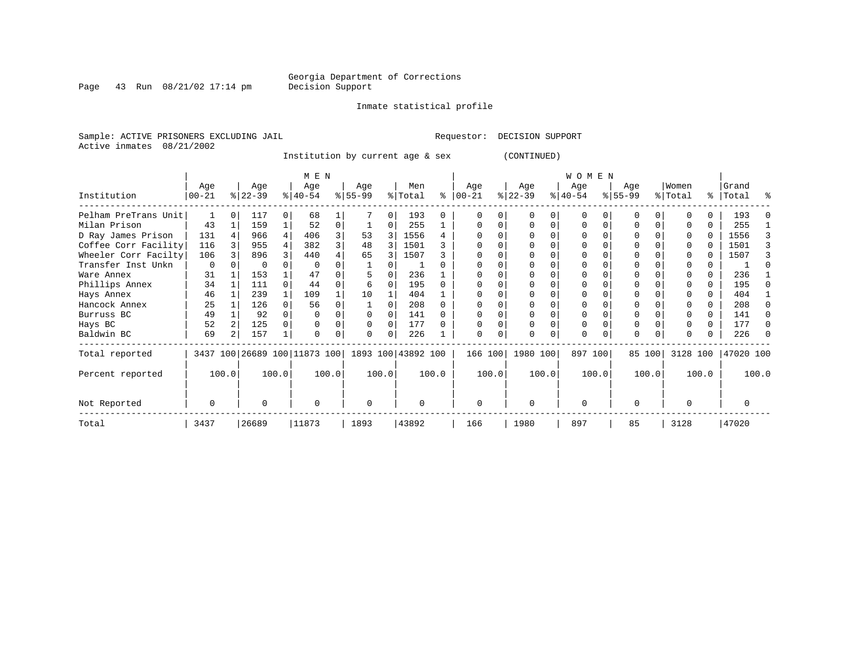Page 43 Run  $08/21/02$  17:14 pm

#### Inmate statistical profile

Sample: ACTIVE PRISONERS EXCLUDING JAIL **Requestor: DECISION SUPPORT** Active inmates 08/21/2002

Institution by current age & sex (CONTINUED)

|                      |                  |       |                  |          | M E N                        |       |                    |   |                |       |                 |       |                  |          | W O M E N        |       |                  |        |                  |       |                    |       |
|----------------------|------------------|-------|------------------|----------|------------------------------|-------|--------------------|---|----------------|-------|-----------------|-------|------------------|----------|------------------|-------|------------------|--------|------------------|-------|--------------------|-------|
| Institution          | Age<br>$00 - 21$ |       | Age<br>$ 22-39 $ |          | Age<br>$8 40-54$             |       | Age<br>$ 55-99$    |   | Men<br>% Total | ⊱     | Age<br>$ 00-21$ |       | Age<br>$ 22-39 $ |          | Age<br>$ 40-54 $ |       | Age<br>$8 55-99$ |        | Women<br>% Total |       | Grand<br>%   Total | ႜ     |
| Pelham PreTrans Unit |                  |       | 117              | $\Omega$ | 68                           |       |                    | 0 | 193            | 0     |                 |       |                  |          | U                |       | U                |        |                  |       | 193                |       |
| Milan Prison         | 43               |       | 159              |          | 52                           | 0     |                    | 0 | 255            |       |                 | 0     |                  | $\Omega$ | U                | O     |                  |        |                  | U     | 255                |       |
| D Ray James Prison   | 131              |       | 966              | 4        | 406                          | 3     | 53                 |   | 1556           | 4     |                 |       |                  |          |                  |       |                  |        |                  | 0     | 1556               |       |
| Coffee Corr Facility | 116              |       | 955              |          | 382                          | 3     | 48                 | 3 | 1501           |       |                 |       |                  |          |                  |       |                  |        |                  |       | 1501               |       |
| Wheeler Corr Facilty | 106              |       | 896              |          | 440                          |       | 65                 |   | 1507           |       |                 |       |                  |          |                  |       |                  |        |                  |       | 1507               |       |
| Transfer Inst Unkn   | 0                |       |                  |          |                              |       |                    |   |                |       |                 |       |                  |          |                  |       |                  |        |                  |       |                    |       |
| Ware Annex           | 31               |       | 153              |          | 47                           |       |                    |   | 236            |       |                 |       |                  |          |                  |       |                  |        |                  |       | 236                |       |
| Phillips Annex       | 34               |       | 111              |          | 44                           |       | 6                  |   | 195            |       |                 |       |                  |          |                  |       |                  |        |                  |       | 195                |       |
| Hays Annex           | 46               |       | 239              |          | 109                          |       | 10                 |   | 404            |       |                 |       |                  |          |                  |       |                  |        |                  | U     | 404                |       |
| Hancock Annex        | 25               |       | 126              |          | 56                           |       |                    |   | 208            |       |                 |       |                  |          |                  |       |                  |        |                  |       | 208                |       |
| Burruss BC           | 49               |       | 92               |          |                              |       |                    |   | 141            |       |                 |       |                  |          |                  |       |                  |        |                  |       | 141                |       |
| Hays BC              | 52               |       | 125              |          |                              |       | $\Omega$           |   | 177            |       |                 |       |                  |          |                  |       |                  |        |                  | 0     | 177                |       |
| Baldwin BC           | 69               |       | 157              |          |                              |       | $\Omega$           |   | 226            |       |                 |       |                  |          | $\Omega$         |       | $\Omega$         |        |                  |       | 226                |       |
| Total reported       |                  |       |                  |          | 3437 100 26689 100 11873 100 |       | 1893 100 43892 100 |   |                |       | 166 100         |       | 1980 100         |          | 897 100          |       |                  | 85 100 | 3128 100         |       | 47020 100          |       |
| Percent reported     |                  | 100.0 |                  | 100.0    |                              | 100.0 | 100.0              |   |                | 100.0 |                 | 100.0 |                  | 100.0    |                  | 100.0 |                  | 100.0  |                  | 100.0 |                    | 100.0 |
| Not Reported         | $\Omega$         |       |                  |          | O                            |       | $\Omega$           |   | $\Omega$       |       | $\Omega$        |       | $\Omega$         |          | $\Omega$         |       | $\Omega$         |        |                  |       | U                  |       |
| Total                | 3437             |       | 26689            |          | 11873                        |       | 1893               |   | 43892          |       | 166             |       | 1980             |          | 897              |       | 85               |        | 3128             |       | 47020              |       |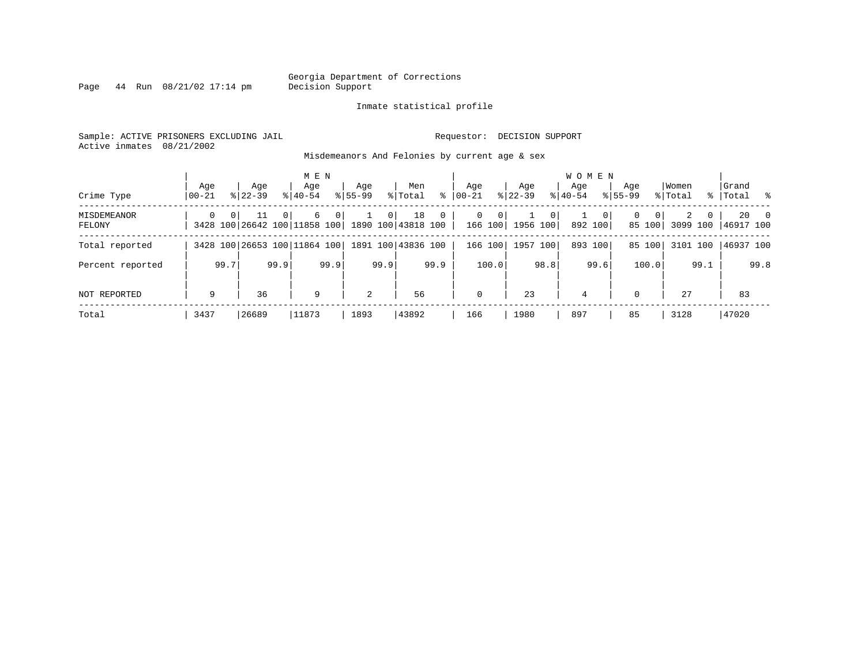Page  $44$  Run  $08/21/02$  17:14 pm

#### Inmate statistical profile

Sample: ACTIVE PRISONERS EXCLUDING JAIL Requestor: DECISION SUPPORT Active inmates 08/21/2002

Misdemeanors And Felonies by current age & sex

| Crime Type            | Age<br>  00-21 | Age<br>$8 22-39$                                                        | M E N<br>Age<br>$8140 - 54$     | Age<br>$8155 - 99$ | Men<br>ွေ<br>% Total | Age<br>$00 - 21$                       | Age<br>$ 22-39 $                           | <b>WOMEN</b><br>Aqe<br>$8 40-54$ | Age<br>$8155 - 99$      | Women<br>% Total | Grand<br>%   Total %                |
|-----------------------|----------------|-------------------------------------------------------------------------|---------------------------------|--------------------|----------------------|----------------------------------------|--------------------------------------------|----------------------------------|-------------------------|------------------|-------------------------------------|
| MISDEMEANOR<br>FELONY | $\Omega$       | 0 <sup>1</sup><br>11<br>3428 100 26642 100 11858 100 1890 100 43818 100 | 6<br>$\overline{0}$<br>$\Omega$ | 0 <sup>1</sup>     | 18<br>$\overline{0}$ | $\mathbf{0}$<br>$\mathbf 0$<br>166 100 | 0 <sup>1</sup><br>$\mathbf{1}$<br>1956 100 | - 0 P<br>892 100                 | $\Omega$<br>0<br>85 100 | 2<br>0           | $20 \qquad 0$<br>3099 100 46917 100 |
| Total reported        |                | 3428 100 26653 100 11864 100                                            |                                 |                    | 1891 100 43836 100   | 166 100                                | 1957 100                                   | 893 100                          | 85 100                  | 3101 100         | 46937 100                           |
| Percent reported      | 99.7           | 99.9                                                                    | 99.9                            | 99.9               | 99.9                 | 100.0                                  | 98.8                                       | 99.6                             | 100.0                   | 99.1             | 99.8                                |
| NOT REPORTED          | 9              | 36                                                                      | 9                               | $\overline{a}$     | 56                   | $\mathbf 0$                            | 23                                         | 4                                | $\Omega$                | 27               | 83                                  |
| Total                 | 3437           | 26689                                                                   | 11873                           | 1893               | 43892                | 166                                    | 1980                                       | 897                              | 85                      | 3128             | 47020                               |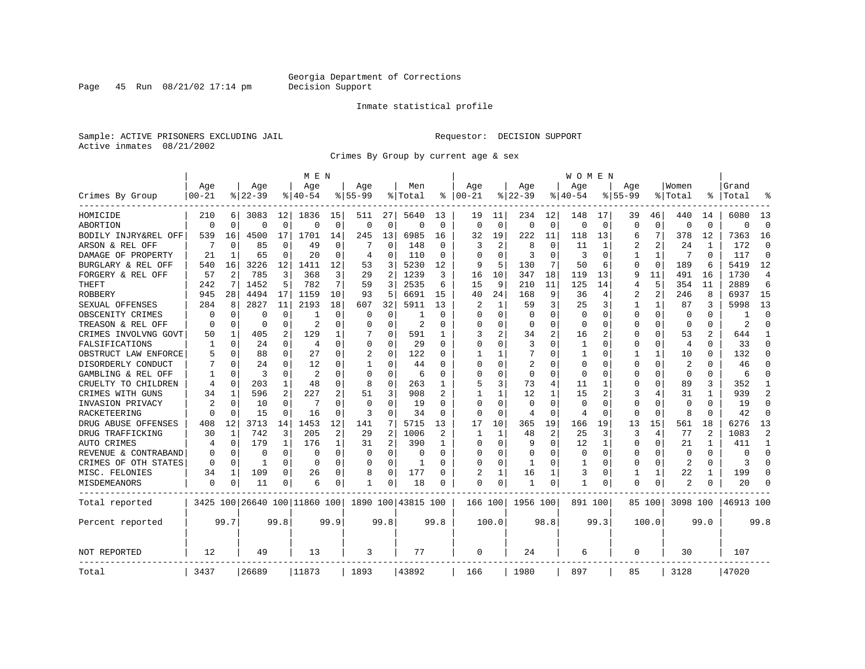Page 45 Run  $08/21/02$  17:14 pm

#### Inmate statistical profile

Sample: ACTIVE PRISONERS EXCLUDING JAIL **Requestor: DECISION SUPPORT** Active inmates 08/21/2002

Crimes By Group by current age & sex

|                      |           |          |           |             | M E N                        |             |              |                |                    |               |            |              |             |                | W O M E N    |             |             |                |                |                |           |                |
|----------------------|-----------|----------|-----------|-------------|------------------------------|-------------|--------------|----------------|--------------------|---------------|------------|--------------|-------------|----------------|--------------|-------------|-------------|----------------|----------------|----------------|-----------|----------------|
|                      | Age       |          | Age       |             | Age                          |             | Age          |                | Men                |               | Age        |              | Age         |                | Age          |             | Age         |                | Women          |                | Grand     |                |
| Crimes By Group      | $00 - 21$ |          | $8 22-39$ |             | % 40-54                      |             | $8155 - 99$  |                | % Total            | ႜ             | $ 00 - 21$ |              | $8$   22-39 |                | $8140 - 54$  |             | $8155 - 99$ |                | % Total        | ႜ              | Total     |                |
| HOMICIDE             | 210       | 6        | 3083      | 12          | 1836                         | 15          | 511          | 27             | 5640               | 13            | 19         | 11           | 234         | 12             | 148          | 17          | 39          | 46             | 440            | 14             | 6080      | 13             |
| ABORTION             | $\Omega$  | $\Omega$ | $\Omega$  | 0           | $\Omega$                     | $\mathbf 0$ | $\Omega$     | $\mathbf 0$    | $\mathbf 0$        | $\mathbf 0$   | $\Omega$   | $\mathbf 0$  | $\Omega$    | 0              | $\Omega$     | $\mathbf 0$ | $\Omega$    | $\Omega$       | $\mathbf 0$    | $\Omega$       | $\Omega$  | $\Omega$       |
| BODILY INJRY&REL OFF | 539       | 16       | 4500      | 17          | 1701                         | 14          | 245          | 13             | 6985               | 16            | 32         | 19           | 222         | 11             | 118          | 13          | 6           | 7              | 378            | 12             | 7363      | 16             |
| ARSON & REL OFF      |           | $\Omega$ | 85        | 0           | 49                           | 0           |              | 0              | 148                | 0             | 3          | 2            | 8           | 0              | 11           | 1           | 2           | 2              | 24             | 1              | 172       | $\Omega$       |
| DAMAGE OF PROPERTY   | 21        | 1        | 65        | 0           | 20                           | 0           | 4            | 0              | 110                | $\Omega$      | ∩          | $\Omega$     | 3           | 0              | 3            | $\Omega$    | 1           | 1              | 7              | $\Omega$       | 117       | $\Omega$       |
| BURGLARY & REL OFF   | 540       | 16       | 3226      | 12          | 1411                         | 12          | 53           | 3              | 5230               | 12            | 9          | 5            | 130         | 7              | 50           | 6           | O           | $\mathbf 0$    | 189            | 6              | 5419      | 12             |
| FORGERY & REL OFF    | 57        | 2        | 785       | 3           | 368                          | 3           | 29           | 2              | 1239               | 3             | 16         | 10           | 347         | 18             | 119          | 13          | 9           | 11             | 491            | 16             | 1730      | $\overline{4}$ |
| THEFT                | 242       | 7        | 1452      | 5           | 782                          | 7           | 59           | 3              | 2535               | 6             | 15         | 9            | 210         | 11             | 125          | 14          | 4           | 5              | 354            | 11             | 2889      | 6              |
| <b>ROBBERY</b>       | 945       | 28       | 4494      | 17          | 1159                         | 10          | 93           | 5              | 6691               | 15            | 40         | 24           | 168         | 9              | 36           | 4           | 2           | $\overline{2}$ | 246            | 8              | 6937      | 15             |
| SEXUAL OFFENSES      | 284       | 8        | 2827      | 11          | 2193                         | 18          | 607          | 32             | 5911               | 13            | 2          | $\mathbf{1}$ | 59          | 3              | 25           | 3           | 1           | $\mathbf{1}$   | 87             | 3              | 5998      | 13             |
| OBSCENITY CRIMES     | O         | $\Omega$ | O         | 0           | -1                           | 0           | 0            | 0              |                    | $\Omega$      | ∩          | O            | $\Omega$    | U              | $\Omega$     | $\Omega$    | O           | $\Omega$       | $\Omega$       | $\Omega$       |           | ∩              |
| TREASON & REL OFF    | $\Omega$  | $\Omega$ | O         | 0           | 2                            | 0           | U            | 0              | 2                  | $\Omega$      | $\Omega$   | O            | $\Omega$    | 0              | $\Omega$     | $\Omega$    | 0           | 0              | 0              | 0              | 2         | ∩              |
| CRIMES INVOLVNG GOVT | 50        | 1        | 405       | 2           | 129                          | 1           |              | 0              | 591                | 1             | 3          | 2            | 34          | 2              | 16           | 2           | 0           | 0              | 53             |                | 644       | -1             |
| FALSIFICATIONS       | 1         | 0        | 24        | 0           | 4                            | 0           | $\Omega$     | 0              | 29                 | $\Omega$      | $\Omega$   | O            | 3           | O              | $\mathbf{1}$ | 0           | $\Omega$    | 0              | $\overline{4}$ | 0              | 33        | $\Omega$       |
| OBSTRUCT LAW ENFORCE |           | $\Omega$ | 88        | 0           | 27                           | 0           | 2            | $\Omega$       | 122                | 0             |            |              |             | U              | -1           | $\Omega$    | 1           | $\mathbf{1}$   | 10             | O              | 132       | $\Omega$       |
| DISORDERLY CONDUCT   |           | $\Omega$ | 24        | 0           | 12                           | 0           | -1           | 0              | 44                 | O             |            | O            | 2           | U              | <sup>0</sup> | $\Omega$    | $\Omega$    | $\Omega$       | $\overline{2}$ |                | 46        |                |
| GAMBLING & REL OFF   |           | $\Omega$ | ζ         | 0           | 2                            | 0           | $\Omega$     | $\Omega$       | 6                  | $\Omega$      | $\Omega$   | U            | $\Omega$    | U              | $\Omega$     | $\Omega$    | U           | U              | $\Omega$       | 0              | 6         |                |
| CRUELTY TO CHILDREN  | 4         | 0        | 203       | $\mathbf 1$ | 48                           | 0           | 8            | $\mathbf 0$    | 263                | 1             | 5          | 3            | 73          | 4              | 11           | 1           | O           | 0              | 89             | 3              | 352       | -1             |
| CRIMES WITH GUNS     | 34        | 1        | 596       | 2           | 227                          | 2           | 51           | 3              | 908                |               |            | 1            | 12          | 1              | 15           | 2           | 3           | 4              | 31             | 1              | 939       | $\overline{2}$ |
| INVASION PRIVACY     | 2         | 0        | 10        | 0           | 7                            | 0           | $\Omega$     | 0              | 19                 | $\Omega$      | $\Omega$   | 0            | 0           | $\Omega$       | $\Omega$     | 0           | 0           | $\Omega$       | $\mathbf 0$    | $\Omega$       | 19        | $\Omega$       |
| RACKETEERING         |           | $\Omega$ | 15        | 0           | 16                           | 0           | 3            | 0              | 34                 | 0             | $\Omega$   | 0            | 4           | 0              | 4            | 0           | $\Omega$    | 0              | 8              | $\Omega$       | 42        | $\Omega$       |
| DRUG ABUSE OFFENSES  | 408       | 12       | 3713      | 14          | 1453                         | 12          | 141          | 7              | 5715               | 13            | 17         | 10           | 365         | 19             | 166          | 19          | 13          | 15             | 561            | 18             | 6276      | 13             |
| DRUG TRAFFICKING     | 30        | 1        | 742       | 3           | 205                          | 2           | 29           | $\overline{2}$ | 1006               | $\mathcal{D}$ | -1         | 1            | 48          | $\overline{2}$ | 25           | 3           | ζ           | 4              | 77             | $\mathfrak{D}$ | 1083      | $\overline{2}$ |
| AUTO CRIMES          | 4         | $\Omega$ | 179       | 1           | 176                          | 1           | 31           | $\overline{2}$ | 390                | 1             | $\Omega$   | $\Omega$     | 9           | 0              | 12           | 1           | $\Omega$    | 0              | 21             |                | 411       | $\mathbf{1}$   |
| REVENUE & CONTRABAND |           | 0        | 0         | $\Omega$    | $\mathbf 0$                  | 0           | $\Omega$     | $\mathbf 0$    | $\Omega$           | $\Omega$      | $\Omega$   | $\Omega$     | 0           | O              | $\Omega$     | $\mathbf 0$ | $\Omega$    | 0              | $\mathbf 0$    | $\Omega$       | $\Omega$  | $\Omega$       |
| CRIMES OF OTH STATES | $\Omega$  | 0        | -1        | 0           | $\Omega$                     | 0           | $\Omega$     | 0              | 1                  | $\Omega$      | ∩          | 0            | -1          | U              | 1            | 0           | 0           | $\Omega$       | 2              | $\Omega$       | 3         | $\Omega$       |
| MISC. FELONIES       | 34        | 1        | 109       | 0           | 26                           | 0           | 8            | 0              | 177                | $\Omega$      | 2          |              | 16          | 1              | 3            | 0           | 1           | 1              | 22             |                | 199       | $\Omega$       |
| MISDEMEANORS         | 0         | 0        | 11        | 0           | 6                            | 0           | $\mathbf{1}$ | 0              | 18                 | $\Omega$      | $\Omega$   | 0            | 1           | 0              | 1            | 0           | $\Omega$    | 0              |                | 0              | 20        |                |
| Total reported       |           |          |           |             | 3425 100 26640 100 11860 100 |             |              |                | 1890 100 43815 100 |               | 166 100    |              | 1956 100    |                | 891 100      |             |             | 85 100         | 3098 100       |                | 46913 100 |                |
| Percent reported     |           | 99.7     |           | 99.8        |                              | 99.9        |              | 99.8           |                    | 99.8          |            | 100.0        |             | 98.8           |              | 99.3        |             | 100.0          |                | 99.0           |           | 99.8           |
| <b>NOT REPORTED</b>  | 12        |          | 49        |             | 13                           |             | 3            |                | 77                 |               | $\Omega$   |              | 24          |                | 6            |             | $\Omega$    |                | 30             |                | 107       |                |
| Total                | 3437      |          | 26689     |             | 11873                        |             | 1893         |                | 43892              |               | 166        |              | 1980        |                | 897          |             | 85          |                | 3128           |                | 47020     |                |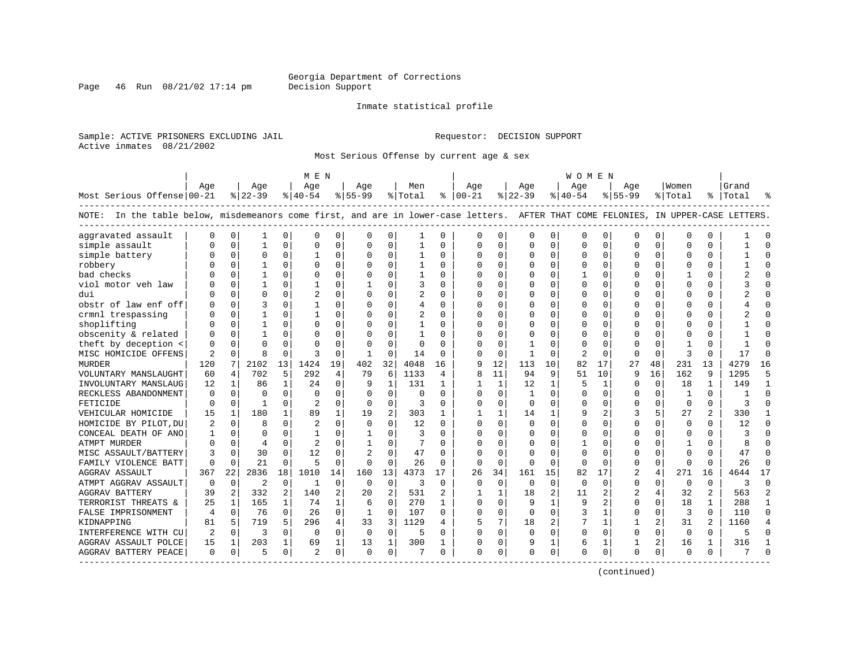Page 46 Run  $08/21/02$  17:14 pm

#### Inmate statistical profile

Sample: ACTIVE PRISONERS EXCLUDING JAIL Requestor: DECISION SUPPORT Active inmates 08/21/2002

Most Serious Offense by current age & sex

|                                                                                                                                    |          |                |          |              | M E N          |                |              |              |                |              |               |              |          |                | W O M E N    |                 |              |                |             |              |           |                |
|------------------------------------------------------------------------------------------------------------------------------------|----------|----------------|----------|--------------|----------------|----------------|--------------|--------------|----------------|--------------|---------------|--------------|----------|----------------|--------------|-----------------|--------------|----------------|-------------|--------------|-----------|----------------|
|                                                                                                                                    | Age      |                | Age      |              | Age            |                | Age          |              | Men            |              | Age           |              | Aqe      |                | Age          |                 | Age          |                | Women       |              | Grand     |                |
| Most Serious Offense 00-21                                                                                                         |          |                | $ 22-39$ |              | $8 40-54$      |                | $8 55-99$    |              | % Total        |              | $8   00 - 21$ |              | $ 22-39$ |                | $ 40-54$     |                 | $8 55-99$    |                | % Total     |              | %   Total |                |
| NOTE: In the table below, misdemeanors come first, and are in lower-case letters. AFTER THAT COME FELONIES, IN UPPER-CASE LETTERS. |          |                |          |              |                |                |              |              |                |              |               |              |          |                |              |                 |              |                |             |              |           |                |
| aggravated assault                                                                                                                 |          | 0              |          | 0            | $\Omega$       | 0              | O            | 0            | 1              | $\Omega$     | $\Omega$      | $\Omega$     | $\Omega$ | 0              | $\Omega$     | 0               | $\Omega$     | $\Omega$       | $\Omega$    | $\Omega$     |           |                |
| simple assault                                                                                                                     |          | $\Omega$       | 1        | $\Omega$     | $\Omega$       | 0              | $\Omega$     | 0            | $\mathbf{1}$   | $\Omega$     | $\Omega$      | $\Omega$     | $\Omega$ | $\Omega$       | $\Omega$     | $\mathbf 0$     | $\Omega$     | $\Omega$       | $\Omega$    | $\Omega$     |           | $\Omega$       |
| simple battery                                                                                                                     |          | 0              | 0        | 0            |                | 0              | 0            | 0            |                | 0            |               | 0            | 0        | 0              | 0            | $\mathbf 0$     | 0            | 0              | $\Omega$    | O            |           |                |
| robbery                                                                                                                            |          | $\Omega$       |          | O            | $\Omega$       | 0              | U            | $\Omega$     |                | $\Omega$     | ∩             | 0            | $\Omega$ | 0              | <sup>0</sup> | $\mathbf 0$     | $\Omega$     | 0              | $\bigcap$   | $\Omega$     |           |                |
| bad checks                                                                                                                         |          | $\Omega$       |          | 0            | $\Omega$       | 0              | U            | O            | 1              | $\Omega$     | $\Omega$      | 0            | U        | 0              |              | $\Omega$        | U            | 0              | -1          | $\Omega$     |           |                |
| viol motor veh law                                                                                                                 |          | $\Omega$       |          | 0            | -1             | 0              | -1           | O            | 3              | $\Omega$     | $\Omega$      | $\Omega$     | U        | 0              |              | $\Omega$        | U            | $\Omega$       | $\Omega$    | $\Omega$     |           |                |
| dui                                                                                                                                |          | $\Omega$       | 0        | 0            | $\overline{a}$ | $\Omega$       | 0            | $\Omega$     | 2              | $\Omega$     |               | $\Omega$     | 0        | 0              |              | 0               | $\Omega$     | $\Omega$       | $\Omega$    | $\Omega$     |           |                |
| obstr of law enf off                                                                                                               |          | 0              |          | 0            | $\mathbf{1}$   | 0              | U            | $\mathbf 0$  | 4              | $\Omega$     |               | $\Omega$     |          | 0              |              | 0               | $\Omega$     | 0              | $\Omega$    | 0            |           |                |
| crmnl trespassing                                                                                                                  |          | 0              | 1        | 0            | -1             | 0              | U            | $\Omega$     | $\overline{2}$ | $\Omega$     | $\Omega$      | 0            | O        | U              |              | 0               | U            | 0              | $\Omega$    | $\Omega$     |           | ∩              |
| shoplifting                                                                                                                        |          | $\Omega$       |          | U            | $\Omega$       | $\Omega$       | O            | $\Omega$     | 1              | $\Omega$     | $\Omega$      | 0            | U        | O              | <sup>0</sup> | 0               | U            | 0              | $\Omega$    | 0            |           |                |
| obscenity & related                                                                                                                |          | $\Omega$       |          | O            | $\Omega$       | $\Omega$       | O            | 0            |                | $\Omega$     |               |              |          | O              |              | $\Omega$        | $\Omega$     | O              | $\Omega$    | $\Omega$     |           |                |
| theft by deception <                                                                                                               |          | $\Omega$       | O        | U            | $\cap$         | 0              | U            | $\Omega$     | $\Omega$       | $\Omega$     | ∩             | O            |          | U              | Λ            | $\Omega$        | U            | U              |             | U            |           |                |
| MISC HOMICIDE OFFENS                                                                                                               | 2        | $\Omega$       | 8        | 0            | 3              | 0              | $\mathbf{1}$ | 0            | 14             | $\Omega$     | $\Omega$      | $\Omega$     | -1       | 0              | 2            | $\Omega$        | $\Omega$     | $\Omega$       | ζ           | $\Omega$     | 17        | $\cap$         |
| <b>MURDER</b>                                                                                                                      | 120      | 7              | 2102     | 13           | 1424           | 19             | 402          | 32           | 4048           | 16           | 9             | 12           | 113      | 10             | 82           | 17              | 27           | 48             | 231         | 13           | 4279      | 16             |
| VOLUNTARY MANSLAUGHT                                                                                                               | 60       | $\overline{4}$ | 702      | 5            | 292            | 4              | 79           | 6            | 1133           | 4            | 8             | 11           | 94       | 9              | 51           | 10 <sup>°</sup> | 9            | 16             | 162         | 9            | 1295      | 5              |
| INVOLUNTARY MANSLAUG                                                                                                               | 12       | $\mathbf{1}$   | 86       | $\mathbf{1}$ | 24             | $\Omega$       | 9            | $\mathbf{1}$ | 131            | $\mathbf{1}$ | $\mathbf{1}$  | $\mathbf{1}$ | 12       | 1              | 5            | 1               | $\Omega$     | $\Omega$       | 18          | $\mathbf{1}$ | 149       | $\mathbf{1}$   |
| RECKLESS ABANDONMENT                                                                                                               | n        | $\Omega$       | O        | $\Omega$     | $\Omega$       | 0              | $\Omega$     | 0            | $\Omega$       | $\Omega$     | $\Omega$      | $\Omega$     | 1        | 0              | Ω            | 0               | 0            | 0              | -1          | $\Omega$     |           | $\cap$         |
| FETICIDE                                                                                                                           |          | $\Omega$       | -1       | $\Omega$     | 2              | $\Omega$       | $\Omega$     | 0            | 3              | $\Omega$     | $\Omega$      | O            | $\Omega$ | O              | Ω            | 0               | U            | 0              | $\Omega$    | $\Omega$     |           |                |
| VEHICULAR HOMICIDE                                                                                                                 | 15       | 1              | 180      | $\mathbf{1}$ | 89             | 1              | 19           | 2            | 303            | 1            |               |              | 14       | 1              | 9            | 2               | 3            | 5              | 27          | 2            | 330       |                |
| HOMICIDE BY PILOT, DU                                                                                                              |          | $\Omega$       | 8        | 0            |                | $\Omega$       | $\Omega$     | $\Omega$     | 12             | $\Omega$     | $\Omega$      | $\Omega$     | $\Omega$ | O              | $\Omega$     | $\Omega$        | $\Omega$     | O              | $\Omega$    | $\Omega$     | 12        | $\Omega$       |
| CONCEAL DEATH OF ANO                                                                                                               |          | $\Omega$       | O        | 0            | -1             | $\Omega$       | 1            | $\Omega$     | 3              | $\Omega$     | $\Omega$      | $\Omega$     | 0        | 0              | <sup>0</sup> | $\Omega$        | $\Omega$     | 0              | $\Omega$    | $\Omega$     | 3         |                |
| ATMPT MURDER                                                                                                                       |          | $\Omega$       | 4        | 0            | 2              | 0              | 1            | 0            | 7              | $\Omega$     |               | 0            | 0        | 0              |              | 0               | 0            | 0              | -1          | 0            | 8         |                |
| MISC ASSAULT/BATTERY                                                                                                               |          | $\Omega$       | 30       | 0            | 12             | 0              |              | $\mathbf 0$  | 47             | $\Omega$     |               | $\Omega$     |          | O              |              | 0               | $\Omega$     | $\mathbf 0$    | $\Omega$    | $\Omega$     | 47        |                |
| FAMILY VIOLENCE BATT                                                                                                               | $\Omega$ | $\Omega$       | 21       | $\Omega$     | 5              | $\Omega$       | $\Omega$     | $\Omega$     | 26             | $\Omega$     | $\Omega$      | $\Omega$     | O        | $\Omega$       | $\Omega$     | $\Omega$        | $\Omega$     | $\Omega$       | $\Omega$    | $\Omega$     | 2.6       | $\cap$         |
| <b>AGGRAV ASSAULT</b>                                                                                                              | 367      | 22             | 2836     | 18           | 1010           | 14             | 160          | 13           | 4373           | 17           | 26            | 34           | 161      | 15             | 82           | 17              | 2            | 4              | 271         | 16           | 4644      | 17             |
| ATMPT AGGRAV ASSAULT                                                                                                               | 0        | $\Omega$       | 2        | 0            | 1              | 0              | $\Omega$     | 0            | 3              | $\Omega$     | $\Omega$      | $\Omega$     | $\Omega$ | $\Omega$       | $\Omega$     | 0               | $\Omega$     | 0              | $\mathbf 0$ | 0            | 3         | $\Omega$       |
| <b>AGGRAV BATTERY</b>                                                                                                              | 39       | 2              | 332      | 2            | 140            | $\overline{a}$ | 20           | 2            | 531            | 2            |               |              | 18       | 2              | 11           | 2               | 2            | 4              | 32          | 2            | 563       | $\overline{c}$ |
| TERRORIST THREATS &                                                                                                                | 25       | 1              | 165      | $\mathbf 1$  | 74             | 1              | 6            | $\Omega$     | 270            | $\mathbf{1}$ | $\Omega$      | U            | 9        | 1              |              | 2               | $\Omega$     | 0              | 18          | 1            | 288       | $\mathbf{1}$   |
| FALSE IMPRISONMENT                                                                                                                 | 4        | $\Omega$       | 76       | $\Omega$     | 26             | 0              | $\mathbf{1}$ | 0            | 107            | $\Omega$     | $\Omega$      | $\Omega$     | $\Omega$ | $\Omega$       | 3            | $\mathbf{1}$    | $\Omega$     | $\Omega$       | 3           | $\Omega$     | 110       | $\Omega$       |
| KIDNAPPING                                                                                                                         | 81       | 5              | 719      | 5            | 296            | 4              | 33           | 3            | 1129           | 4            | 5             | 7            | 18       | $\overline{a}$ | 7            | 1               | $\mathbf{1}$ | $\overline{a}$ | 31          | 2            | 1160      | $\overline{4}$ |
| INTERFERENCE WITH CU                                                                                                               | 2        | $\Omega$       | 3        | $\Omega$     | $\Omega$       | 0              | 0            | $\mathbf 0$  | 5              | $\Omega$     |               | $\Omega$     | $\Omega$ | 0              | $\Omega$     | $\mathbf 0$     | $\Omega$     | $\Omega$       | $\Omega$    | $\Omega$     |           |                |
| AGGRAV ASSAULT POLCE                                                                                                               | 15       | 1              | 203      | 1            | 69             | $\mathbf 1$    | 13           | 1            | 300            | 1            | $\Omega$      | 0            |          | 1              | 6            | 1               | $\mathbf{1}$ | 2              | 16          | 1            | 316       | -1             |
| AGGRAV BATTERY PEACE                                                                                                               | $\Omega$ | 0              | 5        | 0            | 2              | 0              | $\Omega$     | 0            | 7              | 0            | $\Omega$      | 0            | U        | 0              | $\Omega$     | 0               | $\Omega$     | 0              | $\Omega$    | 0            |           | ∩              |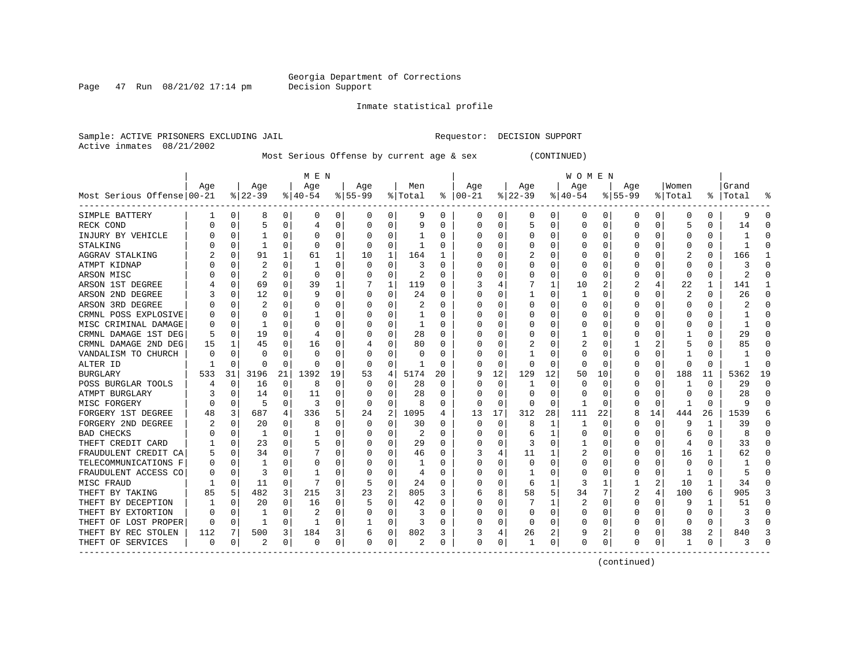Page  $47$  Run  $08/21/02$  17:14 pm

Inmate statistical profile

Sample: ACTIVE PRISONERS EXCLUDING JAIL Requestor: DECISION SUPPORT Active inmates 08/21/2002

Most Serious Offense by current age & sex (CONTINUED)

|                            |          |             |              |          | M E N     |          |           |          |                |    |          |          |          |          | <b>WOMEN</b> |          |              |                |          |              |           |              |
|----------------------------|----------|-------------|--------------|----------|-----------|----------|-----------|----------|----------------|----|----------|----------|----------|----------|--------------|----------|--------------|----------------|----------|--------------|-----------|--------------|
|                            | Age      |             | Age          |          | Age       |          | Aqe       |          | Men            |    | Aqe      |          | Aqe      |          | Age          |          | Aqe          |                | Women    |              | Grand     |              |
| Most Serious Offense 00-21 |          |             | $ 22-39 $    |          | $8 40-54$ |          | $8 55-99$ |          | % Total        | ႜ  | $ 00-21$ |          | $ 22-39$ |          | $ 40-54$     |          | $8 55-99$    |                | % Total  |              | %   Total |              |
| SIMPLE BATTERY             |          | 0           | 8            | 0        | 0         | 0        | 0         | 0        | 9              | 0  | 0        | 0        | 0        | 0        | 0            | 0        | 0            | 0              | 0        | 0            | 9         | <sup>0</sup> |
| RECK COND                  |          | $\Omega$    | 5            | 0        | 4         | 0        |           | $\Omega$ | 9              | 0  | 0        | 0        | 5        | $\Omega$ | 0            | C        | <sup>0</sup> | 0              | 5        | 0            | 14        | C            |
| INJURY BY VEHICLE          |          | $\Omega$    |              | O        | 0         | 0        |           | $\Omega$ |                | O  | C        | U        | $\Omega$ | $\Omega$ | 0            | C        | O            | O              | O        | 0            |           |              |
| STALKING                   |          | $\Omega$    | $\mathbf{1}$ | O        | $\Omega$  | $\Omega$ | O         | $\Omega$ | 1              | U  |          | U        | $\Omega$ | $\Omega$ | O            | C        |              |                | U        | U            |           |              |
| AGGRAV STALKING            |          | $\Omega$    | 91           | 1        | 61        | 1        | 10        | 1        | 164            |    |          | O        |          | $\Omega$ | O            | C        |              |                |          | 0            | 166       |              |
| ATMPT KIDNAP               |          | $\Omega$    | 2            | 0        | -1        | U        | $\Omega$  | $\Omega$ | 3              | O  |          | 0        | $\Omega$ | $\Omega$ | C            | $\Omega$ |              | O              | O        | U            | 3         |              |
| ARSON MISC                 |          | $\Omega$    | 2            | 0        | $\Omega$  | 0        |           | $\Omega$ | $\overline{c}$ | O  |          | 0        |          | $\Omega$ | 0            | 0        |              | 0              | 0        | 0            | 2         |              |
| ARSON 1ST DEGREE           |          | $\mathbf 0$ | 69           | 0        | 39        | 1        |           | 1        | 119            | 0  | З        | 4        |          |          | 10           | 2        | 2            |                | 22       | 1            | 141       |              |
| ARSON 2ND DEGREE           |          | $\mathbf 0$ | 12           | O        | 9         | 0        |           | 0        | 24             | 0  |          | O        |          | $\Omega$ |              | C        | 0            | $\Omega$       | 2        | 0            | 26        | C            |
| ARSON 3RD DEGREE           |          | $\Omega$    |              | 0        | 0         | 0        |           | $\Omega$ | 2              | O  |          | U        | $\Omega$ | $\Omega$ | 0            | C        |              |                | O        | 0            |           | ſ            |
| CRMNL POSS EXPLOSIVE       |          | $\Omega$    | 0            | O        |           | 0        |           | $\Omega$ |                | O  |          | 0        | 0        | O        | 0            | C        |              | O              | 0        | 0            |           | ∩            |
| MISC CRIMINAL DAMAGE       | O        | 0           | 1            | 0        | 0         | 0        |           | 0        | 1              | O  | n        | 0        | O        | O        | 0            | C        |              | O              | O        | 0            |           | n            |
| CRMNL DAMAGE 1ST DEG       | 5        | $\Omega$    | 19           | 0        | 4         | 0        |           | 0        | 28             | 0  | O        | 0        | O        | $\Omega$ |              | C        |              | U              |          | 0            | 29        | n            |
| CRMNL DAMAGE 2ND DEG       | 15       | 1           | 45           | 0        | 16        | 0        |           | $\Omega$ | 80             | 0  | C        | 0        |          | 0        | 2            | C        |              | 2              | 5        | 0            | 85        | O            |
| VANDALISM TO CHURCH        | O        | C           | 0            | 0        | $\Omega$  | 0        |           | $\Omega$ | 0              |    |          | 0        |          | 0        | 0            | C        |              | 0              |          | 0            |           | C            |
| ALTER ID                   |          | C           | O            | 0        | O         | 0        | O         | $\Omega$ |                | O  |          | 0        |          | $\Omega$ | 0            | C        |              | 0              |          | 0            |           | ſ            |
| BURGLARY                   | 533      | 31          | 3196         | 21       | 1392      | 19       | 53        | 4        | 5174           | 20 | 9        | 12       | 129      | 12       | 50           | 10       | <sup>0</sup> | $\Omega$       | 188      | 11           | 5362      | 19           |
| POSS BURGLAR TOOLS         |          | $\Omega$    | 16           | $\Omega$ | 8         | U        | $\Omega$  | $\Omega$ | 28             | O  | C        | $\Omega$ |          | $\Omega$ | 0            | C        |              |                |          | U            | 29        | ſ            |
| ATMPT BURGLARY             |          | $\Omega$    | 14           | O        | 11        | 0        |           | $\Omega$ | 28             | U  | C        | 0        | O        | O        | 0            | C        | O            | $\Omega$       | n        | 0            | 28        |              |
| MISC FORGERY               |          | $\Omega$    | 5            | $\Omega$ | 3         | 0        | O         | 0        | 8              | 0  | $\Omega$ | 0        | ∩        | $\Omega$ | 1            | 0        |              | $\Omega$       |          | 0            | q         |              |
| FORGERY 1ST DEGREE         | 48       | 3           | 687          | 4        | 336       | 5        | 24        | 2        | 1095           | 4  | 13       | 17       | 312      | 28       | 111          | 22       | 8            | 14             | 444      | 26           | 1539      |              |
| FORGERY 2ND DEGREE         |          | 0           | 20           | 0        | 8         | 0        | $\Omega$  | $\Omega$ | 30             | 0  | $\Omega$ | $\Omega$ | 8        | 1        | 1            | $\Omega$ |              | $\Omega$       | 9        | $\mathbf{1}$ | 39        |              |
| <b>BAD CHECKS</b>          |          | 0           | 1            | 0        |           | 0        |           | 0        | 2              | O  |          | 0        | 6        | 1        | 0            | 0        |              | $\Omega$       | 6        | 0            | 8         |              |
| THEFT CREDIT CARD          |          | $\mathbf 0$ | 23           | 0        | 5         | 0        |           | 0        | 29             | O  |          | 0        |          | $\Omega$ |              | C        |              | $\Omega$       | 4        | 0            | 33        | ſ            |
| FRAUDULENT CREDIT CA       |          | $\Omega$    | 34           | 0        |           | 0        |           | $\Omega$ | 46             | U  |          | 4        | 11       |          |              | C        |              | 0              | 16       | 1            | 62        | ∩            |
| TELECOMMUNICATIONS F       | 0        | 0           | 1            | 0        | 0         | 0        |           | 0        | -1             | O  | C        | 0        | 0        | 0        | 0            | C        | O            | 0              | 0        | 0            |           | n            |
| FRAUDULENT ACCESS CO       | $\left($ | 0           | 3            | 0        |           | 0        |           | 0        | 4              | 0  | n        | 0        |          | O        | 0            | C        | O            | $\Omega$       | -1       | 0            | 5         | n            |
| MISC FRAUD                 |          | 0           | 11           | 0        |           | 0        | 5         | 0        | 24             | 0  | n        | 0        | 6        |          | 3            |          |              | $\overline{a}$ | 10       | 1            | 34        | ∩            |
| THEFT BY TAKING            | 85       | 5           | 482          | 3        | 215       | 3        | 23        | 2        | 805            | 3  | 6        | 8        | 58       | 5        | 34           |          | 2            | 4              | 100      | 6            | 905       | 3            |
| THEFT BY DECEPTION         |          | 0           | 20           | O        | 16        | 0        |           | $\Omega$ | 42             | U  | C        | U        |          |          | 2            | C        | <sup>0</sup> | O              | 9        |              | 51        | ſ            |
| THEFT BY EXTORTION         |          | $\Omega$    |              | O        |           | 0        |           | $\Omega$ | 3              |    | C        | 0        | $\Omega$ | $\Omega$ | 0            | C        |              | O              | 0        | 0            |           |              |
| THEFT OF LOST PROPER       | ∩        | $\Omega$    | $\mathbf{1}$ | O        |           | 0        |           | 0        | 3              | N  |          | 0        | $\Omega$ | $\Omega$ | 0            | C        |              | O              | $\Omega$ | 0            | ζ         |              |
| THEFT BY REC STOLEN        | 112      | 7           | 500          | 3        | 184       | 3        | b         | 0        | 802            | 3  |          | 4        | 26       | 2        | 9            |          |              | 0              | 38       | 2            | 840       |              |
| THEFT OF SERVICES          | 0        | 0           | 2            | 0        | $\Omega$  | 0        | $\Omega$  | 0        | 2              | N  | $\Omega$ | 0        |          | 0        | O            | U        | <sup>0</sup> | 0              | -1       | 0            |           |              |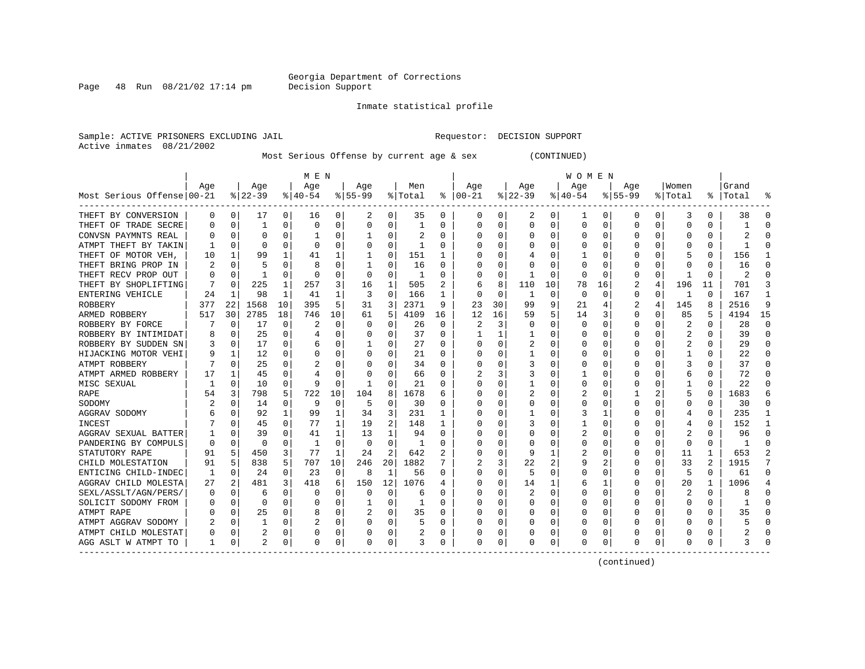Page  $48$  Run  $08/21/02$  17:14 pm

#### Inmate statistical profile

Sample: ACTIVE PRISONERS EXCLUDING JAIL Requestor: DECISION SUPPORT Active inmates 08/21/2002

Most Serious Offense by current age & sex (CONTINUED)

|                            |     |              |           |              | M E N       |          |             |          |         |          |                         |          |          |    | W O M E N |          |             |          |         |    |           |          |
|----------------------------|-----|--------------|-----------|--------------|-------------|----------|-------------|----------|---------|----------|-------------------------|----------|----------|----|-----------|----------|-------------|----------|---------|----|-----------|----------|
|                            | Age |              | Age       |              | Age         |          | Age         |          | Men     |          | Age                     |          | Age      |    | Age       |          | Age         |          | Women   |    | Grand     |          |
| Most Serious Offense 00-21 |     |              | $ 22-39 $ |              | $8140 - 54$ |          | $8155 - 99$ |          | % Total |          | $8   00 - 21$           |          | $ 22-39$ |    | $ 40-54$  |          | $8155 - 99$ |          | % Total |    | %   Total |          |
| THEFT BY CONVERSION        | 0   | 0            | 17        | 0            | 16          | 0        | 2           | 0        | 35      | 0        | 0                       | 0        | 2        | 0  | 1         | 0        | 0           | 0        | 3       | 0  | 38        | $\Omega$ |
| THEFT OF TRADE SECRE       |     | 0            | 1         | 0            | 0           | O        | O           | 0        | 1       | U        | 0                       | O        | U        | O  | U         | $\Omega$ | $\Omega$    | O        | C       | U  |           | ſ        |
| CONVSN PAYMNTS REAL        |     | 0            | U         | U            |             | 0        |             | O        | 2       | U        |                         | O        | O        | O  | Ω         | 0        |             | O        |         | U  |           |          |
| ATMPT THEFT BY TAKIN       |     | $\mathbf 0$  | U         |              | C.          | 0        | 0           | $\Omega$ |         | U        |                         | O        | O        | O  | Ω         | n        |             |          |         | O  |           |          |
| THEFT OF MOTOR VEH         | 10  | $\mathbf{1}$ | 99        | 1            | 41          |          |             | $\Omega$ | 151     |          |                         | U        |          | O  |           | $\Omega$ |             |          |         | O  | 156       |          |
| THEFT BRING PROP IN        |     | $\Omega$     |           | O            | 8           | 0        |             | 0        | 16      | 0        | O                       | 0        |          | O  | U         | n        |             | O        |         | 0  | 16        |          |
| THEFT RECV PROP OUT        |     | $\Omega$     | 1         | U            | $\Omega$    | 0        | O           | 0        | -1      | U        | 0                       | 0        |          | O  | 0         | n        |             | $\Omega$ |         | 0  | 2         |          |
| THEFT BY SHOPLIFTING       |     | $\Omega$     | 225       | 1            | 257         | 3        | 16          | 1        | 505     | 2        | 6                       | 8        | 110      | 10 | 78        | 16       |             | 4        | 196     | 11 | 701       |          |
| ENTERING VEHICLE           | 24  | -1           | 98        | 1            | 41          |          | 3           | $\Omega$ | 166     | 1        | <sup>0</sup>            | $\Omega$ | -1       | 0  | 0         | $\Omega$ | $\Omega$    | $\Omega$ | -1      | 0  | 167       |          |
| ROBBERY                    | 377 | 22           | 1568      | 10           | 395         | 5        | 31          | 3        | 2371    | 9        | 23                      | 30       | 99       | 9  | 21        |          | 2           | 4        | 145     | 8  | 2516      | 9        |
| ARMED ROBBERY              | 517 | 30           | 2785      | 18           | 746         | 10       | 61          | 5        | 4109    | 16       | 12                      | 16       | 59       | 5  | 14        | 3        | $\Omega$    | $\Omega$ | 85      | 5  | 4194      | 15       |
| ROBBERY BY FORCE           |     | $\Omega$     | 17        | $\Omega$     | 2           | $\Omega$ | O           | O        | 26      | $\Omega$ | 2                       | 3        | O        | O  | U         | $\Omega$ | $\Omega$    | $\Omega$ | 2       | 0  | 28        | $\Omega$ |
| ROBBERY BY INTIMIDAT       |     | $\Omega$     | 25        | $\Omega$     |             | 0        | O           | 0        | 37      | 0        |                         | 1        |          | O  | Ω         | n        | O           | O        | 2       | 0  | 39        | ∩        |
| ROBBERY BY SUDDEN SN       |     | 0            | 17        | $\Omega$     | 6           | 0        |             | $\Omega$ | 27      | U        | O                       | 0        |          | O  | 0         | n        | O           | O        | 2       | 0  | 29        | ∩        |
| HIJACKING MOTOR VEHI       | 9   | 1            | 12        | 0            | 0           | 0        | O           | 0        | 21      | U        | O                       | O        |          | O  | Ω         | n        | O           |          |         | O  | 22        | n        |
| ATMPT ROBBERY              |     | $\Omega$     | 25        | 0            | 2           | 0        |             | 0        | 34      | 0        | 0                       | 0        |          | 0  | 0         | 0        |             |          | 3       | 0  | 37        | O        |
| ATMPT ARMED ROBBERY        | 17  | 1            | 45        | U            | 4           | 0        |             | $\Omega$ | 66      | U        |                         | 3        |          | O  |           | O        |             |          | 6       | 0  | 72        |          |
| MISC SEXUAL                | -1  | $\Omega$     | 10        | U            | q           | $\Omega$ |             | O        | 21      | U        |                         | O        |          | O  | Ω         | ſ        |             | O        |         | U  | 22        |          |
| RAPE                       | 54  | 3            | 798       | 5            | 722         | 10       | 104         | 8        | 1678    | 6        |                         | 0        |          | O  | 2         | n        |             |          | 5       | U  | 1683      |          |
| SODOMY                     |     | U            | 14        | $\Omega$     | 9           | $\Omega$ | 5           | $\Omega$ | 30      | U        | O                       | $\Omega$ | O        | O  | ი         | n        | ∩           | U        | O       | U  | 30        |          |
| AGGRAV SODOMY              |     | O            | 92        | $\mathbf{1}$ | 99          | 1        | 34          | 3        | 231     | -1       |                         | 0        |          | O  | 3         |          |             | O        | 4       | U  | 235       |          |
| INCEST                     |     | $\Omega$     | 45        | $\Omega$     | 77          | 1        | 19          | 2        | 148     | 1        |                         | 0        |          | O  |           | n        |             | O        |         | U  | 152       |          |
| AGGRAV SEXUAL BATTER       |     | 0            | 39        | 0            | 41          | 1        | 13          | 1        | 94      | U        |                         | O        | 0        | O  | 2         | 0        |             | $\Omega$ | 2       | 0  | 96        | ∩        |
| PANDERING BY COMPULS       |     | 0            | $\Omega$  | U            | -1          | $\Omega$ | 0           | 0        |         | U        |                         | O        |          | O  | ი         | 0        |             | $\Omega$ | C       | U  |           |          |
| STATUTORY RAPE             | 91  | 5            | 450       | 3            | 77          | 1        | 24          | 2        | 642     |          |                         | 0        | 9        |    |           | 0        | O           | $\Omega$ | 11      | 1  | 653       |          |
| CHILD MOLESTATION          | 91  | 5            | 838       | 5            | 707         | 10       | 246         | 20       | 1882    | 7        | $\overline{\mathbf{c}}$ | 3        | 22       | 2  | 9         | 2        | O           | O        | 33      | 2  | 1915      |          |
| ENTICING CHILD-INDEC       | -1  | 0            | 24        | $\Omega$     | 23          | 0        | 8           | 1        | 56      | U        | <sup>0</sup>            | 0        | 5        | O  | Ω         | n        | O           | O        | .5      | 0  | 61        | ∩        |
| AGGRAV CHILD MOLESTA       | 27  | 2            | 481       | 3            | 418         | 6        | 150         | 12       | 1076    | 4        | <sup>0</sup>            | 0        | 14       | 1  | 6         |          | O           | O        | 20      | 1  | 1096      |          |
| SEXL/ASSLT/AGN/PERS/       | O   | $\Omega$     | 6         | U            | 0           | 0        | 0           | $\Omega$ | 6       | U        | 0                       | O        |          | 0  | 0         | 0        | O           | O        | 2       | 0  | 8         | n        |
| SOLICIT SODOMY FROM        |     | 0            | 0         | U            | C           | 0        |             | 0        |         | U        | 0                       | O        |          | O  | Ω         | 0        |             |          | C       | U  |           |          |
| ATMPT RAPE                 |     | 0            | 25        | U            | 8           | 0        |             | 0        | 35      | U        |                         | 0        | O        | O  | Ω         | $\Omega$ |             |          |         | U  | 35        |          |
| ATMPT AGGRAV SODOMY        |     | $\mathbf 0$  | 1         | U            |             | 0        | O           | 0        | 5       | 0        | O                       | 0        | O        | 0  | Ω         | 0        |             |          |         | 0  |           |          |
| ATMPT CHILD MOLESTAT       |     | 0            | 2         |              | 0           | 0        | 0           | 0        |         | 0        |                         | 0        | O        | 0  | 0         | 0        |             |          |         | U  |           |          |
| AGG ASLT W ATMPT TO        | 1   | 0            | 2         | 0            | $\Omega$    | 0        | O           | 0        | 3       | 0        | <sup>0</sup>            | 0        | O        | 0  | U         | $\Omega$ | $\Omega$    | 0        | O       | U  |           |          |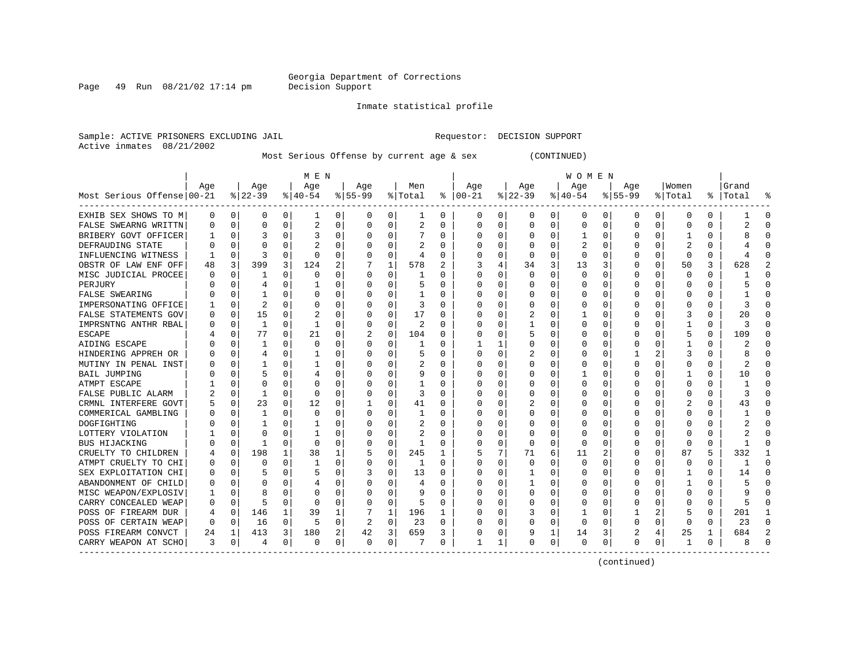Page 49 Run 08/21/02 17:14 pm

#### Inmate statistical profile

Sample: ACTIVE PRISONERS EXCLUDING JAIL Requestor: DECISION SUPPORT Active inmates 08/21/2002

Most Serious Offense by current age & sex (CONTINUED)

|                            | M E N    |             |                |          |              |          |                |          |         |   | <b>WOMEN</b> |          |              |             |                  |              |              |              |              |               |       |           |  |
|----------------------------|----------|-------------|----------------|----------|--------------|----------|----------------|----------|---------|---|--------------|----------|--------------|-------------|------------------|--------------|--------------|--------------|--------------|---------------|-------|-----------|--|
|                            | Age      |             | Age            |          | Age          |          | Age            |          | Men     |   | Age          |          | Age          |             | Age              |              | Aqe          |              | Women        |               | Grand |           |  |
| Most Serious Offense 00-21 |          |             | $8 22-39$      |          | $8 40-54$    |          | $8 55-99$      |          | % Total | ႜ | $ 00-21$     |          | $ 22-39 $    |             | $ 40-54 $        |              | $8155 - 99$  |              | % Total      | $\frac{1}{6}$ | Total |           |  |
| EXHIB SEX SHOWS TO M       | 0        | 0           | 0              | 0        | ı            | 0        | 0              | 0        | ı       | 0 | 0            | 0        | 0            | 0           | 0                | 0            | 0            | 0            | 0            | 0             |       | 0         |  |
| FALSE SWEARNG WRITTN       |          | $\mathbf 0$ | $\Omega$       | 0        | 2            | 0        | O              | 0        | 2       | 0 | O            | 0        | 0            | $\Omega$    | 0                | 0            | $\Omega$     | 0            | 0            | 0             |       | $\cap$    |  |
| BRIBERY GOVT OFFICER       |          | $\mathbf 0$ |                | O        | 3            | $\Omega$ |                | $\Omega$ |         | 0 |              | 0        | 0            | 0           |                  | $\Omega$     | $\Omega$     | 0            |              | 0             |       |           |  |
| DEFRAUDING STATE           |          | $\Omega$    | O              |          |              | O        |                | $\Omega$ |         | U |              | O        | <sup>0</sup> | O           |                  | $\Omega$     | $\Omega$     | U            |              | U             |       |           |  |
| INFLUENCING WITNESS        |          | $\Omega$    | 3              | U        | $\Omega$     | 0        |                | 0        | 4       | 0 |              | 0        | <sup>0</sup> | 0           | $\Omega$         | 0            | O            | 0            | $\Omega$     | 0             |       |           |  |
| OBSTR OF LAW ENF OFF       | 48       | 3           | 399            | 3        | 124          | 2        |                | 1        | 578     | 2 |              | 4        | 34           | 3           | 13               | 3            | O            | 0            | 50           | 3             | 628   |           |  |
| MISC JUDICIAL PROCEE       |          | 0           |                | O        | n            | O        | O              | 0        |         | U | O            | $\Omega$ | <sup>0</sup> | $\Omega$    | $\Omega$         | $\Omega$     | O            | 0            | $\Omega$     | 0             |       |           |  |
| PERJURY                    |          | $\Omega$    | 4              | U        |              | U        |                | $\Omega$ | 5       | U | 0            | $\Omega$ | O            | $\Omega$    | $\left( \right)$ | $\Omega$     |              | <sup>0</sup> | 0            | 0             |       |           |  |
| FALSE SWEARING             |          | $\Omega$    |                | 0        | 0            | U        |                | $\Omega$ |         | U |              | $\Omega$ | O            | 0           |                  | $\Omega$     | <sup>0</sup> | <sup>0</sup> | 0            | U             |       |           |  |
| IMPERSONATING OFFICE       |          | $\mathbf 0$ | $\overline{c}$ | O        | 0            | 0        |                | $\Omega$ | 3       | 0 |              | $\Omega$ |              | 0           |                  | $\Omega$     |              | 0            | 0            | 0             |       |           |  |
| FALSE STATEMENTS GOV       |          | $\mathbf 0$ | 15             | $\Omega$ | 2            | 0        |                | 0        | 17      | 0 |              | 0        | 2            | $\Omega$    |                  | $\Omega$     | <sup>0</sup> | 0            | 3            | O             | 20    | C         |  |
| IMPRSNTNG ANTHR RBAL       |          | $\mathbf 0$ | 1              | $\Omega$ | $\mathbf{1}$ | $\Omega$ |                | 0        | 2       | U | C            | $\Omega$ |              | O           | Ω                | $\Omega$     | $\Omega$     | 0            |              | 0             | 3     | $\cap$    |  |
| ESCAPE                     |          | 0           | 77             | $\Omega$ | 21           | 0        |                | 0        | 104     | U | C            | $\Omega$ |              | O           | Ω                | $\Omega$     | $\Omega$     | 0            | 5            | 0             | 109   | $\Omega$  |  |
| AIDING ESCAPE              |          | 0           | 1              | O        | 0            | 0        | O              | 0        |         | 0 |              | 1        | 0            | 0           | 0                | 0            | 0            | 0            |              | 0             |       | $\Omega$  |  |
| HINDERING APPREH OR        |          | 0           | 4              | 0        |              | 0        | O              | 0        | 5       | 0 | $\Omega$     | 0        |              | 0           | 0                | 0            |              |              | 3            | 0             | Я     | $\Omega$  |  |
| MUTINY IN PENAL INST       |          | 0           |                | O        |              | 0        | O              | 0        | 2       | 0 | 0            | 0        | 0            | 0           | 0                | 0            | $\Omega$     | 0            | 0            | 0             |       | $\cap$    |  |
| <b>BAIL JUMPING</b>        |          | 0           | 5              |          |              | 0        |                | O        | 9       | U |              | 0        |              | 0           |                  | $\Omega$     | <sup>0</sup> | O            |              | U             | 10    | $\cap$    |  |
| ATMPT ESCAPE               |          | $\Omega$    | O              | O        | C            | U        |                | O        |         | U |              | 0        | O            | 0           | O                | C            | O            |              | O            | U             |       |           |  |
| FALSE PUBLIC ALARM         |          | $\Omega$    | 1              | O        | $\Omega$     | U        |                | $\Omega$ | 3       | U | C            | 0        | O            | 0           | O                | $\Omega$     | O            |              | <sup>0</sup> | U             | 3     |           |  |
| CRMNL INTERFERE GOVT       |          | 0           | 23             | O        | 12           | 0        |                | O        | 41      | U | O            | 0        |              | 0           | Ω                | $\Omega$     | n            | <sup>0</sup> | 2            | 0             | 43    |           |  |
| COMMERICAL GAMBLING        |          | 0           | 1              | O        | $\Omega$     | U        |                | O        |         | U | C            | 0        | O            | 0           | Ω                | $\Omega$     |              |              | <sup>0</sup> | 0             |       |           |  |
| DOGFIGHTING                |          | $\Omega$    |                | U        |              | U        |                | 0        | 2       | U | O            | 0        | O            | O           | Ω                | n            |              | 0            | O            | 0             |       |           |  |
| LOTTERY VIOLATION          |          | $\Omega$    | $\Omega$       | 0        |              | U        |                | $\Omega$ | 2       | U |              | $\Omega$ | 0            | 0           | O                | $\Omega$     |              | <sup>0</sup> | O            | 0             |       | n         |  |
| BUS HIJACKING              |          | $\Omega$    | 1              | $\Omega$ | 0            | 0        |                | $\Omega$ |         | 0 |              | $\Omega$ | $\Omega$     | $\Omega$    | 0                | $\Omega$     |              | $\Omega$     | $\Omega$     | 0             |       |           |  |
| CRUELTY TO CHILDREN        |          | $\mathbf 0$ | 198            | 1        | 38           | 1        |                | 0        | 245     | 1 |              | 7        | 71           | 6           | 11               | 2            | 0            | 0            | 87           | 5             | 332   |           |  |
| ATMPT CRUELTY TO CHI       |          | $\mathbf 0$ | $\Omega$       | O        |              | 0        |                | 0        | 1       | U | O            | $\Omega$ | $\Omega$     | O           | 0                | $\Omega$     | $\Omega$     | 0            | 0            | 0             |       | $\cap$    |  |
| SEX EXPLOITATION CHI       |          | 0           |                | O        | 5            | 0        |                | 0        | 13      | 0 | O            | $\Omega$ | 1            | 0           | 0                | $\Omega$     | $\Omega$     | 0            | 1            | 0             | 14    | $\bigcap$ |  |
| ABANDONMENT OF CHILD       | O        | $\Omega$    | O              | O        |              | 0        |                | 0        | 4       | U | C            | $\Omega$ | 1            | O           | O                | <sup>0</sup> | O            | 0            |              | 0             |       | $\cap$    |  |
| MISC WEAPON/EXPLOSIV       |          | $\Omega$    | 8              | O        | 0            | 0        |                | 0        | 9       | U | O            | $\Omega$ | 0            | 0           | 0                | 0            | O            | 0            | Ω            | 0             |       | $\cap$    |  |
| CARRY CONCEALED WEAP       | $\left($ | $\mathbf 0$ | 5              | $\Omega$ | n            | 0        | n              | 0        | 5       | 0 | O            | $\Omega$ | 0            | 0           | 0                | $\Omega$     | O            | <sup>0</sup> | O            | 0             |       | $\cap$    |  |
| POSS OF FIREARM DUR        | 4        | 0           | 146            | 1        | 39           | 1        |                | 1        | 196     | 1 | C            | 0        | 3            | 0           | 1                | $\Omega$     |              | 2            | 5            | 0             | 201   | -1        |  |
| POSS OF CERTAIN WEAP       | 0        | 0           | 16             | 0        | 5            | 0        | $\overline{c}$ | 0        | 23      | 0 |              | 0        |              | 0           | $\Omega$         | 0            | 0            | 0            | O            | 0             | 23    | n         |  |
| POSS FIREARM CONVCT        | 24       | 1           | 413            | 3        | 180          | 2        | 42             | 3        | 659     | 3 |              | 0        | 9            | 1           | 14               | 3            |              |              | 25           | 1             | 684   |           |  |
| CARRY WEAPON AT SCHO       | 3        | 0           | 4              | 0        | 0            | 0        | 0              | 0        |         | 0 |              | 1        | 0            | $\mathbf 0$ | 0                | 0            | $\Omega$     | 0            | $\mathbf{1}$ | 0             |       |           |  |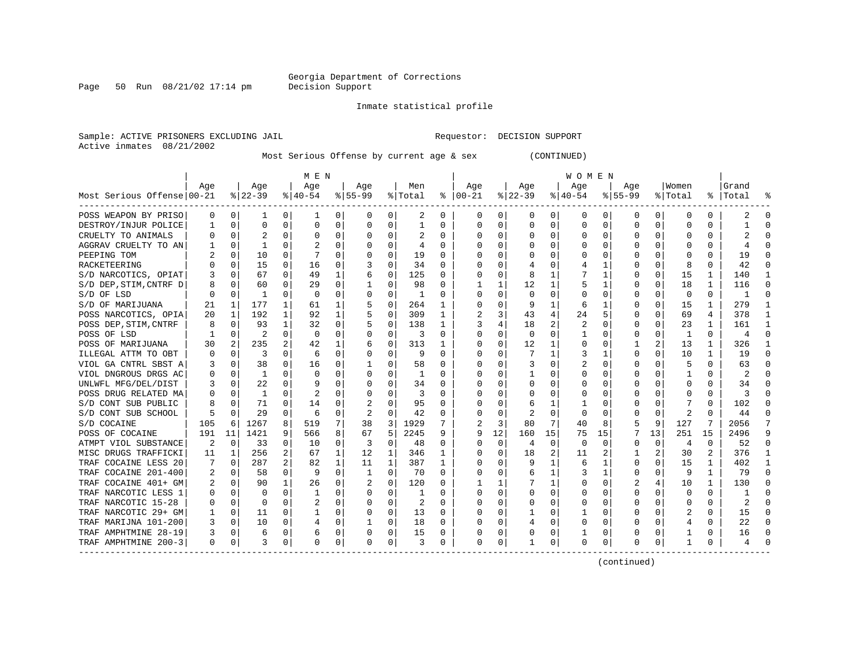Page 50 Run  $08/21/02$  17:14 pm

#### Inmate statistical profile

Sample: ACTIVE PRISONERS EXCLUDING JAIL Requestor: DECISION SUPPORT Active inmates 08/21/2002

Most Serious Offense by current age & sex (CONTINUED)

|                            | M E N |             |              |                |           |          |          |              |         |          |              | W O M E N    |          |                |          |             |          |          |                |              |                |              |  |
|----------------------------|-------|-------------|--------------|----------------|-----------|----------|----------|--------------|---------|----------|--------------|--------------|----------|----------------|----------|-------------|----------|----------|----------------|--------------|----------------|--------------|--|
|                            | Age   |             | Age          |                | Age       |          | Age      |              | Men     |          | Age          |              | Age      |                | Age      |             | Age      |          | Women          |              | Grand          |              |  |
| Most Serious Offense 00-21 |       |             | $ 22-39 $    |                | $8 40-54$ |          | $ 55-99$ |              | % Total | ႜ        | $ 00-21$     |              | $ 22-39$ |                | $ 40-54$ |             | $ 55-99$ |          | % Total        |              | %   Total      |              |  |
| POSS WEAPON BY PRISO       | 0     | 0           | 1            | 0              | 1         | 0        | 0        | 0            | 2       | 0        | 0            | $\mathbf{0}$ | 0        | 0              | 0        | 0           | 0        | 0        | 0              | 0            | 2              | n            |  |
| DESTROY/INJUR POLICE       |       | 0           | 0            | 0              | 0         | 0        | 0        | 0            | 1       | 0        | 0            | 0            | $\Omega$ | 0              | 0        | 0           | 0        | $\Omega$ | 0              | 0            |                |              |  |
| CRUELTY TO ANIMALS         |       | $\mathbf 0$ | 2            | 0              | 0         | 0        |          | 0            | 2       | 0        |              | 0            | $\Omega$ | 0              |          | 0           | 0        | 0        | 0              | 0            |                |              |  |
| AGGRAV CRUELTY TO AN       |       | $\mathbf 0$ | $\mathbf{1}$ | U              |           | 0        |          | 0            | 4       | $\Omega$ |              |              | $\Omega$ | 0              |          | $\mathbf 0$ | 0        | U        | C              | O            |                |              |  |
| PEEPING TOM                |       | $\Omega$    | 10           | U              |           | $\Omega$ | O        | O            | 19      | $\Omega$ |              | 0            |          | U              |          | $\Omega$    | U        | O        | <sup>0</sup>   | 0            | 19             |              |  |
| RACKETEERING               |       | 0           | 15           | $\Omega$       | 16        | 0        |          | 0            | 34      | 0        |              | $\Omega$     |          | 0              |          | 1           | O        | 0        | 8              | 0            | 42             |              |  |
| S/D NARCOTICS, OPIAT       | 3     | 0           | 67           | 0              | 49        | 1        | 6        | 0            | 125     | $\Omega$ |              | $\Omega$     | 8        | 1              |          | 1           | U        | $\Omega$ | 15             | 1            | 140            |              |  |
| S/D DEP, STIM, CNTRF D     | 8     | $\Omega$    | 60           | 0              | 29        | $\Omega$ |          | $\Omega$     | 98      | 0        |              | 1            | 12       | 1              | 5        | 1           | U        | $\Omega$ | 18             | 1            | 116            |              |  |
| S/D OF LSD                 |       | $\Omega$    | -1           | 0              | $\Omega$  | $\Omega$ | 0        | $\Omega$     | -1      | 0        | 0            | $\Omega$     | $\Omega$ | 0              |          | 0           | 0        | $\Omega$ | $\Omega$       | $\Omega$     |                |              |  |
| S/D OF MARIJUANA           | 21    | 1           | 177          | 1              | 61        |          |          | 0            | 264     |          |              | 0            | 9        | 1              | 6        | 1           | 0        | 0        | 15             |              | 279            | $\mathbf{1}$ |  |
| POSS NARCOTICS, OPIA       | 20    | 1           | 192          | $\mathbf 1$    | 92        | 1        |          | 0            | 309     | 1        |              | 3            | 43       | 4              | 24       | 5           | 0        | 0        | 69             | 4            | 378            | -1           |  |
| POSS DEP, STIM, CNTRF      | 8     | 0           | 93           | $\mathbf{1}$   | 32        | 0        |          | 0            | 138     | 1        | 3            | 4            | 18       | $\overline{2}$ | 2        | 0           | 0        | 0        | 23             | $\mathbf{1}$ | 161            | -1           |  |
| POSS OF LSD                |       | 0           | 2            | $\Omega$       | 0         | 0        | O        | 0            | 3       | $\Omega$ | <sup>0</sup> | 0            | 0        | $\Omega$       |          | 0           | 0        | $\Omega$ | -1             | 0            | $\overline{4}$ | ∩            |  |
| POSS OF MARIJUANA          | 30    | 2           | 235          |                | 42        | 1        | 6        | $\Omega$     | 313     | 1        | O            | 0            | 12       | 1              |          | 0           | 1        | 2        | 13             | 1            | 326            | -1           |  |
| ILLEGAL ATTM TO OBT        | 0     | 0           | 3            | U              | 6         | 0        |          | 0            | 9       | O        |              |              |          | 1              | 3        | 1           | 0        | 0        | 10             | 1            | 19             |              |  |
| VIOL GA CNTRL SBST A       | 3     | 0           | 38           | U              | 16        | 0        |          | 0            | 58      | O        |              |              | 3        | 0              | 2        | 0           | 0        | O        |                | O            | 63             |              |  |
| VIOL DNGROUS DRGS AC       |       | 0           | 1            | U              | $\Omega$  | 0        | 0        | 0            |         | O        |              |              |          | 0              |          | 0           | 0        | O        |                | O            |                |              |  |
| UNLWFL MFG/DEL/DIST        |       | 0           | 22           | U              |           | O        | O        | $\Omega$     | 34      | $\Omega$ |              | 0            | $\Omega$ | O              |          | $\Omega$    | U        |          | $\Omega$       | 0            | 34             |              |  |
| POSS DRUG RELATED MA       |       | $\Omega$    | -1           | U              | 2         | $\Omega$ |          | O            | 3       | $\Omega$ |              | 0            | $\Omega$ | U              |          | $\Omega$    | O        | O        | $\Omega$       | 0            | κ              |              |  |
| S/D CONT SUB PUBLIC        |       | $\Omega$    | 71           | 0              | 14        | 0        |          | $\Omega$     | 95      | 0        |              | $\Omega$     | 6        | 1              |          | 0           | 0        | 0        |                | 0            | 102            |              |  |
| S/D CONT SUB SCHOOL        | 5     | $\Omega$    | 29           | 0              | 6         | 0        | 2        | 0            | 42      | 0        |              | $\Omega$     | 2        | 0              | $\Omega$ | 0           | U        | 0        | 2              | U            | 44             |              |  |
| S/D COCAINE                | 105   | 6           | 1267         | 8              | 519       | 7        | 38       | 3            | 1929    |          | 2            | 3            | 80       | 7              | 40       | 8           | 5        | 9        | 127            | 7            | 2056           |              |  |
| POSS OF COCAINE            | 191   | 11          | 1421         | 9              | 566       | 8        | 67       | 5            | 2245    | 9        | 9            | 12           | 160      | 15             | 75       | 15          |          | 13       | 251            | 15           | 2496           | 9            |  |
| ATMPT VIOL SUBSTANCE       | 2     | 0           | 33           | 0              | 10        | $\Omega$ | 3        | 0            | 48      | $\Omega$ | $\Omega$     | 0            | 4        | 0              | $\Omega$ | $\mathbf 0$ | $\Omega$ | 0        | $\overline{4}$ | $\Omega$     | 52             | $\Omega$     |  |
| MISC DRUGS TRAFFICKI       | 11    | 1           | 256          | $\overline{a}$ | 67        | 1        | 12       | 1            | 346     | 1        | <sup>0</sup> | 0            | 18       | 2              | 11       | 2           | 1        | 2        | 30             | $\mathbf{2}$ | 376            | -1           |  |
| TRAF COCAINE LESS 20       | 7     | 0           | 287          | $\overline{a}$ | 82        | 1        | 11       | $\mathbf{1}$ | 387     | 1        | ∩            | 0            | 9        | 1              | 6        | 1           | 0        | $\Omega$ | 15             | 1            | 402            | -1           |  |
| TRAF COCAINE 201-400       | 2     | 0           | 58           | $\Omega$       | -9        | 0        | 1        | 0            | 70      | $\Omega$ | <sup>0</sup> | 0            | 6        | 1              | 3        | 1           | 0        | 0        | 9              | 1            | 79             | ∩            |  |
| TRAF COCAINE 401+ GM       | 2     | 0           | 90           | $\mathbf{1}$   | 26        | 0        | 2        | 0            | 120     | 0        |              | 1            |          | 1              | O        | 0           |          | 4        | 10             | 1            | 130            | ∩            |  |
| TRAF NARCOTIC LESS 1       |       | 0           | $\Omega$     | 0              | 1         | 0        | O        | 0            | 1       | O        |              | 0            | 0        | 0              |          | 0           | 0        | 0        | 0              | 0            |                |              |  |
| TRAF NARCOTIC 15-28        |       | 0           | $\Omega$     | O              |           | 0        | O        | 0            | 2       | O        |              | O            | $\Omega$ | 0              |          | 0           | 0        | O        | $\Omega$       | $\Omega$     |                |              |  |
| TRAF NARCOTIC 29+ GM       |       | $\mathbf 0$ | 11           | U              |           | $\Omega$ | 0        | $\Omega$     | 13      | $\Omega$ | <sup>0</sup> | 0            | 1        | 0              |          | 0           | 0        |          |                | 0            | 15             |              |  |
| TRAF MARIJNA 101-200       | 3     | 0           | 10           | U              |           | 0        |          | 0            | 18      | 0        | ∩            | $\Omega$     |          | 0              | $\Omega$ | 0           | 0        | O        | 4              | 0            | 22             |              |  |
| TRAF AMPHTMINE 28-19       |       | 0           | 6            | 0              | 6         | 0        | 0        | 0            | 15      | 0        |              | 0            |          | 0              |          | 0           | O        | O        |                | 0            | 16             |              |  |
| TRAF AMPHTMINE 200-3       | 0     | 0           | 3            | 0              | $\Omega$  | 0        | O        | 0            | 3       | 0        | $\Omega$     | 0            |          | 0              | $\Omega$ | 0           | O        | 0        | -1             | 0            |                |              |  |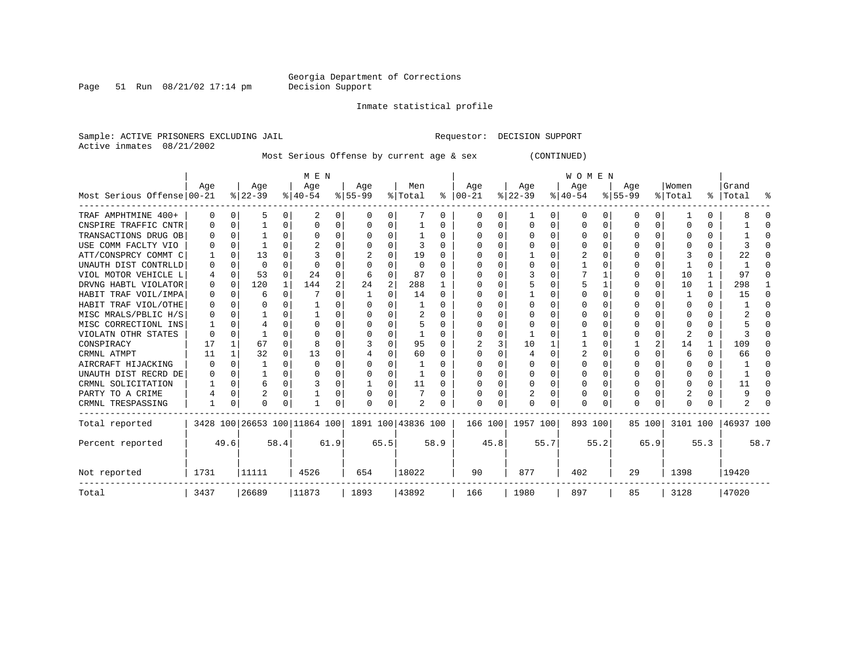Page 51 Run  $08/21/02$  17:14 pm

#### Inmate statistical profile

Sample: ACTIVE PRISONERS EXCLUDING JAIL Requestor: DECISION SUPPORT Active inmates 08/21/2002

Most Serious Offense by current age & sex (CONTINUED)

|                            |      |              |           |              | M E N                        |      |           |      |                    |              | <b>WOMEN</b>            |      |           |      |           |          |           |          |          |              |           |      |  |
|----------------------------|------|--------------|-----------|--------------|------------------------------|------|-----------|------|--------------------|--------------|-------------------------|------|-----------|------|-----------|----------|-----------|----------|----------|--------------|-----------|------|--|
|                            | Aqe  |              | Age       |              | Age                          |      | Age       |      | Men                |              | Age                     |      | Age       |      | Age       |          | Aqe       |          | Women    |              | Grand     |      |  |
| Most Serious Offense 00-21 |      |              | $ 22-39 $ |              | $ 40-54 $                    |      | $8 55-99$ |      | % Total            |              | $\frac{1}{6}$   00 - 21 |      | $ 22-39 $ |      | $ 40-54 $ |          | $8 55-99$ |          | % Total  |              | %   Total | ိစ်  |  |
| TRAF AMPHTMINE 400+        |      | 0            | 5         | 0            | 2                            | 0    | O         | 0    |                    | 0            |                         | 0    |           | 0    |           | 0        | O         | 0        |          | 0            |           |      |  |
| CNSPIRE TRAFFIC CNTR       |      | $\Omega$     |           | 0            | O                            | 0    | O         | 0    |                    | 0            | O                       | U    | $\Omega$  | 0    | O         | 0        | U         | 0        | O        | 0            |           |      |  |
| TRANSACTIONS DRUG OB       |      | $\Omega$     |           | 0            | O                            | 0    | U         | 0    |                    | $\Omega$     |                         |      |           | U    |           | $\Omega$ |           | $\Omega$ |          | $\Omega$     |           |      |  |
| USE COMM FACLTY VIO        |      | $\Omega$     |           | 0            |                              | U    |           | U    |                    | $\Omega$     |                         |      |           |      |           | $\Omega$ |           | 0        |          | 0            |           |      |  |
| ATT/CONSPRCY COMMT C       |      | <sup>0</sup> | 13        |              |                              |      |           | O    | 19                 | <sup>0</sup> |                         |      |           |      |           |          |           |          |          | 0            | 22        |      |  |
| UNAUTH DIST CONTRLLD       |      |              | $\Omega$  | U            |                              |      | U         | U    | $\Omega$           | $\Omega$     |                         |      |           |      |           |          | U         | O        |          | 0            |           |      |  |
| VIOL MOTOR VEHICLE L       |      | 0            | 53        | 0            | 24                           | 0    | 6         | 0    | 87                 | <sup>0</sup> |                         |      |           |      |           |          |           | 0        | 10       | 1            | 97        | ∩    |  |
| DRVNG HABTL VIOLATOR       |      | $\Omega$     | 120       | $\mathbf{1}$ | 144                          | 2    | 24        | 2    | 288                |              |                         |      |           |      |           |          |           | 0        | 10       | 1            | 298       |      |  |
| HABIT TRAF VOIL/IMPA       |      |              | 6         | 0            |                              | U    |           | U    | 14                 | $\Omega$     |                         |      |           |      |           | ∩        | U         |          |          | $\Omega$     | 15        | n    |  |
| HABIT TRAF VIOL/OTHE       |      |              |           |              |                              |      |           |      |                    |              |                         |      |           |      |           |          |           |          |          |              |           |      |  |
| MISC MRALS/PBLIC H/S       |      |              |           |              |                              |      |           | U    | $\overline{c}$     | <sup>0</sup> |                         |      |           |      |           |          |           |          | O        | 0            |           |      |  |
| MISC CORRECTIONL INS       |      |              |           |              |                              |      |           | U    |                    | $\Omega$     |                         |      |           |      |           |          |           |          | $\Omega$ | 0            |           |      |  |
| VIOLATN OTHR STATES        |      |              |           |              |                              |      |           | 0    |                    |              |                         |      |           |      |           |          | U         | U        |          | <sup>n</sup> |           |      |  |
| CONSPIRACY                 | 17   |              | 67        | 0            |                              |      |           | 0    | 95                 | 0            |                         |      | 10        |      |           |          |           | 2        | 14       |              | 109       |      |  |
| CRMNL ATMPT                | 11   |              | 32        | 0            | 13                           | 0    |           | 0    | 60                 | $\Omega$     |                         |      |           | U    |           | $\Omega$ | U         | 0        | 6        | 0            | 66        |      |  |
| AIRCRAFT HIJACKING         |      | $\Omega$     |           | 0            | n                            | U    |           | U    |                    | <sup>0</sup> |                         |      |           |      |           | ∩        | U         | 0        | ∩        | 0            |           |      |  |
| UNAUTH DIST RECRD DE       |      |              |           | U            |                              | 0    |           | 0    |                    |              |                         |      |           | U    |           |          | U         | 0        |          | 0            |           |      |  |
| CRMNL SOLICITATION         |      | $\Omega$     | 6         | 0            |                              | 0    |           | U    | 11                 | 0            |                         |      | 0         | U    |           | 0        | U         | $\Omega$ | O        | 0            | 11        |      |  |
| PARTY TO A CRIME           |      | $\Omega$     |           | $\Omega$     |                              | 0    |           | 0    |                    | $\Omega$     |                         |      |           | O    |           | $\Omega$ | U         | 0        | 2        | 0            |           |      |  |
| CRMNL TRESPASSING          |      | $\Omega$     | U         | 0            |                              | 0    |           | 0    | 2                  |              |                         |      | U         | U    | ∩         |          | O         | $\Omega$ |          |              |           |      |  |
| Total reported             |      |              |           |              | 3428 100 26653 100 11864 100 |      |           |      | 1891 100 43836 100 |              | 166 100                 |      | 1957 100  |      | 893 100   |          |           | 85 100   | 3101 100 |              | 46937 100 |      |  |
| Percent reported           |      | 49.6         |           | 58.4         |                              | 61.9 |           | 65.5 |                    | 58.9         |                         | 45.8 |           | 55.7 |           | 55.2     |           | 65.9     |          | 55.3         |           | 58.7 |  |
| Not reported               | 1731 |              | 11111     |              | 4526                         |      | 654       |      | 18022              |              | 90                      |      | 877       |      | 402       |          | 29        |          | 1398     |              | 19420     |      |  |
| Total                      | 3437 |              | 26689     |              | 11873                        |      | 1893      |      | 43892              |              | 166                     |      | 1980      |      | 897       |          | 85        |          | 3128     |              | 47020     |      |  |